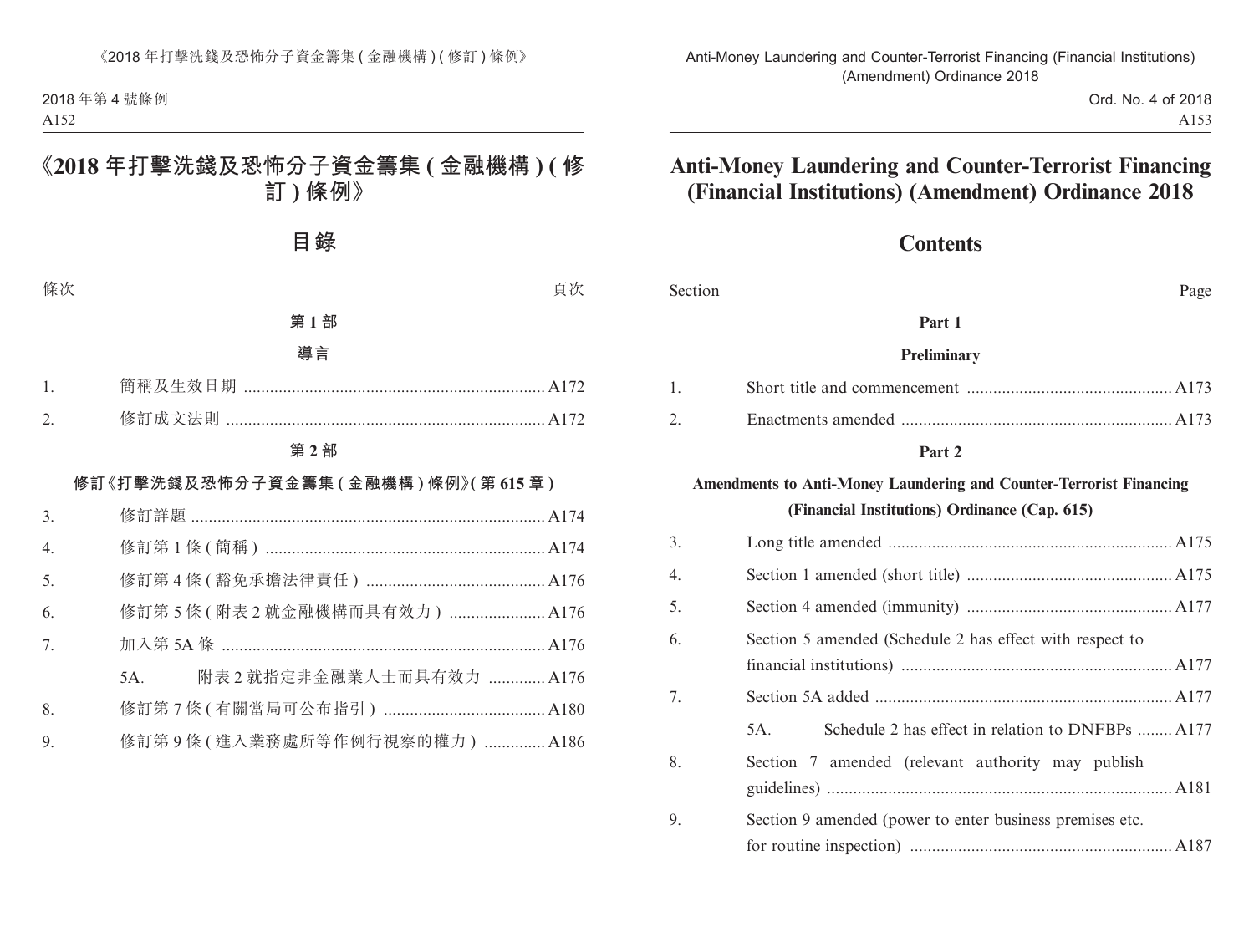2018 年第 4 號條例 A152

# **《2018 年打擊洗錢及恐怖分子資金籌集 ( 金融機構 ) ( 修 訂 ) 條例》**

## **目錄**

條次 頁次

#### **第 1 部**

#### **導言**

|                 | 間禅<br>V.<br>・ノエスター |  |
|-----------------|--------------------|--|
| $\sqrt{2}$<br>∸ |                    |  |

#### **第 2 部**

#### **修訂《打擊洗錢及恐怖分子資金籌集 ( 金融機構 ) 條例》( 第 615 章 )**

| 3.             |                                     |  |
|----------------|-------------------------------------|--|
| 4.             |                                     |  |
| 5.             |                                     |  |
| 6.             | 修訂第5條(附表2就金融機構而具有效力)  A176          |  |
| 7 <sup>1</sup> |                                     |  |
|                | 附表 2 就指定非金融業人士而具有效力  A176<br>$5A$ . |  |
| 8.             |                                     |  |
| 9.             | 修訂第9條(進入業務處所等作例行視察的權力)  A186        |  |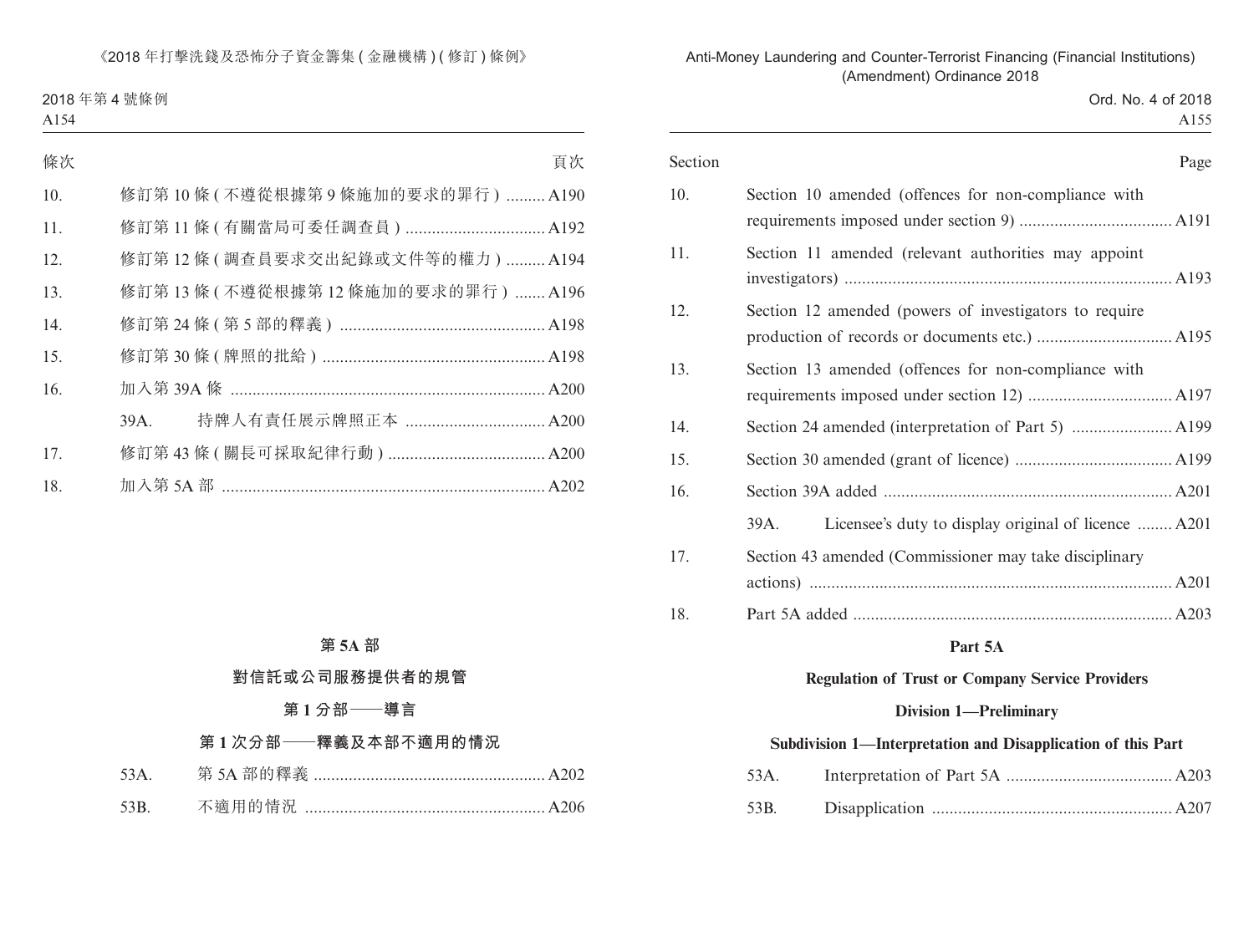2018 年第 4 號條例 A154

| 條次  | 頁次                                      |
|-----|-----------------------------------------|
| 10. | 修訂第10條 (不遵從根據第9條施加的要求的罪行)  A190         |
| 11. |                                         |
| 12. | 修訂第12條(調查員要求交出紀錄或文件等的權力)  A194          |
| 13. | 修訂第13條 (不遵從根據第12條施加的要求的罪行)  A196        |
| 14. |                                         |
| 15. |                                         |
| 16. |                                         |
|     | 39A.                                    |
| 17. |                                         |
| 18. | 加入第 5A 部 ………………………………………………………………… A202 |

### **第 5A 部**

### **對信託或公司服務提供者的規管**

#### **第 1 分部——導言**

#### **第 1 次分部——釋義及本部不適用的情況**

| 53A. |  |  |
|------|--|--|
|------|--|--|

### 53B. 不適用的情況 ....................................................... A206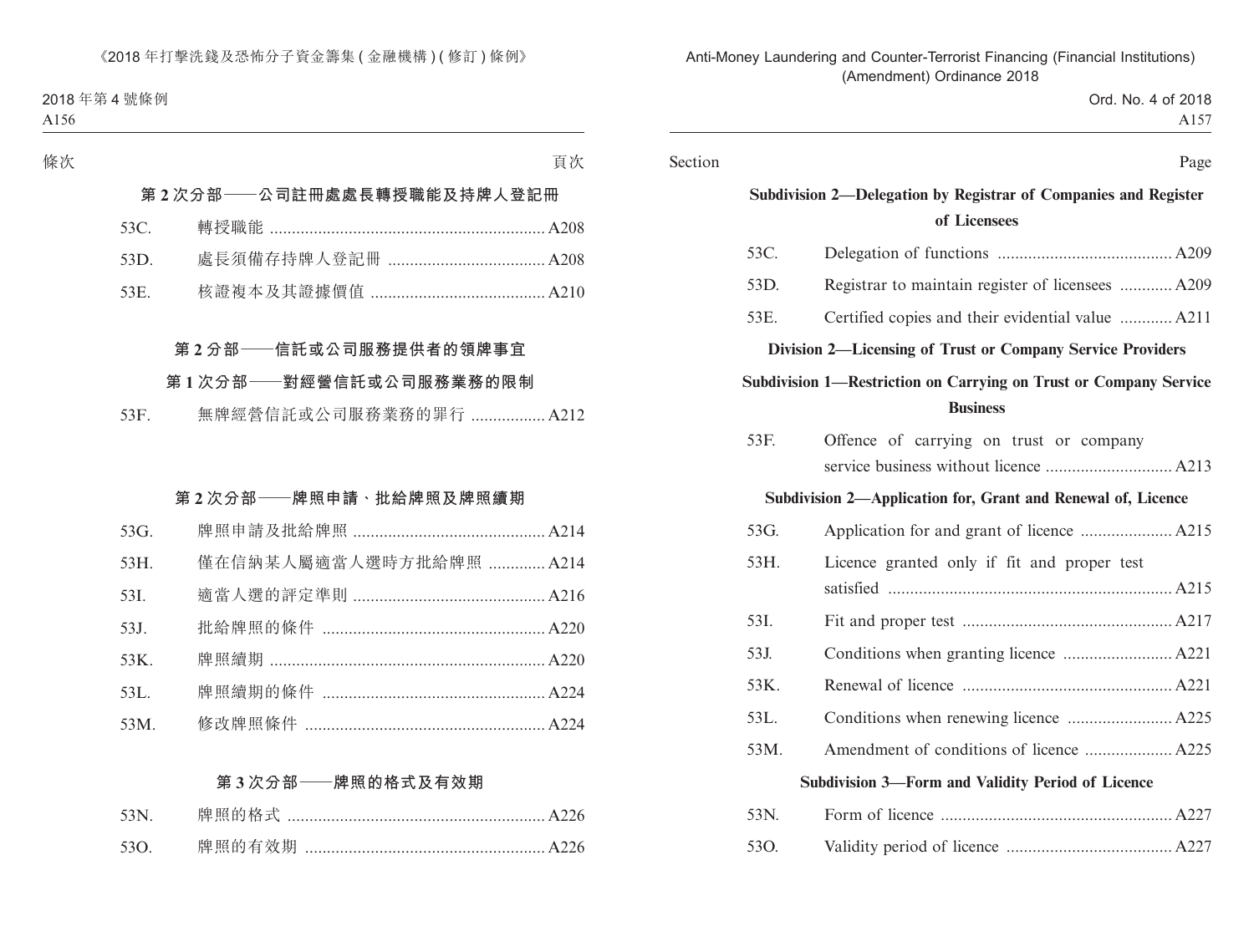# 2018 年第 4 號條例

### A156

條次 いっちょう しょうしょう しゅうしょく かんしょう うないしょう 買次 しょうしょう

#### **第 2 次分部——公司註冊處處長轉授職能及持牌人登記冊**

#### **第 2 分部——信託或公司服務提供者的領牌事宜**

#### **第 1 次分部——對經營信託或公司服務業務的限制**

53F. 無牌經營信託或公司服務業務的罪行 ................. A212

#### **第 2 次分部——牌照申請、批給牌照及牌照續期**

| 53G. |                         |  |
|------|-------------------------|--|
| 53H. | 僅在信納某人屬適當人選時方批給牌照  A214 |  |
| 53I. |                         |  |
| 53J. |                         |  |
| 53K. |                         |  |
| 53L. |                         |  |
| 53M. |                         |  |

#### **第 3 次分部——牌照的格式及有效期**

| 53N. |  |
|------|--|
| 53O. |  |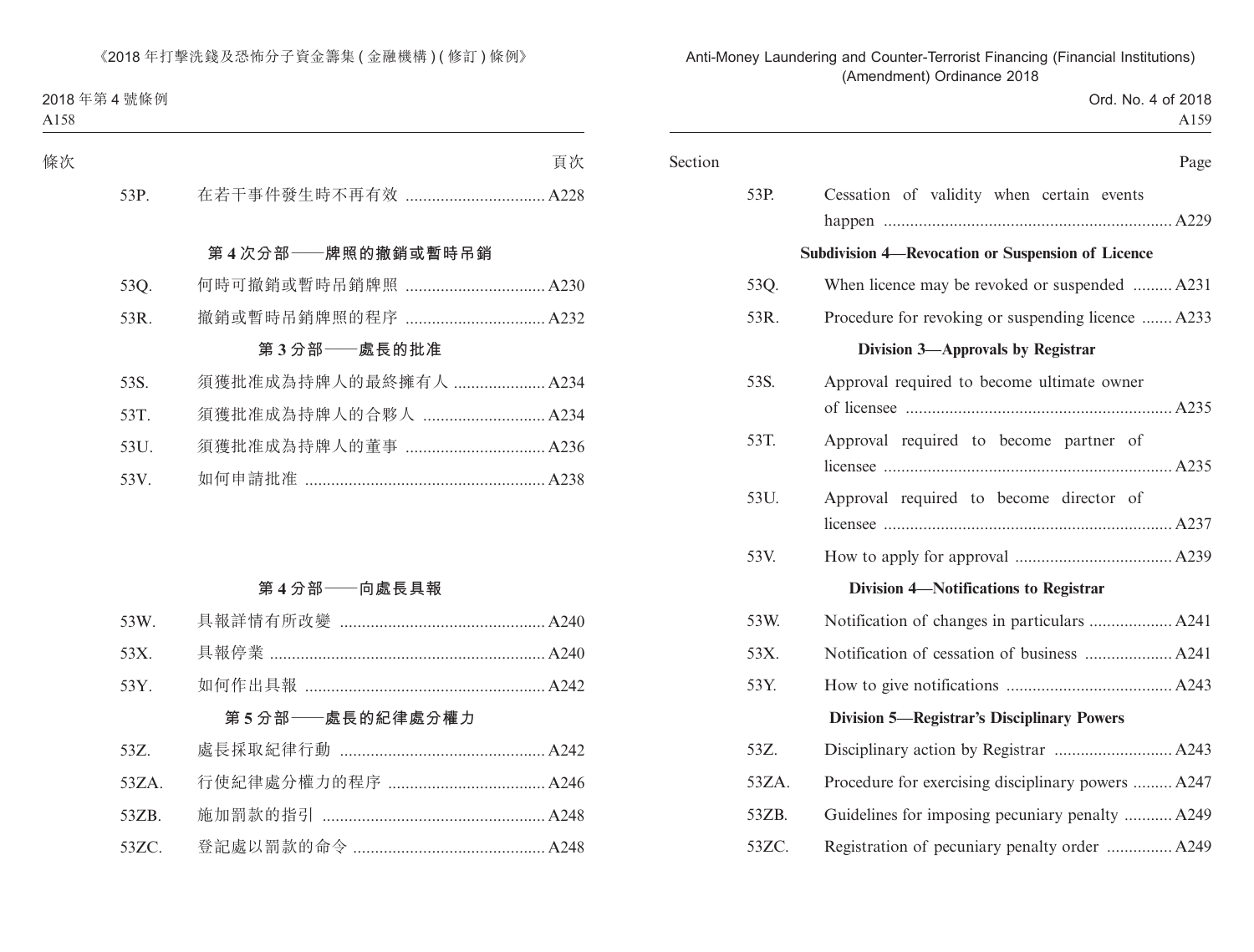《2018 年打擊洗錢及恐怖分子資金籌集 ( 金融機構 ) ( 修訂 ) 條例》

# 2018 年第 4 號條例 A158

條次 いっちょう しょうしょう しゅうしょく かんしょう うないしょう 買次 しょうしょう

| 在若干事件發生時不再有效  A228<br>53P. |  |  |  |  |  |  |
|----------------------------|--|--|--|--|--|--|
|----------------------------|--|--|--|--|--|--|

### **第 4 次分部——牌照的撤銷或暫時吊銷**

| 53Q. | 何時可撤銷或暫時吊銷牌照  A230 |  |
|------|--------------------|--|
|------|--------------------|--|

| 撤銷或暫時吊銷牌照的程序  A232<br>53R. |  |  |  |  |
|----------------------------|--|--|--|--|
|----------------------------|--|--|--|--|

### **第 3 分部——處長的批准**

| 須獲批准成為持牌人的最終擁有人  A234 | 53S. |
|-----------------------|------|
| 須獲批准成為持牌人的合夥人  A234   | 53T. |
| 須獲批准成為持牌人的董事  A236    | 53U. |
|                       |      |

### **第 4 分部——向處長具報**

| 第5分部——處長的紀律處分權力                         |  |
|-----------------------------------------|--|
|                                         |  |
| 53X.   具報停業 ………………………………………………………… A240 |  |
|                                         |  |

| 53Z.   處長採取紀律行動 ………………………………………… A242 |  |
|---------------------------------------|--|
|                                       |  |
|                                       |  |

53ZC. 登記處以罰款的命令 ............................................ A248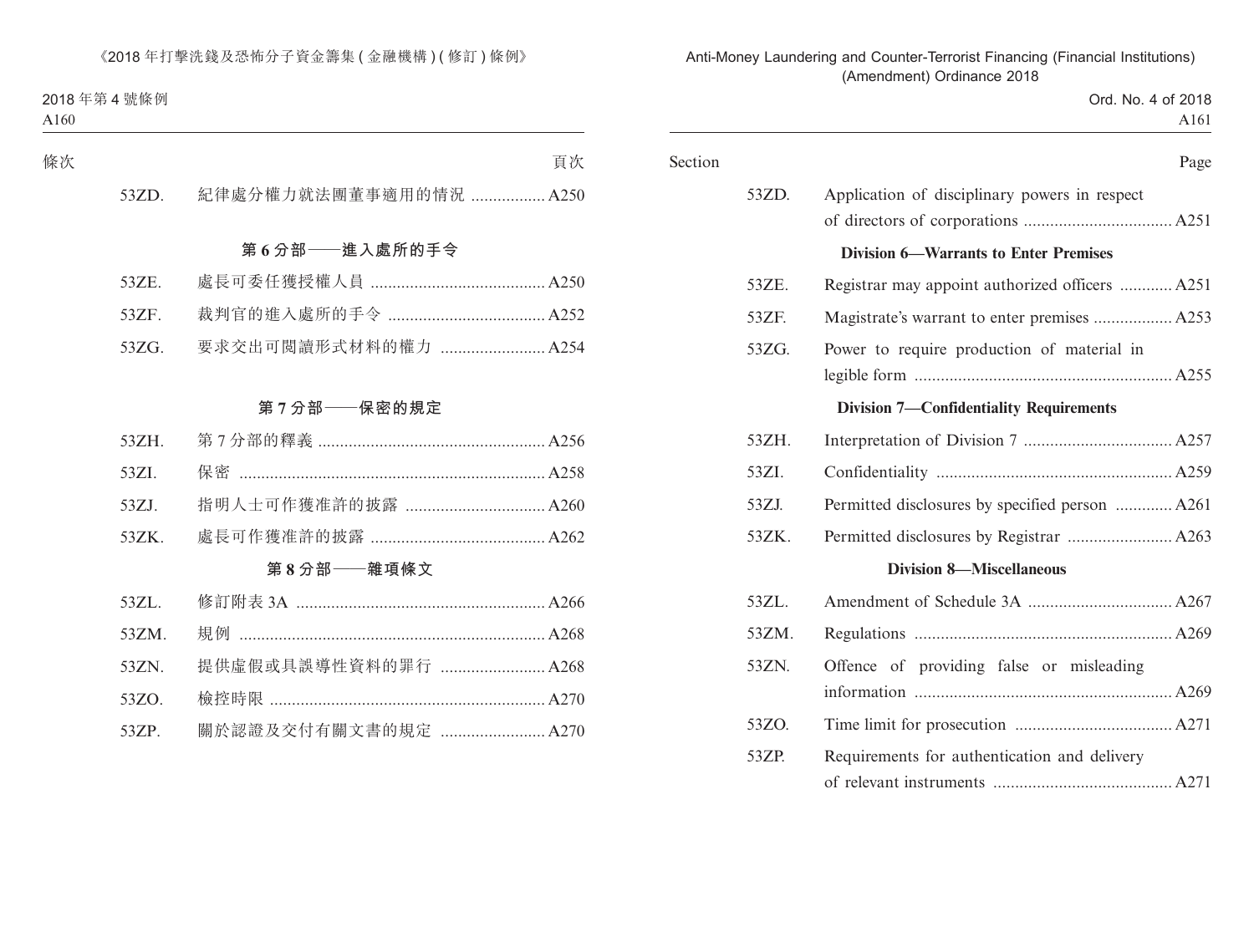| 2018年第4號條例 |  |  |
|------------|--|--|
| A160       |  |  |

條次 いっちょう しょうしょう しゅうしょく かんしょう うないしょう 買次 しょうしょう

53ZD. 紀律處分權力就法團董事適用的情況 ................. A250

### **第 6 分部——進入處所的手令**

53ZG. 要求交出可閱讀形式材料的權力 ........................ A254

### **第 7 分部——保密的規定**

### **第 8 分部——雜項條文**

|       | 53ZN. 提供虛假或具誤導性資料的罪行  A268 |  |
|-------|----------------------------|--|
|       |                            |  |
| 53ZP. | 關於認證及交付有關文書的規定  A270       |  |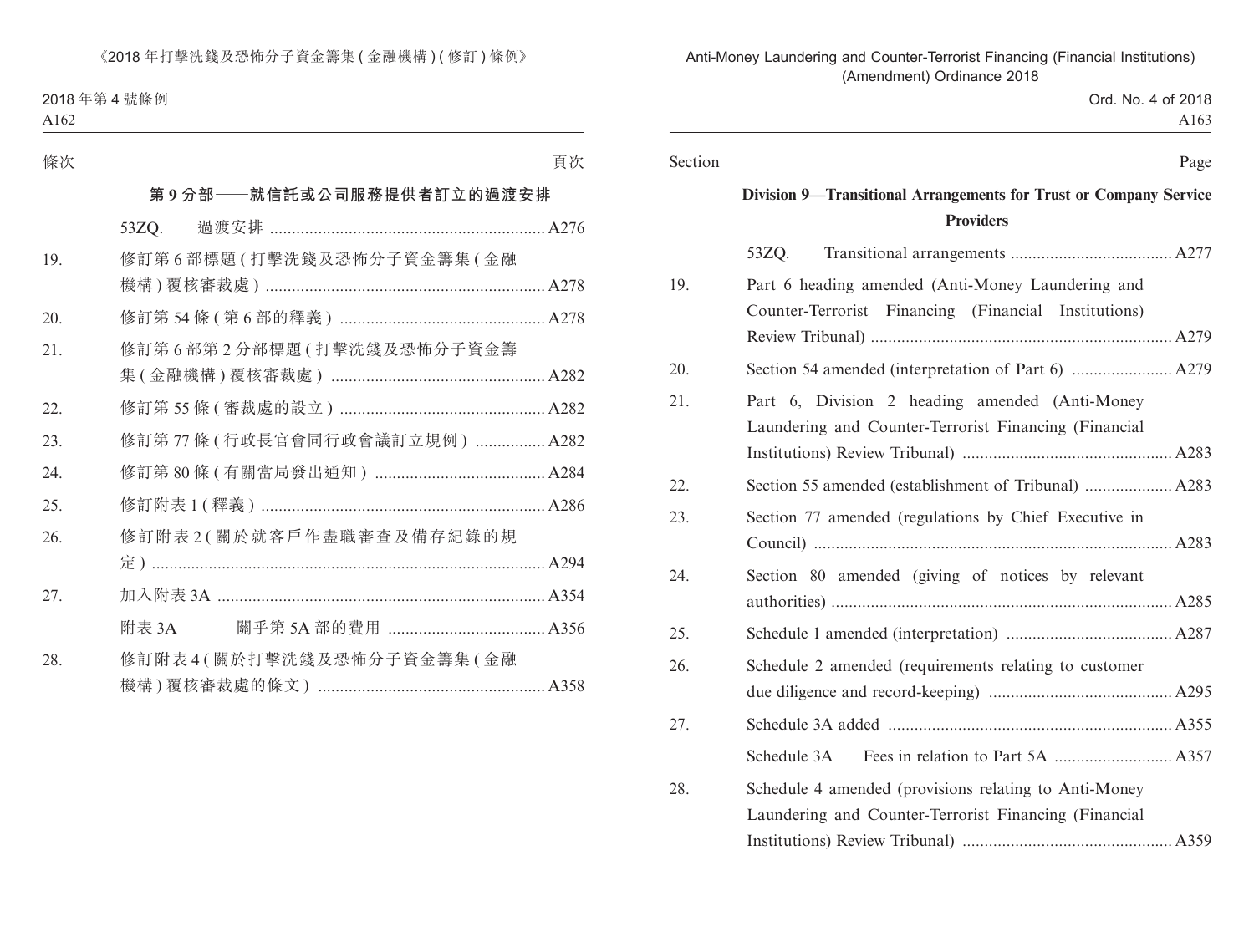### 2018 年第 4 號條例

### A162

| 條次  |                                 | 頁次 |
|-----|---------------------------------|----|
|     | 第9分部——就信託或公司服務提供者訂立的過渡安排        |    |
|     | 53ZQ.                           |    |
| 19. | 修訂第6部標題(打擊洗錢及恐怖分子資金籌集(金融        |    |
| 20. |                                 |    |
| 21. | 修訂第6部第2分部標題(打擊洗錢及恐怖分子資金籌        |    |
| 22. |                                 |    |
| 23. | 修訂第 77 條 (行政長官會同行政會議訂立規例)  A282 |    |
| 24. |                                 |    |
| 25. |                                 |    |
| 26. | 修訂附表2(關於就客戶作盡職審查及備存紀錄的規         |    |
| 27. |                                 |    |
|     | 附表 3A                           |    |
| 28. | 修訂附表 4 (關於打擊洗錢及恐怖分子資金籌集 (金融     |    |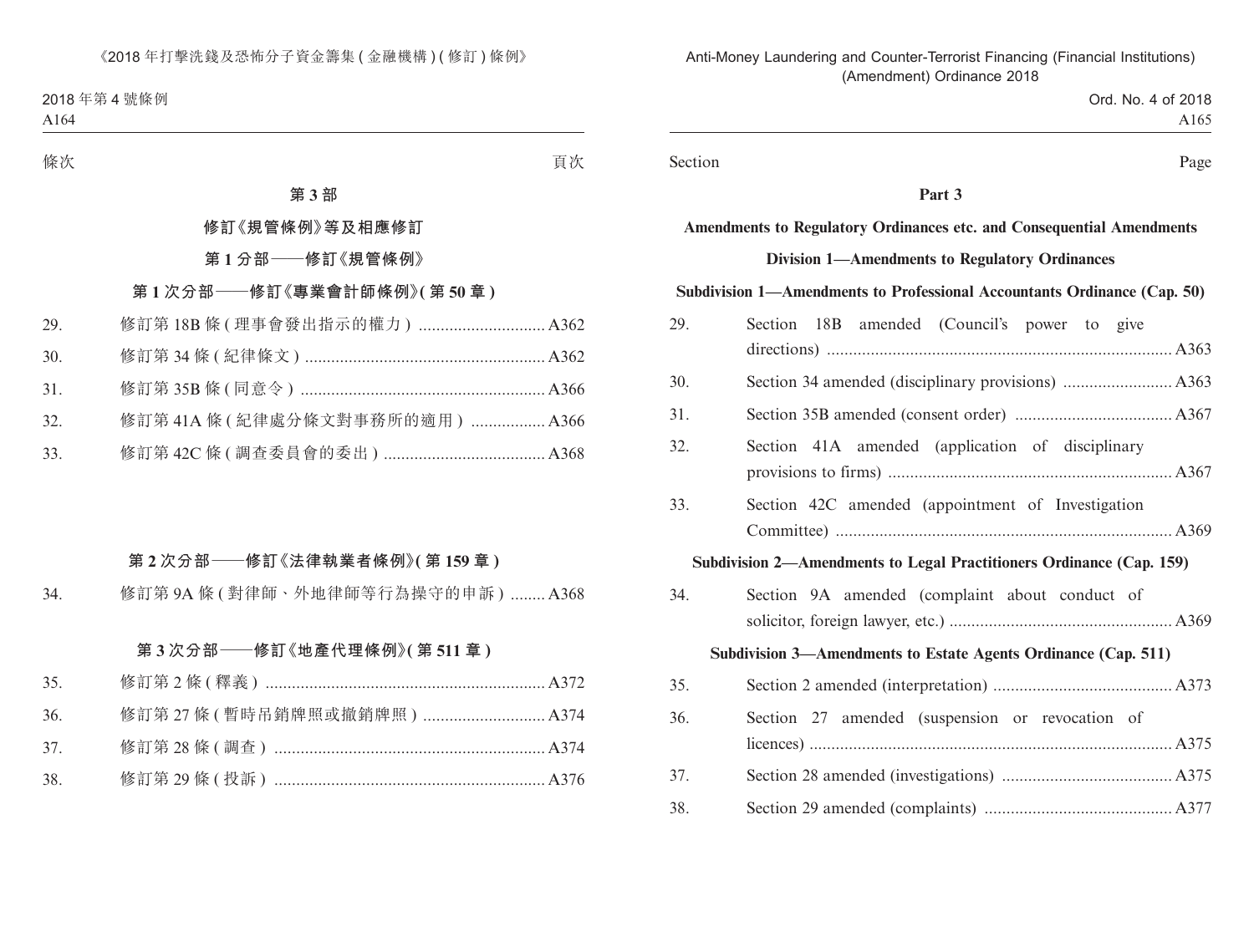### 2018 年第 4 號條例

#### A164

條次 いっちょう しょうしょう しゅうしょく かんしょう うないしょう 買次 しょうしょう

#### **第 3 部**

#### **修訂《規管條例》等及相應修訂**

#### **第 1 分部——修訂《規管條例》**

#### **第 1 次分部——修訂《專業會計師條例》( 第 50 章 )**

| 29. |  |
|-----|--|
|-----|--|

- 30. 修訂第 34 條 ( 紀律條文 ) ....................................................... A362
- 31. 修訂第 35B 條 ( 同意令 ) ........................................................ A366
- 32. 修訂第 41A 條 ( 紀律處分條文對事務所的適用 ) ................. A366
- 33. 修訂第 42C 條 ( 調查委員會的委出 ) ..................................... A368

#### **第 2 次分部——修訂《法律執業者條例》( 第 159 章 )**

34. 修訂第 9A 條 ( 對律師、外地律師等行為操守的申訴 ) ........ A368

#### **第 3 次分部——修訂《地產代理條例》( 第 511 章 )**

| 36. | 修訂第 27 條 ( 暫時吊銷牌照或撤銷牌照 )  A374 |  |
|-----|--------------------------------|--|
|     |                                |  |
|     |                                |  |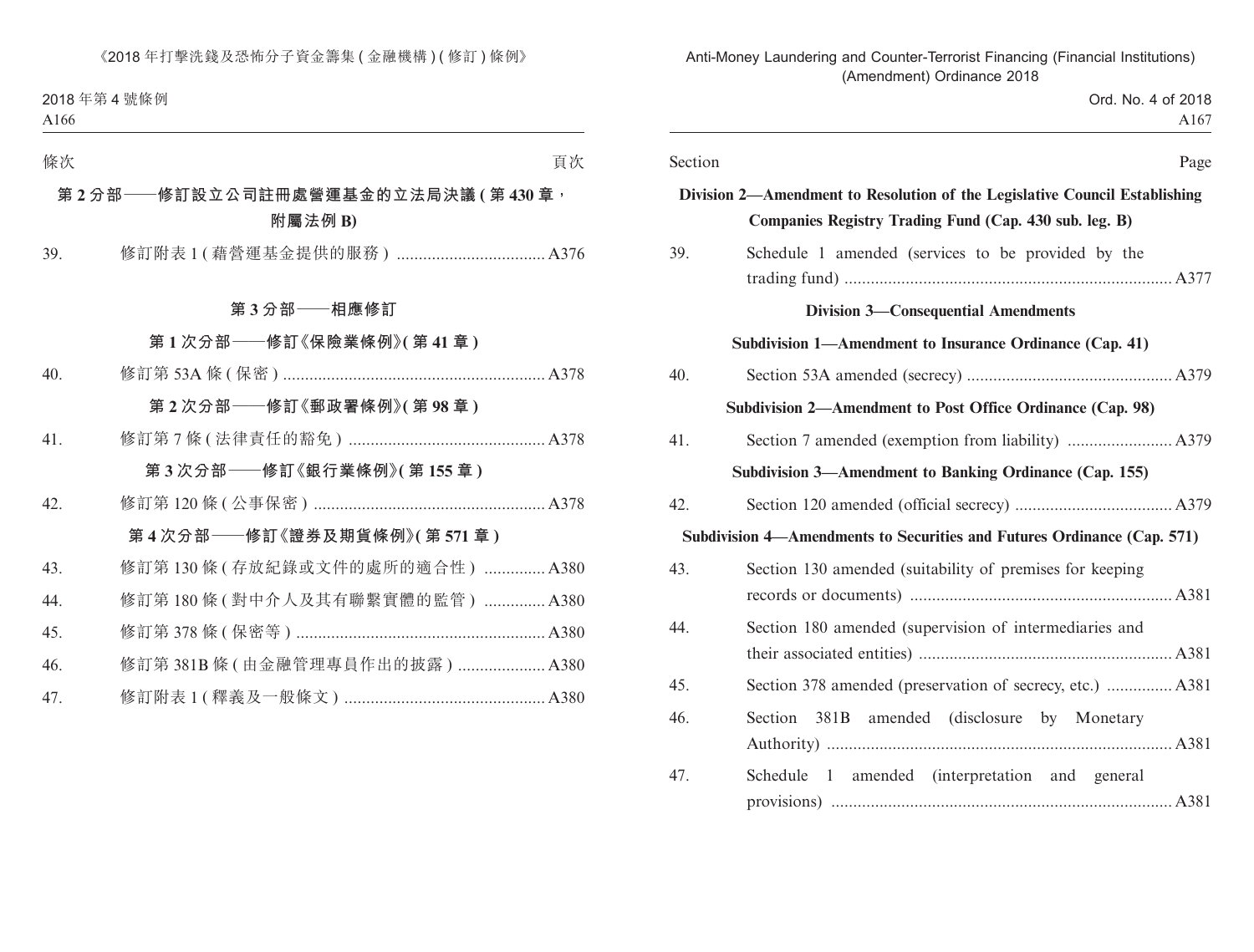#### 2018 年第 4 號條例 A166

條次 いっちょう しょうしょう しゅうしょく かんしょう うないしょう 買次 しょうしょう

#### **第 2 分部——修訂設立公司註冊處營運基金的立法局決議 ( 第 430 章,**

#### **附屬法例 B)**

39. 修訂附表 1 ( 藉營運基金提供的服務 ) .................................. A376

#### **第 3 分部——相應修訂**

#### **第 1 次分部——修訂《保險業條例》( 第 41 章 )**

40. 修訂第 53A 條 ( 保密 ) ............................................................ A378

**第 2 次分部——修訂《郵政署條例》( 第 98 章 )**

41. 修訂第 7 條 ( 法律責任的豁免 ) ............................................. A378

#### **第 3 次分部——修訂《銀行業條例》( 第 155 章 )**

42. 修訂第 120 條 ( 公事保密 ) ..................................................... A378

#### **第 4 次分部——修訂《證券及期貨條例》( 第 571 章 )**

- 43. 修訂第 130 條 ( 存放紀錄或文件的處所的適合性 ) .............. A380
- 44. 修訂第 180 條 ( 對中介人及其有聯繫實體的監管 ) .............. A380
- 45. 修訂第 378 條 ( 保密等 ) ......................................................... A380
- 46. 修訂第 381B 條 ( 由金融管理專員作出的披露 ) .................... A380
- 47. 修訂附表 1 ( 釋義及一般條文 ) .............................................. A380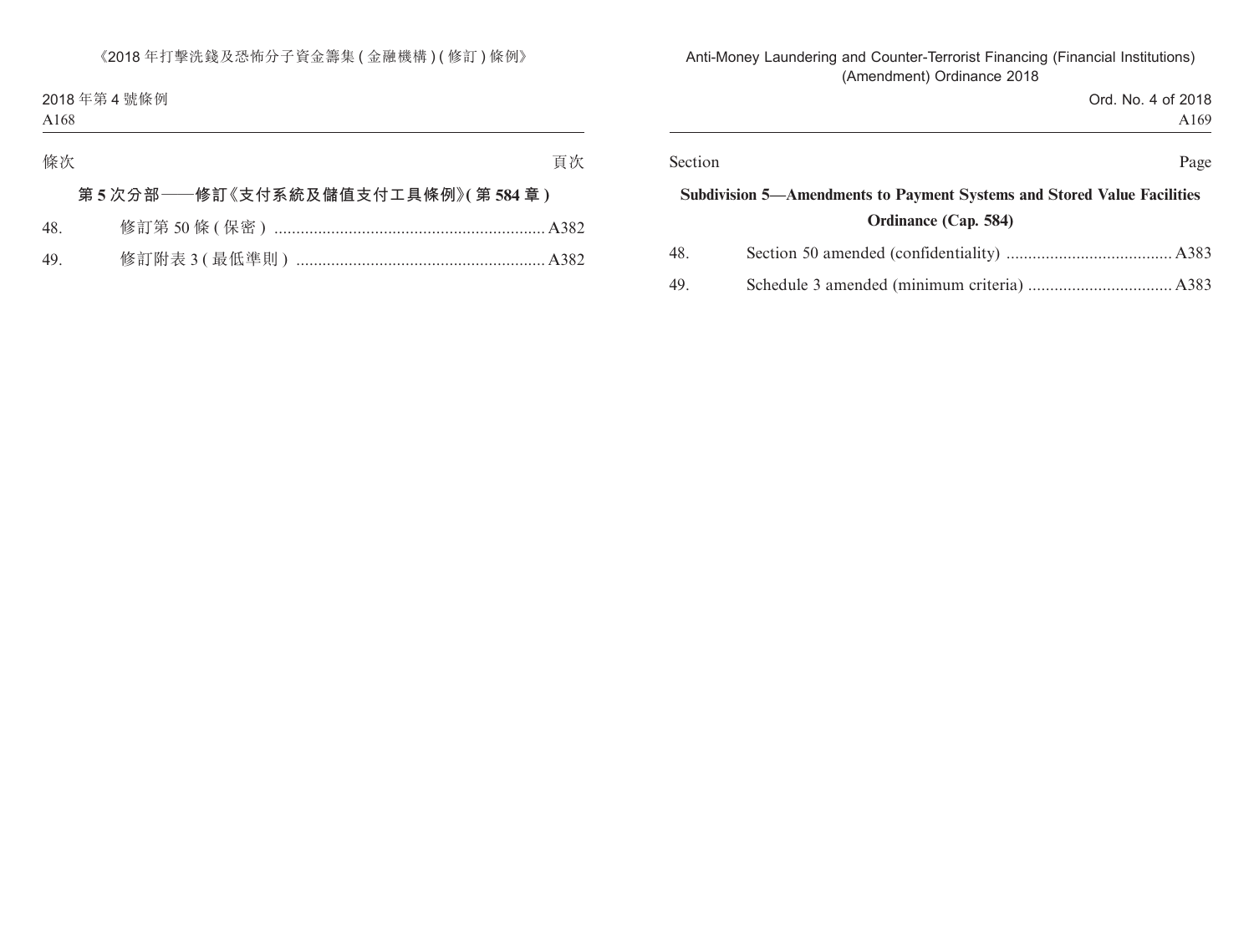|                  |  | 2018年第4號條例 |
|------------------|--|------------|
| A <sub>168</sub> |  |            |

| 條次  |                                      | 頁次 |
|-----|--------------------------------------|----|
|     | 第5次分部一<br>——修訂《支付系統及儲值支付工具條例》(第584章) |    |
| 48. |                                      |    |
| 49. |                                      |    |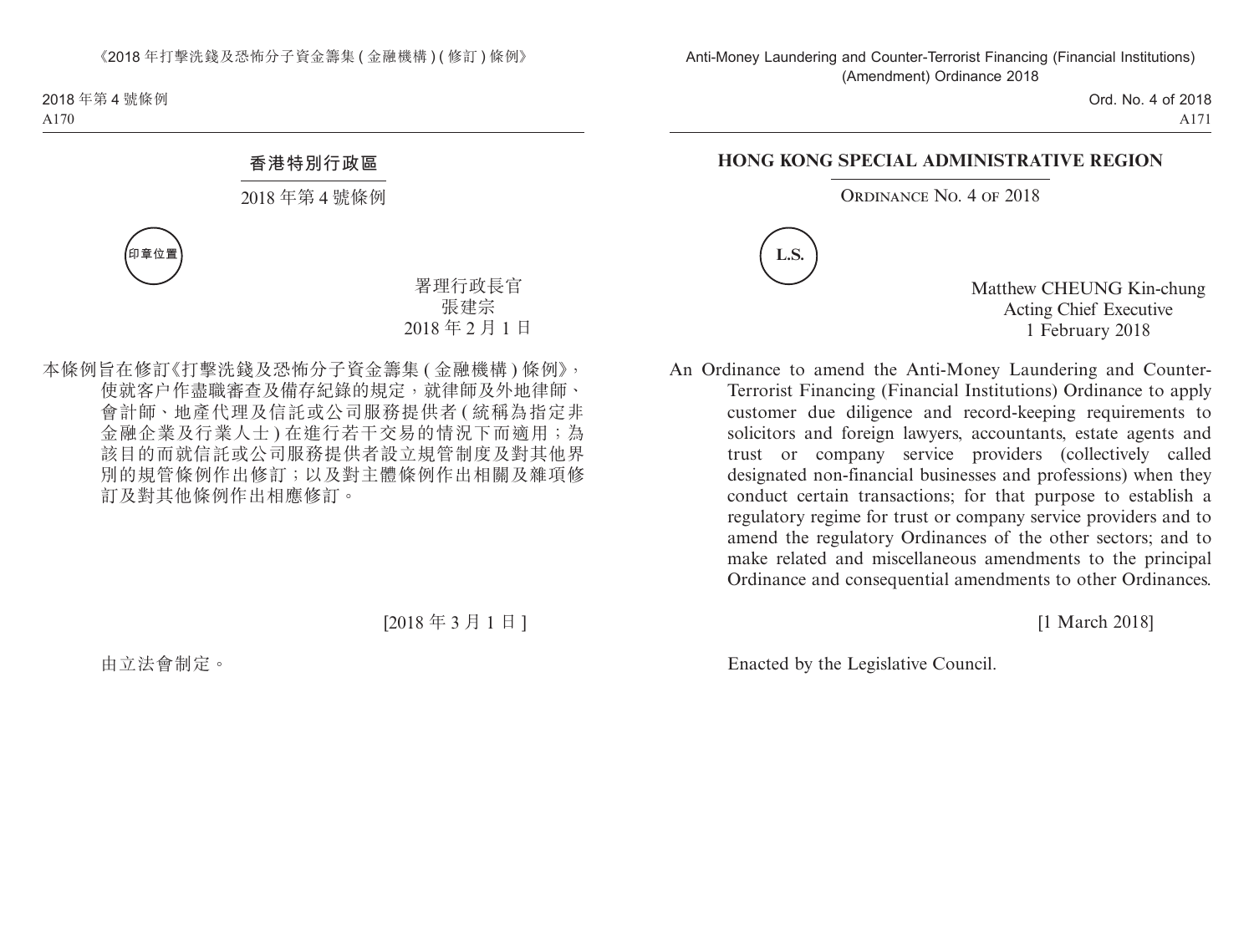2018 年第 4 號條例 A170

#### **香港特別行政區**

#### 2018 年第 4 號條例



署理行政長官 張建宗 2018 年 2 月 1 日

本條例旨在修訂《打擊洗錢及恐怖分子資金籌集 ( 金融機構 ) 條例》, 使就客户作盡職審查及備存紀錄的規定,就律師及外地律師、 會計師、地產代理及信託或公司服務提供者 ( 統稱為指定非 金融企業及行業人士 ) 在進行若干交易的情況下而適用;為 該目的而就信託或公司服務提供者設立規管制度及對其他界 別的規管條例作出修訂;以及對主體條例作出相關及雜項修 訂及對其他條例作出相應修訂。

[2018 年 3 月 1 日 ]

由立法會制定。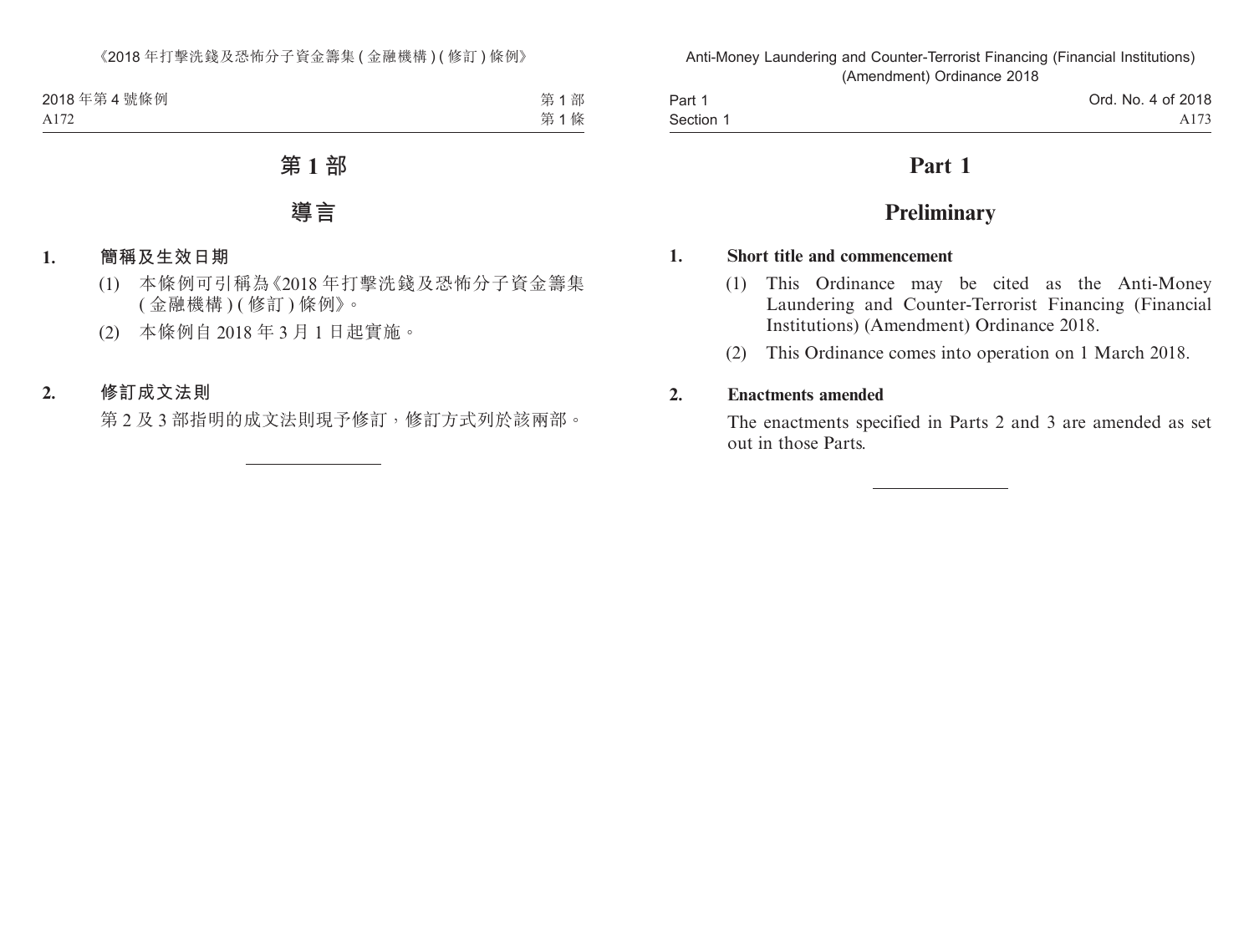| 2018年第4號條例 | 第1部 |  |
|------------|-----|--|
| A172       | 第1條 |  |

# **第 1 部**

# **導言**

- **1. 簡稱及生效日期**
	- (1) 本條例可引稱為《2018 年打擊洗錢及恐怖分子資金籌集 ( 金融機構 ) ( 修訂 ) 條例》。
	- (2) 本條例自 2018 年 3 月 1 日起實施。

#### **2. 修訂成文法則**

第 2 及 3 部指明的成文法則現予修訂, 修訂方式列於該兩部。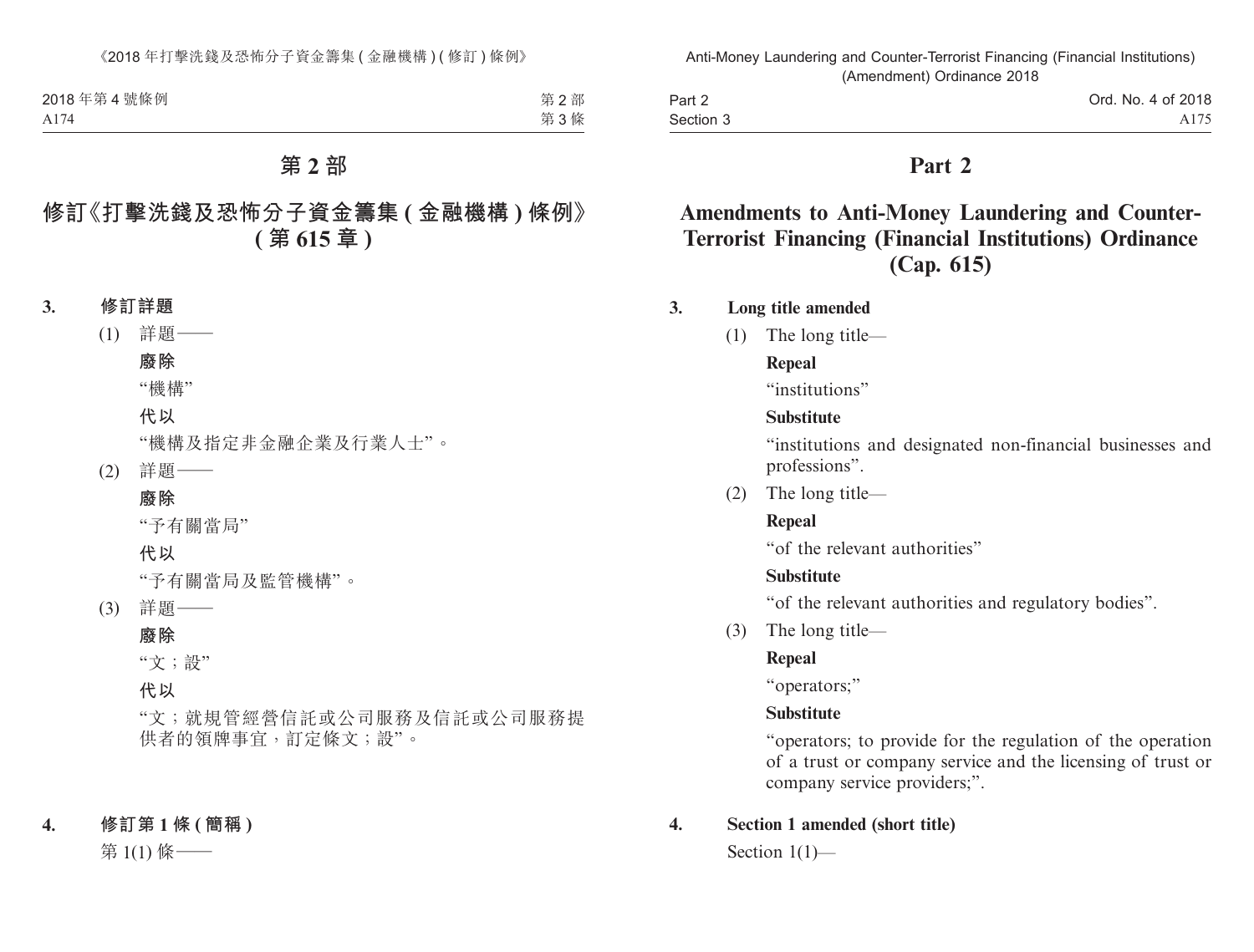| 2018年第4號條例 | 第2部 |
|------------|-----|
| A174       | 第3條 |

**第 2 部**

# **修訂《打擊洗錢及恐怖分子資金籌集 ( 金融機構 ) 條例》 ( 第 615 章 )**

- **3. 修訂詳題**
	- (1) 詳題——
		- **廢除**

"機構"

**代以**

"機構及指定非金融企業及行業人士"。

(2) 詳題——

#### **廢除**

"予有關當局"

#### **代以**

"予有關當局及監管機構"。

(3) 詳題——

#### **廢除**

"文;設"

**代以**

"文;就規管經營信託或公司服務及信託或公司服務提 供者的領牌事宜,訂定條文;設"。

**4. 修訂第 1 條 ( 簡稱 )**

第 1(1) 條——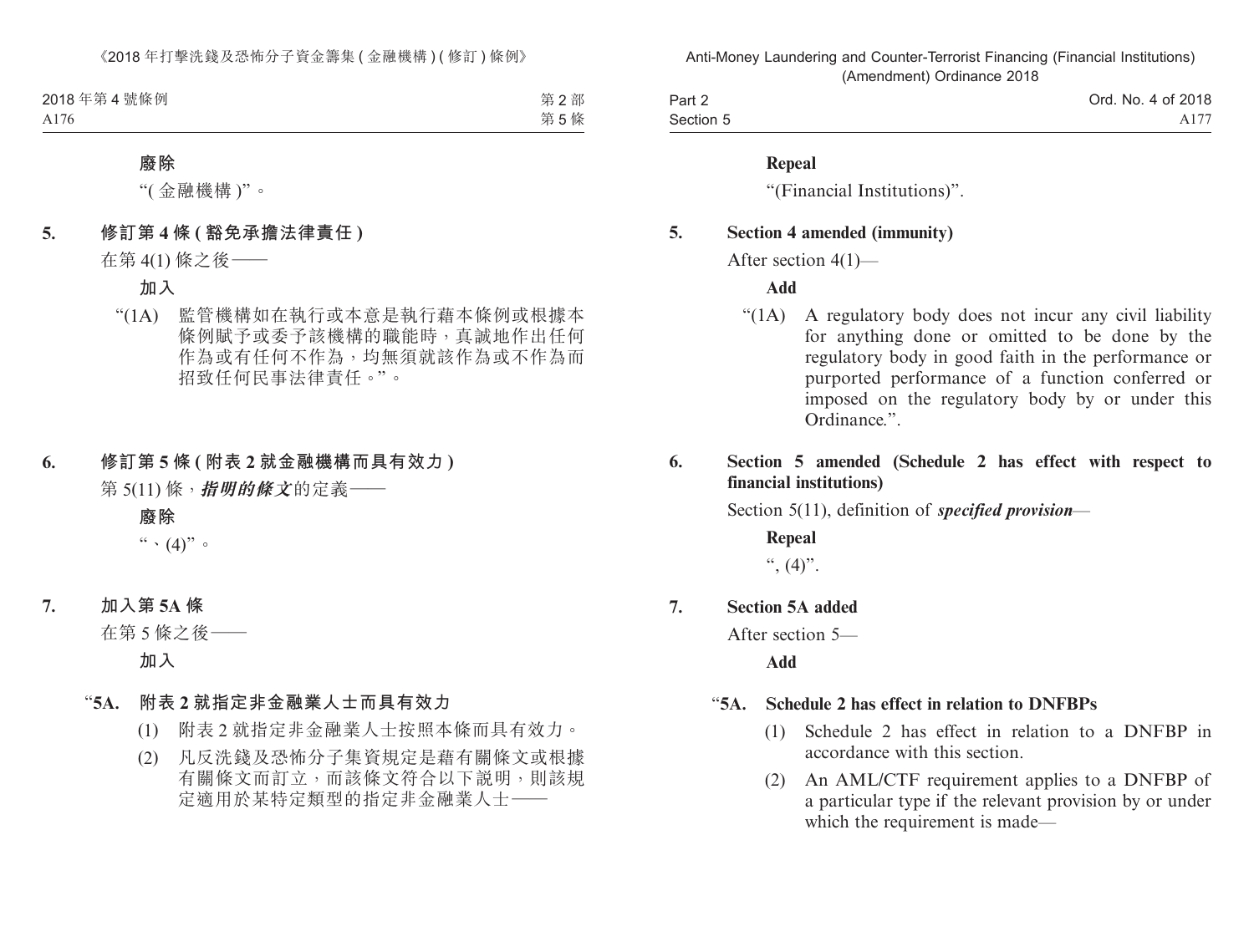| 2018年第4號條例 | 第2部 |
|------------|-----|
| A176       | 第5條 |

#### **廢除**

"( 金融機構 )"。

#### **5. 修訂第 4 條 ( 豁免承擔法律責任 )**

在第 4(1) 條之後——

**加入**

"(1A) 監管機構如在執行或本意是執行藉本條例或根據本 條例賦予或委予該機構的職能時,真誠地作出任何 作為或有任何不作為,均無須就該作為或不作為而 招致任何民事法律責任。"。

# **6. 修訂第 5 條 ( 附表 2 就金融機構而具有效力 )** 第 5(11) 條,**指明的條文**的定義——

### **廢除**

 $`` \cdot (4)"$ 

#### **7. 加入第 5A 條**

在第 5 條之後——

#### **加入**

#### "**5A. 附表 2 就指定非金融業人士而具有效力**

- (1) 附表 2 就指定非金融業人士按照本條而具有效力。
- (2) 凡反洗錢及恐怖分子集資規定是藉有關條文或根據 有關條文而訂立,而該條文符合以下說明,則該規 定適用於某特定類型的指定非金融業人士——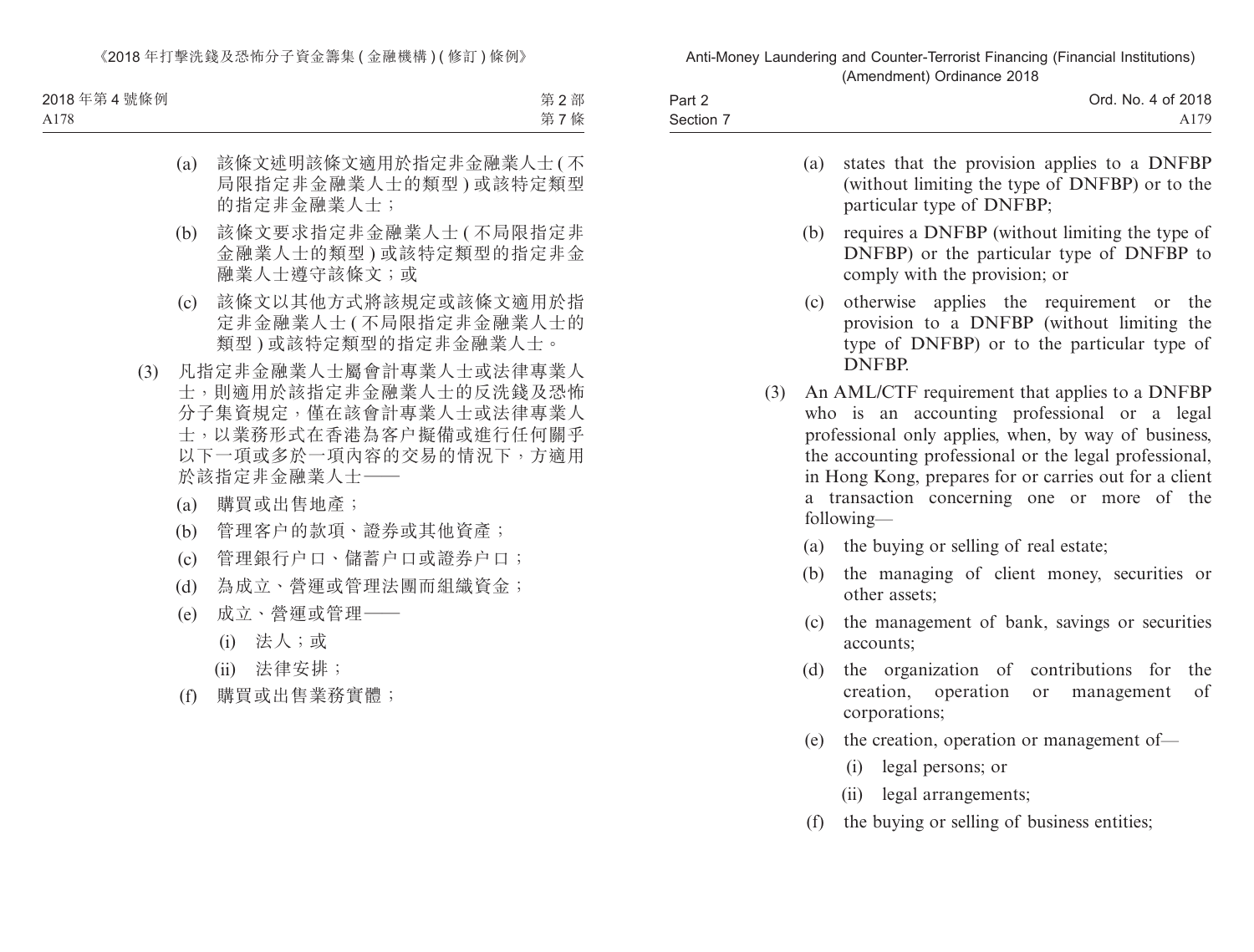《2018 年打擊洗錢及恐怖分子資金籌集 ( 金融機構 ) ( 修訂 ) 條例》

| 2018年第4號條例 | 第2部 |
|------------|-----|
| A178       | 第7條 |

- (a) 該條文述明該條文適用於指定非金融業人士 ( 不 局限指定非金融業人士的類型 ) 或該特定類型 的指定非金融業人士;
- (b) 該條文要求指定非金融業人士 ( 不局限指定非 金融業人士的類型 ) 或該特定類型的指定非金 融業人士遵守該條文;或
- (c) 該條文以其他方式將該規定或該條文適用於指 定非金融業人士 ( 不局限指定非金融業人士的 類型 ) 或該特定類型的指定非金融業人士。
- (3) 凡指定非金融業人士屬會計專業人士或法律專業人 士,則適用於該指定非金融業人士的反洗錢及恐怖 分子集資規定,僅在該會計專業人士或法律專業人 士,以業務形式在香港為客户擬備或進行任何關乎 以下一項或多於一項內容的交易的情況下,方適用 於該指定非金融業人士——
	- (a) 購買或出售地產;
	- (b) 管理客户的款項、證券或其他資產;
	- (c) 管理銀行户口、儲蓄户口或證券户口;
	- (d) 為成立、營運或管理法團而組織資金;
	- (e) 成立、營運或管理——
		- (i) 法人;或
		- (ii) 法律安排;
	- (f) 購買或出售業務實體;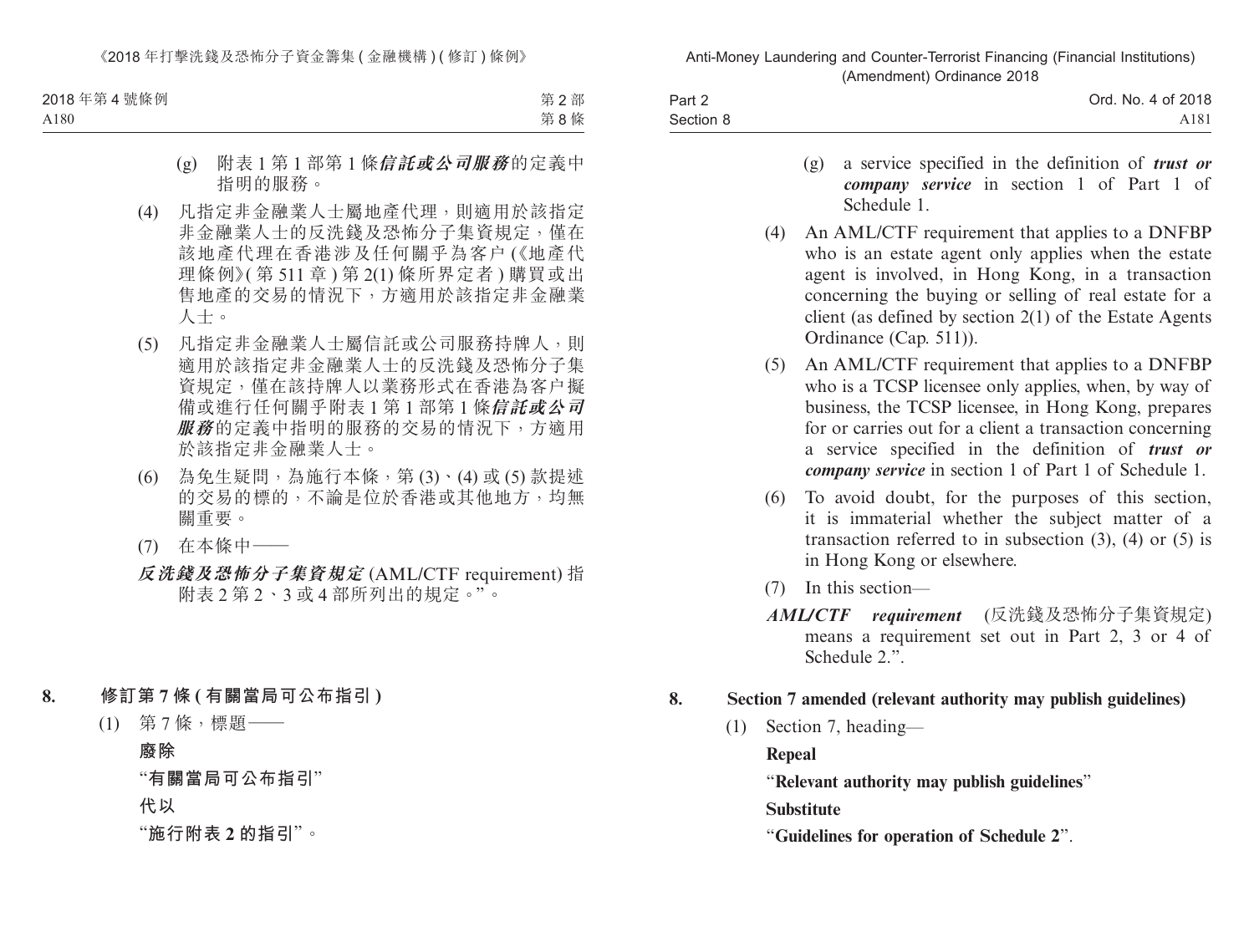《2018 年打擊洗錢及恐怖分子資金籌集 ( 金融機構 ) ( 修訂 ) 條例》

| 2018年第4號條例 | 第2部 |
|------------|-----|
| A180       | 第8條 |

- (g) 附表 1 第 1 部第 1 條**信託或公司服務**的定義中 指明的服務。
- (4) 凡指定非金融業人士屬地產代理,則適用於該指定 非金融業人士的反洗錢及恐怖分子集資規定,僅在 該地產代理在香港涉及任何關乎為客户(《地產代 理條例》( 第 511 章 ) 第 2(1) 條所界定者 ) 購買或出 售地產的交易的情況下,方適用於該指定非金融業 人士。
- (5) 凡指定非金融業人士屬信託或公司服務持牌人,則 適用於該指定非金融業人士的反洗錢及恐怖分子集 資規定,僅在該持牌人以業務形式在香港為客户擬 備或進行任何關乎附表 1 第 1 部第 1 條**信託或公司 服務**的定義中指明的服務的交易的情況下,方適用 於該指定非金融業人士。
- (6) 為免生疑問,為施行本條,第 (3)、(4) 或 (5) 款提述 的交易的標的,不論是位於香港或其他地方,均無 關重要。
- (7) 在本條中——
- **反洗錢及恐怖分子集資規定** (AML/CTF requirement) 指 附表 2 第 2、3 或 4 部所列出的規定。"。
- **8. 修訂第 7 條 ( 有關當局可公布指引 )**
	- (1) 第 7 條,標題——

**廢除**

"**有關當局可公布指引**"

**代以**

"**施行附表 2 的指引**"。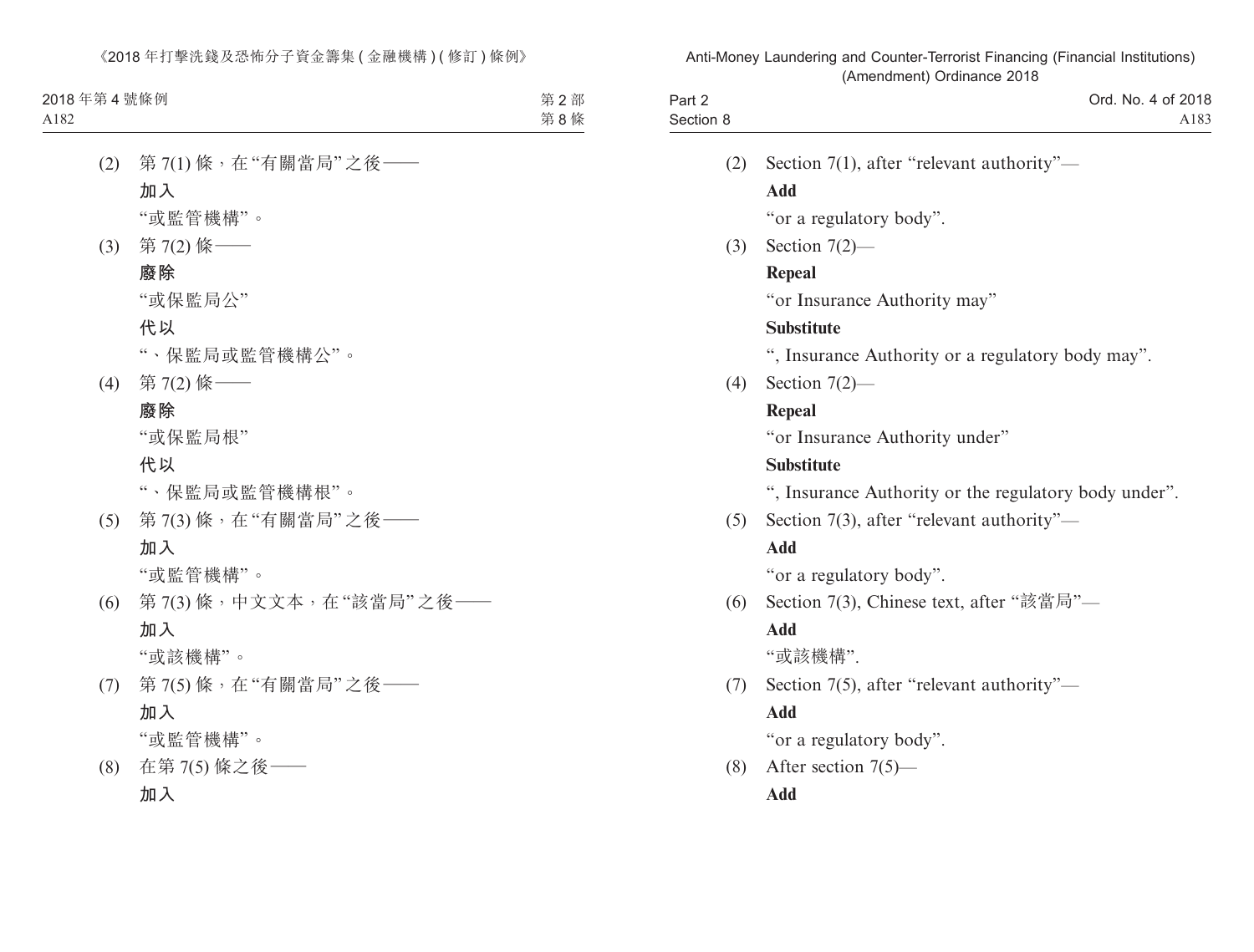| 2018年第4號條例 | 第2部 |
|------------|-----|
| A182       | 第8條 |

(2) 第 7(1) 條,在"有關當局"之後—— **加入** "或監管機構"。

(3) 第 7(2) 條——

#### **廢除**

"或保監局公"

### **代以**

"、保監局或監管機構公"。

(4) 第 7(2) 條——

#### **廢除**

"或保監局根"

### **代以**

"、保監局或監管機構根"。

(5) 第 7(3) 條,在"有關當局"之後—— **加入**

"或監管機構"。

(6) 第 7(3) 條,中文文本,在"該當局"之後—— **加入**

"或該機構"。

(7) 第 7(5) 條,在"有關當局"之後—— **加入**

"或監管機構"。

(8) 在第 7(5) 條之後—— **加入**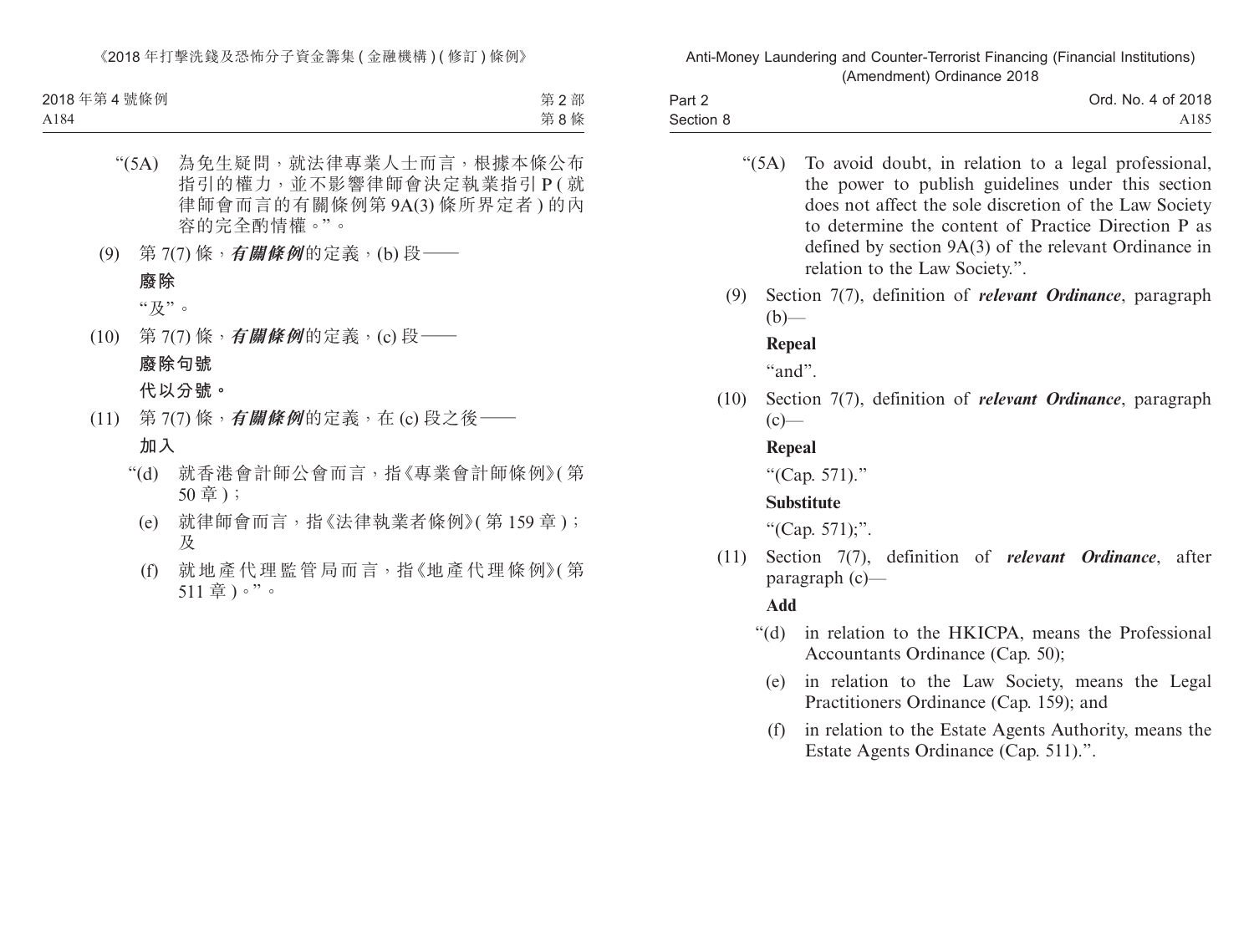2018 年第 4 號條例

A184

第 2 部 第 8 條

- "(5A) 為免生疑問,就法律專業人士而言,根據本條公布 指引的權力,並不影響律師會決定執業指引 P ( 就 律師會而言的有關條例第 9A(3) 條所界定者 ) 的內 容的完全酌情權。"。
- (9) 第 7(7) 條,**有關條例**的定義,(b) 段——

#### **廢除**

- (10) 第 7(7) 條,**有關條例**的定義,(c) 段—— **廢除句號 代以分號。**
- (11) 第 7(7) 條,**有關條例**的定義,在 (c) 段之後—— **加入**
	- "(d) 就香港會計師公會而言,指《專業會計師條例》( 第 50 章 );
		- (e) 就律師會而言,指《法律執業者條例》( 第 159 章 ); 及
		- (f) 就地產代理監管局而言,指《地產代理條例》( 第 511 章 )。"。

<sup>&</sup>quot;及"。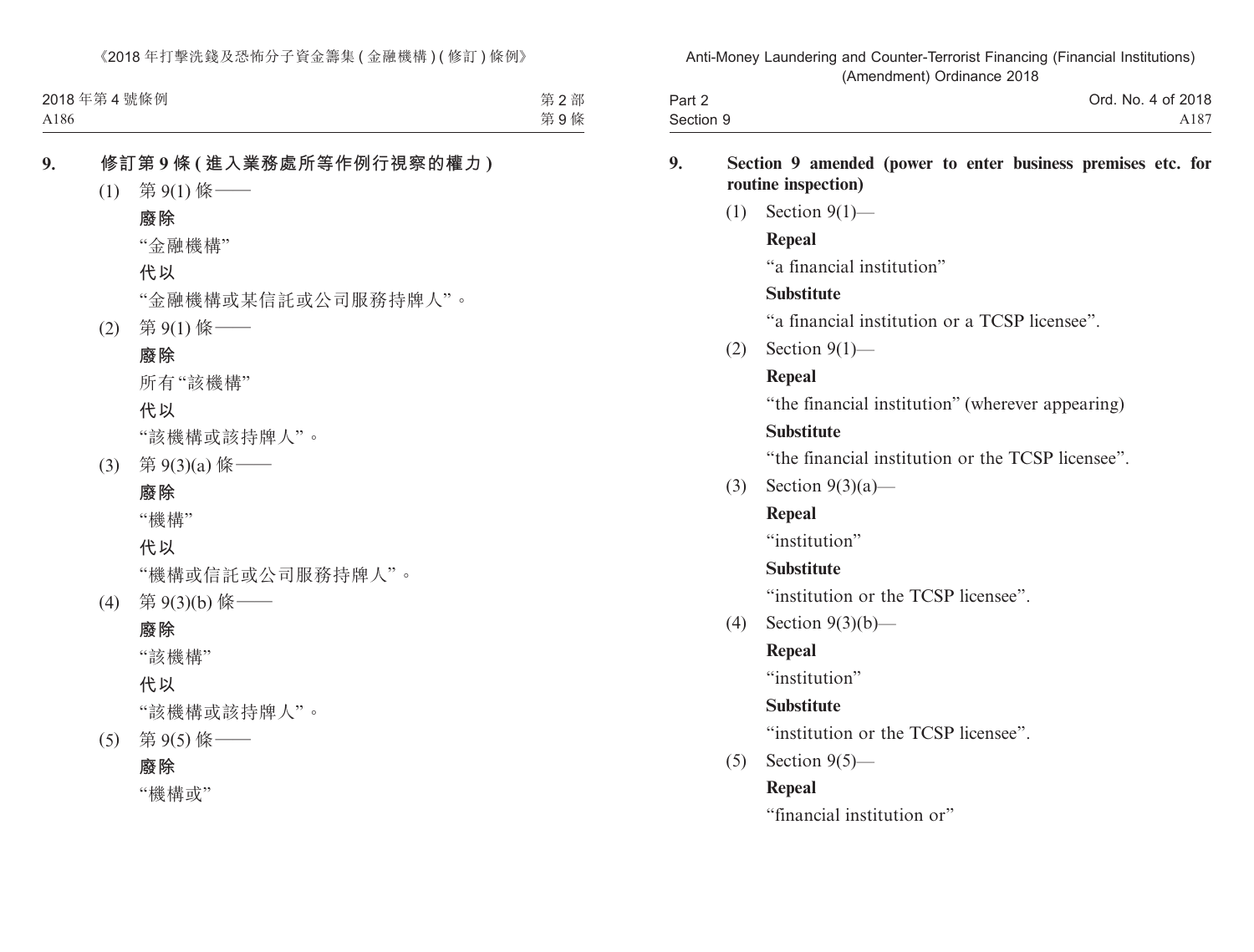| 2018年第4號條例 | 第2部 |
|------------|-----|
| A186       | 第9條 |

### **9. 修訂第 9 條 ( 進入業務處所等作例行視察的權力 )**

(1) 第 9(1) 條——

### **廢除**

"金融機構"

#### **代以**

"金融機構或某信託或公司服務持牌人"。

(2) 第 9(1) 條——

#### **廢除**

所有"該機構"

#### **代以**

"該機構或該持牌人"。

(3) 第 9(3)(a) 條 ——

### **廢除**

"機構"

#### **代以**

"機構或信託或公司服務持牌人"。

(4) 第 9(3)(b) 條——

#### **廢除**

"該機構"

### **代以**

"該機構或該持牌人"。

(5) 第 9(5) 條——

### **廢除**

"機構或"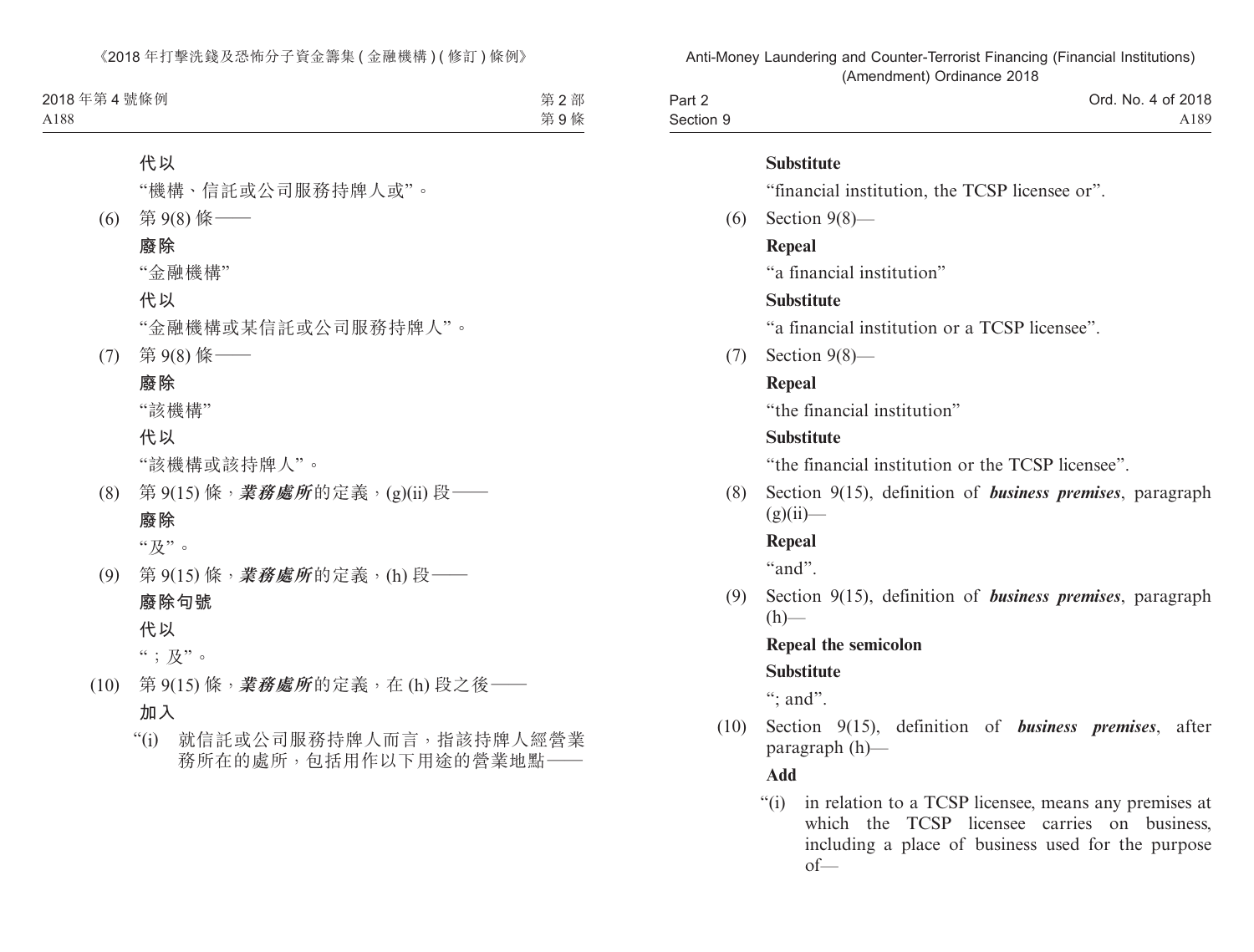《2018 年打擊洗錢及恐怖分子資金籌集 ( 金融機構 ) ( 修訂 ) 條例》

| 2018年第4號條例 | 第2部 |
|------------|-----|
| A188       | 第9條 |

#### **代以**

"機構、信託或公司服務持牌人或"。

(6) 第 9(8) 條——

#### **廢除**

"金融機構"

#### **代以**

"金融機構或某信託或公司服務持牌人"。

(7) 第 9(8) 條——

### **廢除**

"該機構"

### **代以**

"該機構或該持牌人"。

(8) 第 9(15) 條,**業務處所**的定義,(g)(ii) 段——

### **廢除**

"及"。

(9) 第 9(15) 條,**業務處所**的定義,(h) 段—— **廢除句號**

#### **代以**

 $``; R"$ 

- (10) 第 9(15) 條,**業務處所**的定義,在 (h) 段之後—— **加入**
	- "(i) 就信託或公司服務持牌人而言,指該持牌人經營業 務所在的處所,包括用作以下用途的營業地點——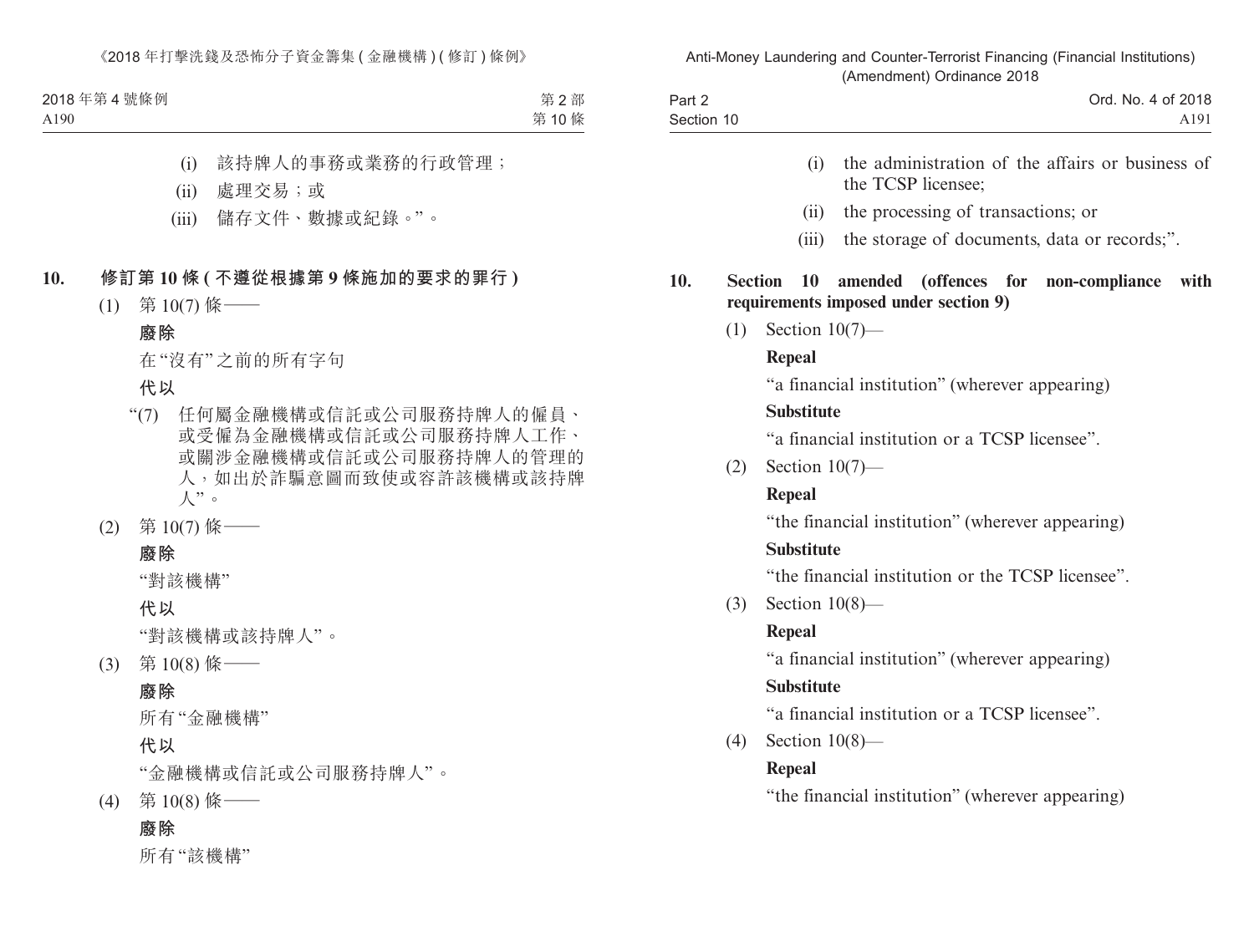| 2018年第4號條例 | 第2部  |
|------------|------|
| A190       | 第10條 |

- (i) 該持牌人的事務或業務的行政管理;
- (ii) 處理交易;或
- (iii) 儲存文件、數據或紀錄。"。

### **10. 修訂第 10 條 ( 不遵從根據第 9 條施加的要求的罪行 )**

(1) 第 10(7) 條——

#### **廢除**

在"沒有"之前的所有字句

#### **代以**

- "(7) 任何屬金融機構或信託或公司服務持牌人的僱員、 或受僱為金融機構或信託或公司服務持牌人工作、 或關涉金融機構或信託或公司服務持牌人的管理的 人,如出於詐騙意圖而致使或容許該機構或該持牌 人"。
- (2) 第 10(7) 條——

#### **廢除**

"對該機構"

**代以**

"對該機構或該持牌人"。

(3) 第 10(8) 條——

#### **廢除**

所有"金融機構"

### **代以**

"金融機構或信託或公司服務持牌人"。

(4) 第 10(8) 條——

#### **廢除**

所有"該機構"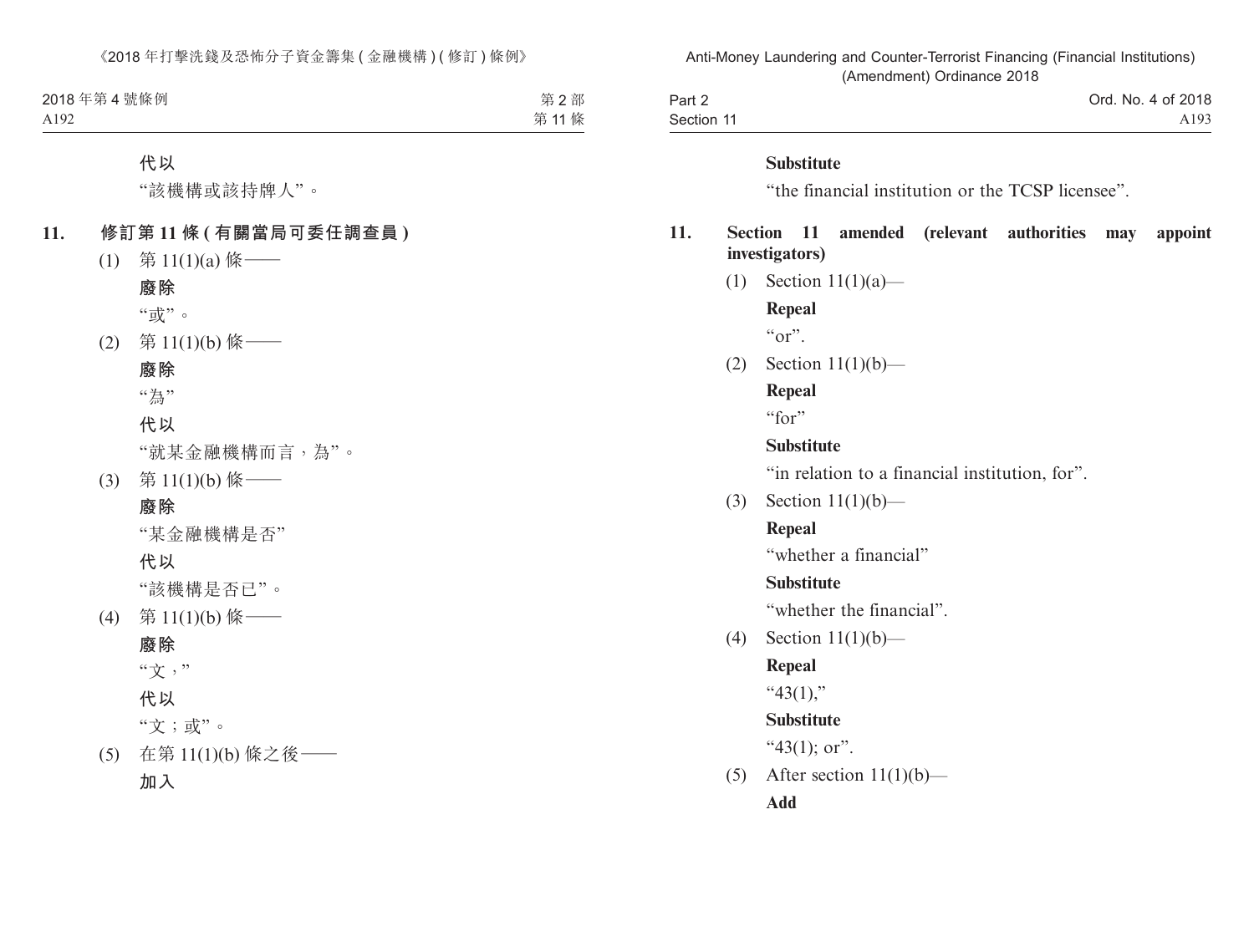| 2018年第4號條例 | 第2部  |
|------------|------|
| A192       | 第11條 |

### **代以**

"該機構或該持牌人"。

#### **11. 修訂第 11 條 ( 有關當局可委任調查員 )**

(1) 第 11(1)(a) 條 ——

**廢除**

"或"。

(2) 第 11(1)(b) 條——

**廢除**

"為"

**代以**

"就某金融機構而言,為"。

(3) 第 11(1)(b) 條——

## **廢除**

"某金融機構是否"

### **代以**

"該機構是否已"。

- (4) 第 11(1)(b) 條——
	- **廢除**

 $``\star$ ,"

**代以**

"文;或"。

(5) 在第 11(1)(b) 條之後—— **加入**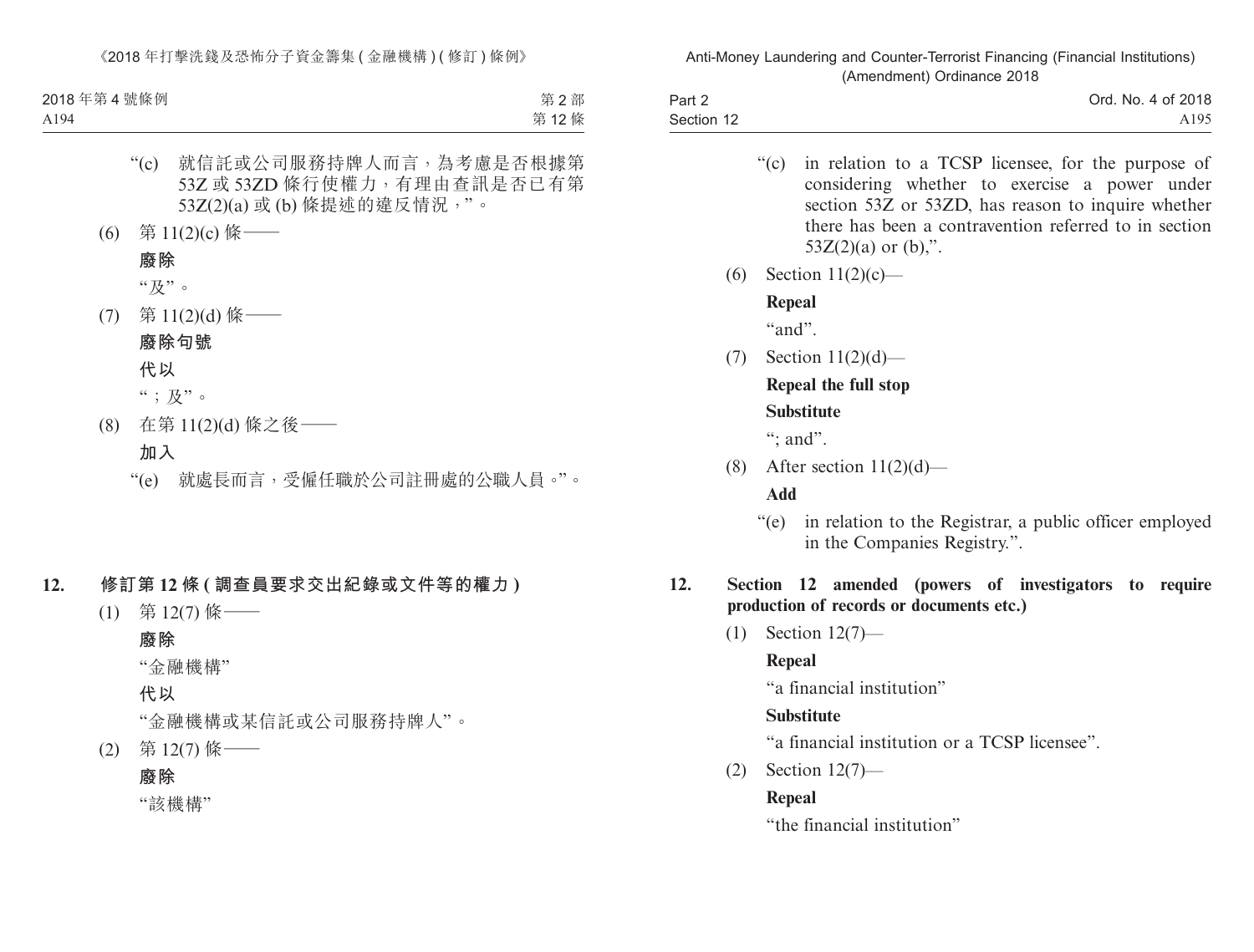| 2018年第4號條例 | 第2部  |
|------------|------|
| A194       | 第12條 |

- "(c) 就信託或公司服務持牌人而言,為考慮是否根據第 53Z 或 53ZD 條行使權力,有理由查訊是否已有第 53Z(2)(a) 或 (b) 條提述的違反情況,"。
- (6) 第 11(2)(c) 條——

### **廢除**

"及"。

(7) 第 11(2)(d) 條——

**廢除句號 代以**

 $``$ ;  $\mathcal{R}"$ 。

(8) 在第 11(2)(d) 條之後——

**加入**

"(e) 就處長而言,受僱任職於公司註冊處的公職人員。"。

#### **12. 修訂第 12 條 ( 調查員要求交出紀錄或文件等的權力 )**

(1) 第 12(7) 條——

### **廢除**

"金融機構"

**代以**

"金融機構或某信託或公司服務持牌人"。

(2) 第 12(7) 條——

#### **廢除**

"該機構"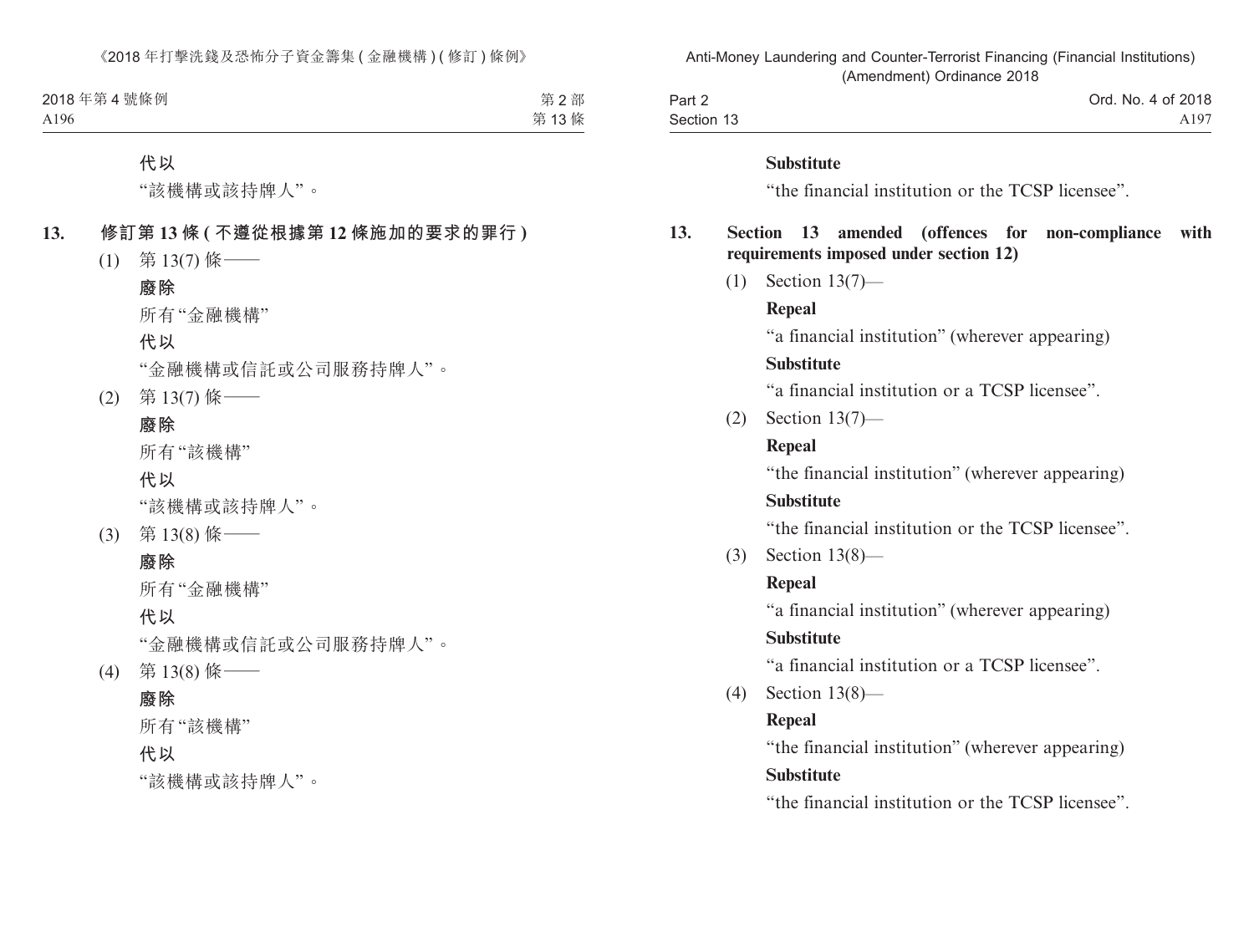| 2018年第4號條例 | 第2部  |
|------------|------|
| A196       | 第13條 |

#### **代以**

"該機構或該持牌人"。

#### **13. 修訂第 13 條 ( 不遵從根據第 12 條施加的要求的罪行 )**

(1) 第 13(7) 條——

# **廢除** 所有"金融機構"

## **代以**

"金融機構或信託或公司服務持牌人"。

(2) 第 13(7) 條——

### **廢除**

所有"該機構"

# **代以**

"該機構或該持牌人"。

(3) 第 13(8) 條——

### **廢除**

所有"金融機構"

### **代以**

"金融機構或信託或公司服務持牌人"。

(4) 第 13(8) 條——

### **廢除**

所有"該機構"

### **代以**

"該機構或該持牌人"。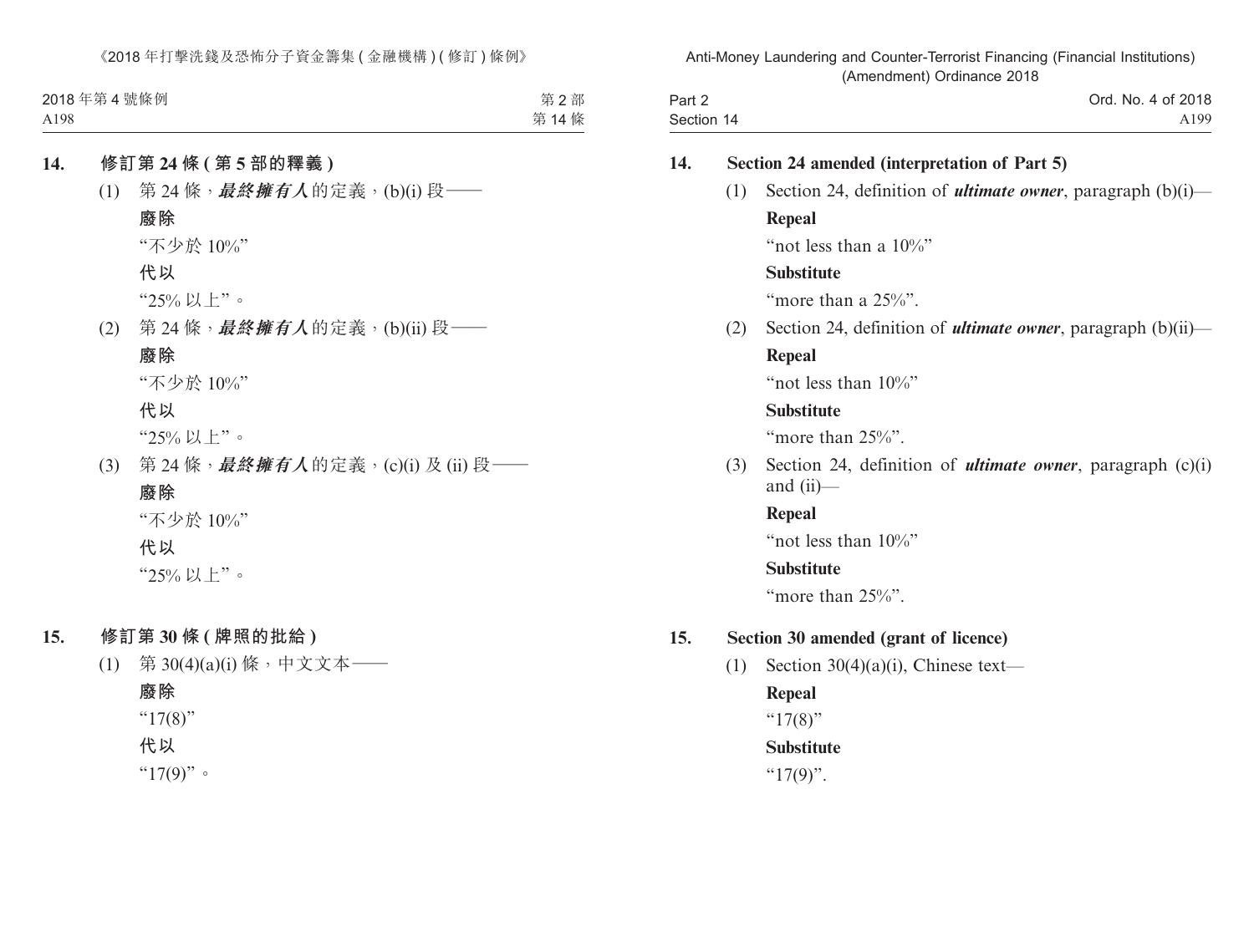| 2018年第4號條例 | 第2部  |
|------------|------|
| A198       | 第14條 |

#### **14. 修訂第 24 條 ( 第 5 部的釋義 )**

- (1) 第 24 條,**最終擁有人**的定義,(b)(i) 段——
	- **廢除**

"不少於 10%"

**代以**

"25% 以上"。

(2) 第 24 條,**最終擁有人**的定義,(b)(ii) 段——

### **廢除**

"不少於 10%"

### **代以**

"25% 以上"。

(3) 第 24 條,**最終擁有人**的定義,(c)(i) 及 (ii) 段——

### **廢除**

"不少於 10%"

### **代以**

"25% 以上"。

- **15. 修訂第 30 條 ( 牌照的批給 )**
	- (1) 第 30(4)(a)(i) 條,中文文本——
		- **廢除** " $17(8)$ "
		- **代以**
		- " $17(9)$ " 。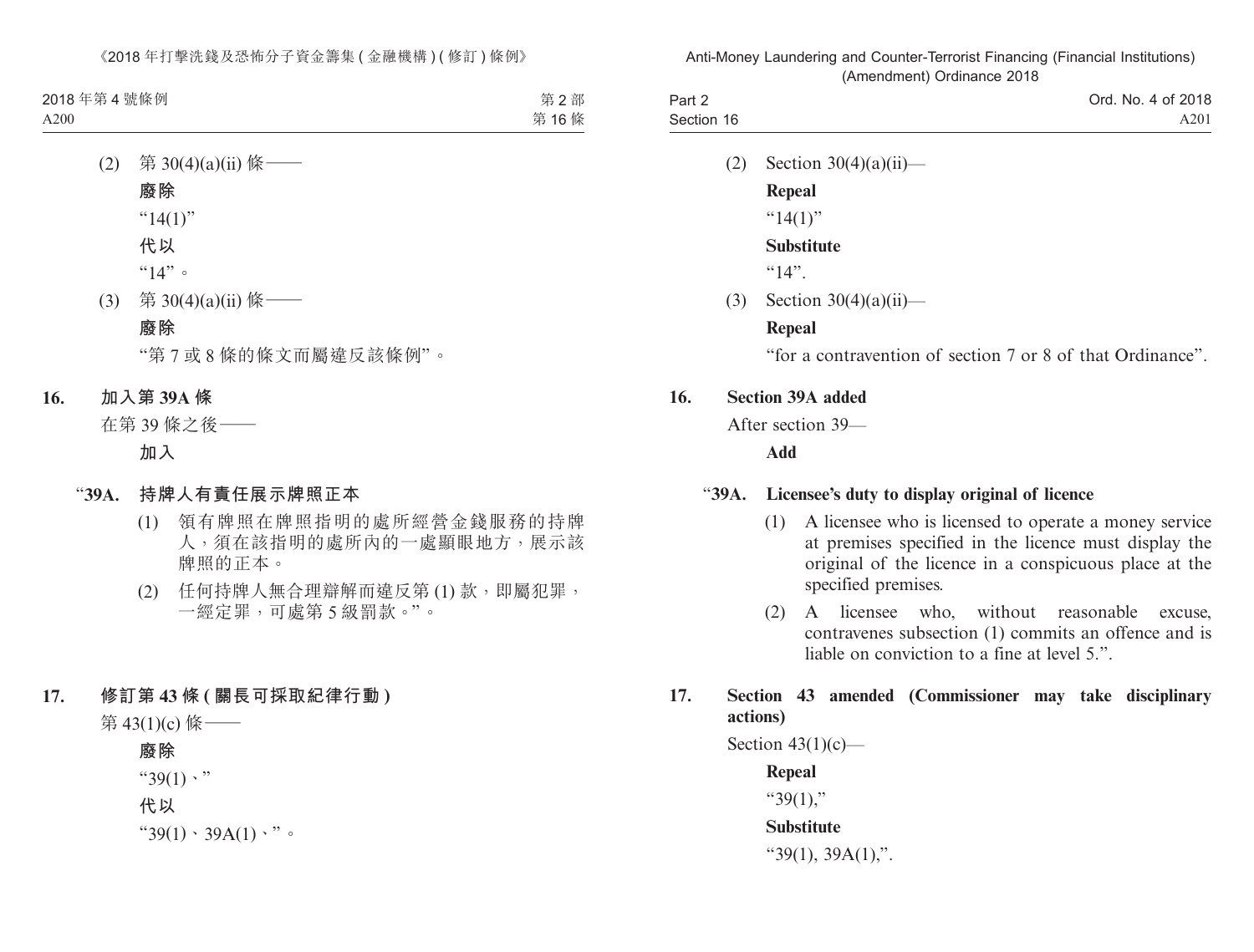| 2018年第4號條例 | 第2部  |
|------------|------|
| A200       | 第16條 |

(2) 第 30(4)(a)(ii) 條 —— **廢除**

 $"14(1)"$ 

- **代以**
- $``14"$
- $(3)$  第 30(4)(a)(ii) 條 ——
	- **廢除**

"第 7 或 8 條的條文而屬違反該條例"。

- **16. 加入第 39A 條**
	- 在第 39 條之後——

- "**39A. 持牌人有責任展示牌照正本**
	- (1) 領有牌照在牌照指明的處所經營金錢服務的持牌 人,須在該指明的處所內的一處顯眼地方,展示該 牌照的正本。
	- (2) 任何持牌人無合理辯解而違反第(1)款,即屬犯罪, 一經定罪,可處第 5 級罰款。"。
- **17. 修訂第 43 條 ( 關長可採取紀律行動 )**

第 43(1)(c) 條——

# **廢除**  $"39(1) \cdot "$

**代以**

 $"39(1) \cdot 39A(1) \cdot "$ 

**加入**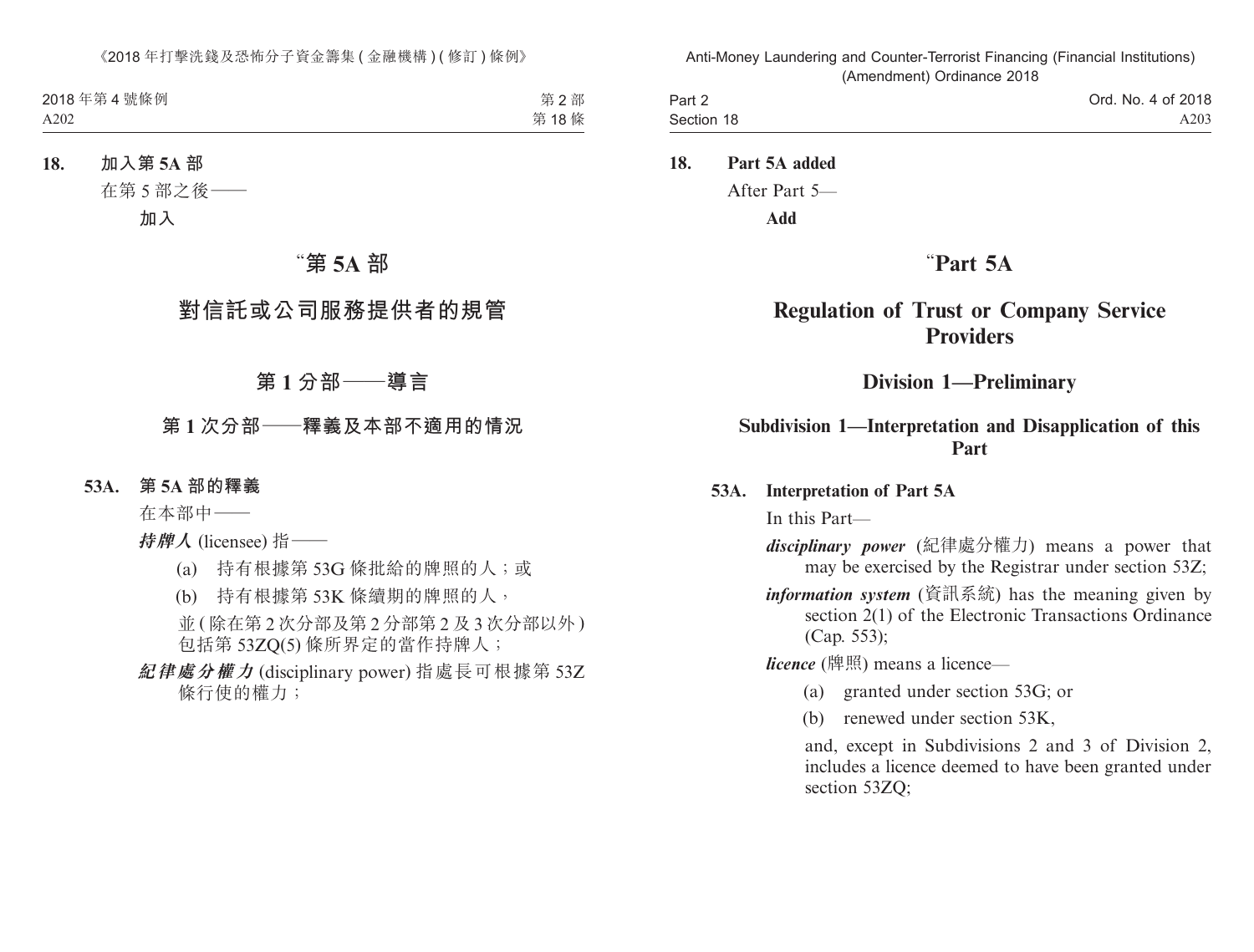| 2018年第4號條例 | 第2部  |
|------------|------|
| A202       | 第18條 |

#### **18. 加入第 5A 部**

在第 5 部之後——

**加入**

# "**第 5A 部**

# **對信託或公司服務提供者的規管**

### **第 1 分部——導言**

### **第 1 次分部——釋義及本部不適用的情況**

 **53A. 第 5A 部的釋義**

在本部中——

**持牌人** (licensee) 指——

- (a) 持有根據第 53G 條批給的牌照的人;或
- (b) 持有根據第 53K 條續期的牌照的人,

並 ( 除在第 2 次分部及第 2 分部第 2 及 3 次分部以外 ) 包括第 53ZQ(5) 條所界定的當作持牌人;

**紀律處分權力** (disciplinary power) 指處長可根據第 53Z 條行使的權力;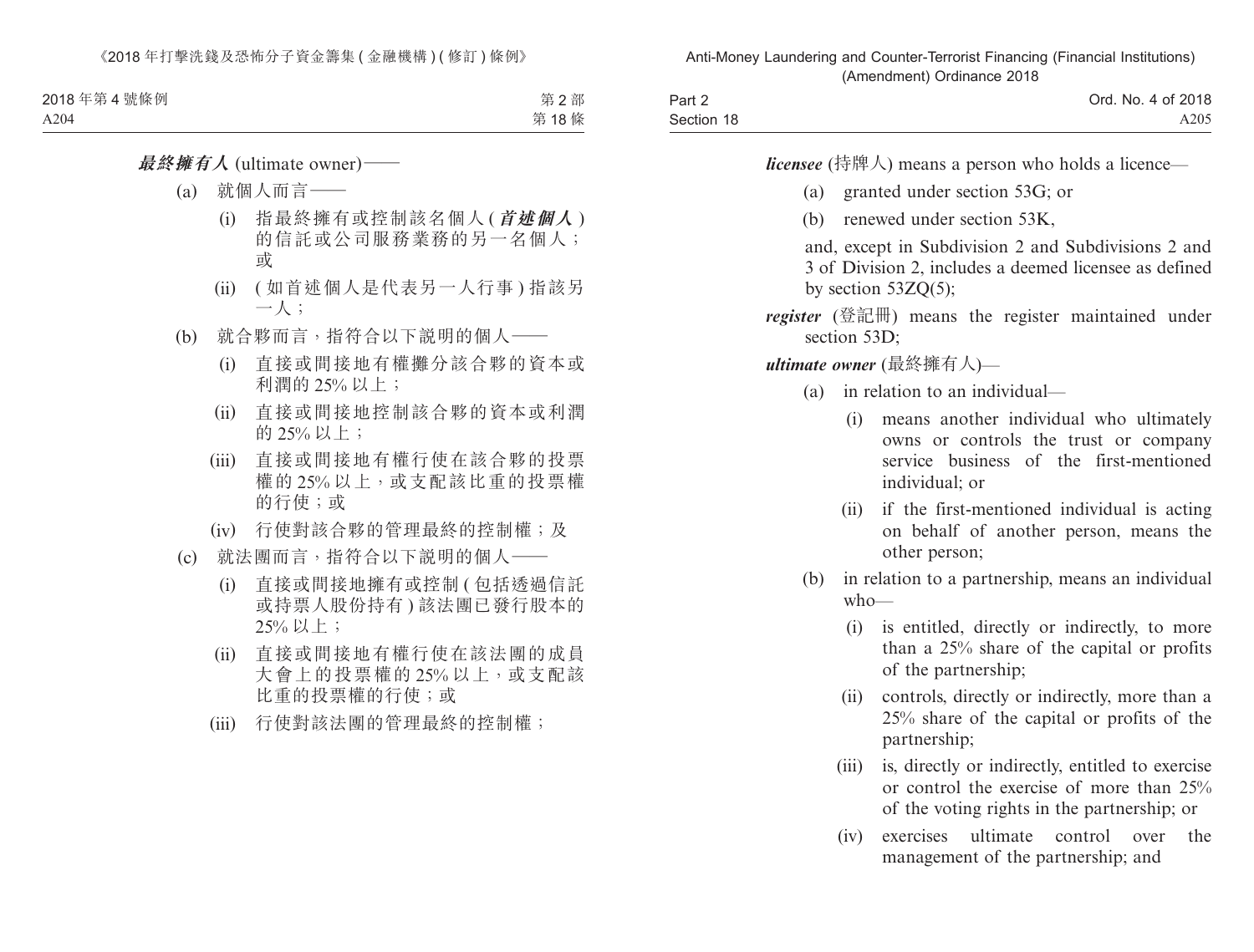| 2018年第4號條例 | 第2部  |
|------------|------|
| A204       | 第18條 |

### **最終擁有人** (ultimate owner)

- (a) 就個人而言——
	- (i) 指最終擁有或控制該名個人 (**首述個人** ) 的信託或公司服務業務的另一名個人; 或
	- (ii) ( 如首述個人是代表另一人行事 ) 指該另 一人;
- (b) 就合夥而言,指符合以下說明的個人——
	- (i) 直接或間接地有權攤分該合夥的資本或 利潤的 25% 以上;
	- (ii) 直接或間接地控制該合夥的資本或利潤 的 25% 以上;
	- (iii) 直接或間接地有權行使在該合夥的投票 權的 25% 以上,或支配該比重的投票權 的行使;或
	- (iv) 行使對該合夥的管理最終的控制權;及
- (c) 就法團而言,指符合以下說明的個人——
	- (i) 直接或間接地擁有或控制 ( 包括透過信託 或持票人股份持有 ) 該法團已發行股本的 25% 以上;
	- (ii) 直接或間接地有權行使在該法團的成員 大會上的投票權的 25% 以上,或支配該 比重的投票權的行使;或
	- (iii) 行使對該法團的管理最終的控制權;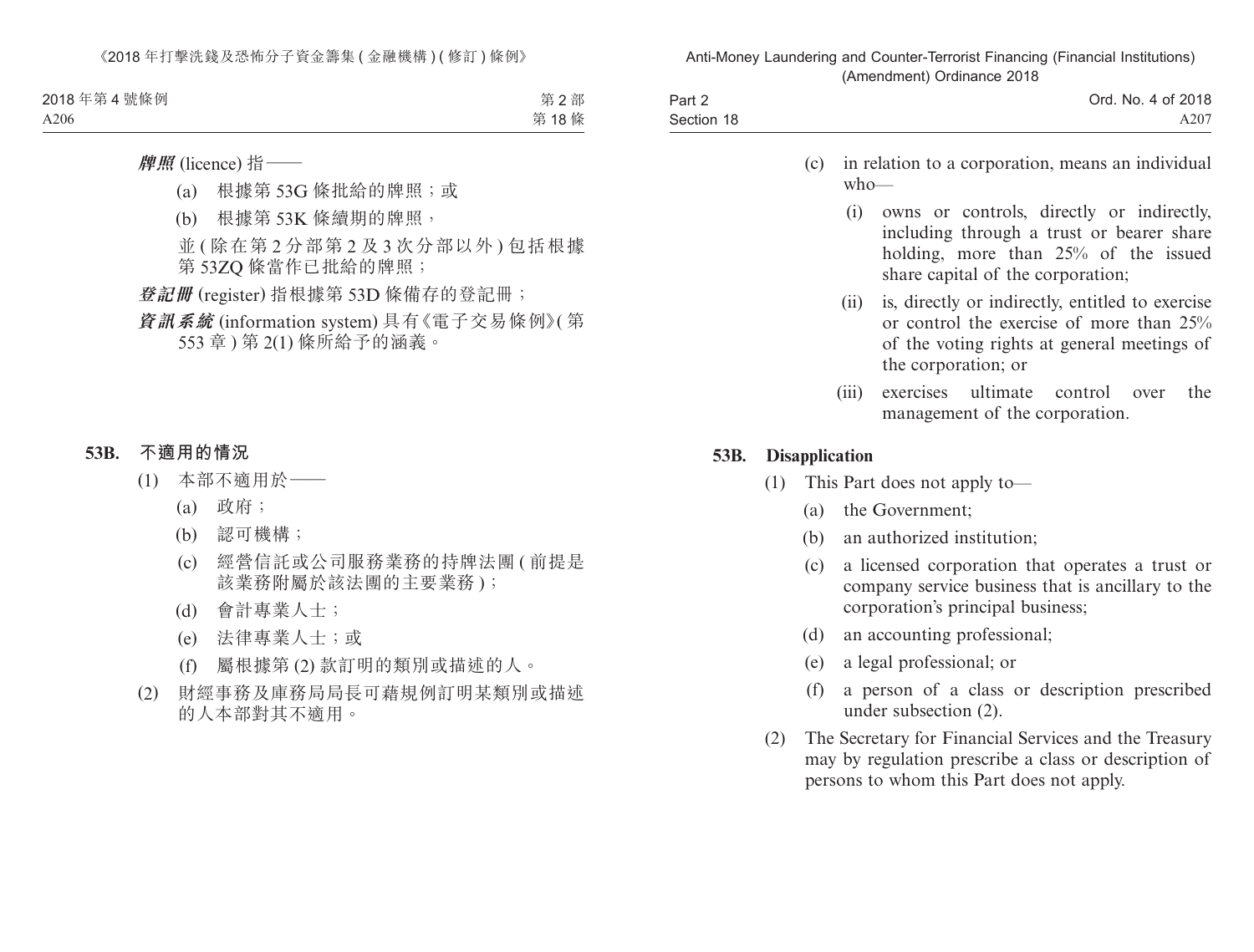| 2018年第4號條例 | 第2部  |
|------------|------|
| A206       | 第18條 |

### **牌照** (licence) 指——

- (a) 根據第 53G 條批給的牌照;或
- (b) 根據第 53K 條續期的牌照,
- 並 ( 除在第 2 分部第 2 及 3 次分部以外 ) 包括根據 第 53ZQ 條當作已批給的牌照;
- **登記冊** (register) 指根據第 53D 條備存的登記冊;
- **資訊系統** (information system) 具有《電子交易條例》( 第 553 章 ) 第 2(1) 條所給予的涵義。

#### **53B. 不適用的情況**

- (1) 本部不適用於——
	- (a) 政府;
	- (b) 認可機構;
	- (c) 經營信託或公司服務業務的持牌法團 ( 前提是 該業務附屬於該法團的主要業務 );
	- (d) 會計專業人士;
	- (e) 法律專業人士;或
	- (f) 屬根據第 (2) 款訂明的類別或描述的人。
- (2) 財經事務及庫務局局長可藉規例訂明某類別或描述 的人本部對其不適用。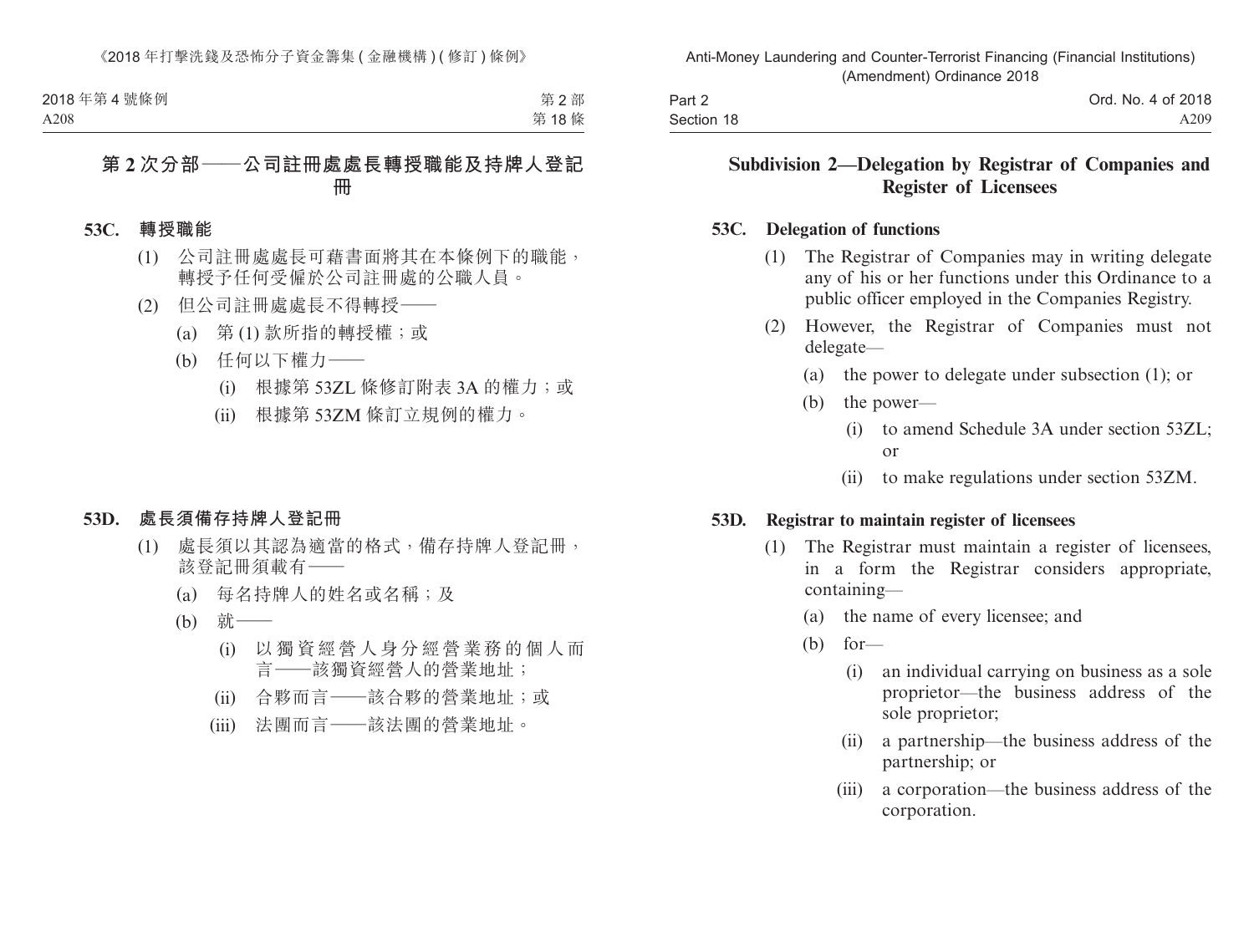2018 年第 4 號條例

A208

第 2 部 第 18 條

### **第 2 次分部——公司註冊處處長轉授職能及持牌人登記 冊**

#### **53C. 轉授職能**

- (1) 公司註冊處處長可藉書面將其在本條例下的職能, 轉授予任何受僱於公司註冊處的公職人員。
- (2) 但公司註冊處處長不得轉授——
	- (a) 第 (1) 款所指的轉授權;或
	- (b) 任何以下權力——
		- (i) 根據第 53ZL 條修訂附表 3A 的權力;或
		- (ii) 根據第 53ZM 條訂立規例的權力。

#### **53D. 處長須備存持牌人登記冊**

- (1) 處長須以其認為適當的格式,備存持牌人登記冊, 該登記冊須載有——
	- (a) 每名持牌人的姓名或名稱;及
	- (b) 就——
		- (i) 以獨資經營人身分經營業務的個人而 言——該獨資經營人的營業地址;
		- (ii) 合夥而言——該合夥的營業地址;或
		- (iii) 法團而言——該法團的營業地址。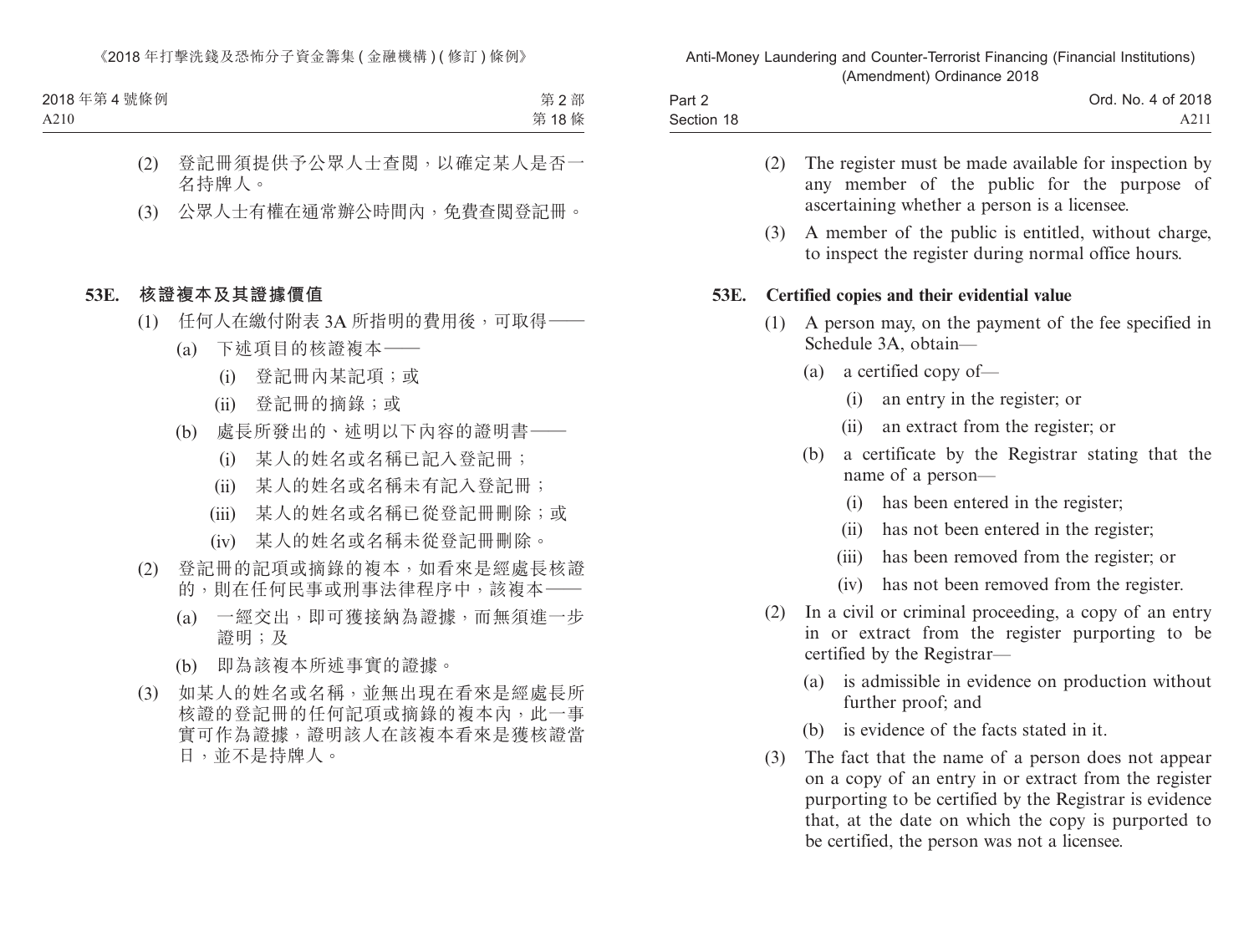| 2018年第4號條例 | 第2部  |
|------------|------|
| A210       | 第18條 |

- (2) 登記冊須提供予公眾人士查閱,以確定某人是否一 名持牌人。
- (3) 公眾人士有權在通常辦公時間內,免費查閱登記冊。

#### **53E. 核證複本及其證據價值**

- (1) 任何人在繳付附表 3A 所指明的費用後,可取得——
	- (a) 下述項目的核證複本——
		- (i) 登記冊內某記項;或
		- (ii) 登記冊的摘錄;或
	- (b) 處長所發出的、述明以下內容的證明書——
		- (i) 某人的姓名或名稱已記入登記冊;
		- (ii) 某人的姓名或名稱未有記入登記冊;
		- (iii) 某人的姓名或名稱已從登記冊刪除;或
		- (iv) 某人的姓名或名稱未從登記冊刪除。
- (2) 登記冊的記項或摘錄的複本,如看來是經處長核證 的,則在任何民事或刑事法律程序中,該複本——
	- (a) 一經交出,即可獲接納為證據,而無須進一步 證明;及
	- (b) 即為該複本所述事實的證據。
- (3) 如某人的姓名或名稱,並無出現在看來是經處長所 核證的登記冊的任何記項或摘錄的複本內,此一事 實可作為證據,證明該人在該複本看來是獲核證當 日,並不是持牌人。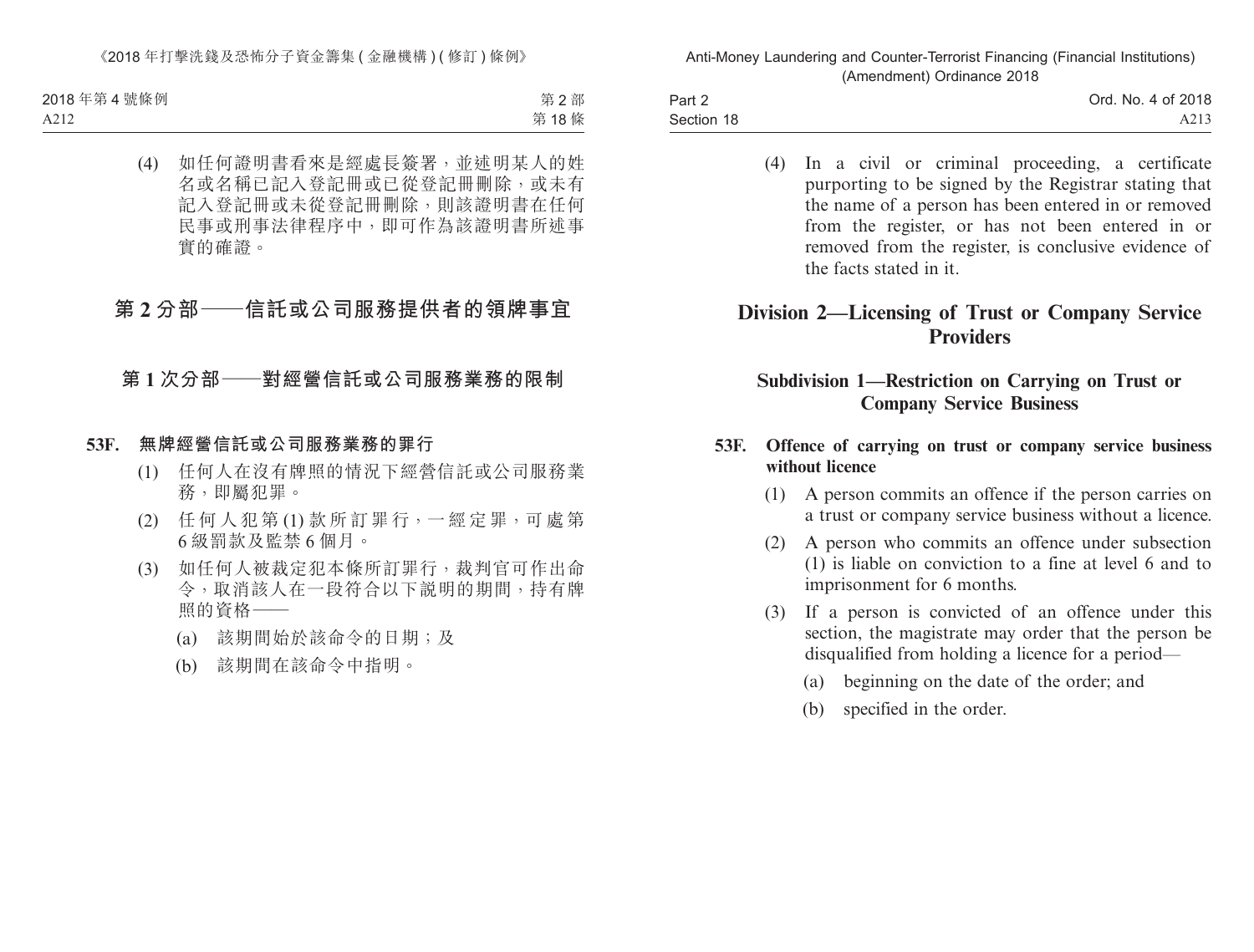2018 年第 4 號條例 A212

第 2 部 第 18 條

(4) 如任何證明書看來是經處長簽署,並述明某人的姓 名或名稱已記入登記冊或已從登記冊刪除,或未有 記入登記冊或未從登記冊刪除,則該證明書在任何 民事或刑事法律程序中,即可作為該證明書所述事 實的確證。

## **第 2 分部——信託或公司服務提供者的領牌事宜**

### **第 1 次分部——對經營信託或公司服務業務的限制**

#### **53F. 無牌經營信託或公司服務業務的罪行**

- (1) 任何人在沒有牌照的情況下經營信託或公司服務業 務,即屬犯罪。
- (2) 任 何 人 犯 第 (1) 款 所 訂 罪 行, 一 經 定 罪, 可 處 第 6 級罰款及監禁 6 個月。
- (3) 如任何人被裁定犯本條所訂罪行,裁判官可作出命 令,取消該人在一段符合以下說明的期間,持有牌 照的資格——
	- (a) 該期間始於該命令的日期;及
	- (b) 該期間在該命令中指明。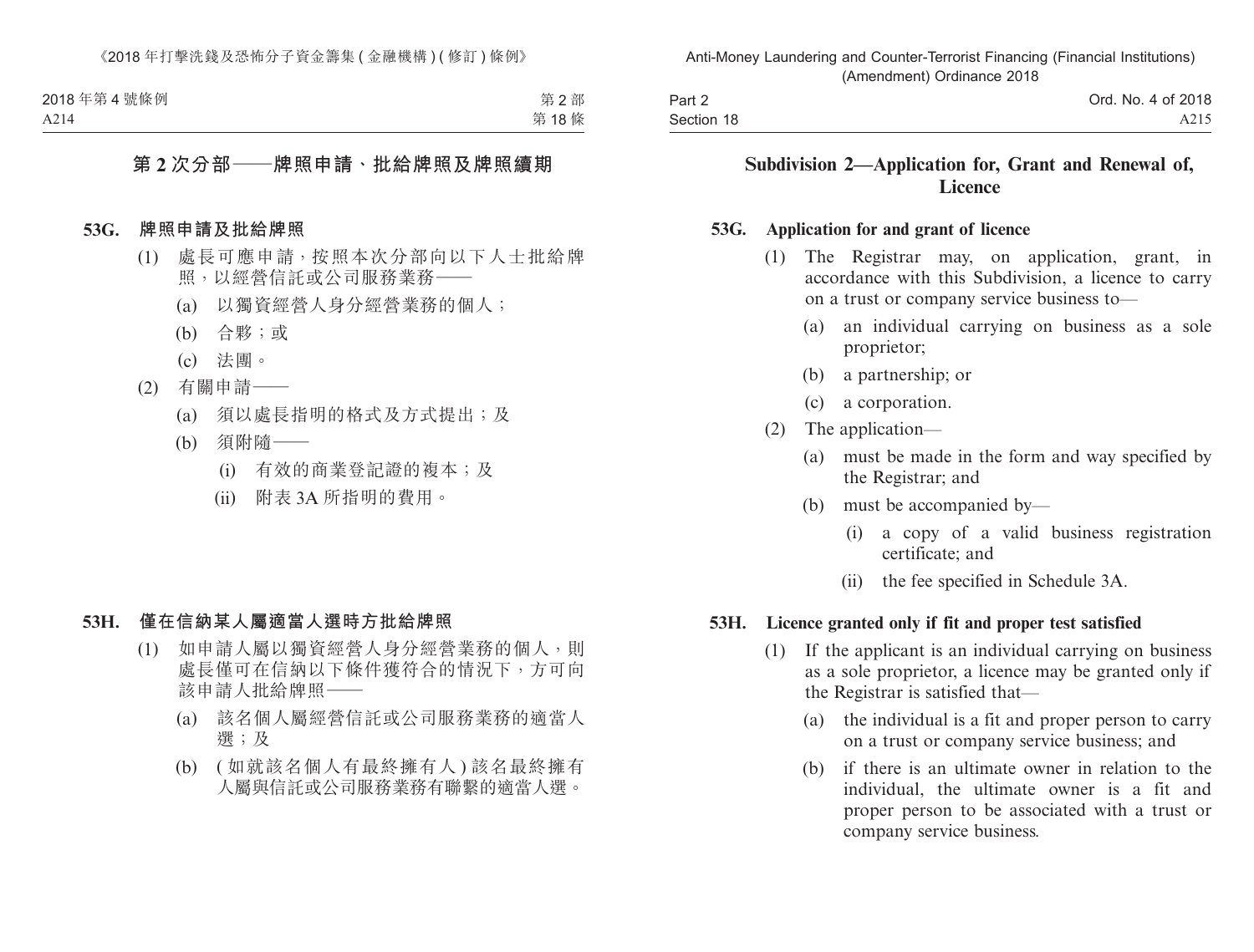第 2 部 第 18 條 2018 年第 4 號條例 A214

### **第 2 次分部——牌照申請、批給牌照及牌照續期**

#### **53G. 牌照申請及批給牌照**

- (1) 處長可應申請,按照本次分部向以下人士批給牌 照,以經營信託或公司服務業務——
	- (a) 以獨資經營人身分經營業務的個人;
	- (b) 合夥;或
	- (c) 法團。
- (2) 有關申請——
	- (a) 須以處長指明的格式及方式提出;及
	- (b) 須附隨——
		- (i) 有效的商業登記證的複本;及
		- (ii) 附表 3A 所指明的費用。

#### **53H. 僅在信納某人屬適當人選時方批給牌照**

- (1) 如申請人屬以獨資經營人身分經營業務的個人,則 處長僅可在信納以下條件獲符合的情況下,方可向 該申請人批給牌照——
	- (a) 該名個人屬經營信託或公司服務業務的適當人 選;及
	- (b) ( 如就該名個人有最終擁有人 ) 該名最終擁有 人屬與信託或公司服務業務有聯繫的適當人選。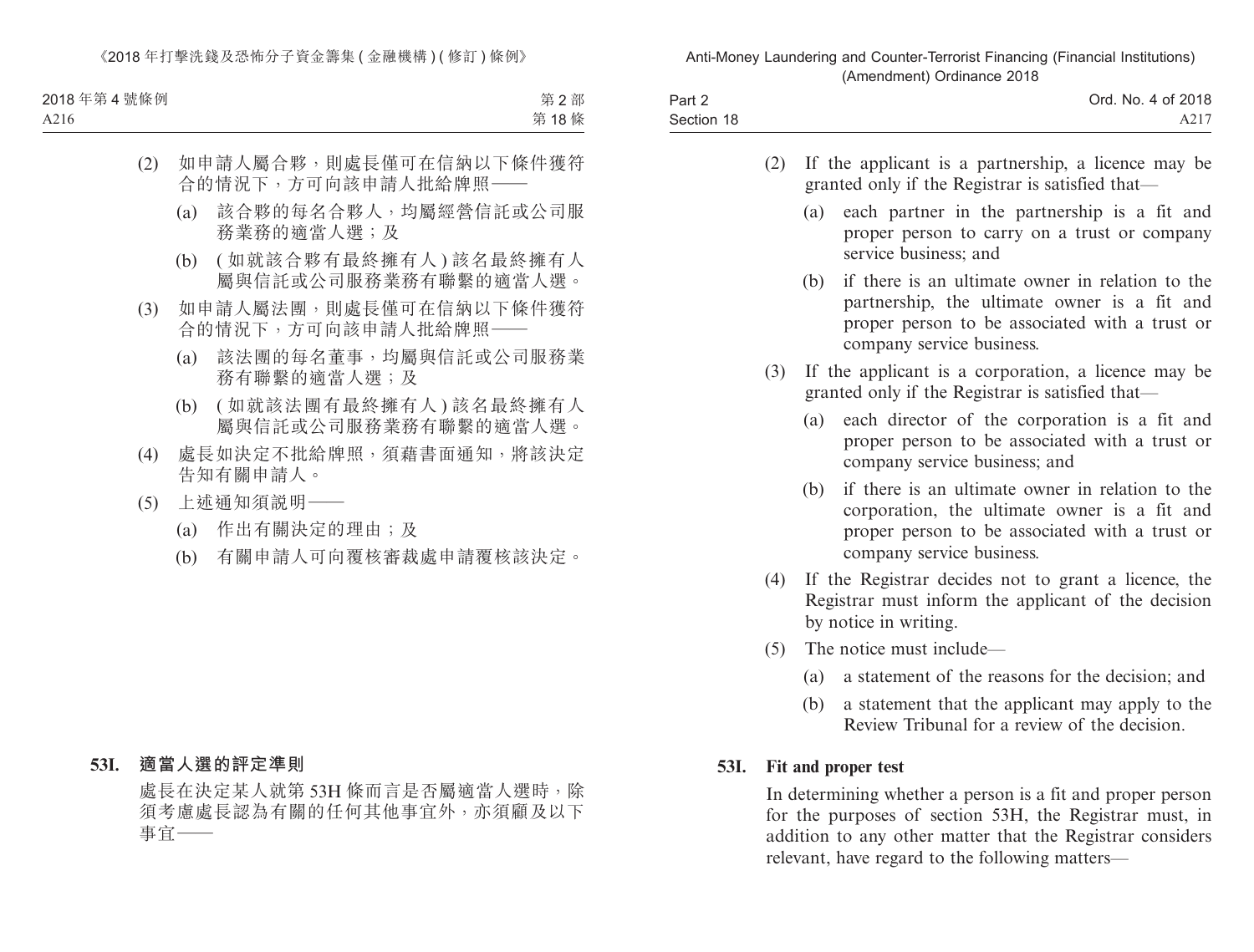| 2018年第4號條例 | 第2部  |
|------------|------|
| A216       | 第18條 |

- (2) 如申請人屬合夥,則處長僅可在信納以下條件獲符 合的情況下,方可向該申請人批給牌照——
	- (a) 該合夥的每名合夥人,均屬經營信託或公司服 務業務的適當人選;及
	- (b) ( 如就該合夥有最終擁有人 ) 該名最終擁有人 屬與信託或公司服務業務有聯繫的適當人選。
- (3) 如申請人屬法團,則處長僅可在信納以下條件獲符 合的情況下,方可向該申請人批給牌照——
	- (a) 該法團的每名董事,均屬與信託或公司服務業 務有聯繫的適當人選;及
	- (b) ( 如就該法團有最終擁有人 ) 該名最終擁有人 屬與信託或公司服務業務有聯繫的適當人選。
- (4) 處長如決定不批給牌照,須藉書面通知,將該決定 告知有關申請人。
- (5) 上述通知須說明——
	- (a) 作出有關決定的理由;及
	- (b) 有關申請人可向覆核審裁處申請覆核該決定。

#### **53I. 適當人選的評定準則**

處長在決定某人就第 53H 條而言是否屬適當人選時,除 須考慮處長認為有關的任何其他事宜外,亦須顧及以下 事宜——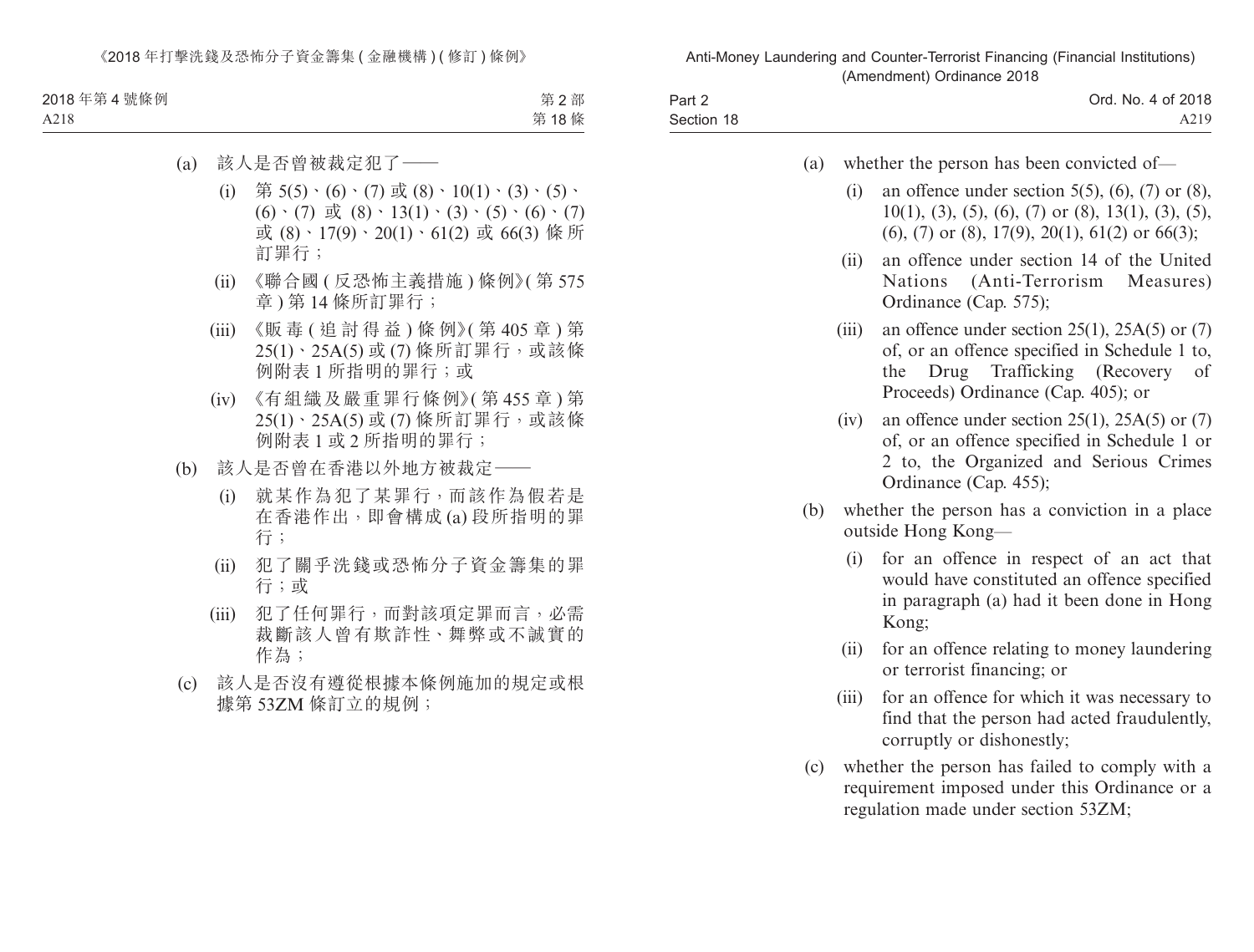| 2018年第4號條例 | 第2部  |
|------------|------|
| A218       | 第18條 |

- (a) 該人是否曾被裁定犯了——
	- (i) 第 5(5)、(6)、(7) 或 (8)、10(1)、(3)、(5)、 (6)、(7) 或 (8)、13(1)、(3)、(5)、(6)、(7) 或 (8)、17(9)、20(1)、61(2) 或 66(3) 條 所 訂罪行;
	- (ii) 《聯合國 ( 反恐怖主義措施 ) 條例》( 第 575 章 ) 第 14 條所訂罪行;
	- (iii) 《販 毒 ( 追討得益 ) 條 例》( 第 405 章 ) 第 25(1)、25A(5) 或 (7) 條所訂罪行,或該條 例附表 1 所指明的罪行;或
	- (iv) 《有組織及嚴重罪行條例》( 第 455 章 ) 第 25(1)、25A(5) 或 (7) 條所訂罪行,或該條 例附表 1 或 2 所指明的罪行;
- (b) 該人是否曾在香港以外地方被裁定——
	- (i) 就某作為犯了某罪行,而該作為假若是 在香港作出,即會構成 (a) 段所指明的罪 行;
	- (ii) 犯了關乎洗錢或恐怖分子資金籌集的罪 行;或
	- (iii) 犯了任何罪行,而對該項定罪而言,必需 裁斷該人曾有欺詐性、舞弊或不誠實的 作為;
- (c) 該人是否沒有遵從根據本條例施加的規定或根 據第 53ZM 條訂立的規例;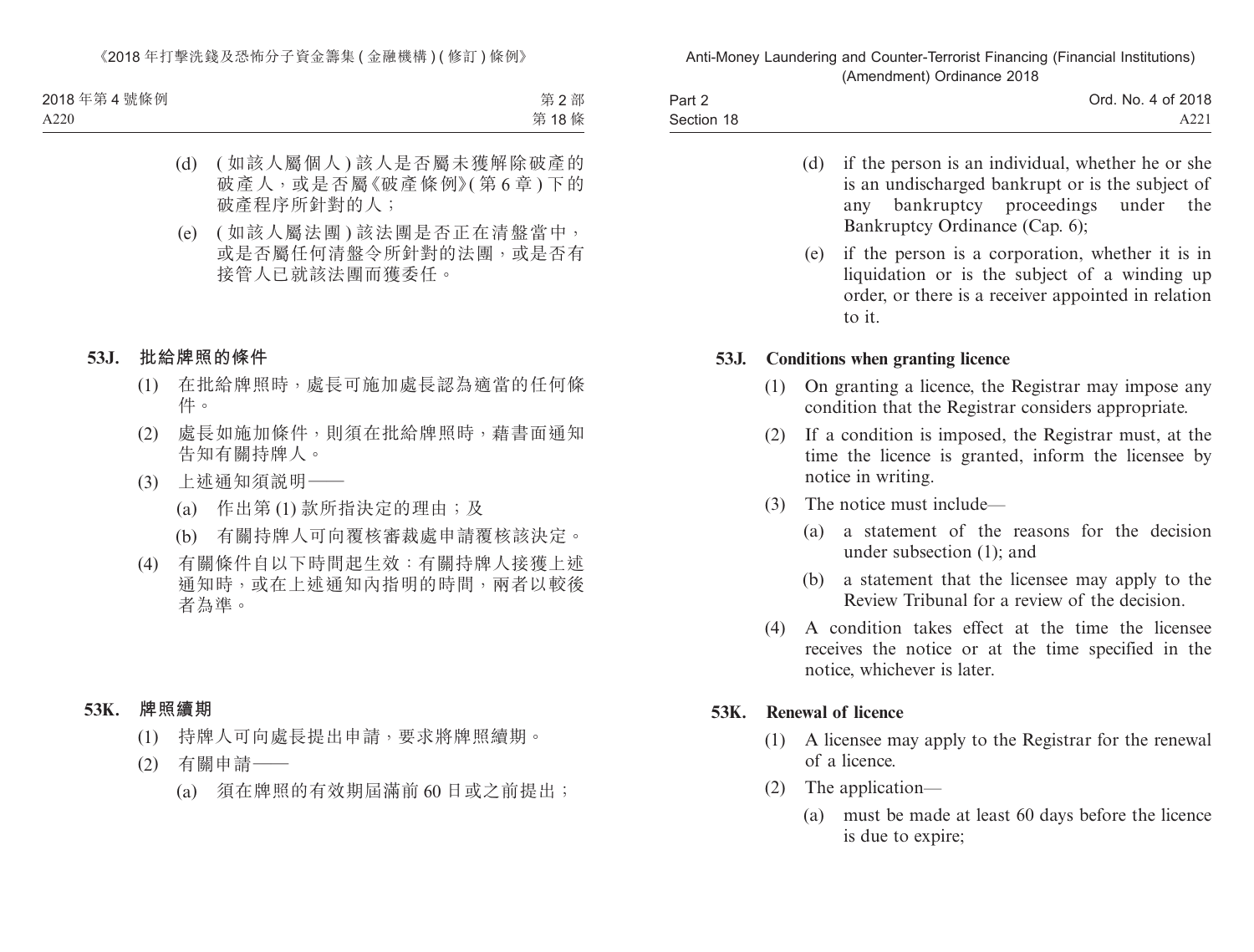| 2018年第4號條例 | 第2部  |
|------------|------|
| A220       | 第18條 |

- (d) ( 如該人屬個人 ) 該人是否屬未獲解除破產的 破產人,或是否屬《破產條例》(第6章)下的 破產程序所針對的人;
- (e) ( 如該人屬法團 ) 該法團是否正在清盤當中, 或是否屬任何清盤令所針對的法團,或是否有 接管人已就該法團而獲委任。
- **53J. 批給牌照的條件**
	- (1) 在批給牌照時,處長可施加處長認為適當的任何條 件。
	- (2) 處長如施加條件,則須在批給牌照時,藉書面通知 告知有關持牌人。
	- (3) 上述通知須說明——
		- (a) 作出第 (1) 款所指決定的理由;及
		- (b) 有關持牌人可向覆核審裁處申請覆核該決定。
	- (4) 有關條件自以下時間起生效:有關持牌人接獲上述 通知時,或在上述通知內指明的時間,兩者以較後 者為準。

#### **53K. 牌照續期**

- (1) 持牌人可向處長提出申請,要求將牌照續期。
- (2) 有關申請——
	- (a) 須在牌照的有效期屆滿前 60 日或之前提出;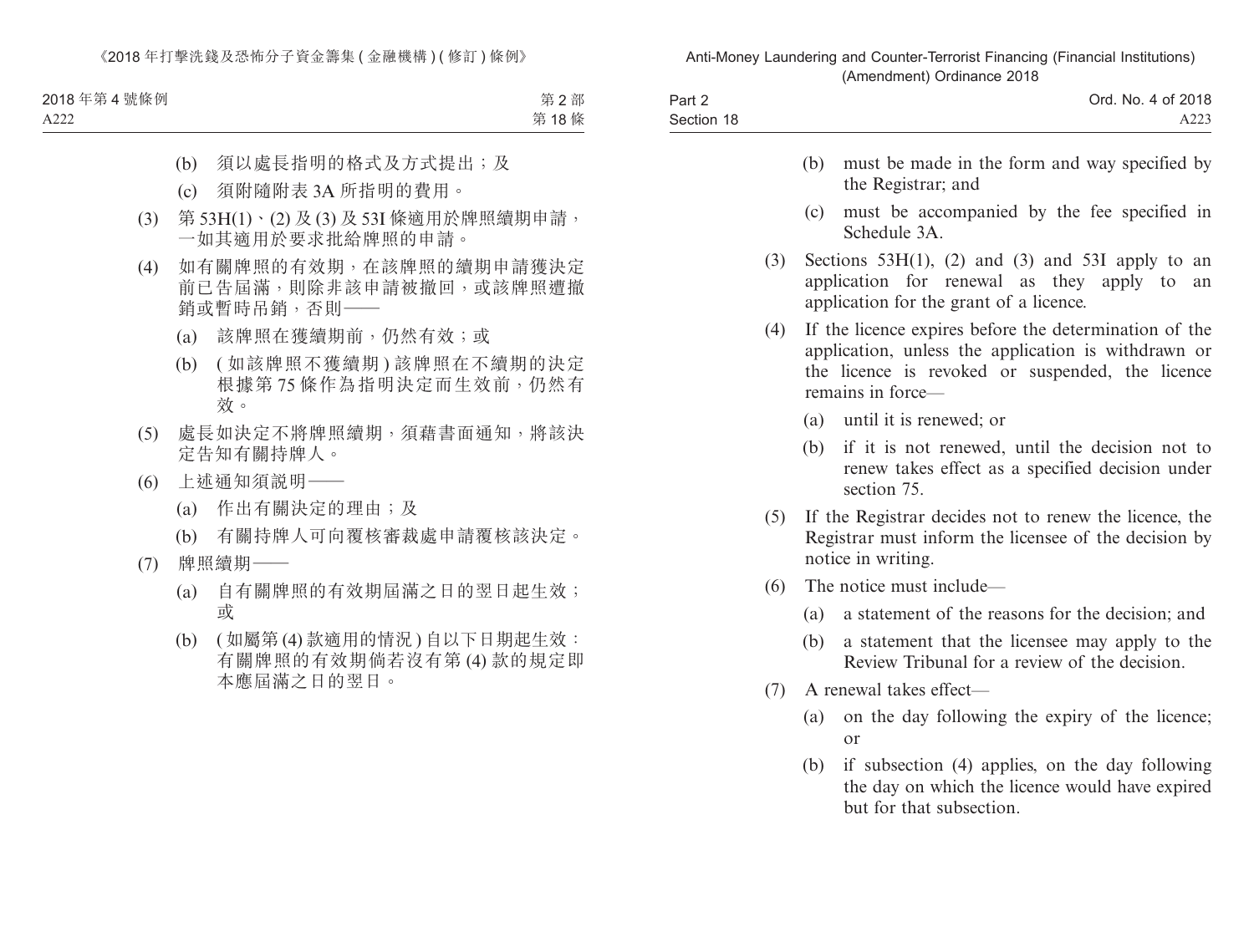| 2018年第4號條例 | 第2部  |
|------------|------|
| A222       | 第18條 |

- (b) 須以處長指明的格式及方式提出;及
- (c) 須附隨附表 3A 所指明的費用。
- (3) 第 53H(1)、(2) 及 (3) 及 53I 條適用於牌照續期申請, 一如其適用於要求批給牌照的申請。
- (4) 如有關牌照的有效期,在該牌照的續期申請獲決定 前已告屆滿,則除非該申請被撤回,或該牌照遭撤 銷或暫時吊銷,否則——
	- (a) 該牌照在獲續期前,仍然有效;或
	- (b) ( 如該牌照不獲續期 ) 該牌照在不續期的決定 根據第 75 條作為指明決定而生效前,仍然有 效。
- (5) 處長如決定不將牌照續期,須藉書面通知,將該決 定告知有關持牌人。
- (6) 上述通知須說明——
	- (a) 作出有關決定的理由;及
	- (b) 有關持牌人可向覆核審裁處申請覆核該決定。
- (7) 牌照續期——
	- (a) 自有關牌照的有效期屆滿之日的翌日起生效; 或
	- (b) ( 如屬第 (4) 款適用的情況 ) 自以下日期起生效: 有關牌照的有效期倘若沒有第 (4) 款的規定即 本應屆滿之日的翌日。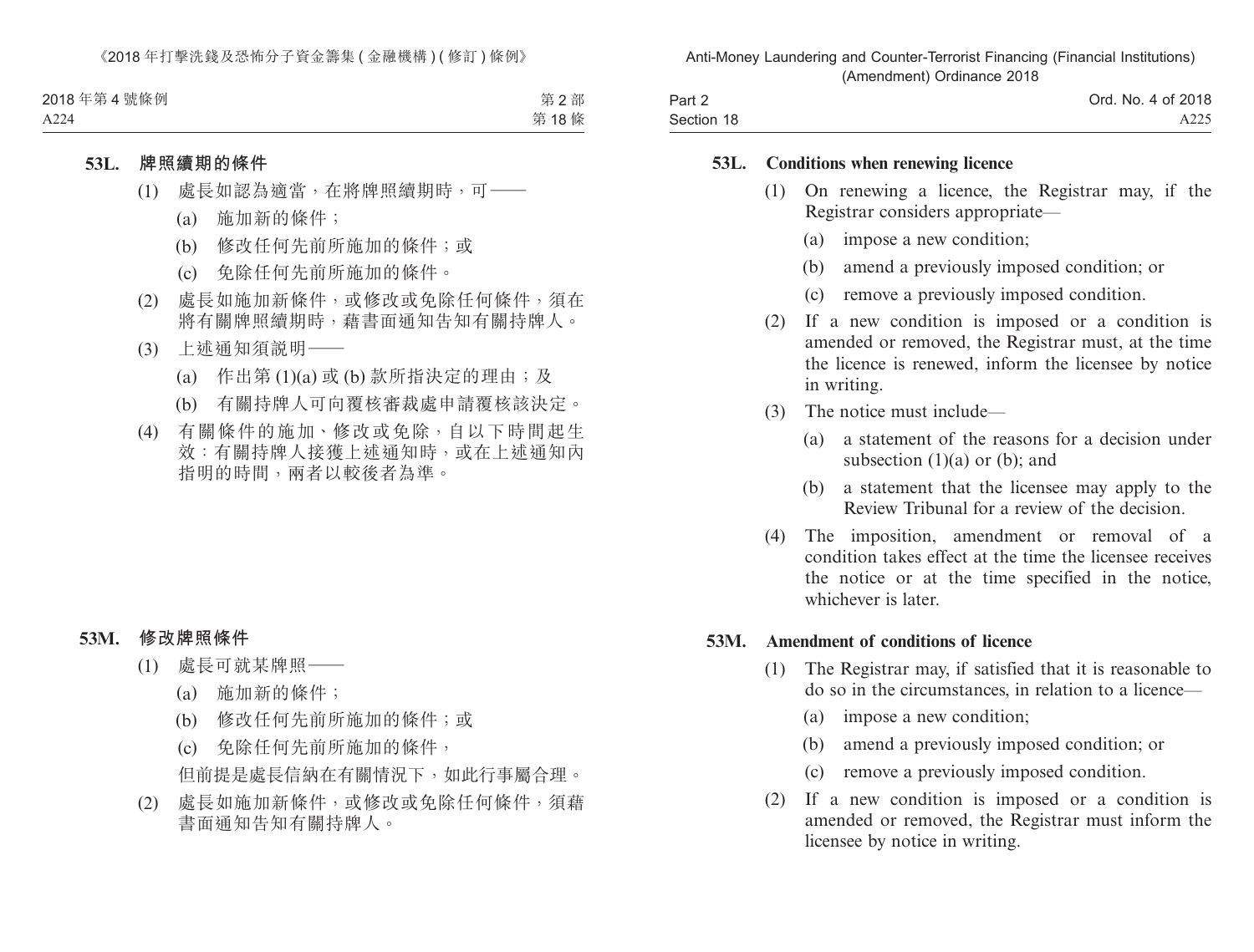| 2018年第4號條例 | 第2部  |
|------------|------|
| A224       | 第18條 |

## **53L. 牌照續期的條件**

- (1) 處長如認為適當,在將牌照續期時,可——
	- (a) 施加新的條件;
	- (b) 修改任何先前所施加的條件;或
	- (c) 免除任何先前所施加的條件。
- (2) 處長如施加新條件,或修改或免除任何條件,須在 將有關牌照續期時,藉書面通知告知有關持牌人。
- (3) 上述通知須說明——
	- (a) 作出第 (1)(a) 或 (b) 款所指決定的理由;及
	- (b) 有關持牌人可向覆核審裁處申請覆核該決定。
- (4) 有關條件的施加、修改或免除,自以下時間起生 效:有關持牌人接獲上述通知時,或在上述通知內 指明的時間,兩者以較後者為準。

#### **53M. 修改牌照條件**

- (1) 處長可就某牌照——
	- (a) 施加新的條件;
	- (b) 修改任何先前所施加的條件;或
	- (c) 免除任何先前所施加的條件,

但前提是處長信納在有關情況下,如此行事屬合理。

(2) 處長如施加新條件,或修改或免除任何條件,須藉 書面通知告知有關持牌人。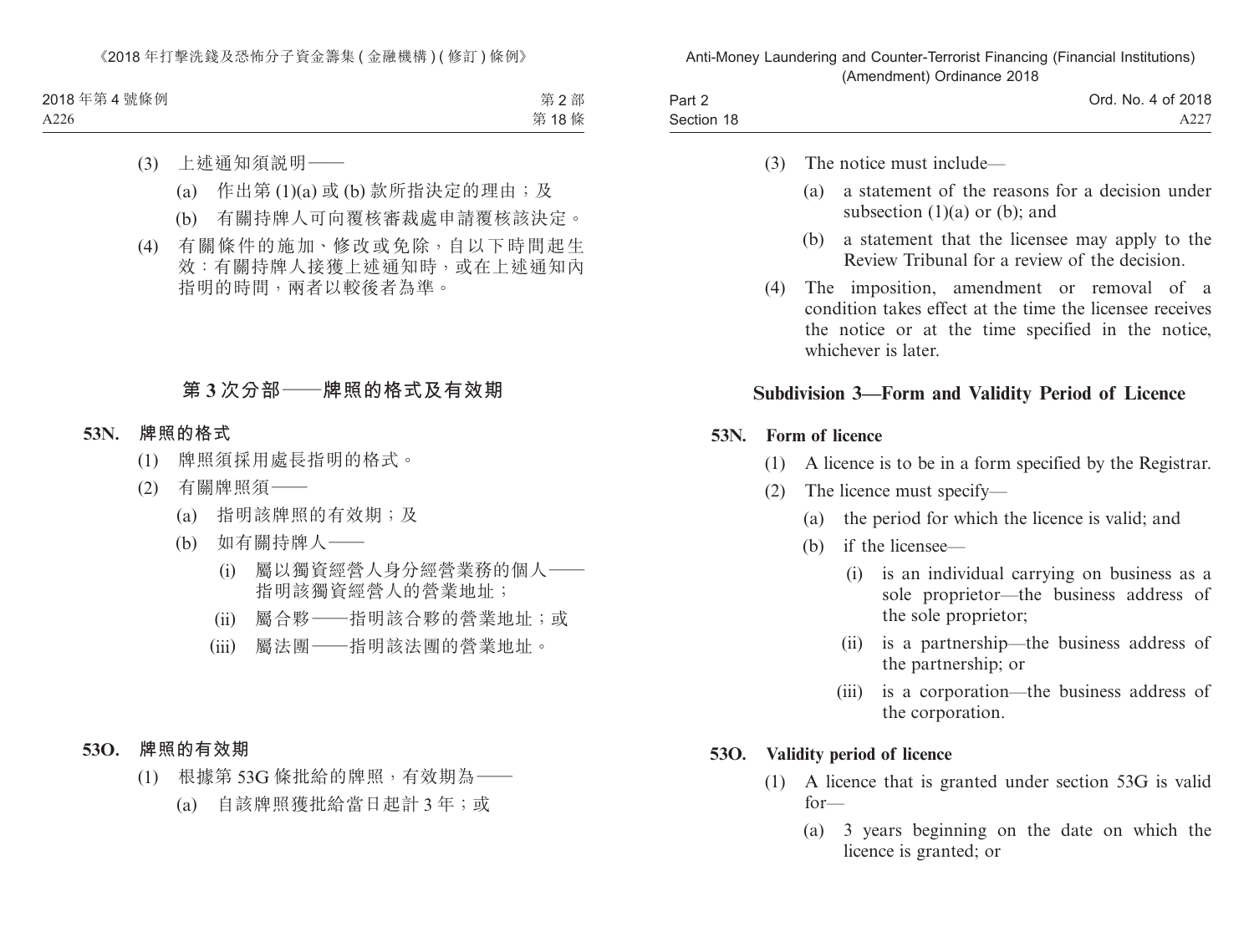| 2018年第4號條例 | 第2部  |
|------------|------|
| A226       | 第18條 |

- (3) 上述通知須說明——
	- $(a)$  作出第  $(1)(a)$  或  $(b)$  款所指決定的理由; 及
	- (b) 有關持牌人可向覆核審裁處申請覆核該決定。
- (4) 有關條件的施加、修改或免除,自以下時間起生 效:有關持牌人接獲上述通知時,或在上述通知內 指明的時間,兩者以較後者為準。

## **第 3 次分部——牌照的格式及有效期**

## **53N. 牌照的格式**

- (1) 牌照須採用處長指明的格式。
- (2) 有關牌照須——
	- (a) 指明該牌照的有效期;及
	- (b) 如有關持牌人——
		- (i) 屬以獨資經營人身分經營業務的個人—— 指明該獨資經營人的營業地址;
		- (ii) 屬合夥——指明該合夥的營業地址;或
		- (iii) 屬法團——指明該法團的營業地址。

### **53O. 牌照的有效期**

- (1) 根據第 53G 條批給的牌照,有效期為——
	- (a) 自該牌照獲批給當日起計 3 年;或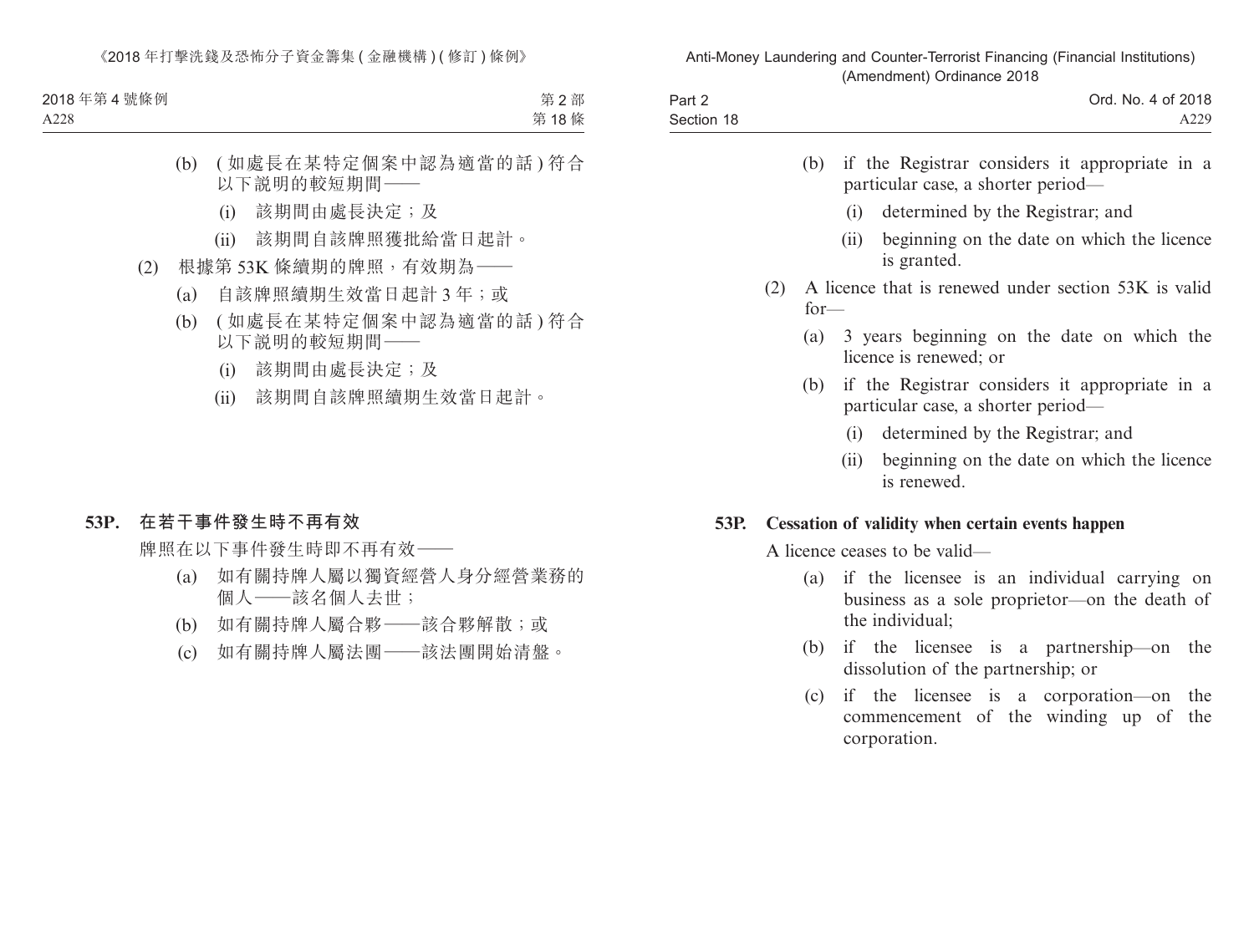| 2018年第4號條例 | 第2部  |
|------------|------|
| A228       | 第18條 |

- (b) ( 如處長在某特定個案中認為適當的話 ) 符合 以下說明的較短期間——
	- (i) 該期間由處長決定;及
	- (ii) 該期間自該牌照獲批給當日起計。
- (2) 根據第 53K 條續期的牌照,有效期為——
	- (a) 自該牌照續期生效當日起計 3 年;或
	- (b) ( 如處長在某特定個案中認為適當的話 ) 符合 以下說明的較短期間——
		- (i) 該期間由處長決定;及
		- (ii) 該期間自該牌照續期生效當日起計。

### **53P. 在若干事件發生時不再有效**

牌照在以下事件發生時即不再有效——

- (a) 如有關持牌人屬以獨資經營人身分經營業務的 個人——該名個人去世;
- (b) 如有關持牌人屬合夥——該合夥解散;或
- (c) 如有關持牌人屬法團——該法團開始清盤。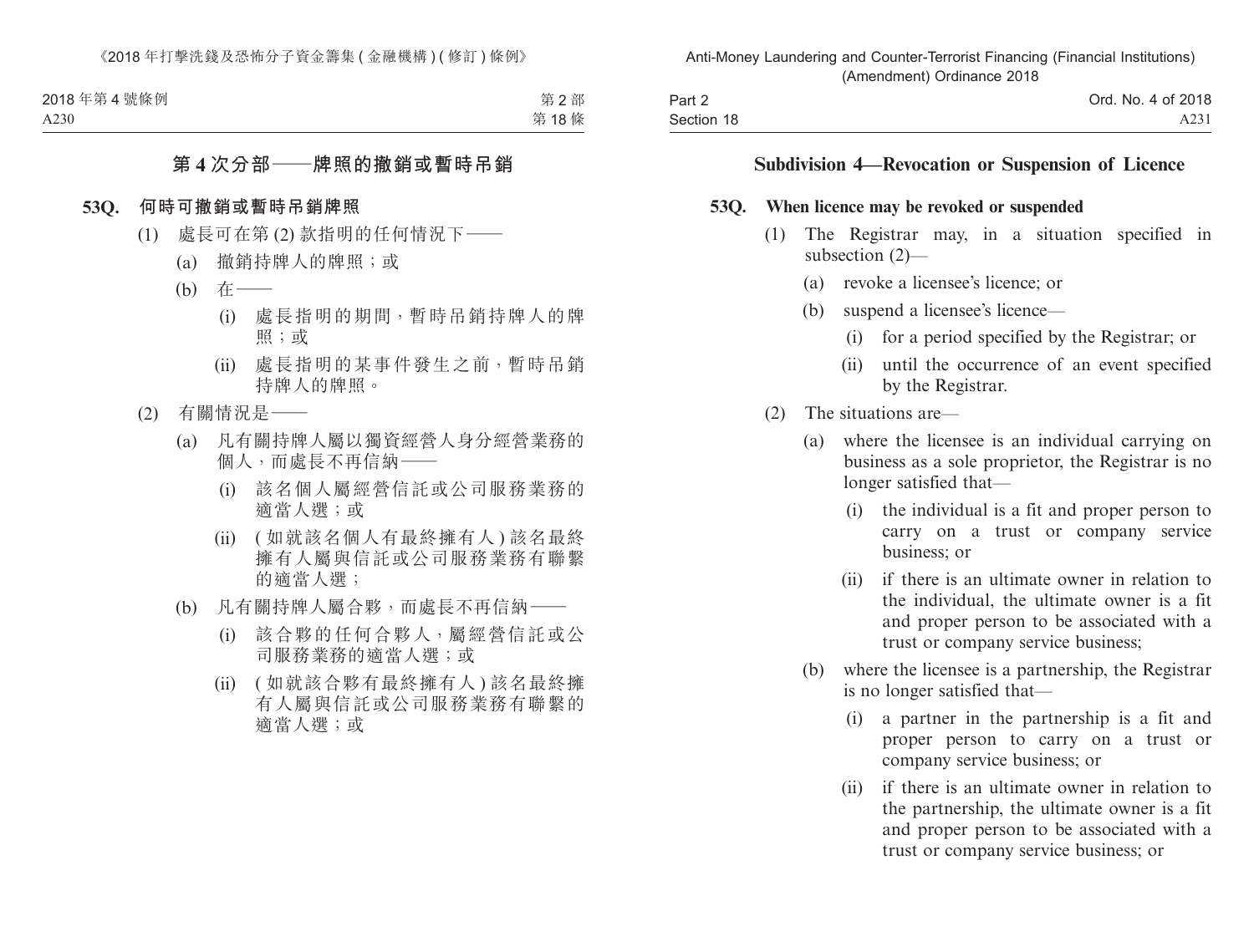| 2018年第4號條例 | 第2部  |
|------------|------|
| A230       | 第18條 |

# **第 4 次分部——牌照的撤銷或暫時吊銷**

## **53Q. 何時可撤銷或暫時吊銷牌照**

- (1) 處長可在第 (2) 款指明的任何情況下——
	- (a) 撤銷持牌人的牌照;或
	- (b) 在——
		- (i) 處長指明的期間,暫時吊銷持牌人的牌 照;或
		- (ii) 處長指明的某事件發生之前,暫時吊銷 持牌人的牌照。
- (2) 有關情況是——
	- (a) 凡有關持牌人屬以獨資經營人身分經營業務的 個人,而處長不再信納——
		- (i) 該名個人屬經營信託或公司服務業務的 適當人選;或
		- (ii) ( 如就該名個人有最終擁有人 ) 該名最終 擁有人屬與信託或公司服務業務有聯繫 的適當人選;
	- (b) 凡有關持牌人屬合夥,而處長不再信納——
		- (i) 該合夥的任何合夥人,屬經營信託或公 司服務業務的適當人選;或
		- (ii) ( 如就該合夥有最終擁有人 ) 該名最終擁 有人屬與信託或公司服務業務有聯繫的 適當人選;或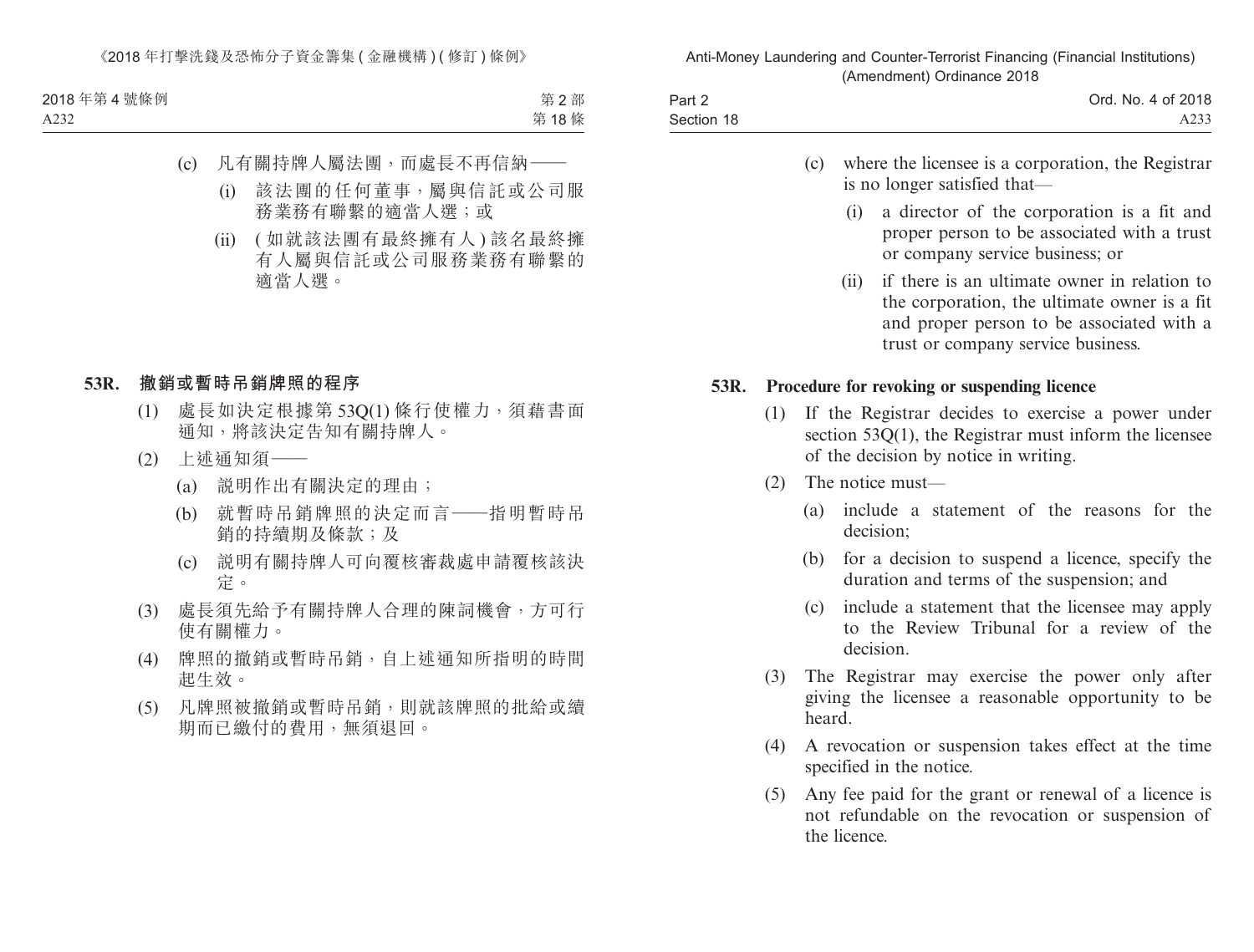| 2018年第4號條例 | 第2部  |
|------------|------|
| A232       | 第18條 |

- (c) 凡有關持牌人屬法團,而處長不再信納——
	- (i) 該法團的任何董事,屬與信託或公司服 務業務有聯繫的適當人選;或
	- (ii) ( 如就該法團有最終擁有人 ) 該名最終擁 有人屬與信託或公司服務業務有聯繫的 適當人選。
- **53R. 撤銷或暫時吊銷牌照的程序**
	- (1) 處長如決定根據第 53Q(1) 條行使權力,須藉書面 通知,將該決定告知有關持牌人。
	- (2) 上述通知須——
		- (a) 說明作出有關決定的理由;
		- (b) 就暫時吊銷牌照的決定而言——指明暫時吊 銷的持續期及條款;及
		- (c) 說明有關持牌人可向覆核審裁處申請覆核該決 定。
	- (3) 處長須先給予有關持牌人合理的陳詞機會,方可行 使有關權力。
	- (4) 牌照的撤銷或暫時吊銷,自上述通知所指明的時間 起生效。
	- (5) 凡牌照被撤銷或暫時吊銷,則就該牌照的批給或續 期而已繳付的費用,無須退回。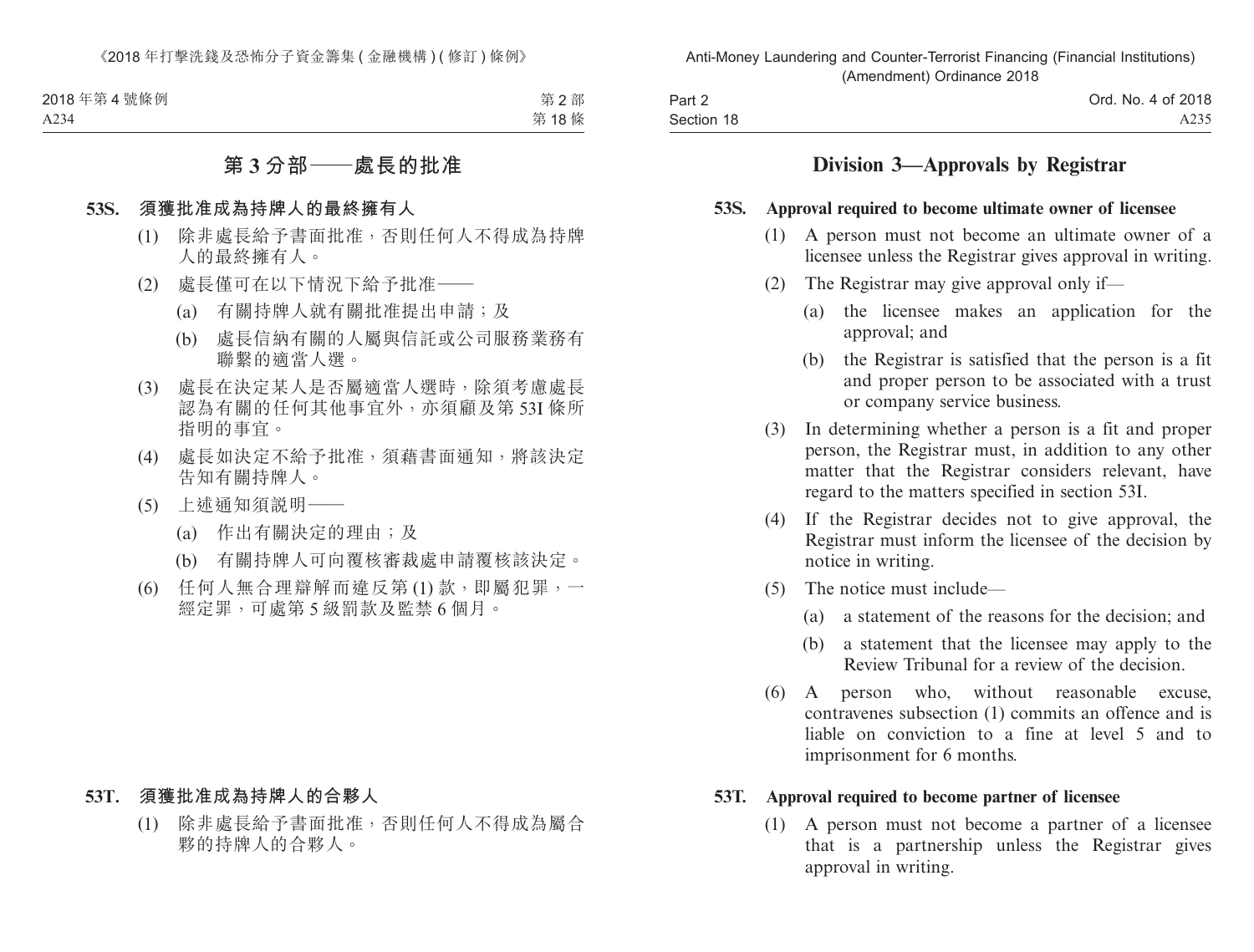| 2018年第4號條例 | 第2部  |
|------------|------|
| A234       | 第18條 |

# **第 3 分部——處長的批准**

- **53S. 須獲批准成為持牌人的最終擁有人**
	- (1) 除非處長給予書面批准,否則任何人不得成為持牌 人的最終擁有人。
	- (2) 處長僅可在以下情況下給予批准——
		- (a) 有關持牌人就有關批准提出申請;及
		- (b) 處長信納有關的人屬與信託或公司服務業務有 聯繫的適當人選。
	- (3) 處長在決定某人是否屬適當人選時,除須考慮處長 認為有關的任何其他事宜外,亦須顧及第 53I 條所 指明的事宜。
	- (4) 處長如決定不給予批准,須藉書面通知,將該決定 告知有關持牌人。
	- (5) 上述通知須說明——
		- (a) 作出有關決定的理由;及
		- (b) 有關持牌人可向覆核審裁處申請覆核該決定。
	- (6) 任何人無合理辯解而違反第 (1) 款,即屬犯罪,一 經定罪,可處第 5 級罰款及監禁 6 個月。

## **53T. 須獲批准成為持牌人的合夥人**

(1) 除非處長給予書面批准,否則任何人不得成為屬合 夥的持牌人的合夥人。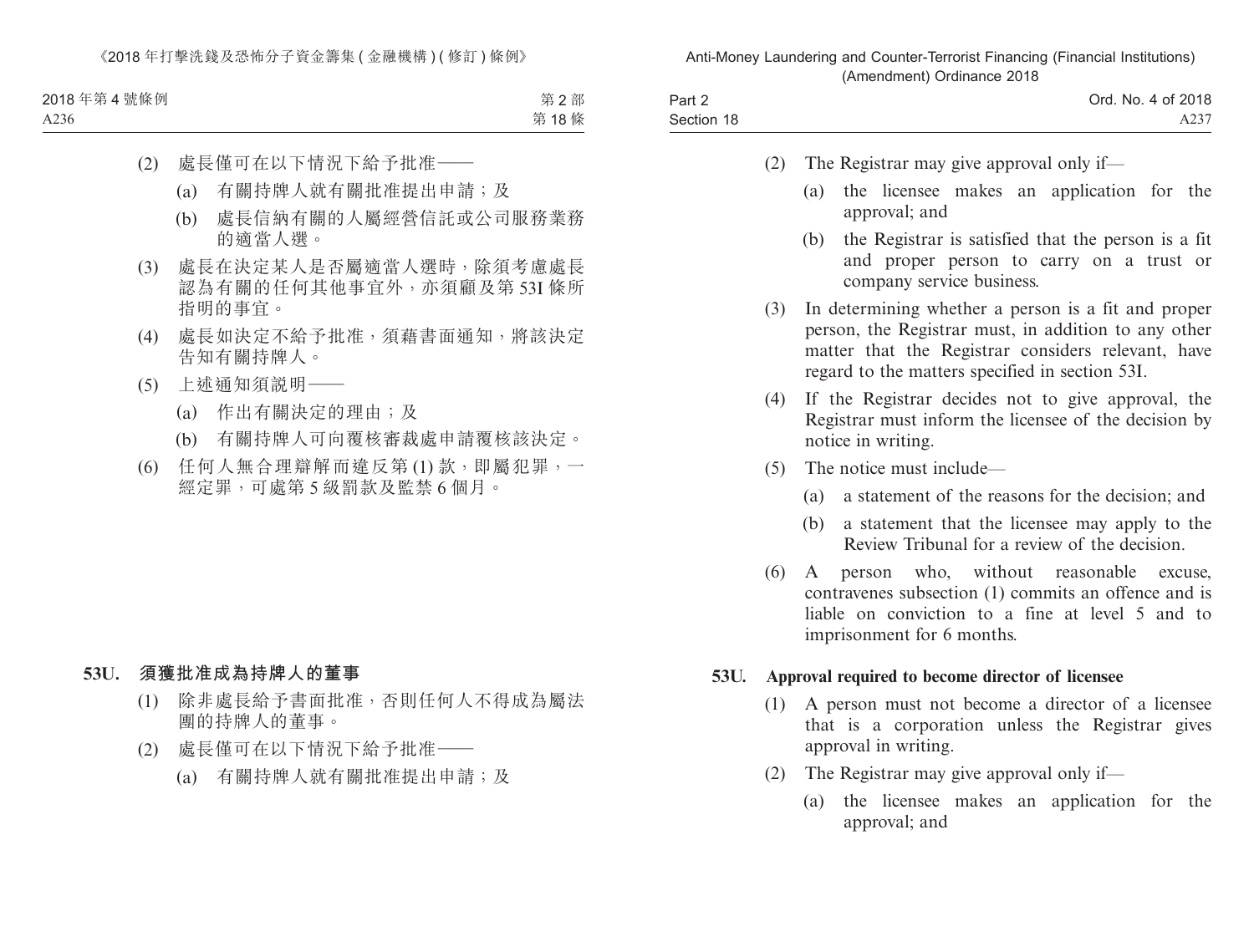| 2018年第4號條例 | 第2部  |
|------------|------|
| A236       | 第18條 |

- (2) 處長僅可在以下情況下給予批准——
	- (a) 有關持牌人就有關批准提出申請;及
	- (b) 處長信納有關的人屬經營信託或公司服務業務 的適當人選。
- (3) 處長在決定某人是否屬適當人選時,除須考慮處長 認為有關的任何其他事宜外,亦須顧及第 53I 條所 指明的事宜。
- (4) 處長如決定不給予批准,須藉書面通知,將該決定 告知有關持牌人。
- (5) 上述通知須說明——
	- (a) 作出有關決定的理由;及
	- (b) 有關持牌人可向覆核審裁處申請覆核該決定。
- (6) 任何人無合理辯解而違反第 (1) 款,即屬犯罪,一 經定罪,可處第 5 級罰款及監禁 6 個月。

- **53U. 須獲批准成為持牌人的董事**
	- (1) 除非處長給予書面批准,否則任何人不得成為屬法 團的持牌人的董事。
	- (2) 處長僅可在以下情況下給予批准——
		- (a) 有關持牌人就有關批准提出申請;及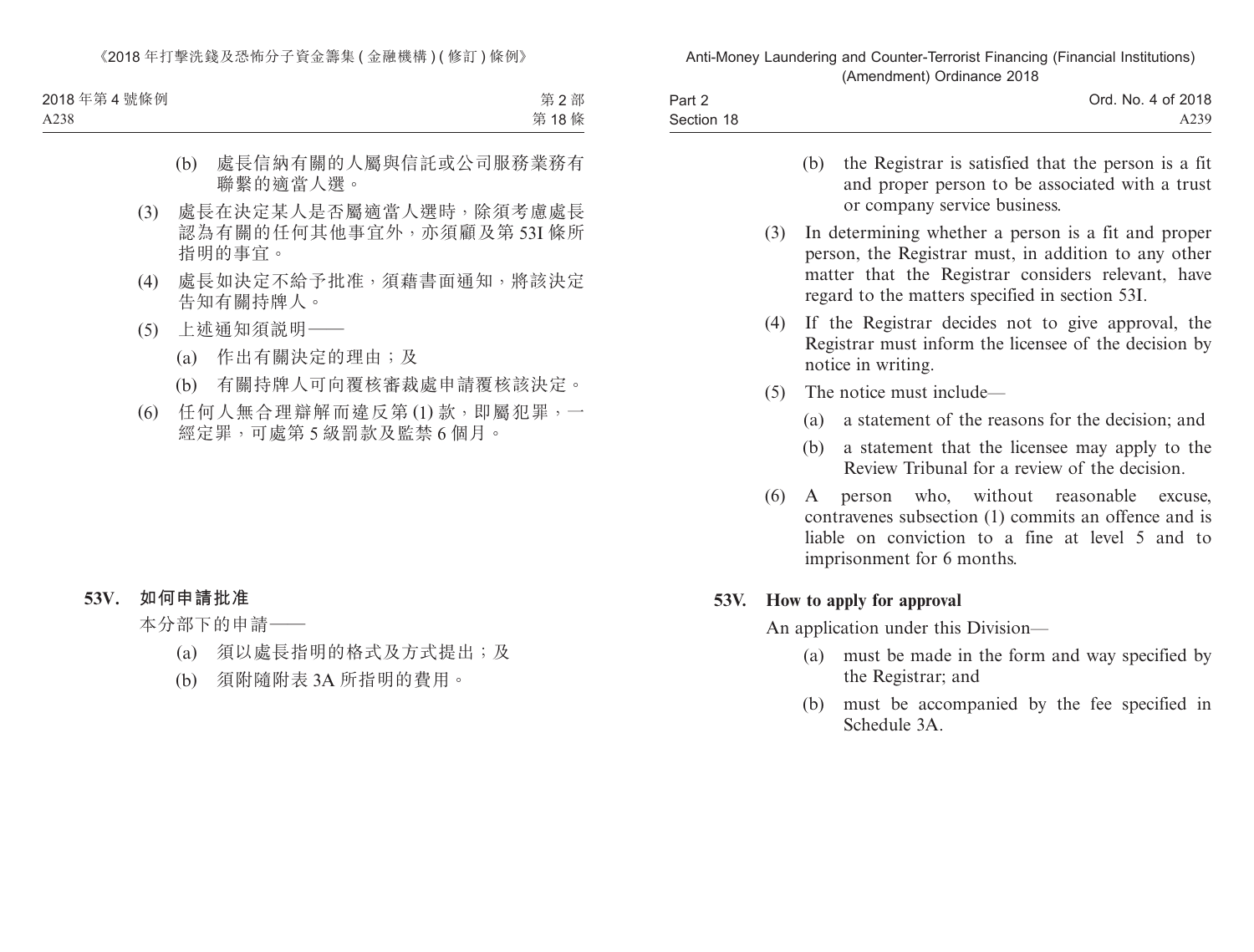| 2018年第4號條例 | 第2部  |
|------------|------|
| A238       | 第18條 |

- (b) 處長信納有關的人屬與信託或公司服務業務有 聯繫的適當人選。
- (3) 處長在決定某人是否屬適當人選時,除須考慮處長 認為有關的任何其他事宜外,亦須顧及第 53I 條所 指明的事宜。
- (4) 處長如決定不給予批准,須藉書面通知,將該決定 告知有關持牌人。
- (5) 上述通知須說明——
	- (a) 作出有關決定的理由;及
	- (b) 有關持牌人可向覆核審裁處申請覆核該決定。
- (6) 任何人無合理辯解而違反第 (1) 款,即屬犯罪,一 經定罪,可處第 5 級罰款及監禁 6 個月。

#### **53V. 如何申請批准**

本分部下的申請——

- (a) 須以處長指明的格式及方式提出;及
- (b) 須附隨附表 3A 所指明的費用。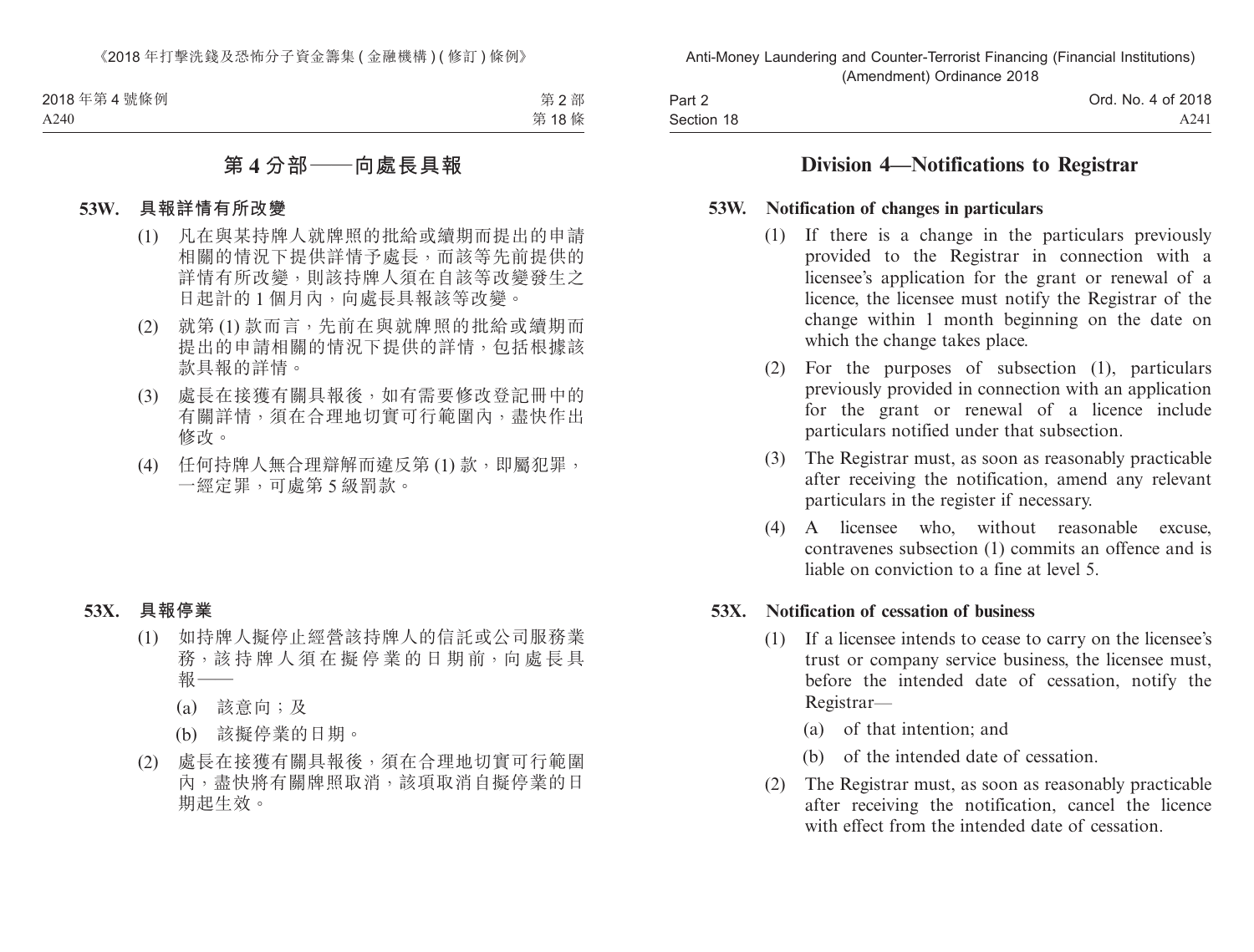| 2018年第4號條例 | 第2部  |
|------------|------|
| A240       | 第18條 |

# **第 4 分部——向處長具報**

#### **53W. 具報詳情有所改變**

- (1) 凡在與某持牌人就牌照的批給或續期而提出的申請 相關的情況下提供詳情予處長,而該等先前提供的 詳情有所改變,則該持牌人須在自該等改變發生之 日起計的 1 個月內,向處長具報該等改變。
- (2) 就第 (1) 款而言,先前在與就牌照的批給或續期而 提出的申請相關的情況下提供的詳情,包括根據該 款具報的詳情。
- (3) 處長在接獲有關具報後,如有需要修改登記冊中的 有關詳情,須在合理地切實可行範圍內,盡快作出 修改。
- (4) 任何持牌人無合理辯解而違反第 (1) 款,即屬犯罪, 一經定罪,可處第 5 級罰款。

#### **53X. 具報停業**

- (1) 如持牌人擬停止經營該持牌人的信託或公司服務業 務,該持牌人須在擬停業的日期前,向處長具 報——
	- (a) 該意向;及
	- (b) 該擬停業的日期。
- (2) 處長在接獲有關具報後,須在合理地切實可行範圍 內,盡快將有關牌照取消,該項取消自擬停業的日 期起生效。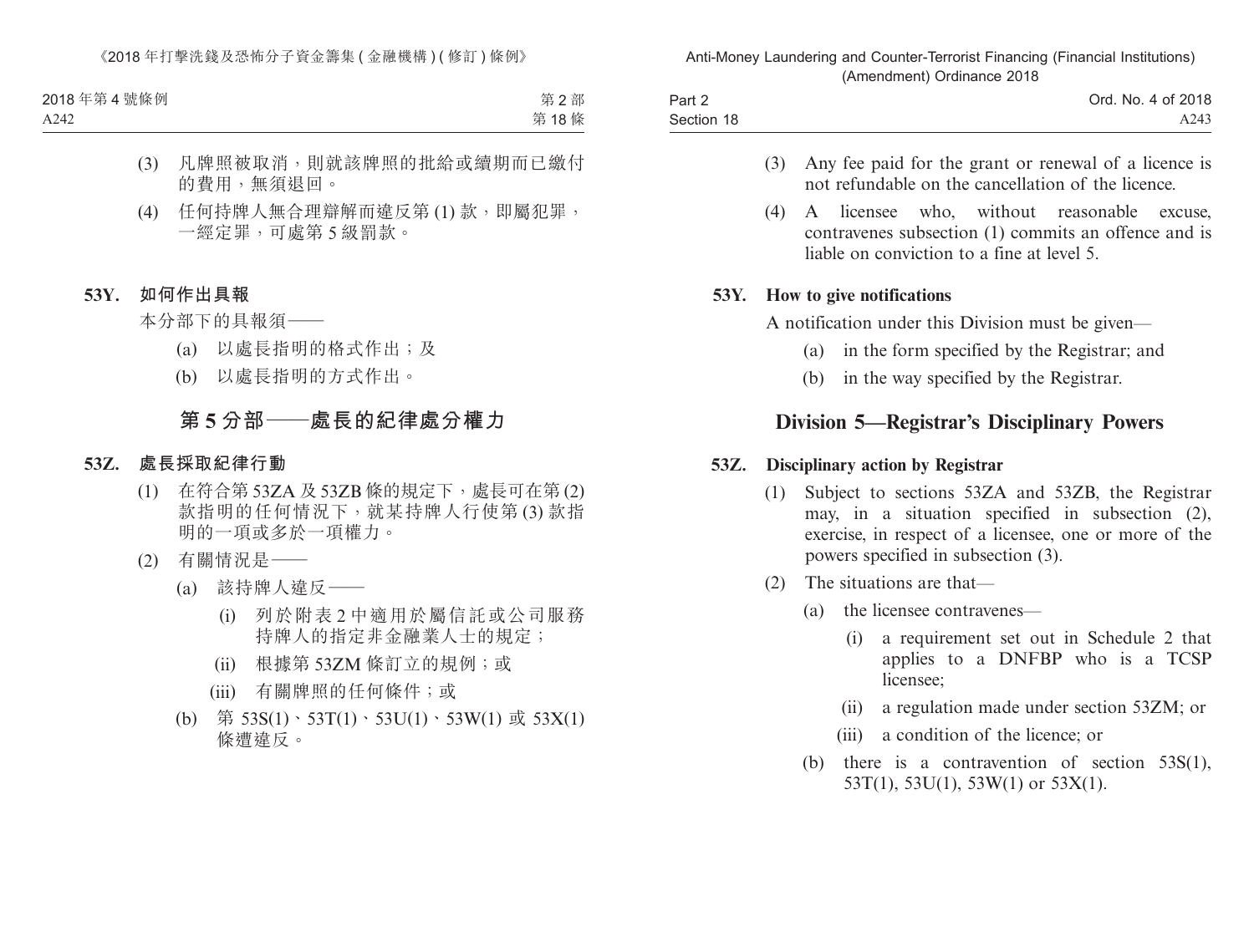| 2018年第4號條例 | 第2部  |
|------------|------|
| A242       | 第18條 |

- (3) 凡牌照被取消,則就該牌照的批給或續期而已繳付 的費用,無須退回。
- (4) 任何持牌人無合理辯解而違反第(1)款,即屬犯罪, 一經定罪,可處第 5 級罰款。

#### **53Y. 如何作出具報**

本分部下的具報須——

- (a) 以處長指明的格式作出;及
- (b) 以處長指明的方式作出。

# **第 5 分部——處長的紀律處分權力**

### **53Z. 處長採取紀律行動**

- (1) 在符合第 53ZA 及 53ZB 條的規定下,處長可在第 (2) 款指明的任何情況下,就某持牌人行使第(3)款指 明的一項或多於一項權力。
- (2) 有關情況是——
	- (a) 該持牌人違反——
		- (i) 列於附表 2 中適用於屬信託或公司服務 持牌人的指定非金融業人士的規定;
		- (ii) 根據第 53ZM 條訂立的規例;或
		- (iii) 有關牌照的任何條件;或
	- (b) 第 53S(1)、53T(1)、53U(1)、53W(1) 或 53X(1) 條遭違反。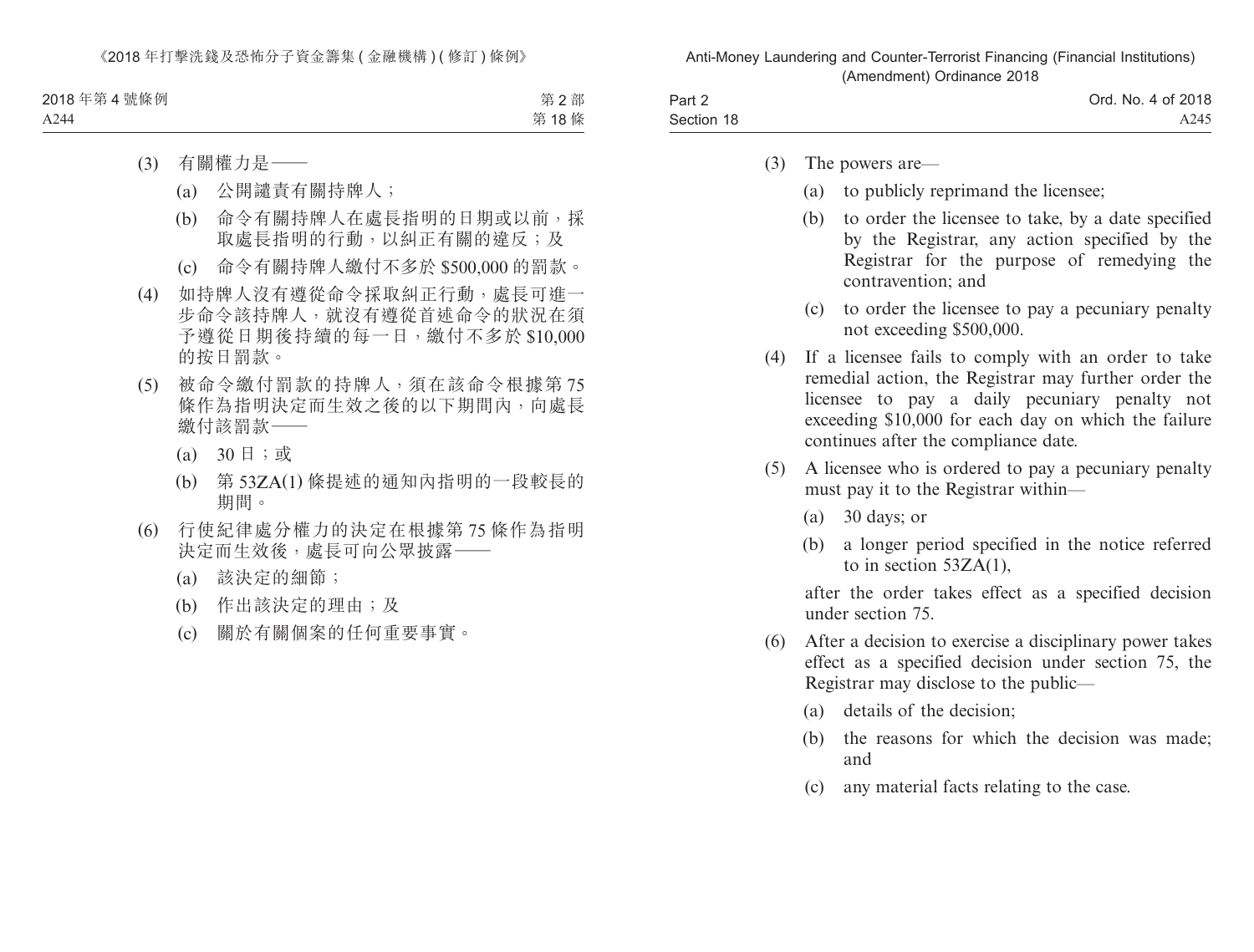| 2018年第4號條例 | 第2部  |
|------------|------|
| A244       | 第18條 |

- (3) 有關權力是——
	- (a) 公開譴責有關持牌人;
	- (b) 命令有關持牌人在處長指明的日期或以前,採 取處長指明的行動,以糾正有關的違反;及
	- (c) 命令有關持牌人繳付不多於 \$500,000 的罰款。
- (4) 如持牌人沒有遵從命令採取糾正行動,處長可進一 步命令該持牌人,就沒有遵從首述命令的狀況在須 予遵從日期後持續的每一日,繳付不多於 \$10,000 的按日罰款。
- (5) 被命令繳付罰款的持牌人,須在該命令根據第 75 條作為指明決定而生效之後的以下期間內,向處長 繳付該罰款——
	- (a) 30 日;或
	- (b) 第 53ZA(1) 條提述的通知內指明的一段較長的 期間。
- (6) 行使紀律處分權力的決定在根據第 75 條作為指明 決定而生效後,處長可向公眾披露——
	- (a) 該決定的細節;
	- (b) 作出該決定的理由;及
	- (c) 關於有關個案的任何重要事實。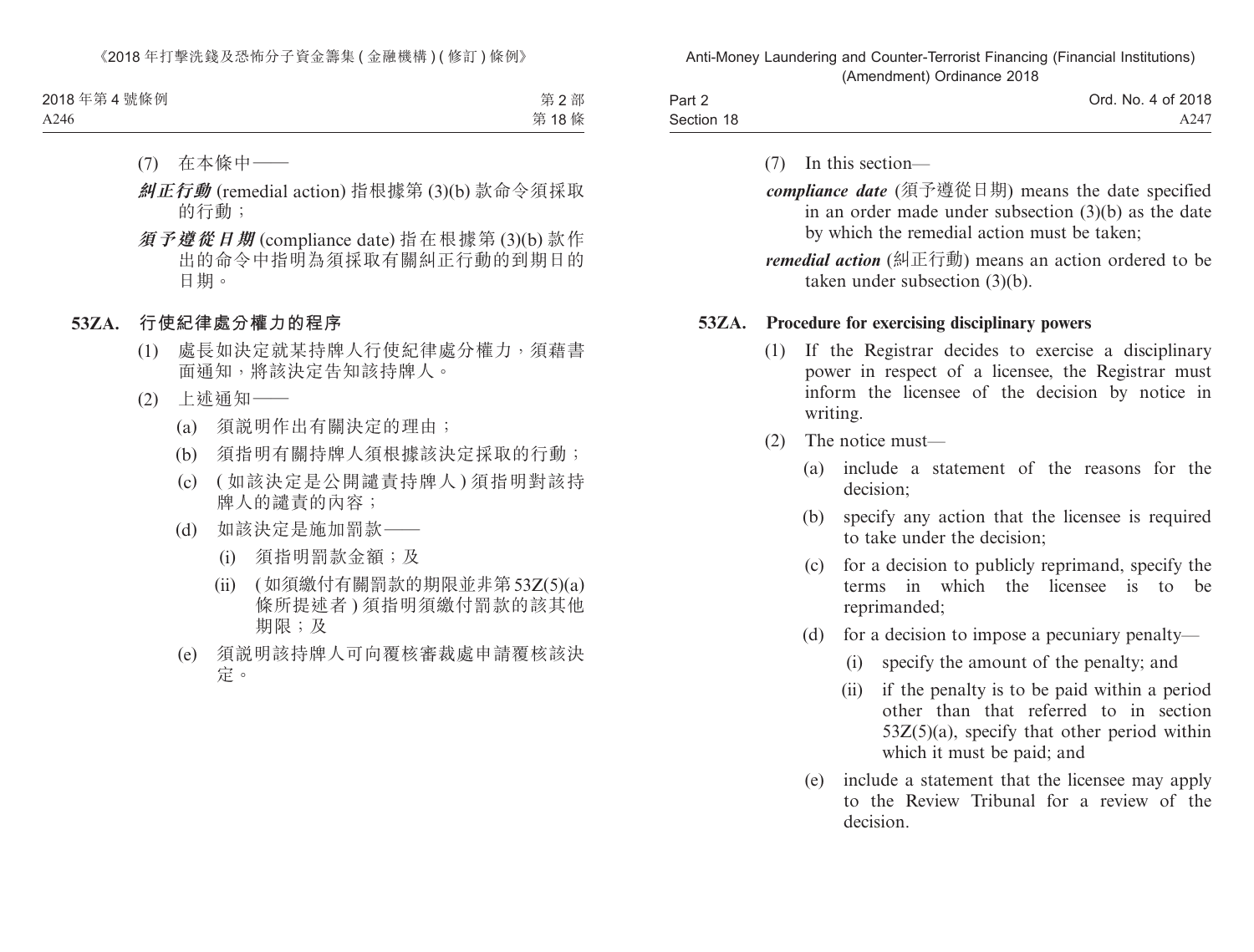《2018 年打擊洗錢及恐怖分子資金籌集 ( 金融機構 ) ( 修訂 ) 條例》

| 2018年第4號條例 | 第2部  |
|------------|------|
| A246       | 第18條 |

- (7) 在本條中——
- **糾正行動** (remedial action) 指根據第 (3)(b) 款命令須採取 的行動;
- **須予遵從日期** (compliance date) 指在根據第 (3)(b) 款作 出的命令中指明為須採取有關糾正行動的到期日的 日期。

## **53ZA. 行使紀律處分權力的程序**

- (1) 處長如決定就某持牌人行使紀律處分權力,須藉書 面通知,將該決定告知該持牌人。
- (2) 上述通知——
	- (a) 須說明作出有關決定的理由;
	- (b) 須指明有關持牌人須根據該決定採取的行動;
	- (c) ( 如該決定是公開譴責持牌人 ) 須指明對該持 牌人的譴責的內容;
	- (d) 如該決定是施加罰款——
		- (i) 須指明罰款金額;及
		- (ii) (如須繳付有關罰款的期限並非第53Z(5)(a) 條所提述者 ) 須指明須繳付罰款的該其他 期限;及
	- (e) 須說明該持牌人可向覆核審裁處申請覆核該決 定。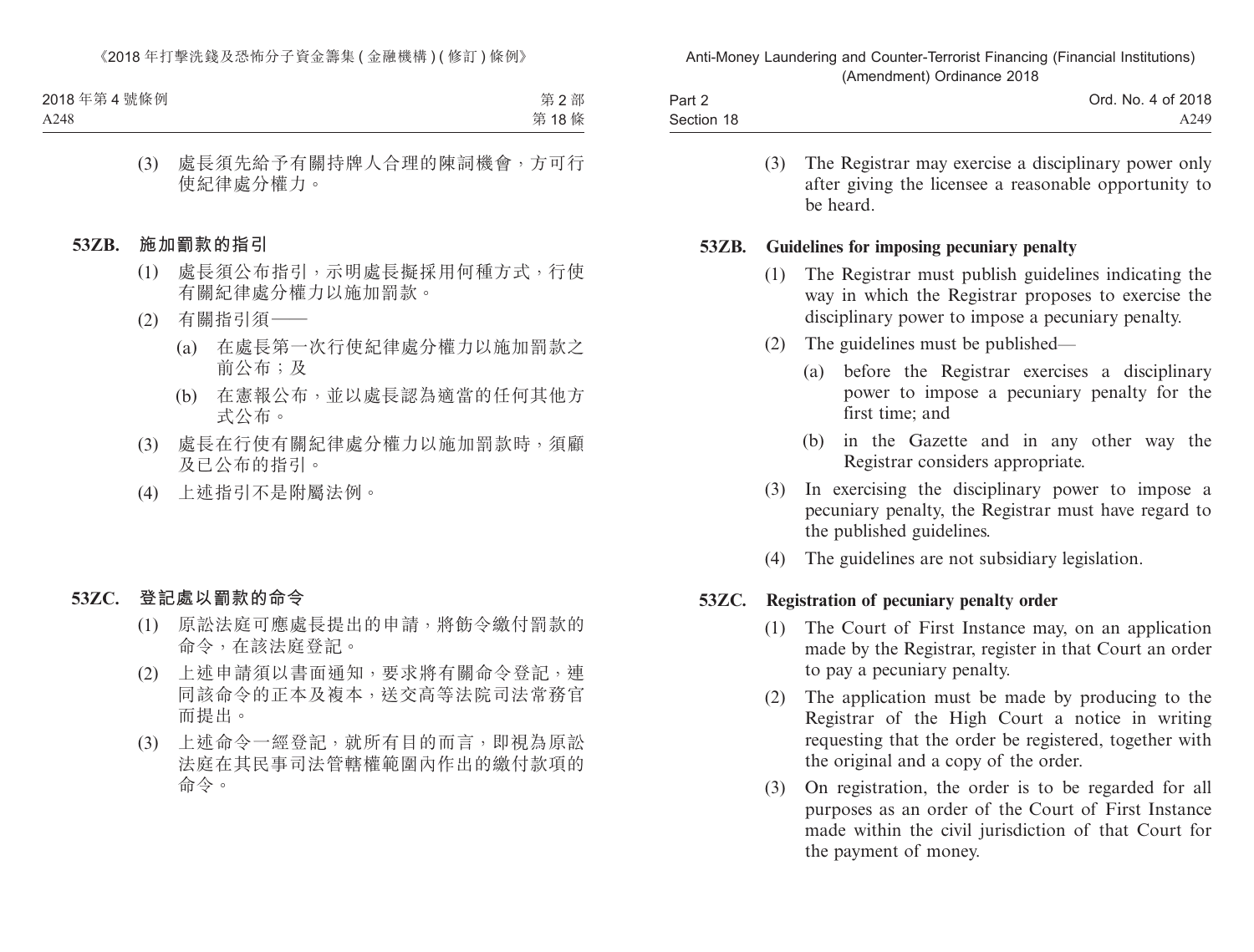| 2018年第4號條例 | 第2部  |
|------------|------|
| A248       | 第18條 |

(3) 處長須先給予有關持牌人合理的陳詞機會,方可行 使紀律處分權力。

#### **53ZB. 施加罰款的指引**

- (1) 處長須公布指引,示明處長擬採用何種方式,行使 有關紀律處分權力以施加罰款。
- (2) 有關指引須——
	- (a) 在處長第一次行使紀律處分權力以施加罰款之 前公布;及
	- (b) 在憲報公布,並以處長認為適當的任何其他方 式公布。
- (3) 處長在行使有關紀律處分權力以施加罰款時,須顧 及已公布的指引。
- (4) 上述指引不是附屬法例。

#### **53ZC. 登記處以罰款的命令**

- (1) 原訟法庭可應處長提出的申請,將飭令繳付罰款的 命令,在該法庭登記。
- (2) 上述申請須以書面通知,要求將有關命令登記,連 同該命令的正本及複本,送交高等法院司法常務官 而提出。
- (3) 上述命令一經登記,就所有目的而言,即視為原訟 法庭在其民事司法管轄權範圍內作出的繳付款項的 命令。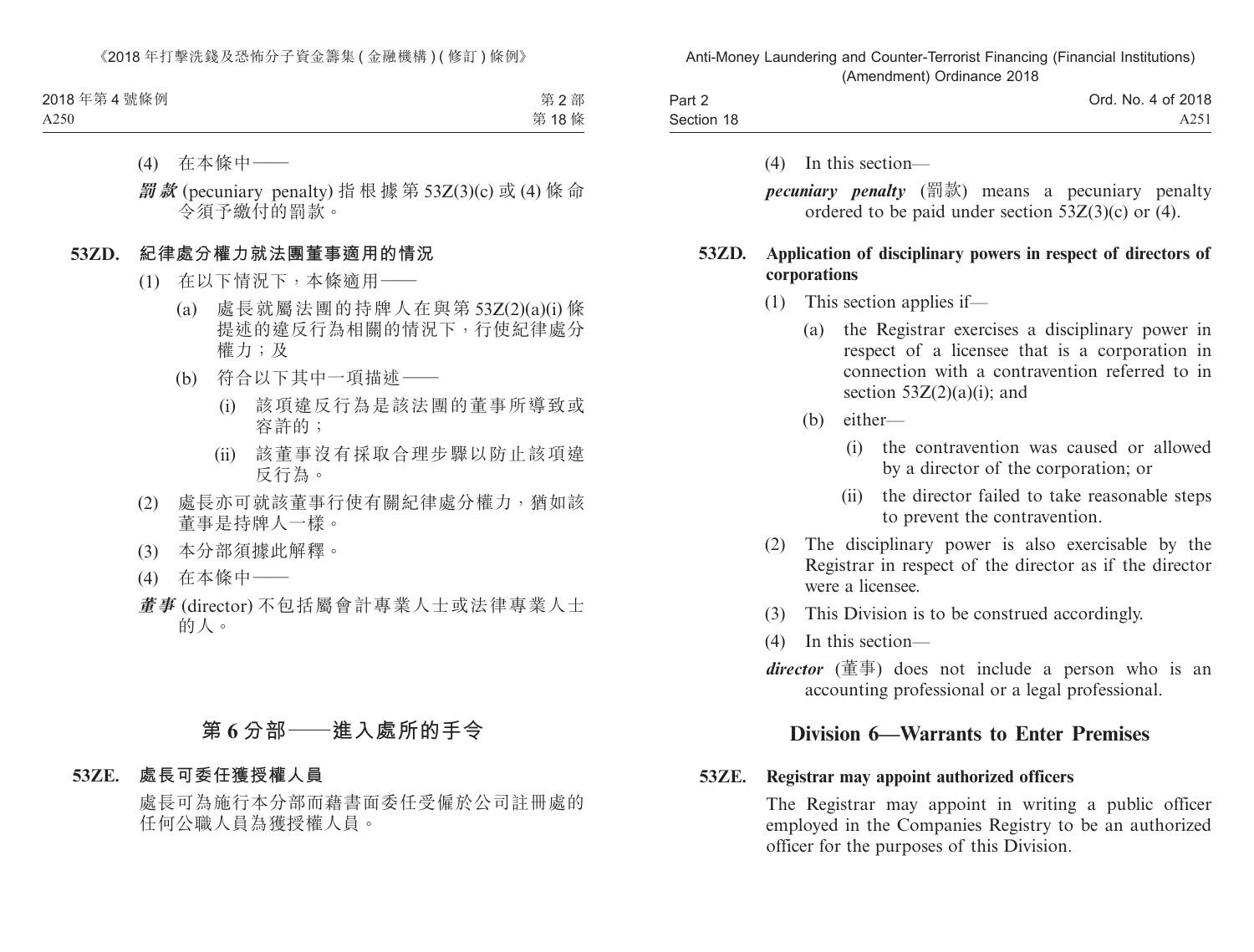《2018 年打擊洗錢及恐怖分子資金籌集 ( 金融機構 ) ( 修訂 ) 條例》

| 2018年第4號條例 | 第2部  |
|------------|------|
| A250       | 第18條 |

(4) 在本條中——

## **53ZD. 紀律處分權力就法團董事適用的情況**

- (1) 在以下情況下,本條適用——
	- (a) 處長就屬法團的持牌人在與第 53Z(2)(a)(i) 條 提述的違反行為相關的情況下,行使紀律處分 權力;及
	- (b) 符合以下其中一項描述——
		- (i) 該項違反行為是該法團的董事所導致或 容許的;
		- (ii) 該董事沒有採取合理步驟以防止該項違 反行為。
- (2) 處長亦可就該董事行使有關紀律處分權力,猶如該 董事是持牌人一樣。
- (3) 本分部須據此解釋。
- (4) 在本條中——
- **董事** (director) 不包括屬會計專業人士或法律專業人士 的人。

# **第 6 分部——進入處所的手令**

#### **53ZE. 處長可委任獲授權人員**

處長可為施行本分部而藉書面委任受僱於公司註冊處的 任何公職人員為獲授權人員。

**罰 款** (pecuniary penalty) 指根據第 53Z(3)(c) 或 (4) 條 命 令須予繳付的罰款。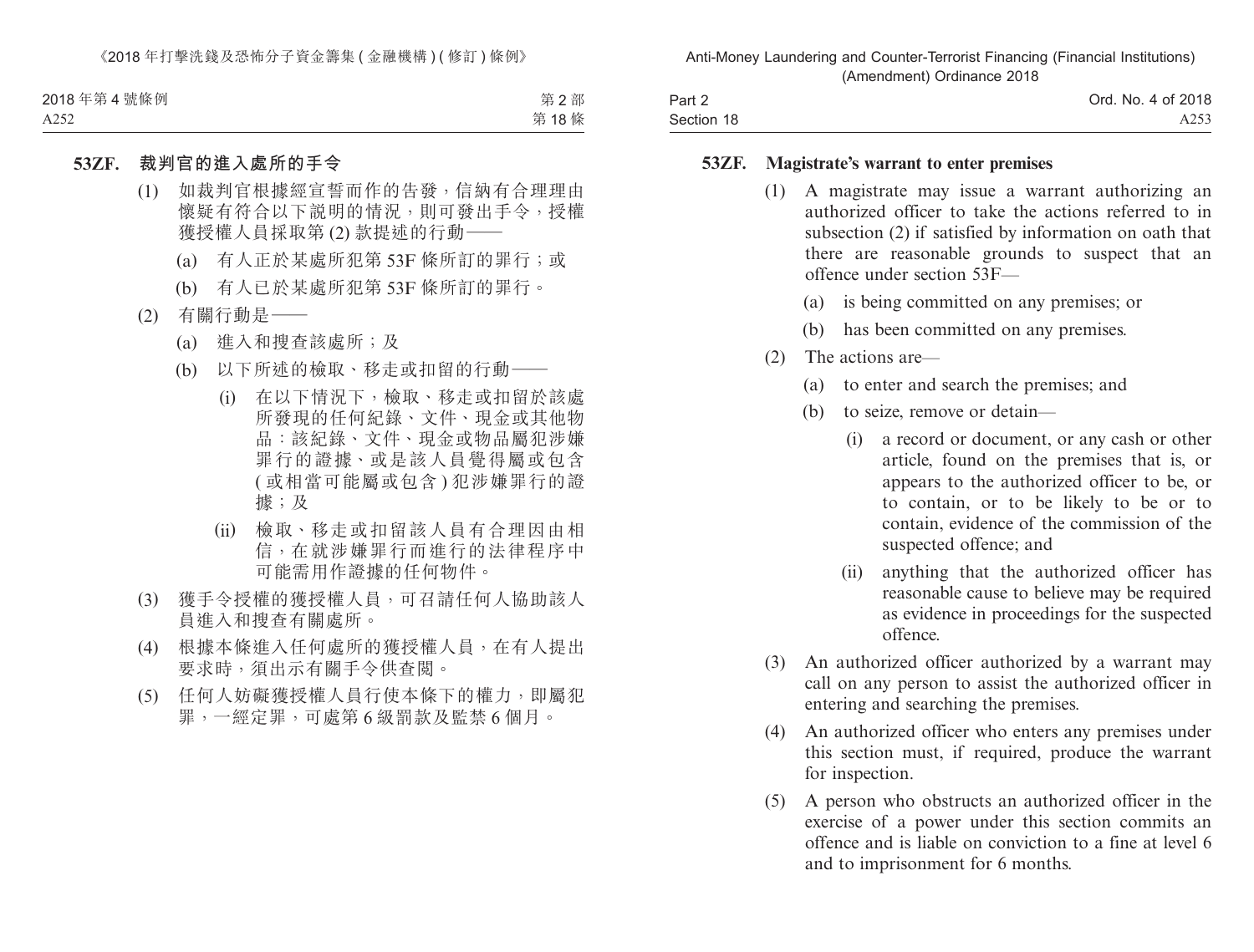| 2018年第4號條例 | 第2部  |
|------------|------|
| A252       | 第18條 |

## **53ZF. 裁判官的進入處所的手令**

- (1) 如裁判官根據經宣誓而作的告發,信納有合理理由 懷疑有符合以下說明的情況,則可發出手令,授權 獲授權人員採取第 (2) 款提述的行動——
	- (a) 有人正於某處所犯第 53F 條所訂的罪行;或
	- (b) 有人已於某處所犯第 53F 條所訂的罪行。
- (2) 有關行動是——
	- (a) 進入和搜查該處所;及
	- (b) 以下所述的檢取、移走或扣留的行動——
		- (i) 在以下情況下,檢取、移走或扣留於該處 所發現的任何紀錄、文件、現金或其他物 品:該紀錄、文件、現金或物品屬犯涉嫌 罪行的證據、或是該人員覺得屬或包含 ( 或相當可能屬或包含 ) 犯涉嫌罪行的證 據;及
		- (ii) 檢取、移走或扣留該人員有合理因由相 信,在就涉嫌罪行而進行的法律程序中 可能需用作證據的任何物件。
- (3) 獲手令授權的獲授權人員,可召請任何人協助該人 員進入和搜查有關處所。
- (4) 根據本條進入任何處所的獲授權人員,在有人提出 要求時,須出示有關手令供查閱。
- (5) 任何人妨礙獲授權人員行使本條下的權力,即屬犯 罪,一經定罪,可處第 6 級罰款及監禁 6 個月。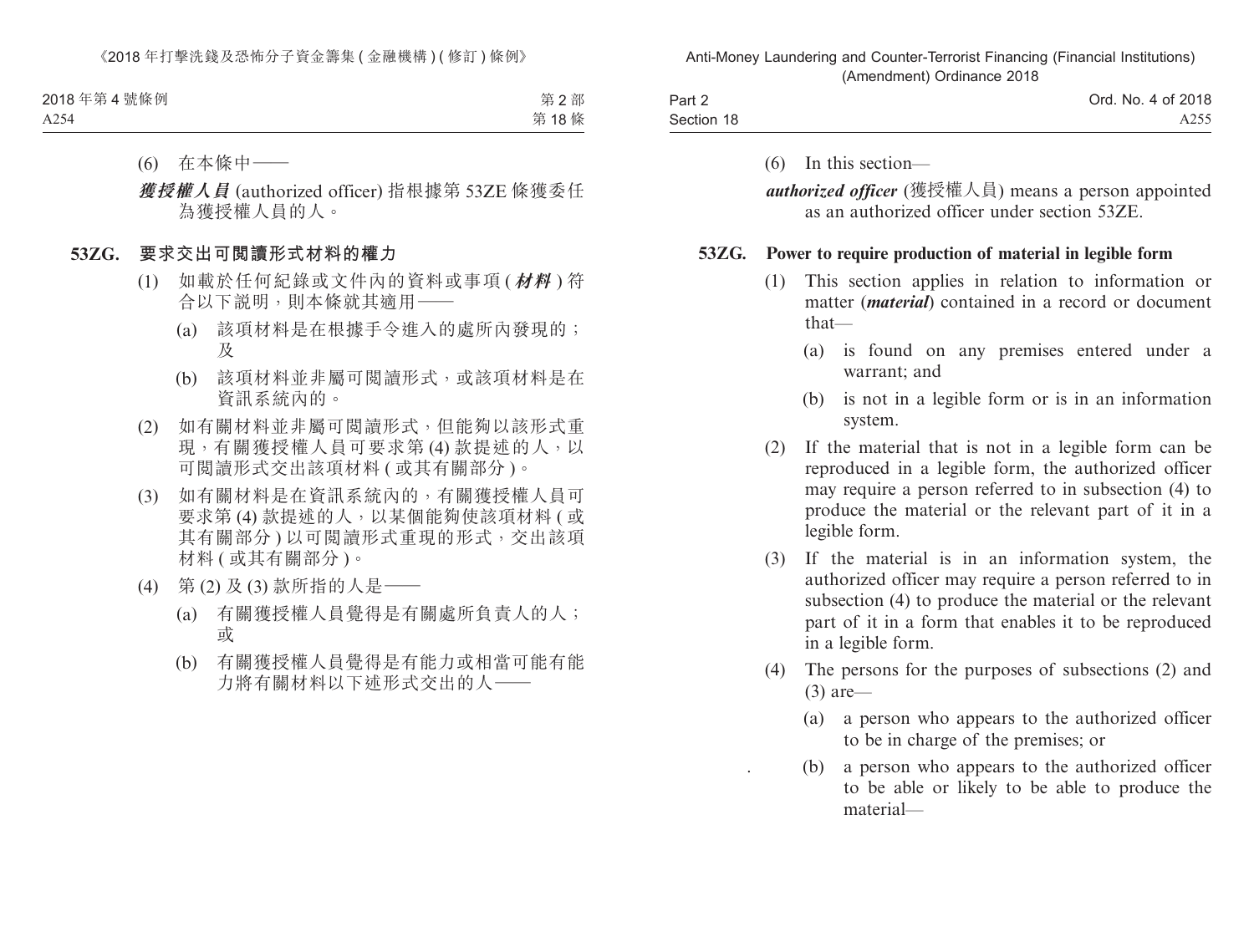《2018 年打擊洗錢及恐怖分子資金籌集 ( 金融機構 ) ( 修訂 ) 條例》

| 2018年第4號條例 | 第2部  |
|------------|------|
| A254       | 第18條 |

(6) 在本條中——

**獲授權人員** (authorized officer) 指根據第 53ZE 條獲委任 為獲授權人員的人。

# **53ZG. 要求交出可閱讀形式材料的權力**

- (1) 如載於任何紀錄或文件內的資料或事項 (**材料** ) 符 合以下說明,則本條就其適用——
	- (a) 該項材料是在根據手令進入的處所內發現的; 及
	- (b) 該項材料並非屬可閱讀形式,或該項材料是在 資訊系統內的。
- (2) 如有關材料並非屬可閱讀形式,但能夠以該形式重 現,有關獲授權人員可要求第(4)款提述的人,以 可閱讀形式交出該項材料 ( 或其有關部分 )。
- (3) 如有關材料是在資訊系統內的,有關獲授權人員可 要求第 (4) 款提述的人,以某個能夠使該項材料 ( 或 其有關部分) 以可閱讀形式重現的形式, 交出該項 材料 ( 或其有關部分 )。
- (4) 第 (2) 及 (3) 款所指的人是——
	- (a) 有關獲授權人員覺得是有關處所負責人的人; 或
	- (b) 有關獲授權人員覺得是有能力或相當可能有能 力將有關材料以下述形式交出的人——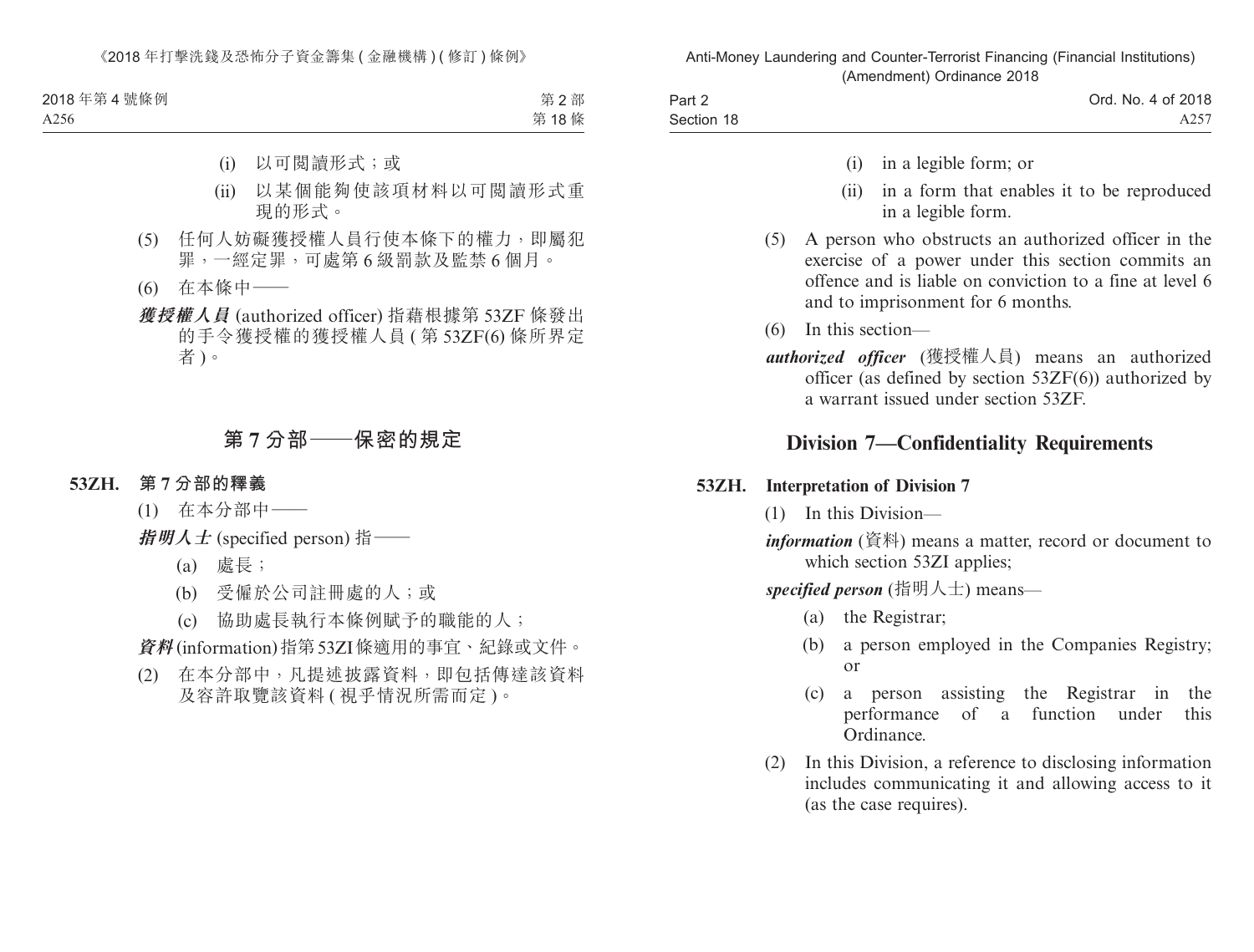| 2018年第4號條例 | 第2部  |
|------------|------|
| A256       | 第18條 |

- (i) 以可閱讀形式;或
- (ii) 以某個能夠使該項材料以可閱讀形式重 現的形式。
- (5) 任何人妨礙獲授權人員行使本條下的權力,即屬犯 罪,一經定罪,可處第 6 級罰款及監禁 6 個月。
- (6) 在本條中——
- **獲授權人員** (authorized officer) 指藉根據第 53ZF 條發出 的手令獲授權的獲授權人員 ( 第 53ZF(6) 條所界定 者 )。

# **第 7 分部——保密的規定**

- **53ZH. 第 7 分部的釋義**
	- (1) 在本分部中——
	- **指明人士** (specified person) 指––
		- (a) 處長;
		- (b) 受僱於公司註冊處的人;或
		- (c) 協助處長執行本條例賦予的職能的人;

# **資料** (information)指第53ZI條適用的事宜、紀錄或文件。

(2) 在本分部中,凡提述披露資料,即包括傳達該資料 及容許取覽該資料 ( 視乎情況所需而定 )。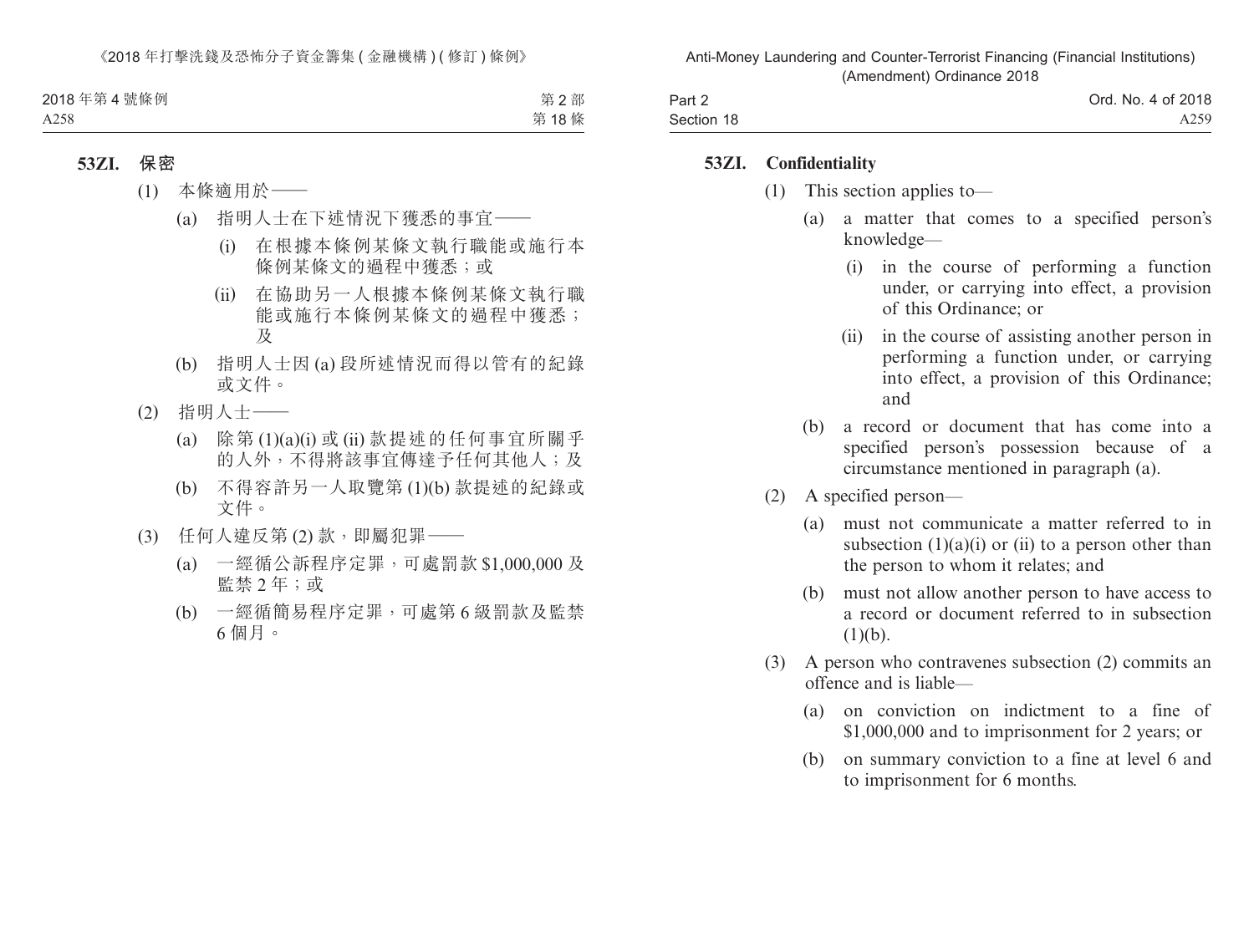| 2018年第4號條例 | 第2部  |
|------------|------|
| A258       | 第18條 |

## **53ZI. 保密**

- (1) 本條適用於——
	- (a) 指明人士在下述情況下獲悉的事宜——
		- (i) 在根據本條例某條文執行職能或施行本 條例某條文的過程中獲悉;或
		- (ii) 在協助另一人根據本條例某條文執行職 能或施行本條例某條文的過程中獲悉; 及
		- (b) 指明人士因 (a) 段所述情況而得以管有的紀錄 或文件。
- (2) 指明人士——
	- (a) 除第 (1)(a)(i) 或 (ii) 款提述的任何事宜所關乎 的人外,不得將該事宜傳達予任何其他人;及
	- (b) 不得容許另一人取覽第 (1)(b) 款提述的紀錄或 文件。
- (3) 任何人違反第 (2) 款,即屬犯罪——
	- (a) 一經循公訴程序定罪,可處罰款 \$1,000,000 及 監禁 2 年;或
	- (b) 一經循簡易程序定罪,可處第 6 級罰款及監禁 6 個月。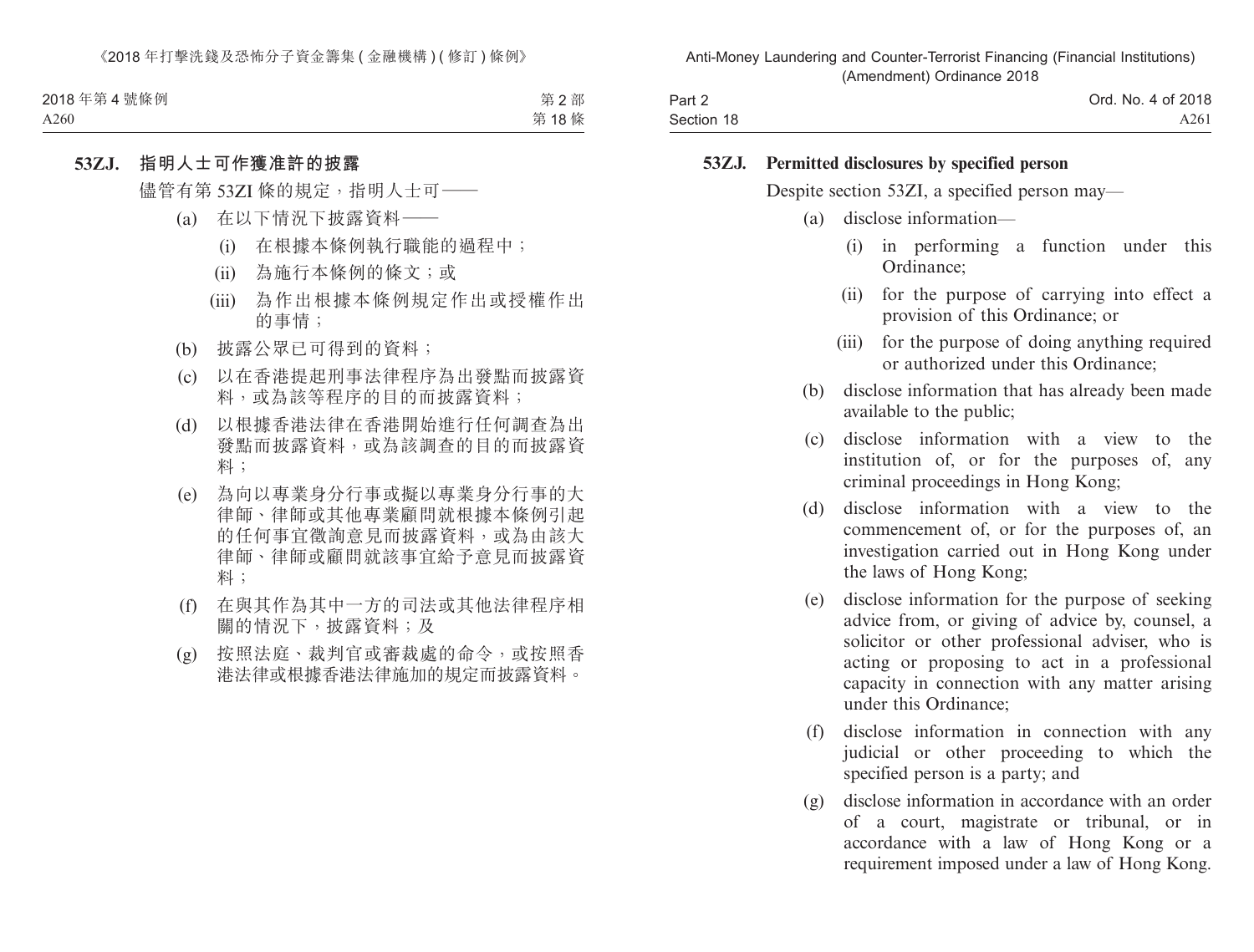| 2018年第4號條例 | 第2部  |
|------------|------|
| A260       | 第18條 |

## **53ZJ. 指明人士可作獲准許的披露**

儘管有第 53ZI 條的規定,指明人士可——

- (a) 在以下情況下披露資料——
	- (i) 在根據本條例執行職能的過程中;
	- (ii) 為施行本條例的條文;或
	- (iii) 為作出根據本條例規定作出或授權作出 的事情;
- (b) 披露公眾已可得到的資料;
- (c) 以在香港提起刑事法律程序為出發點而披露資 料,或為該等程序的目的而披露資料;
- (d) 以根據香港法律在香港開始進行任何調查為出 發點而披露資料,或為該調查的目的而披露資 料;
- (e) 為向以專業身分行事或擬以專業身分行事的大 律師、律師或其他專業顧問就根據本條例引起 的任何事宜徵詢意見而披露資料,或為由該大 律師、律師或顧問就該事宜給予意見而披露資 料;
- (f) 在與其作為其中一方的司法或其他法律程序相 關的情況下,披露資料;及
- (g) 按照法庭、裁判官或審裁處的命令,或按照香 港法律或根據香港法律施加的規定而披露資料。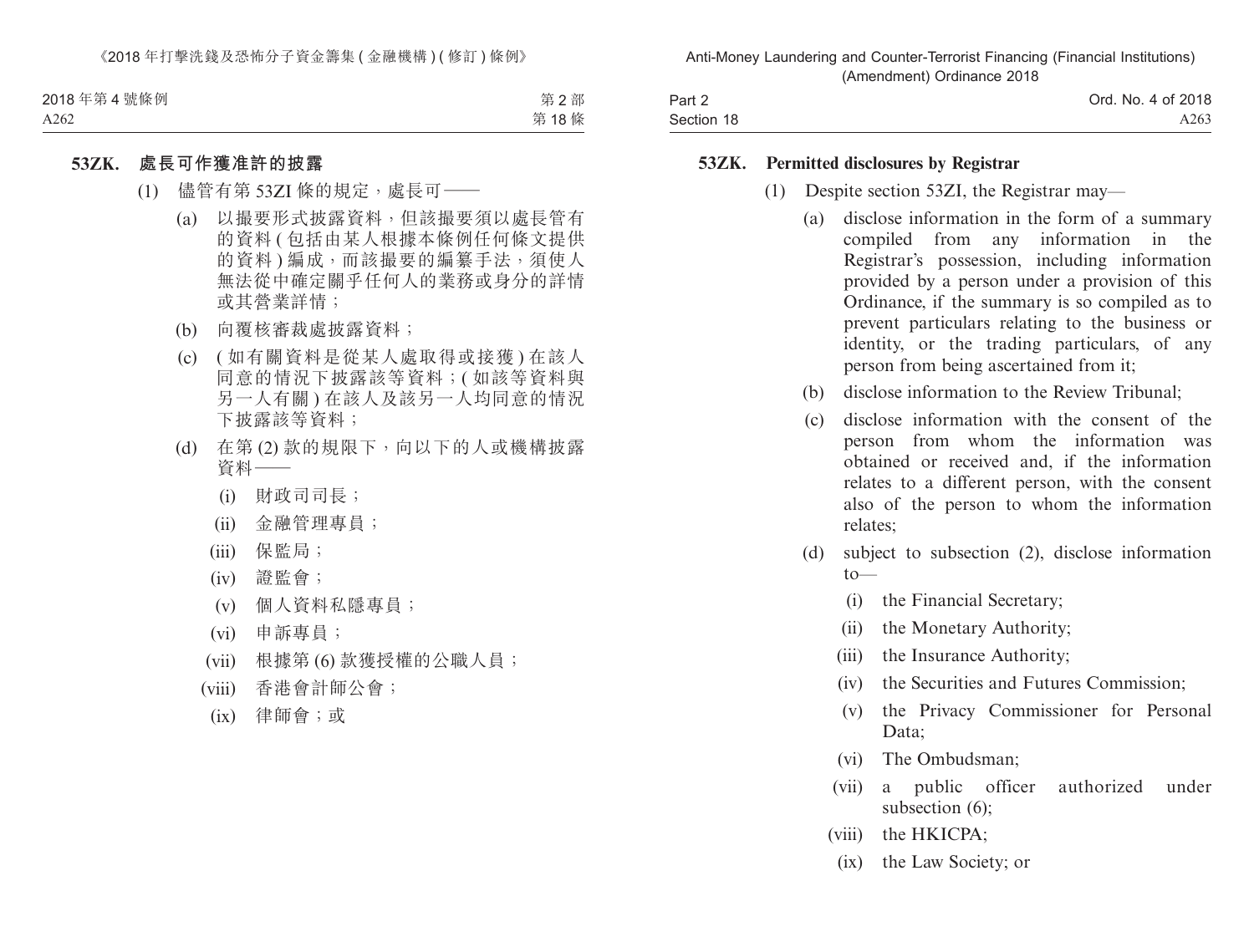| 2018年第4號條例 | 第2部  |
|------------|------|
| A262       | 第18條 |

## **53ZK. 處長可作獲准許的披露**

- (1) 儘管有第 53ZI 條的規定,處長可——
	- (a) 以撮要形式披露資料,但該撮要須以處長管有 的資料 ( 包括由某人根據本條例任何條文提供 的資料) 編成, 而該撮要的編纂手法, 須使人 無法從中確定關乎任何人的業務或身分的詳情 或其營業詳情;
	- (b) 向覆核審裁處披露資料;
	- (c) ( 如有關資料是從某人處取得或接獲 ) 在該人 同意的情況下披露該等資料;( 如該等資料與 另一人有關 ) 在該人及該另一人均同意的情況 下披露該等資料;
	- (d) 在第 (2) 款的規限下,向以下的人或機構披露 資料——
		- (i) 財政司司長;
		- (ii) 金融管理專員;
		- (iii) 保監局;
		- (iv) 證監會;
		- (v) 個人資料私隱專員;
		- (vi) 申訴專員;
		- (vii) 根據第 (6) 款獲授權的公職人員;
		- (viii) 香港會計師公會;
			- (ix) 律師會;或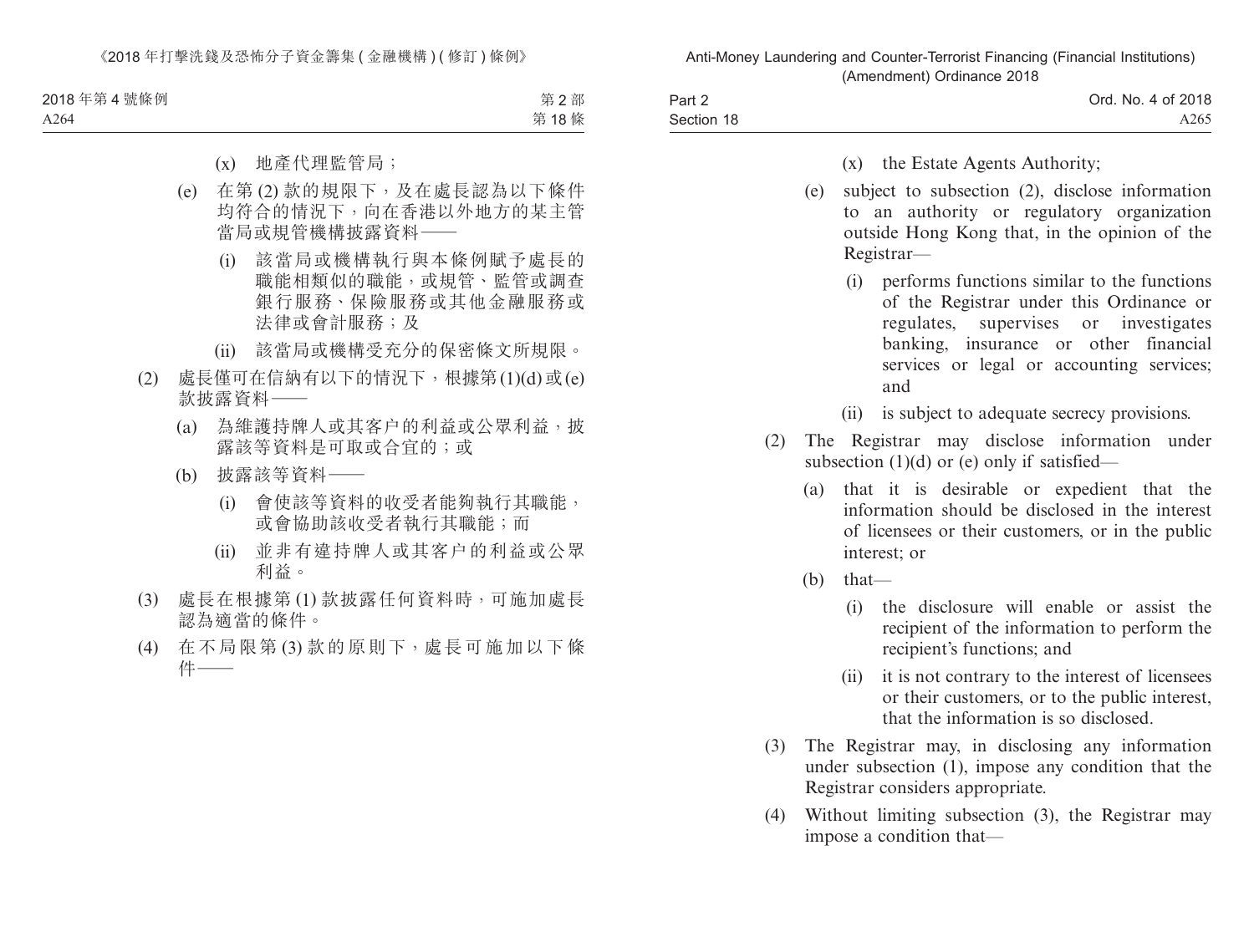《2018 年打擊洗錢及恐怖分子資金籌集 ( 金融機構 ) ( 修訂 ) 條例》

| 2018年第4號條例 | 第2部  |
|------------|------|
| A264       | 第18條 |

- (x) 地產代理監管局;
- (e) 在第 (2) 款的規限下,及在處長認為以下條件 均符合的情況下,向在香港以外地方的某主管 當局或規管機構披露資料––
	- (i) 該當局或機構執行與本條例賦予處長的 職能相類似的職能,或規管、監管或調查 銀行服務、保險服務或其他金融服務或 法律或會計服務;及
	- (ii) 該當局或機構受充分的保密條文所規限。
- (2) 處長僅可在信納有以下的情況下,根據第(1)(d)或(e) 款披露資料——
	- (a) 為維護持牌人或其客户的利益或公眾利益,披 露該等資料是可取或合宜的;或
	- (b) 披露該等資料——
		- (i) 會使該等資料的收受者能夠執行其職能, 或會協助該收受者執行其職能;而
		- (ii) 並非有違持牌人或其客户的利益或公眾 利益。
- (3) 處長在根據第 (1) 款披露任何資料時,可施加處長 認為適當的條件。
- (4) 在不局限第 (3) 款的原則下,處長可施加以下條 件——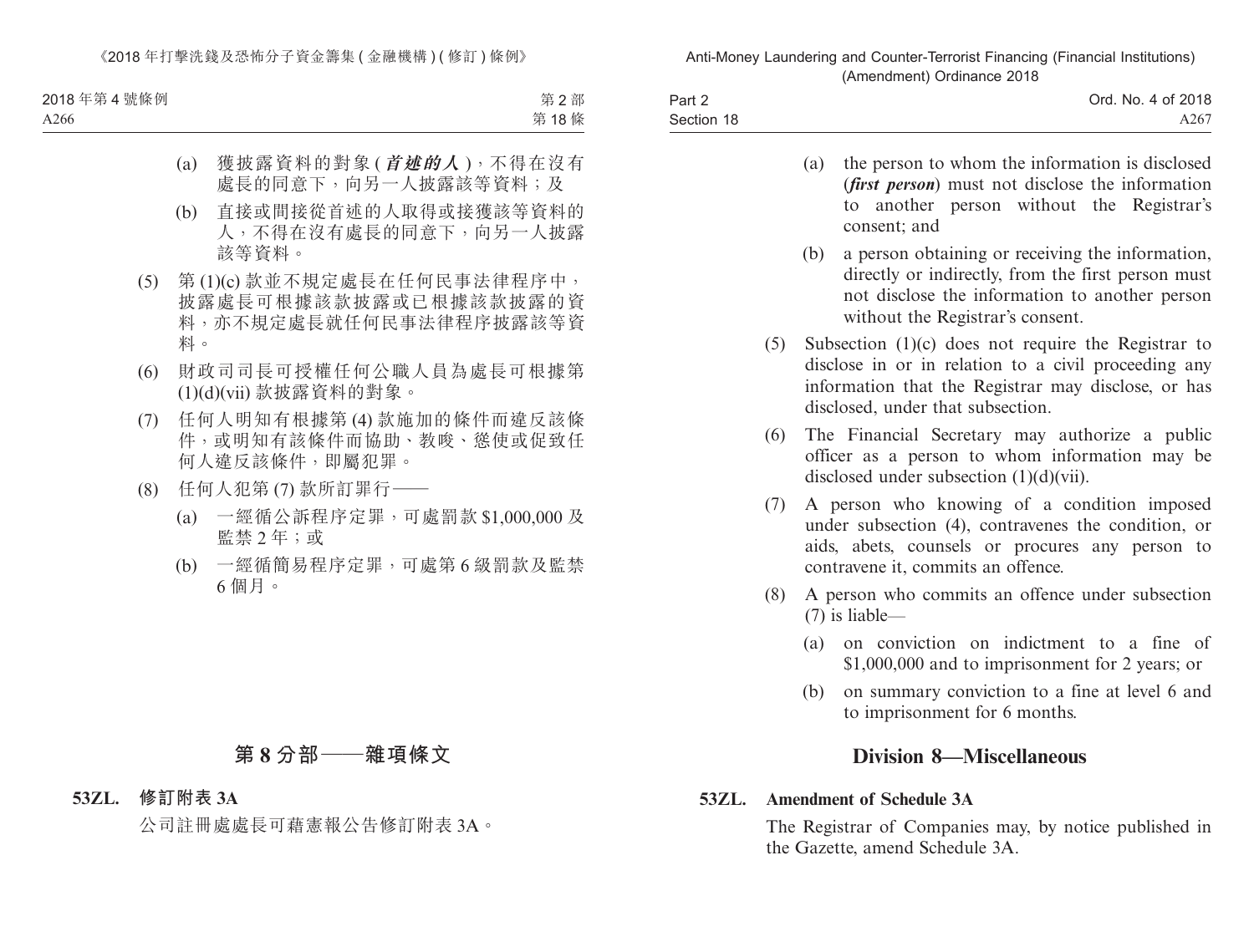《2018 年打擊洗錢及恐怖分子資金籌集 ( 金融機構 ) ( 修訂 ) 條例》

| 2018年第4號條例 | 第2部  |
|------------|------|
| A266       | 第18條 |

- (a) 獲披露資料的對象 (**首述的人** ),不得在沒有 處長的同意下,向另一人披露該等資料;及
- (b) 直接或間接從首述的人取得或接獲該等資料的 人,不得在沒有處長的同意下,向另一人披露 該等資料。
- (5) 第 (1)(c) 款並不規定處長在任何民事法律程序中, 披露處長可根據該款披露或已根據該款披露的資 料,亦不規定處長就任何民事法律程序披露該等資 料。
- (6) 財政司司長可授權任何公職人員為處長可根據第 (1)(d)(vii) 款披露資料的對象。
- (7) 任何人明知有根據第 (4) 款施加的條件而違反該條 件,或明知有該條件而協助、教唆、慫使或促致任 何人違反該條件,即屬犯罪。
- (8) 任何人犯第 (7) 款所訂罪行——
	- (a) 一經循公訴程序定罪,可處罰款 \$1,000,000 及 監禁 2年;或
	- (b) 一經循簡易程序定罪,可處第 6 級罰款及監禁 6 個月。

# **第 8 分部——雜項條文**

 **53ZL. 修訂附表 3A**

公司註冊處處長可藉憲報公告修訂附表 3A。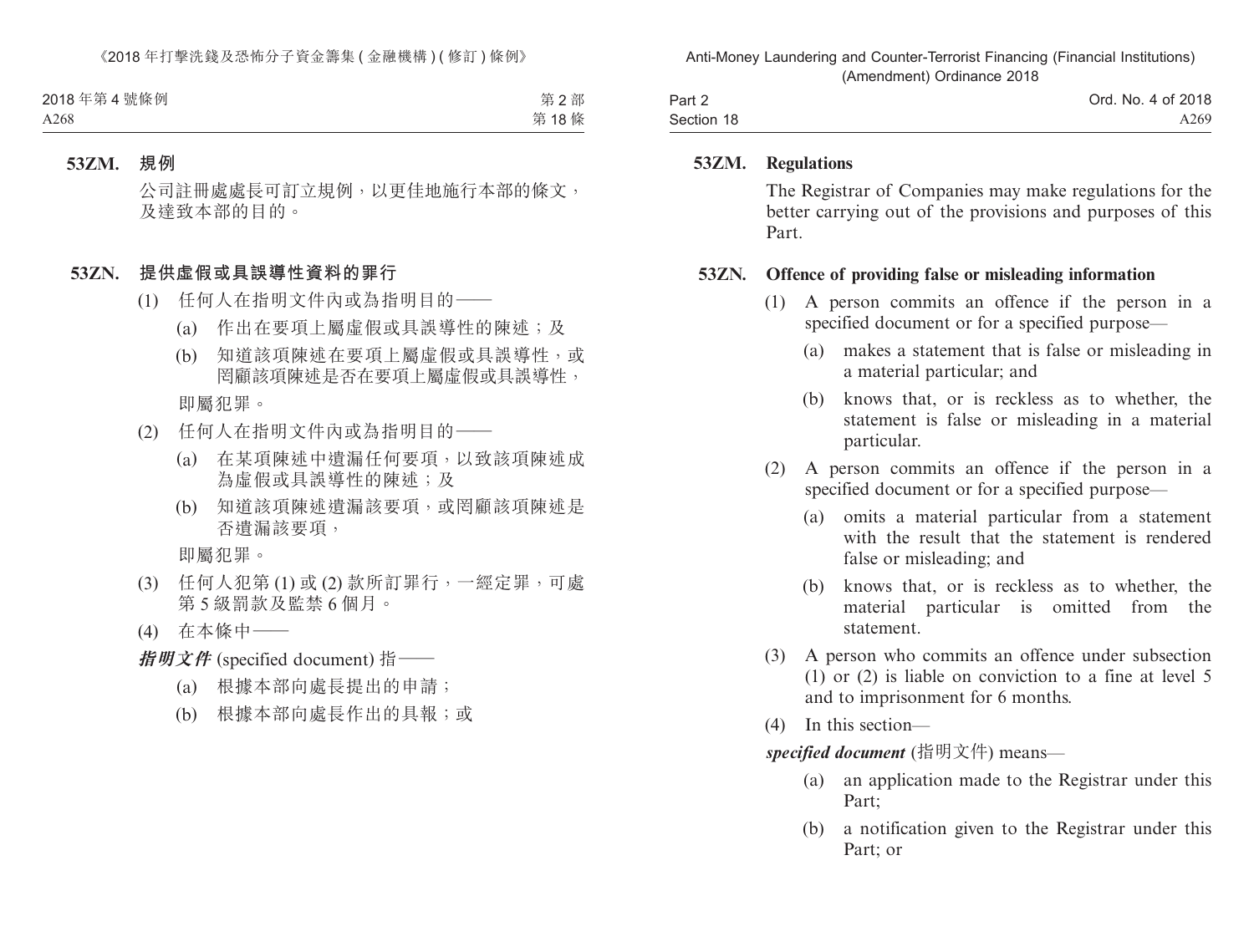| 2018年第4號條例 | 第2部  |
|------------|------|
| A268       | 第18條 |

#### **53ZM. 規例**

公司註冊處處長可訂立規例,以更佳地施行本部的條文, 及達致本部的目的。

#### **53ZN. 提供虛假或具誤導性資料的罪行**

- (1) 任何人在指明文件內或為指明目的——
	- (a) 作出在要項上屬虛假或具誤導性的陳述;及
	- (b) 知道該項陳述在要項上屬虛假或具誤導性,或 罔顧該項陳述是否在要項上屬虛假或具誤導性, 即屬犯罪。
- (2) 任何人在指明文件內或為指明目的——
	- (a) 在某項陳述中遺漏任何要項,以致該項陳述成 為虛假或具誤導性的陳述;及
	- (b) 知道該項陳述遺漏該要項,或罔顧該項陳述是 否遺漏該要項,

即屬犯罪。

- (3) 任何人犯第 (1) 或 (2) 款所訂罪行,一經定罪,可處 第 5 級罰款及監禁 6 個月。
- (4) 在本條中——
- **指明文件** (specified document) 指——
	- (a) 根據本部向處長提出的申請;
	- (b) 根據本部向處長作出的具報;或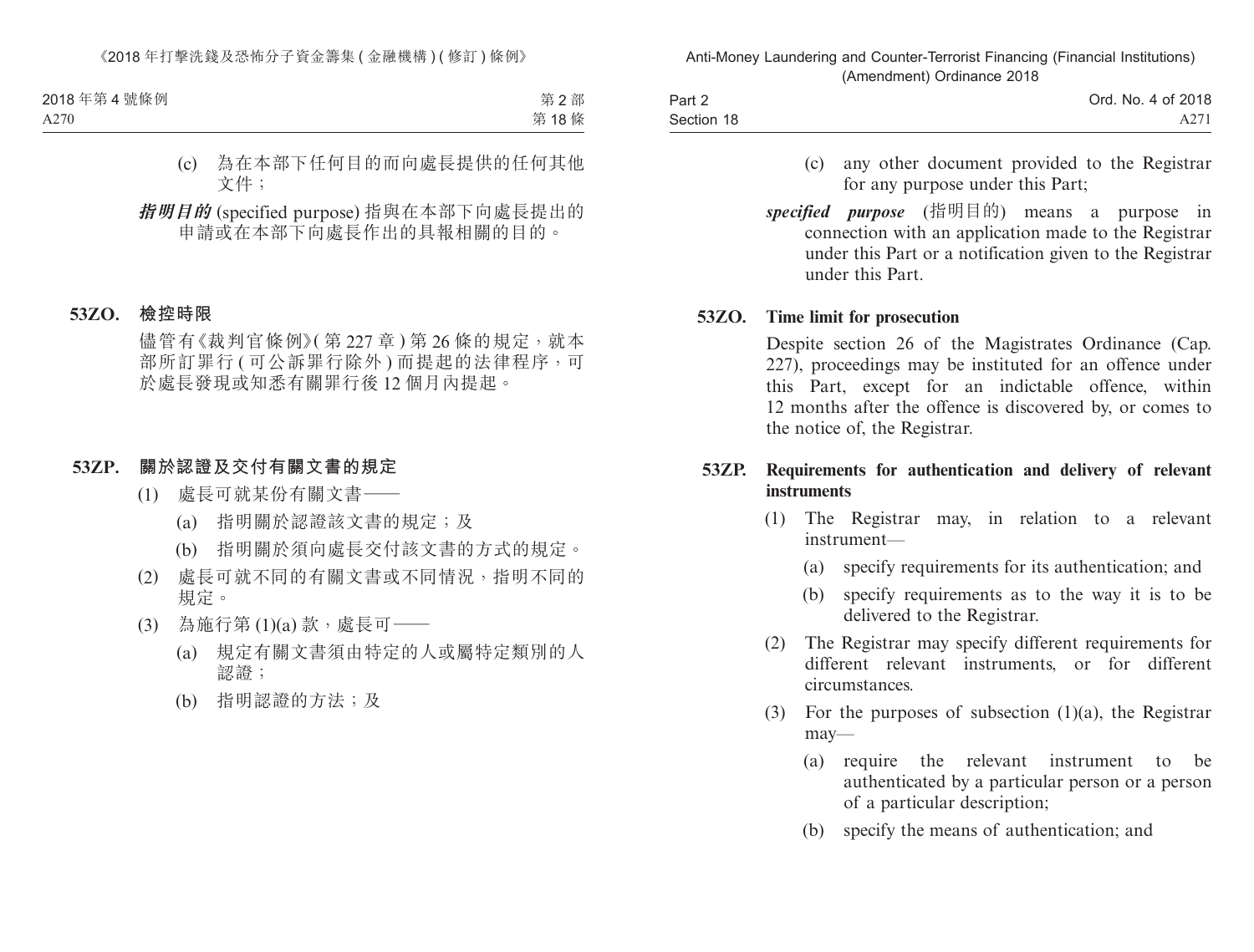| 2018年第4號條例 | 第2部  |
|------------|------|
| A270       | 第18條 |

(c) 為在本部下任何目的而向處長提供的任何其他 文件;

**指明目的** (specified purpose) 指與在本部下向處長提出的 申請或在本部下向處長作出的具報相關的目的。

 **53ZO. 檢控時限**

儘管有《裁判官條例》(第227章)第26條的規定,就本 部所訂罪行 ( 可公訴罪行除外 ) 而提起的法律程序, 可 於處長發現或知悉有關罪行後 12 個月內提起。

### **53ZP. 關於認證及交付有關文書的規定**

- (1) 處長可就某份有關文書——
	- (a) 指明關於認證該文書的規定;及
	- (b) 指明關於須向處長交付該文書的方式的規定。
- (2) 處長可就不同的有關文書或不同情況,指明不同的 規定。
- (3) 為施行第 (1)(a) 款,處長可——
	- (a) 規定有關文書須由特定的人或屬特定類別的人 認證;
	- (b) 指明認證的方法;及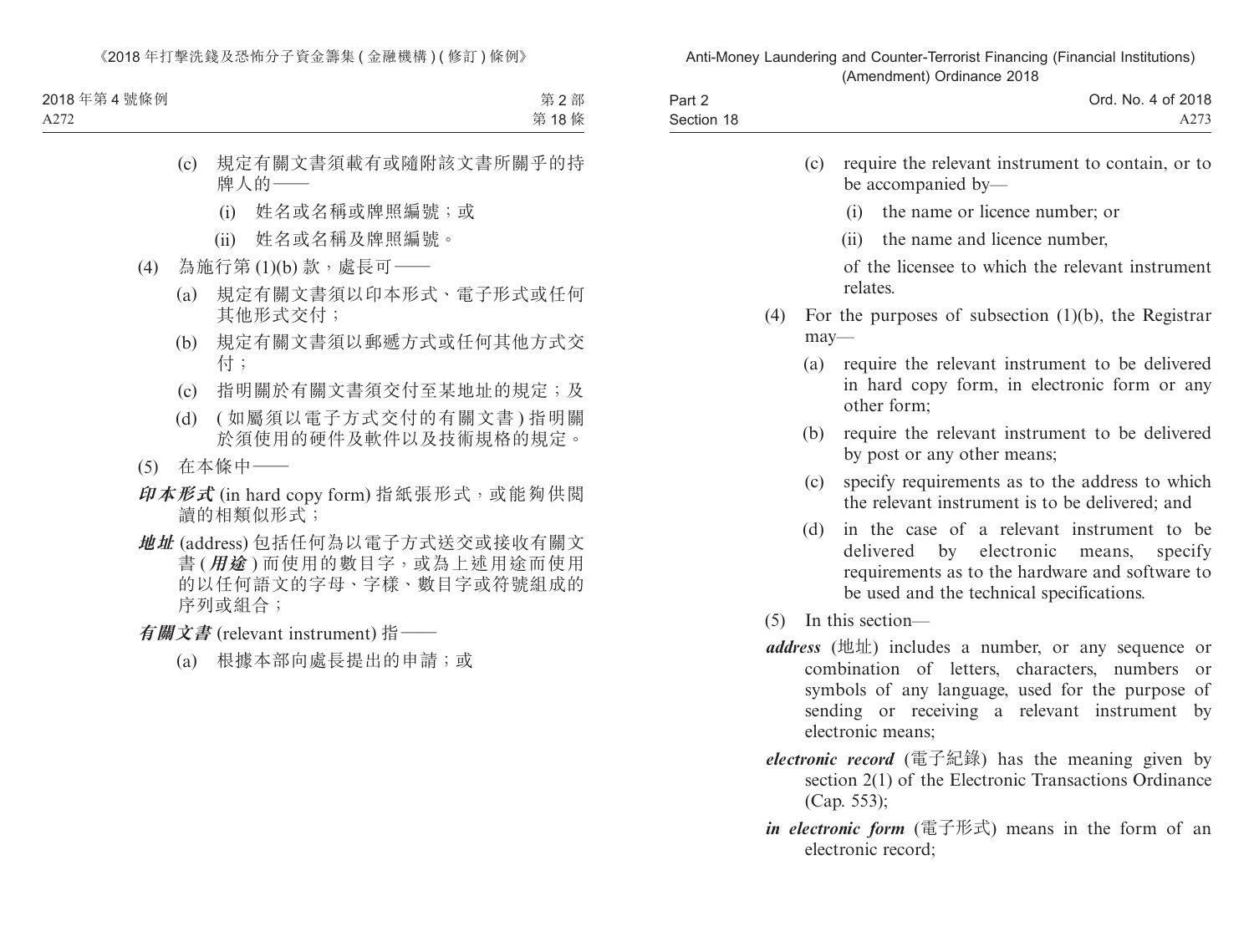| 2018年第4號條例 | 第2部  |
|------------|------|
| A272       | 第18條 |
|            |      |

- (c) 規定有關文書須載有或隨附該文書所關乎的持 牌人的——
	- (i) 姓名或名稱或牌照編號;或
	- (ii) 姓名或名稱及牌照編號。
- (4) 為施行第 (1)(b) 款,處長可——
	- (a) 規定有關文書須以印本形式、電子形式或任何 其他形式交付;
	- (b) 規定有關文書須以郵遞方式或任何其他方式交 付;
	- (c) 指明關於有關文書須交付至某地址的規定;及
	- (d) ( 如屬須以電子方式交付的有關文書 ) 指明關 於須使用的硬件及軟件以及技術規格的規定。
- (5) 在本條中——
- **印本形式** (in hard copy form) 指紙張形式,或能夠供閱 讀的相類似形式;
- **地址** (address) 包括任何為以電子方式送交或接收有關文 書 (**用途** ) 而使用的數目字,或為上述用途而使用 的以任何語文的字母、字樣、數目字或符號組成的 序列或組合;
- **有關文書** (relevant instrument) 指——
	- (a) 根據本部向處長提出的申請;或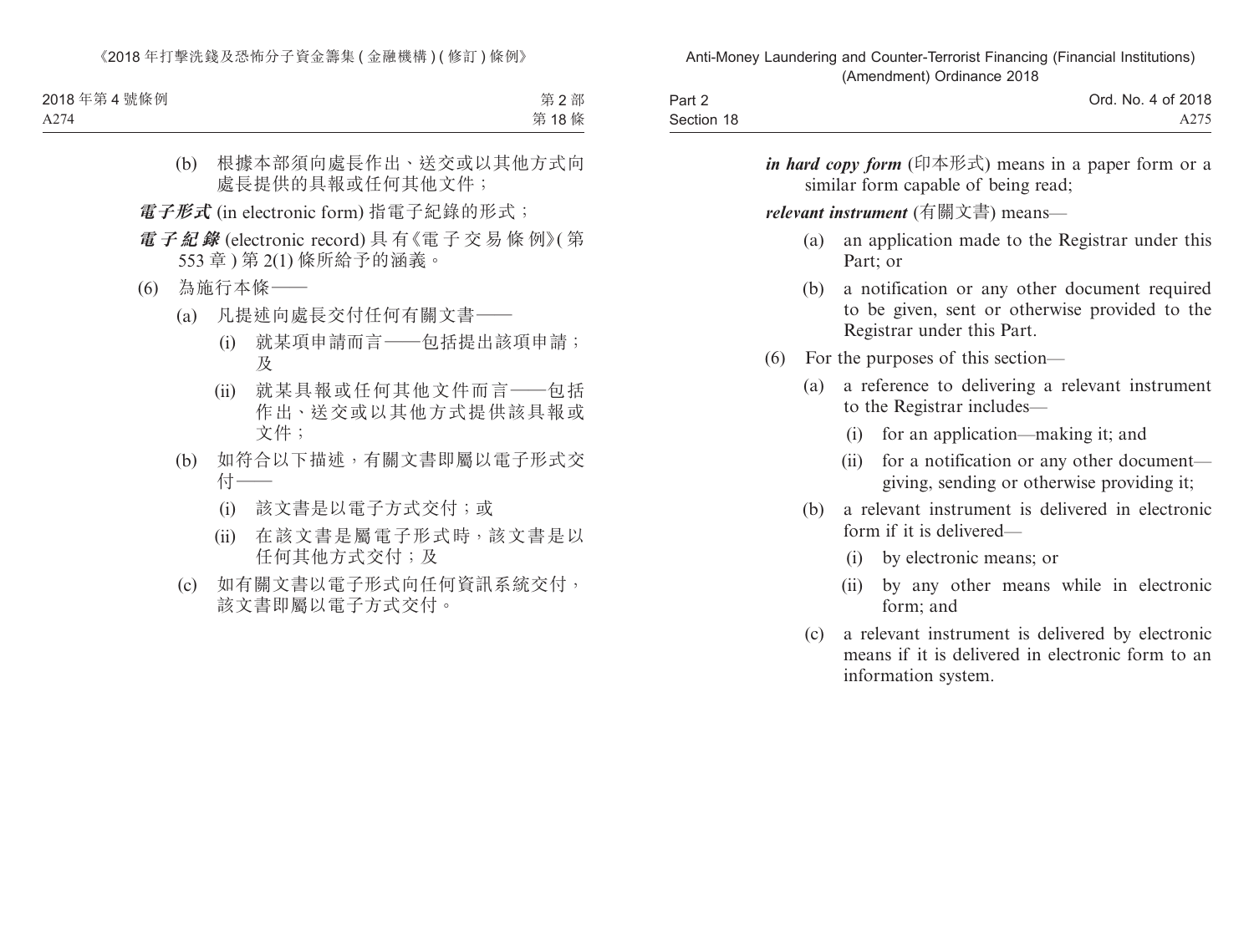| 2018年第4號條例 | 第2部  |
|------------|------|
| A274       | 第18條 |

- (b) 根據本部須向處長作出、送交或以其他方式向 處長提供的具報或任何其他文件;
- **電子形式** (in electronic form) 指電子紀錄的形式;
- **電子紀錄** (electronic record) 具 有《電 子 交 易 條 例》( 第 553 章 ) 第 2(1) 條所給予的涵義。
- (6) 為施行本條——
	- (a) 凡提述向處長交付任何有關文書——
		- (i) 就某項申請而言——包括提出該項申請; 及
		- (ii) 就某具報或任何其他文件而言——包括 作出、送交或以其他方式提供該具報或 文件;
	- (b) 如符合以下描述,有關文書即屬以電子形式交 付——
		- (i) 該文書是以電子方式交付;或
		- (ii) 在該文書是屬電子形式時,該文書是以 任何其他方式交付;及
	- (c) 如有關文書以電子形式向任何資訊系統交付, 該文書即屬以電子方式交付。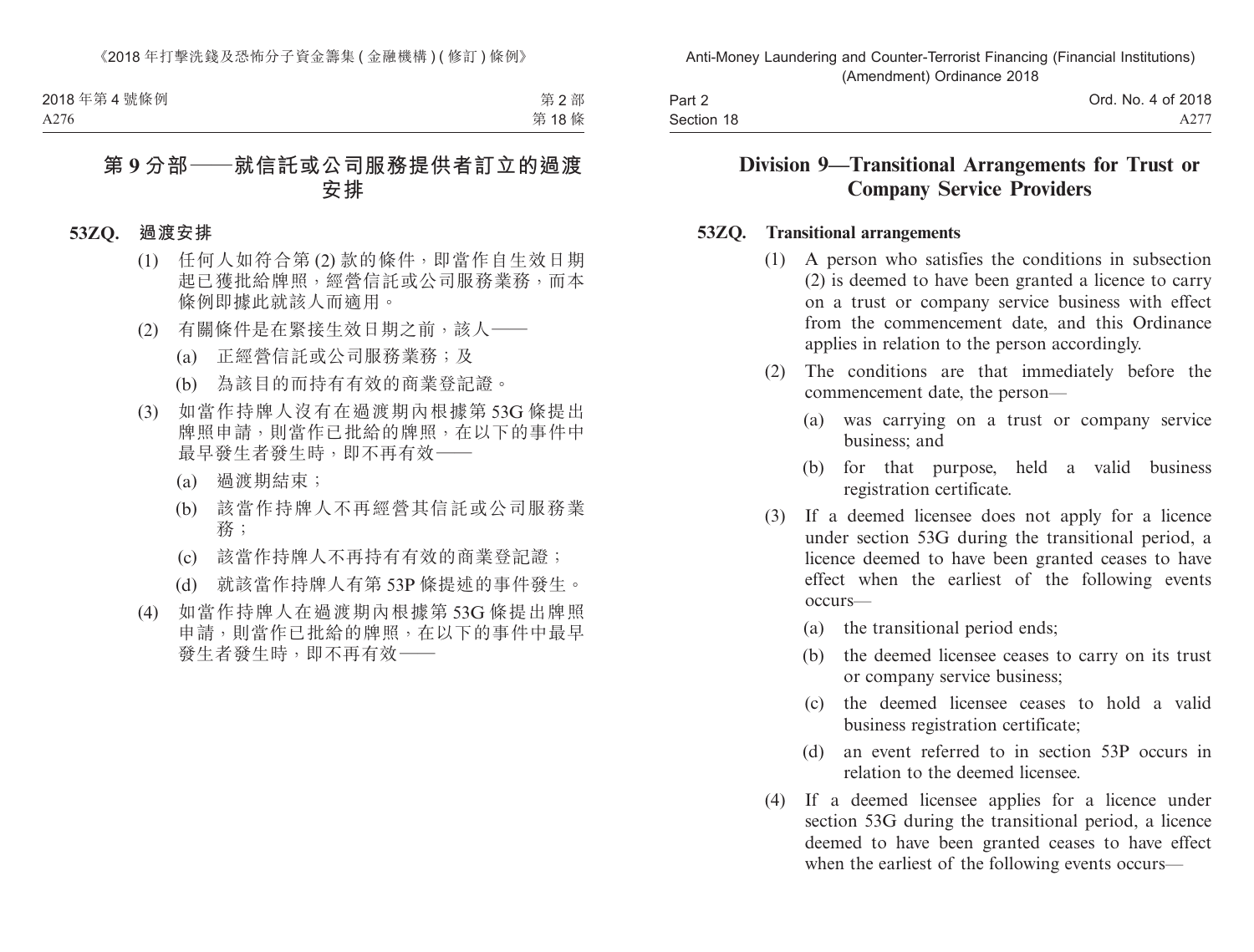2018 年第 4 號條例

A276

第 2 部 第 18 條

# **第 9 分部——就信託或公司服務提供者訂立的過渡 安排**

## **53ZQ. 過渡安排**

- (1) 任何人如符合第 (2) 款的條件,即當作自生效日期 起已獲批給牌照,經營信託或公司服務業務,而本 條例即據此就該人而適用。
- (2) 有關條件是在緊接生效日期之前,該人——
	- (a) 正經營信託或公司服務業務;及
	- (b) 為該目的而持有有效的商業登記證。
- (3) 如當作持牌人沒有在過渡期內根據第 53G 條提出 牌照申請,則當作已批給的牌照,在以下的事件中 最早發生者發生時,即不再有效——
	- (a) 過渡期結束;
	- (b) 該當作持牌人不再經營其信託或公司服務業 務;
	- (c) 該當作持牌人不再持有有效的商業登記證;
	- (d) 就該當作持牌人有第 53P 條提述的事件發生。
- (4) 如當作持牌人在過渡期內根據第 53G 條提出牌照 申請,則當作已批給的牌照,在以下的事件中最早 發生者發生時,即不再有效——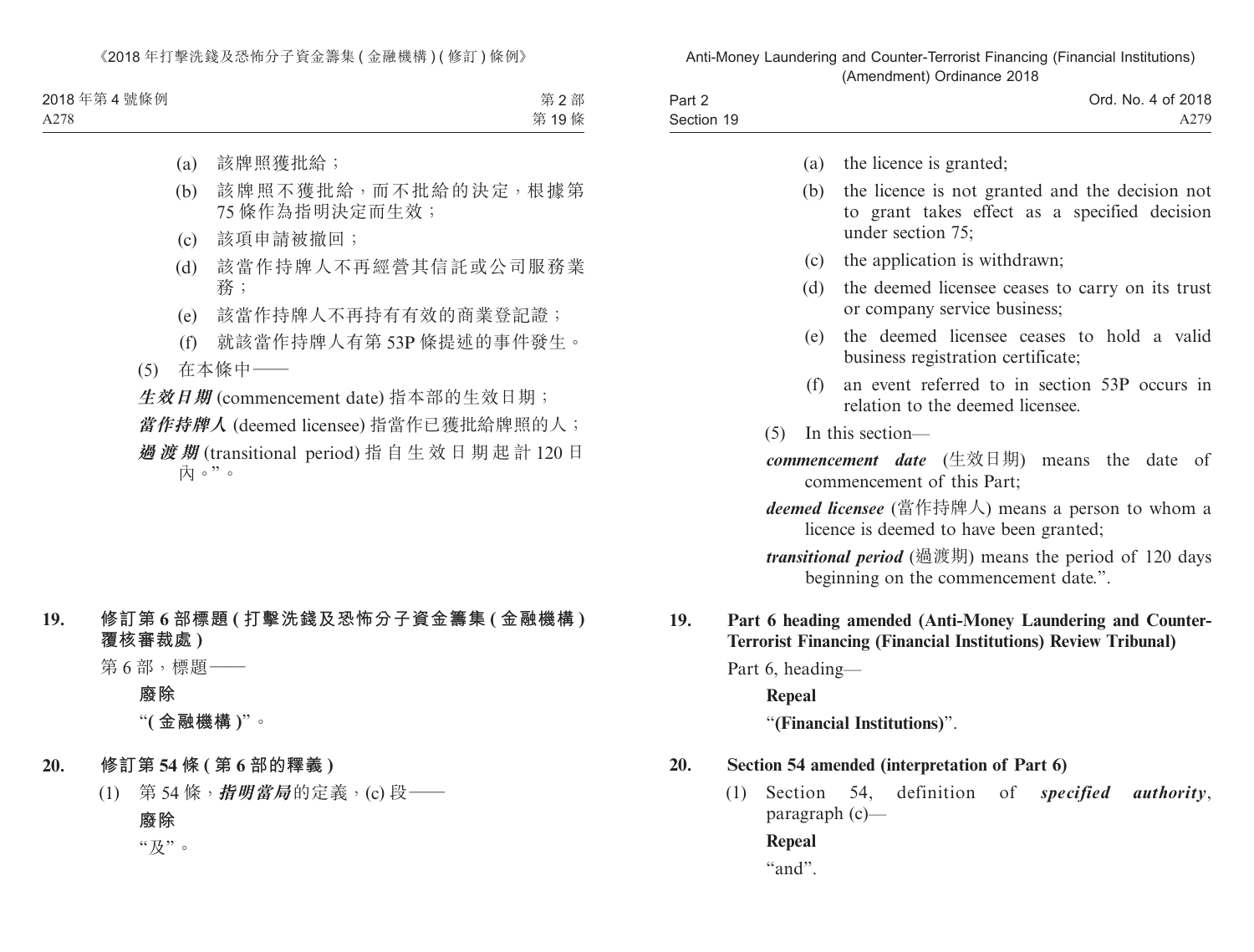| 2018年第4號條例 | 第2部  |
|------------|------|
| A278       | 第19條 |

- (a) 該牌照獲批給;
- (b) 該牌照不獲批給,而不批給的決定,根據第 75 條作為指明決定而生效;
- (c) 該項申請被撤回;
- (d) 該當作持牌人不再經營其信託或公司服務業 務;
- (e) 該當作持牌人不再持有有效的商業登記證;
- (f) 就該當作持牌人有第 53P 條提述的事件發生。
- (5) 在本條中——

**生效日期** (commencement date) 指本部的生效日期;

**當作持牌人** (deemed licensee) 指當作已獲批給牌照的人; **過渡期** (transitional period) 指自生效日期起計 120 日 內。"。

# **19. 修訂第 6 部標題 ( 打擊洗錢及恐怖分子資金籌集 ( 金融機構 ) 覆核審裁處 )**

第 6 部,標題——

**廢除**

"**( 金融機構 )**"。

- **20. 修訂第 54 條 ( 第 6 部的釋義 )**
	- (1) 第 54 條,**指明當局**的定義,(c) 段——

**廢除**

"及"。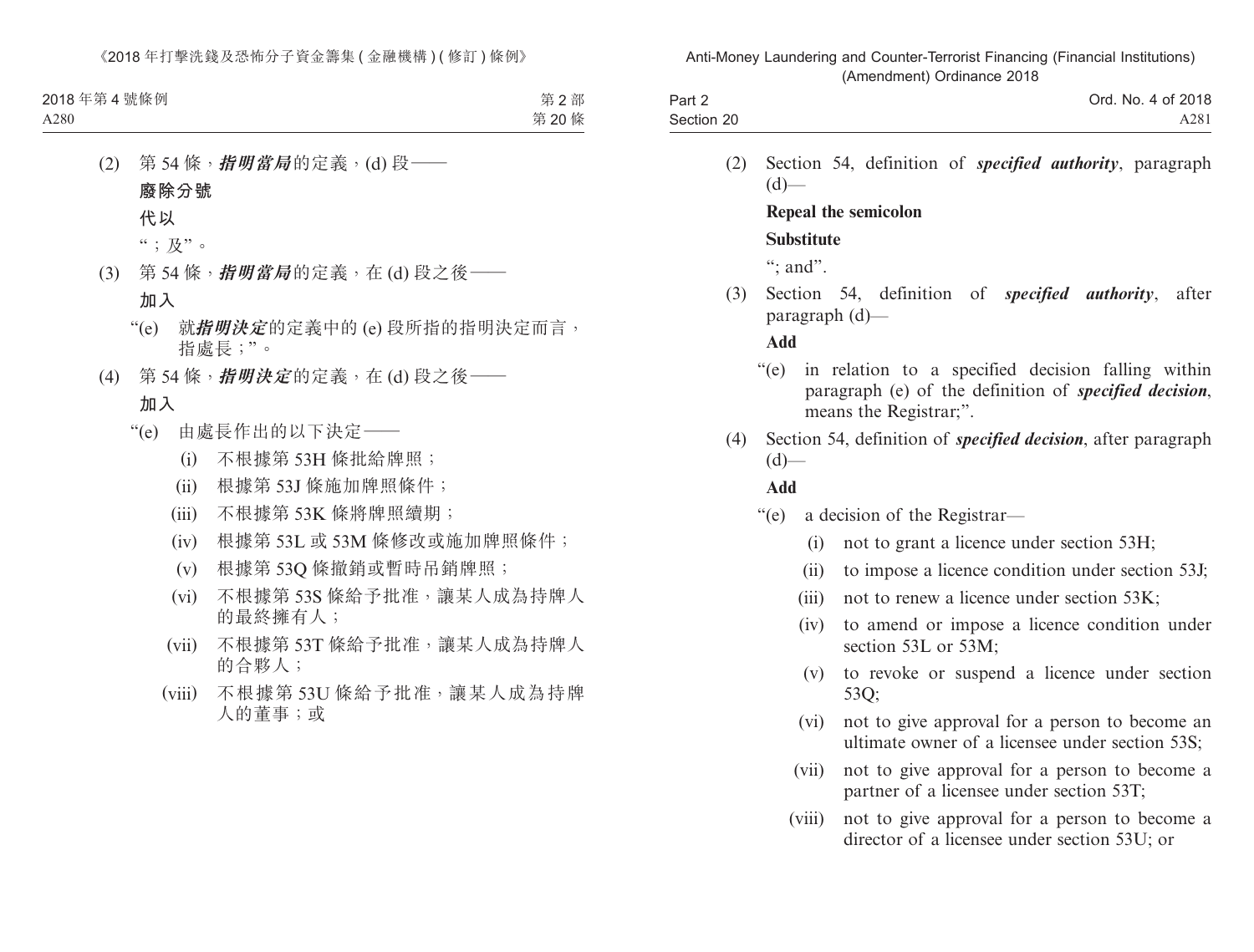| 2018年第4號條例 | 第2部  |
|------------|------|
| A280       | 第20條 |

| (2)           | 第 54 條, <b>指明當局</b> 的定義, (d) 段––          |
|---------------|-------------------------------------------|
| 廢除分號          |                                           |
| 代以            |                                           |
| ";及"。         |                                           |
| (3)           | 第 54 條, <b><i>指明當局</i>的定義,在 (d)</b> 段之後―― |
| 加入            |                                           |
| $\degree$ (e) | 就 <b>指明決定</b> 的定義中的 (e) 段所指的指明決定而言,       |
|               | 指處長;"。                                    |

(4) 第 54 條,**指明決定**的定義,在 (d) 段之後——

**加入**

- "(e) 由處長作出的以下決定——
	- (i) 不根據第 53H 條批給牌照;
	- (ii) 根據第 53J 條施加牌照條件;
	- (iii) 不根據第 53K 條將牌照續期;
	- (iv) 根據第 53L 或 53M 條修改或施加牌照條件;
	- (v) 根據第 53Q 條撤銷或暫時吊銷牌照;
	- (vi) 不根據第 53S 條給予批准,讓某人成為持牌人 的最終擁有人;
	- (vii) 不根據第 53T 條給予批准,讓某人成為持牌人 的合夥人;
	- (viii) 不根據第 53U 條給予批准,讓某人成為持牌 人的董事;或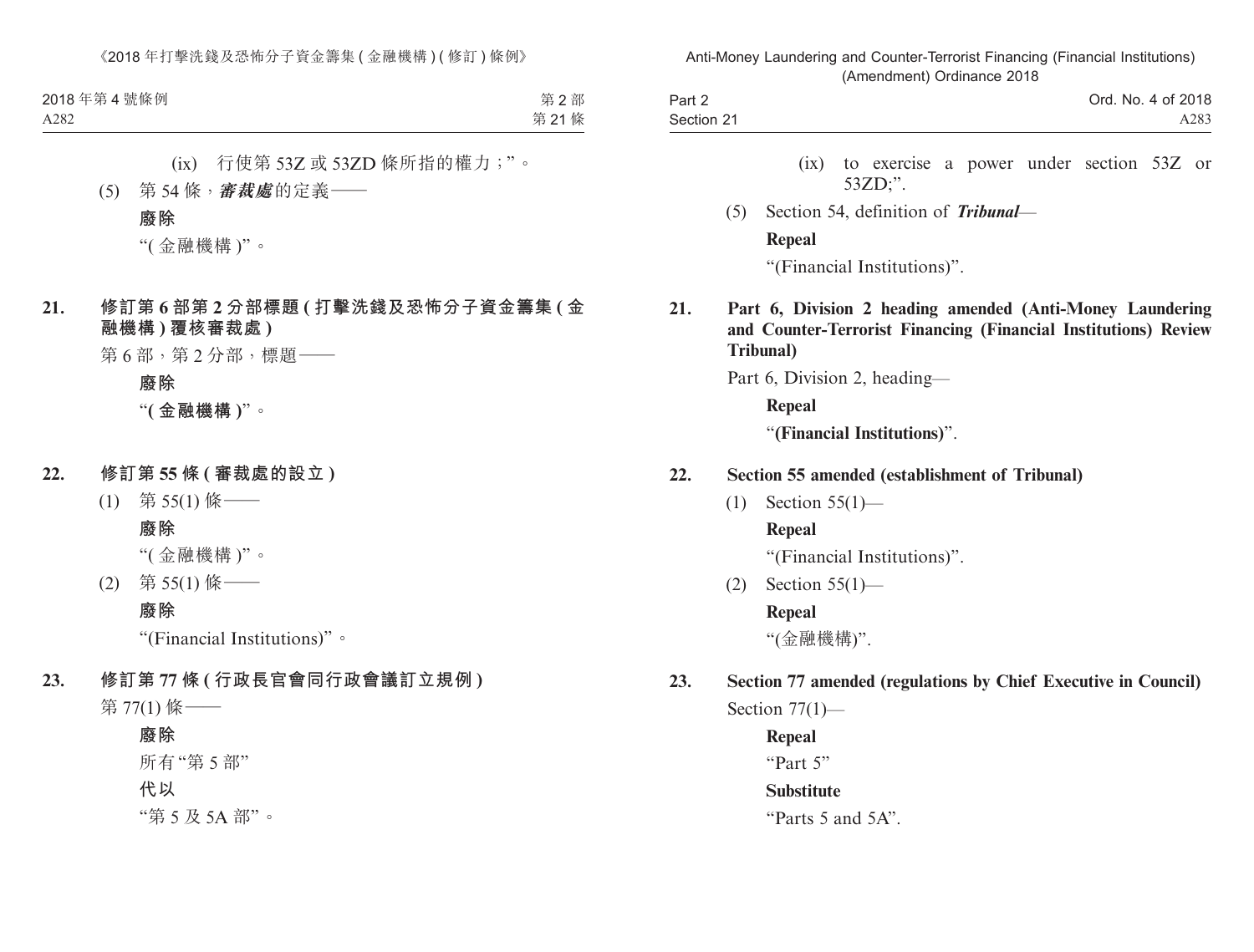| 2018年第4號條例 | 第2部  |
|------------|------|
| A282       | 第21條 |

- (ix) 行使第 53Z 或 53ZD 條所指的權力;"。
- (5) 第 54 條,**審裁處**的定義——

### **廢除**

"( 金融機構 )"。

**21. 修訂第 6 部第 2 分部標題 ( 打擊洗錢及恐怖分子資金籌集 ( 金 融機構 ) 覆核審裁處 )**

第6部,第2分部,標題––

# **廢除**

"**( 金融機構 )**"。

- **22. 修訂第 55 條 ( 審裁處的設立 )**
	- (1) 第 55(1) 條—— **廢除**

"( 金融機構 )"。

(2) 第 55(1) 條——

# **廢除**

"(Financial Institutions)"。

# **23. 修訂第 77 條 ( 行政長官會同行政會議訂立規例 )**

第 77(1) 條——

**廢除** 所有"第 5 部" **代以** "第 5 及 5A 部"。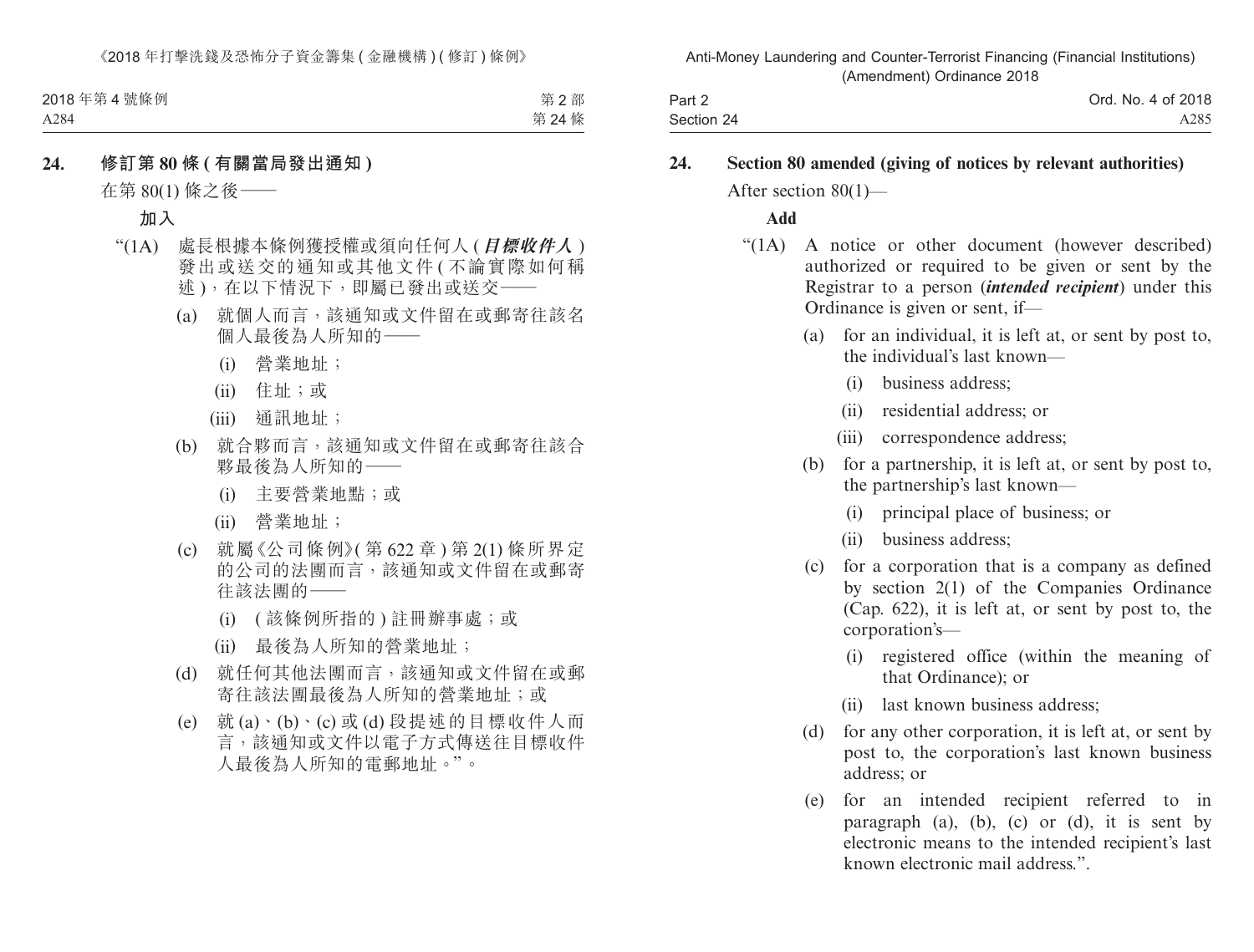| 2018年第4號條例 | 第2部  |
|------------|------|
| A284       | 第24條 |

#### **24. 修訂第 80 條 ( 有關當局發出通知 )**

在第 80(1) 條之後——

**加入**

- "(1A) 處長根據本條例獲授權或須向任何人 (**目標收件人** ) 發出或送交的通知或其他文件 ( 不論實際如何稱 述 ),在以下情況下,即屬已發出或送交——
	- (a) 就個人而言,該通知或文件留在或郵寄往該名 個人最後為人所知的——
		- (i) 營業地址;
		- (ii) 住址;或
		- (iii) 通訊地址;
	- (b) 就合夥而言,該通知或文件留在或郵寄往該合 夥最後為人所知的——
		- (i) 主要營業地點;或
		- (ii) 營業地址;
	- (c) 就屬《公司條例》( 第 622 章 ) 第 2(1) 條所界定 的公司的法團而言,該通知或文件留在或郵寄 往該法團的——
		- (i) ( 該條例所指的 ) 註冊辦事處;或
		- (ii) 最後為人所知的營業地址;
	- (d) 就任何其他法團而言,該通知或文件留在或郵 寄往該法團最後為人所知的營業地址;或
	- (e) 就 (a)、(b)、(c) 或 (d) 段提述的目標收件人而 言,該通知或文件以電子方式傳送往目標收件 人最後為人所知的電郵地址。"。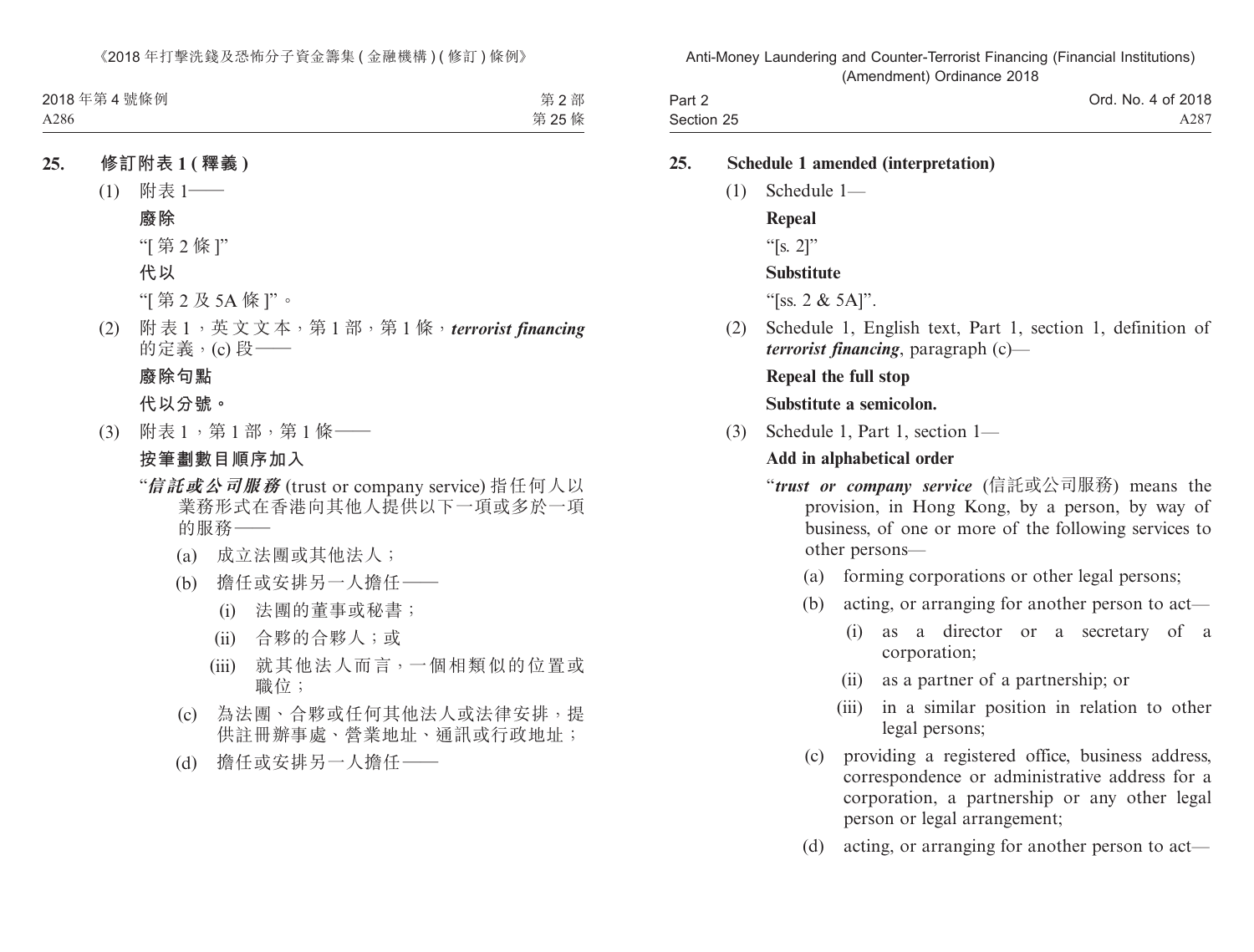| 2018年第4號條例 | 第2部  |
|------------|------|
| A286       | 第25條 |

### **25. 修訂附表 1 ( 釋義 )**

- (1) 附表 1——
	- **廢除**

"[ 第 2 條 ]"

## **代以**

"[ 第 2 及 5A 條 ]"。

(2) 附 表 1,英 文 文 本,第 1 部,第 1 條,*terrorist financing* 的定義, $(c)$ 段 ——

## **廢除句點**

**代以分號。**

(3) 附表 1, 第 1 部, 第 1 條 ——

# **按筆劃數目順序加入**

- "**信託或公司服務** (trust or company service) 指任何人以 業務形式在香港向其他人提供以下一項或多於一項 的服務——
	- (a) 成立法團或其他法人;
	- (b) 擔任或安排另一人擔任——
		- (i) 法團的董事或秘書;
		- (ii) 合夥的合夥人;或
		- (iii) 就其他法人而言,一個相類似的位置或 職位;
	- (c) 為法團、合夥或任何其他法人或法律安排,提 供註冊辦事處、營業地址、通訊或行政地址;
	- (d) 擔任或安排另一人擔任——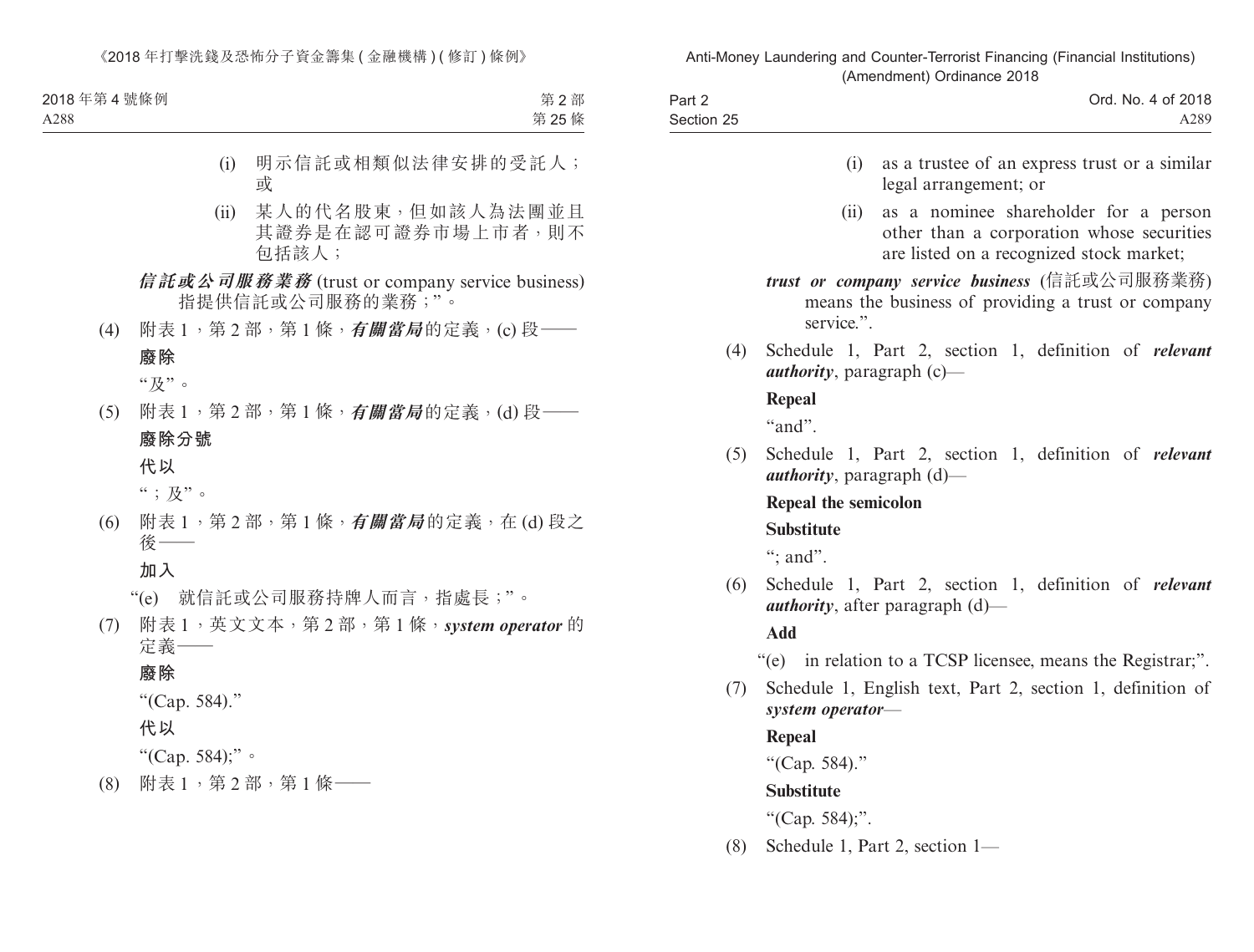| 2018年第4號條例 | 第2部  |
|------------|------|
| A288       | 第25條 |

- (i) 明示信託或相類似法律安排的受託人; 或
- (ii) 某人的代名股東,但如該人為法團並且 其證券是在認可證券市場上市者,則不 包括該人;
- **信託或公司服務業務** (trust or company service business) 指提供信託或公司服務的業務;"。
- (4) 附表 1,第 2 部,第 1 條,**有關當局**的定義,(c) 段—— **廢除**

"及"。

(5) 附表 1,第 2 部,第 1 條,**有關當局**的定義,(d) 段—— **廢除分號**

**代以**

 $``$ ;  $R"$ 。

(6) 附表 1,第 2 部,第 1 條,**有關當局**的定義,在 (d) 段之 後——

# **加入**

"(e) 就信託或公司服務持牌人而言,指處長;"。

(7) 附表 1,英文文本,第 2 部,第 1 條,*system operator* 的 定義——

## **廢除**

"(Cap. 584)."

## **代以**

"(Cap. 584);"。

(8) 附表 1,第 2 部,第 1 條——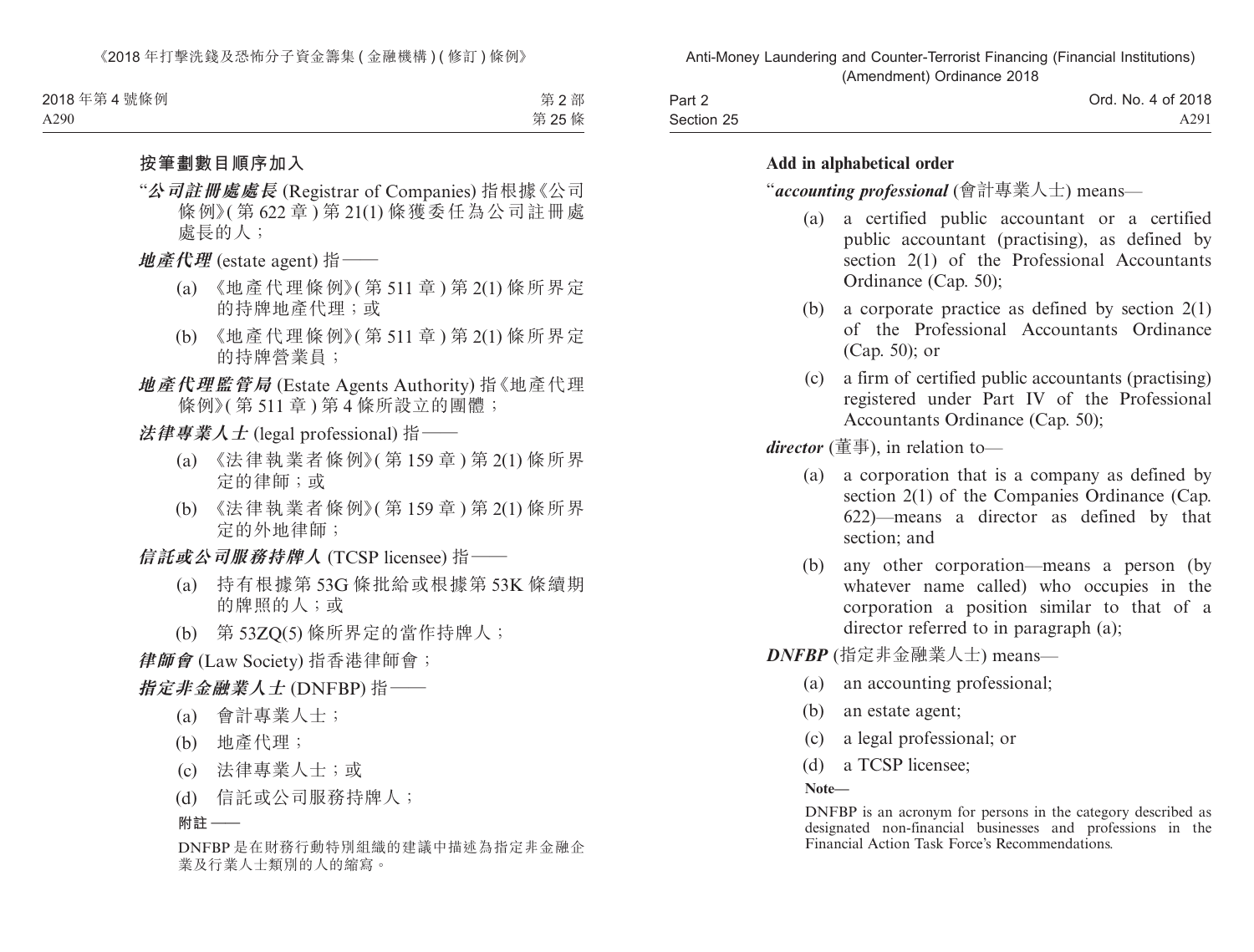| 2018年第4號條例 | 第2部  |
|------------|------|
| A290       | 第25條 |

## **按筆劃數目順序加入**

"**公司註冊處處長** (Registrar of Companies) 指根據《公司 條例》( 第 622 章 ) 第 21(1) 條獲委任為公司註冊處 處長的人;

**地產代理** (estate agent) 指——

- (a) 《地產代理條例》( 第 511 章 ) 第 2(1) 條所界定 的持牌地產代理;或
- (b) 《地產代理條例》( 第 511 章 ) 第 2(1) 條所界定 的持牌營業員;
- **地產代理監管局** (Estate Agents Authority) 指《地產代理 條例》(第511章)第4條所設立的團體;

**法律專業人士** (legal professional) 指——

- (a) 《法律執業者條例》( 第 159 章 ) 第 2(1) 條所界 定的律師;或
- (b) 《法律執業者條例》( 第 159 章 ) 第 2(1) 條所界 定的外地律師;

**信託或公司服務持牌人** (TCSP licensee) 指——

- (a) 持有根據第 53G 條批給或根據第 53K 條續期 的牌照的人;或
- (b) 第 53ZQ(5) 條所界定的當作持牌人;

**律師會** (Law Society) 指香港律師會;

**指定非金融業人士** (DNFBP) 指——

- (a) 會計專業人士;
- (b) 地產代理;
- (c) 法律專業人士;或
- (d) 信託或公司服務持牌人;

**附註 ——**

DNFBP 是在財務行動特別組織的建議中描述為指定非金融企 業及行業人士類別的人的縮寫。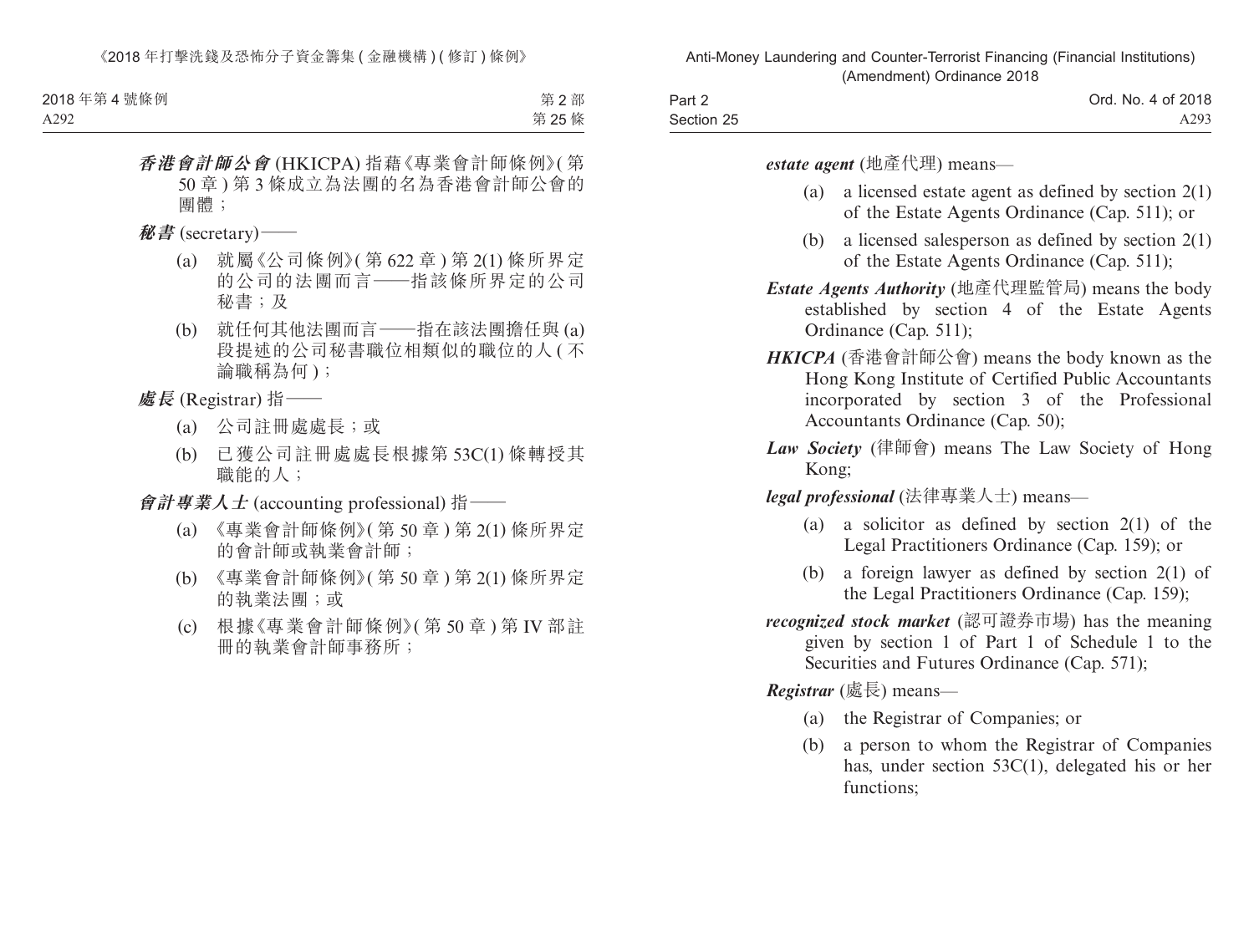| 2018年第4號條例 | 第2部  |
|------------|------|
| A292       | 第25條 |

**香港會計師公會** (HKICPA) 指藉《專業會計師條例》( 第 50 章 ) 第 3 條成立為法團的名為香港會計師公會的 團體;

## **秘書** (secretary)——

- (a) 就屬《公司條例》( 第 622 章 ) 第 2(1) 條所界定 的公司的法團而言——指該條所界定的公司 秘書;及
- (b) 就任何其他法團而言——指在該法團擔任與 (a) 段提述的公司秘書職位相類似的職位的人 ( 不 論職稱為何);

# **處長** (Registrar) 指——

- (a) 公司註冊處處長;或
- (b) 已獲公司註冊處處長根據第 53C(1) 條轉授其 職能的人;
- **會計專業人士** (accounting professional) 指——
	- (a) 《專業會計師條例》( 第 50 章 ) 第 2(1) 條所界定 的會計師或執業會計師;
	- (b) 《專業會計師條例》( 第 50 章 ) 第 2(1) 條所界定 的執業法團;或
	- (c) 根據《專業會計師條例》( 第 50 章 ) 第 IV 部註 冊的執業會計師事務所;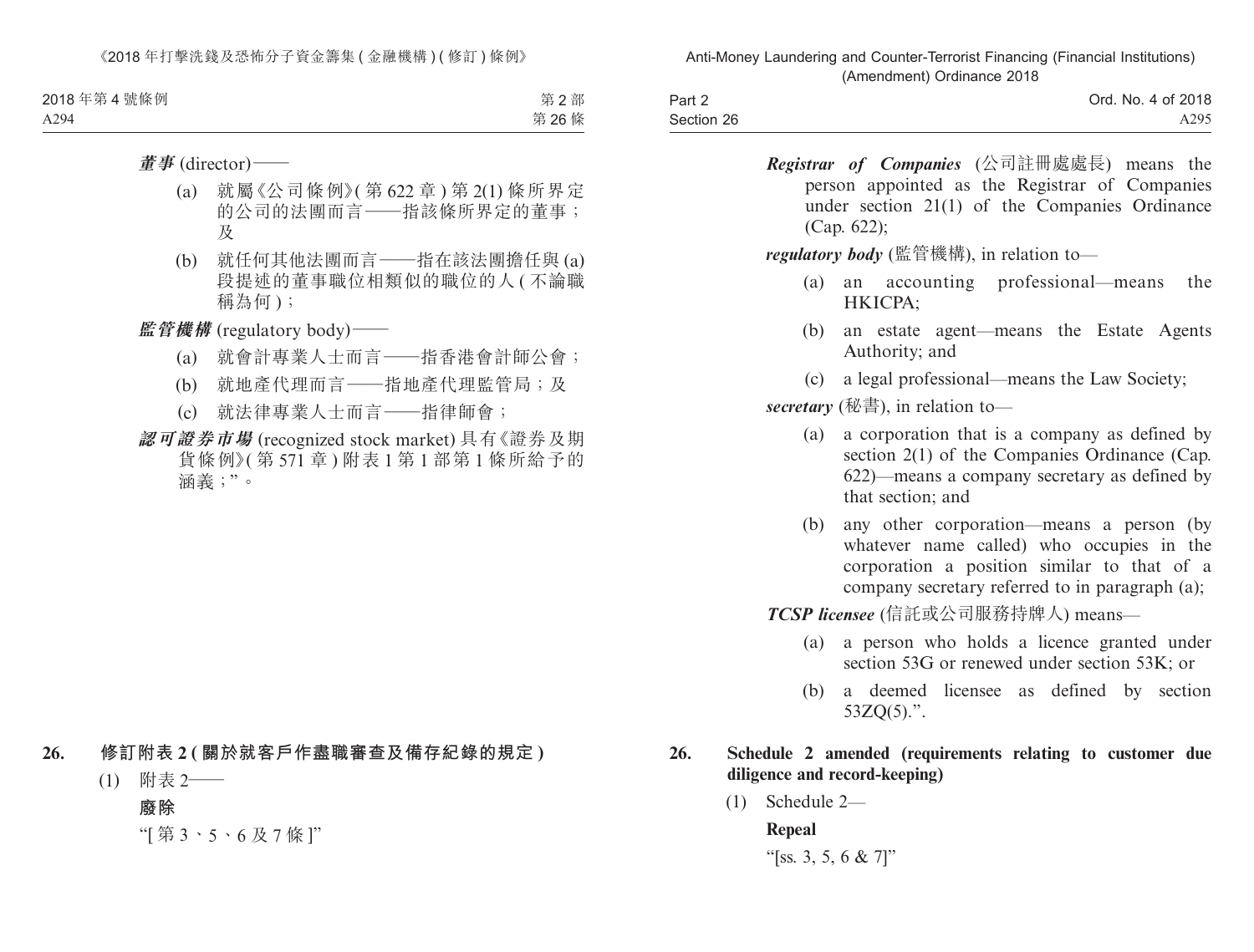| 2018年第4號條例 | 第2部  |
|------------|------|
| A294       | 第26條 |

# **董事** (director)——

- (a) 就屬《公司條例》( 第 622 章 ) 第 2(1) 條所界定 的公司的法團而言——指該條所界定的董事; 及
- (b) 就任何其他法團而言——指在該法團擔任與 (a) 段提述的董事職位相類似的職位的人 ( 不論職 稱為何);

**監管機構** (regulatory body)——

- (a) 就會計專業人士而言——指香港會計師公會;
- (b) 就地產代理而言——指地產代理監管局;及
- (c) 就法律專業人士而言——指律師會;
- **認可證券市場** (recognized stock market) 具有《證券及期 貨條例》( 第 571 章 ) 附表 1 第 1 部第 1 條所給予的 涵義;"。

#### **26. 修訂附表 2 ( 關於就客戶作盡職審查及備存紀錄的規定 )**

(1) 附表 2——

**廢除**

"[ 第 3、5、6 及 7 條 ]"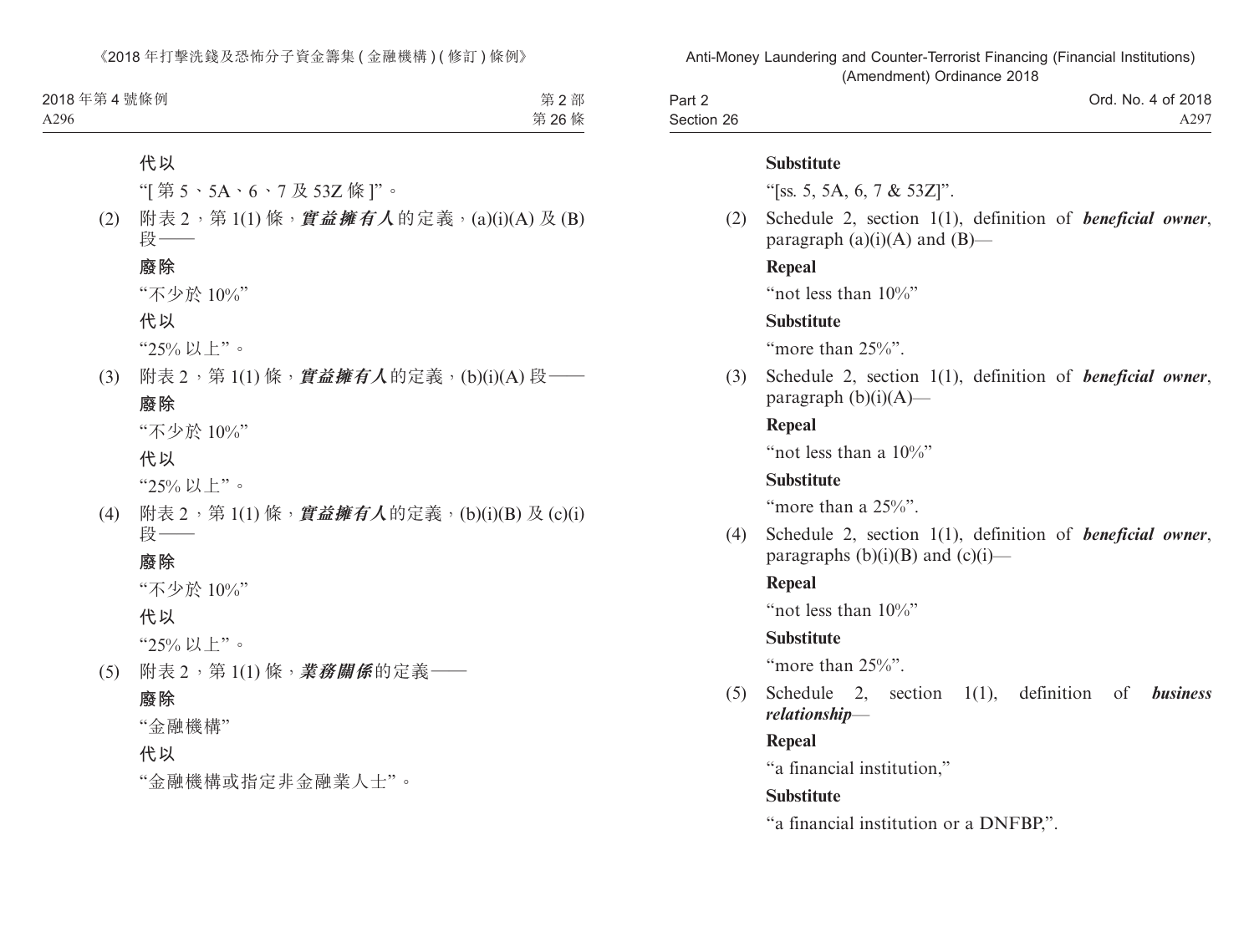| 2018年第4號條例 | 第2部  |
|------------|------|
| A296       | 第26條 |

# **代以**

"[ 第 5、5A、6、7 及 53Z 條 ]"。

(2) 附表 2,第 1(1) 條,**實益擁有人** 的定義,(a)(i)(A) 及 (B) 段——

## **廢除**

"不少於 10%"

# **代以**

"25% 以上"。

(3) 附表 2,第 1(1) 條,**實益擁有人**的定義,(b)(i)(A) 段—— **廢除**

"不少於 10%"

### **代以**

"25% 以上"。

(4) 附表 2,第 1(1) 條,**實益擁有人**的定義,(b)(i)(B) 及 (c)(i) 段——

# **廢除**

"不少於 10%"

### **代以**

"25% 以上"。

(5) 附表 2,第 1(1) 條,**業務關係**的定義——

#### **廢除**

"金融機構"

### **代以**

"金融機構或指定非金融業人士"。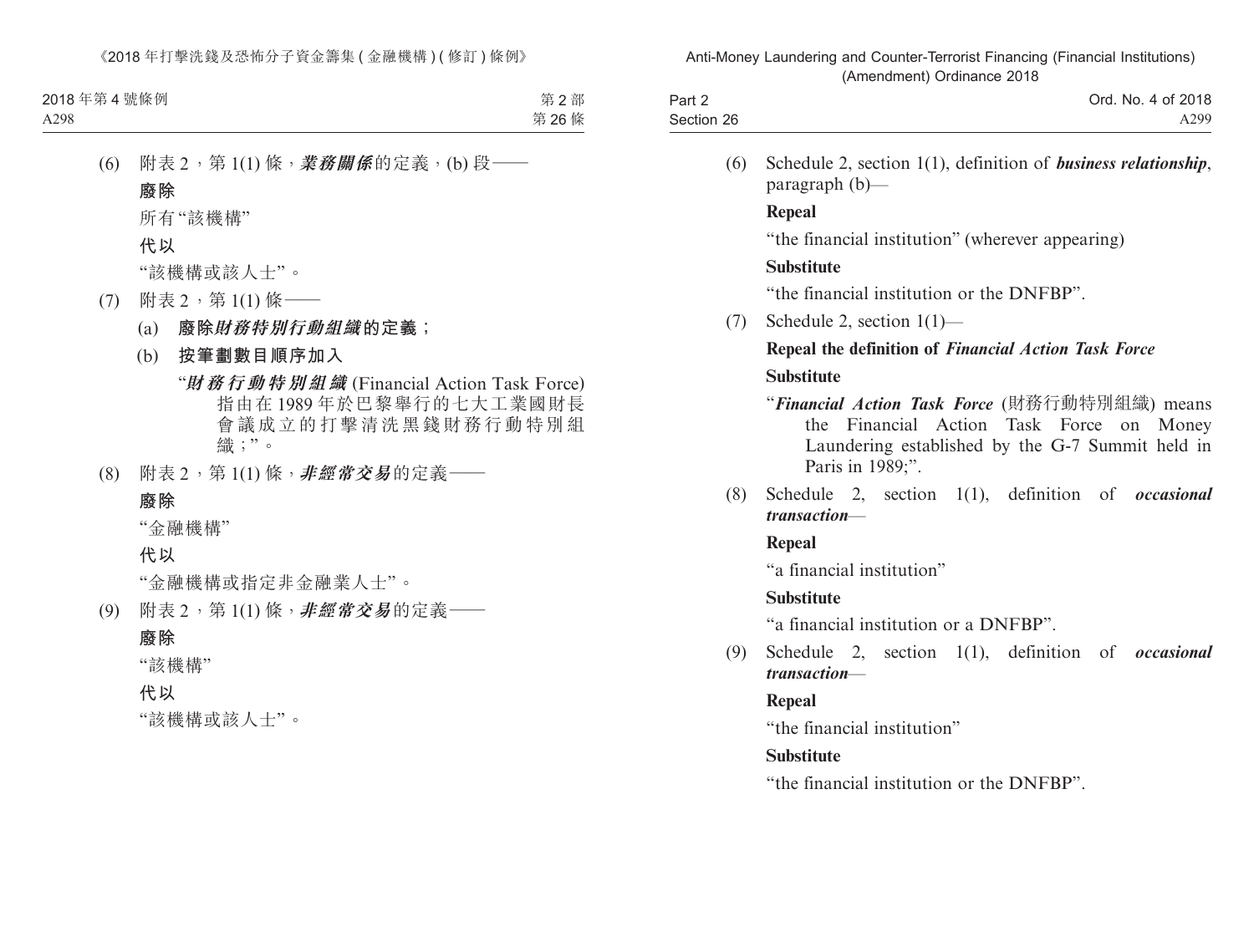第 2 部 第 26 條 2018 年第 4 號條例 A298

> (6) 附表 2,第 1(1) 條,**業務關係**的定義,(b) 段—— **廢除**

所有"該機構"

#### **代以**

"該機構或該人士"。

- (7) 附表 2,第 1(1) 條——
	- (a) **廢除財務特別行動組織的定義;**
	- (b) **按筆劃數目順序加入**
		- "**財務行動特別組織** (Financial Action Task Force) 指由在 1989 年於巴黎舉行的七大工業國財長 會議成立的打擊清洗黑錢財務行動特別組 織;"。
- (8) 附表 2,第 1(1) 條,**非經常交易**的定義——

### **廢除**

"金融機構"

# **代以**

"金融機構或指定非金融業人士"。

(9) 附表 2,第 1(1) 條,**非經常交易**的定義——

### **廢除**

"該機構"

### **代以**

"該機構或該人士"。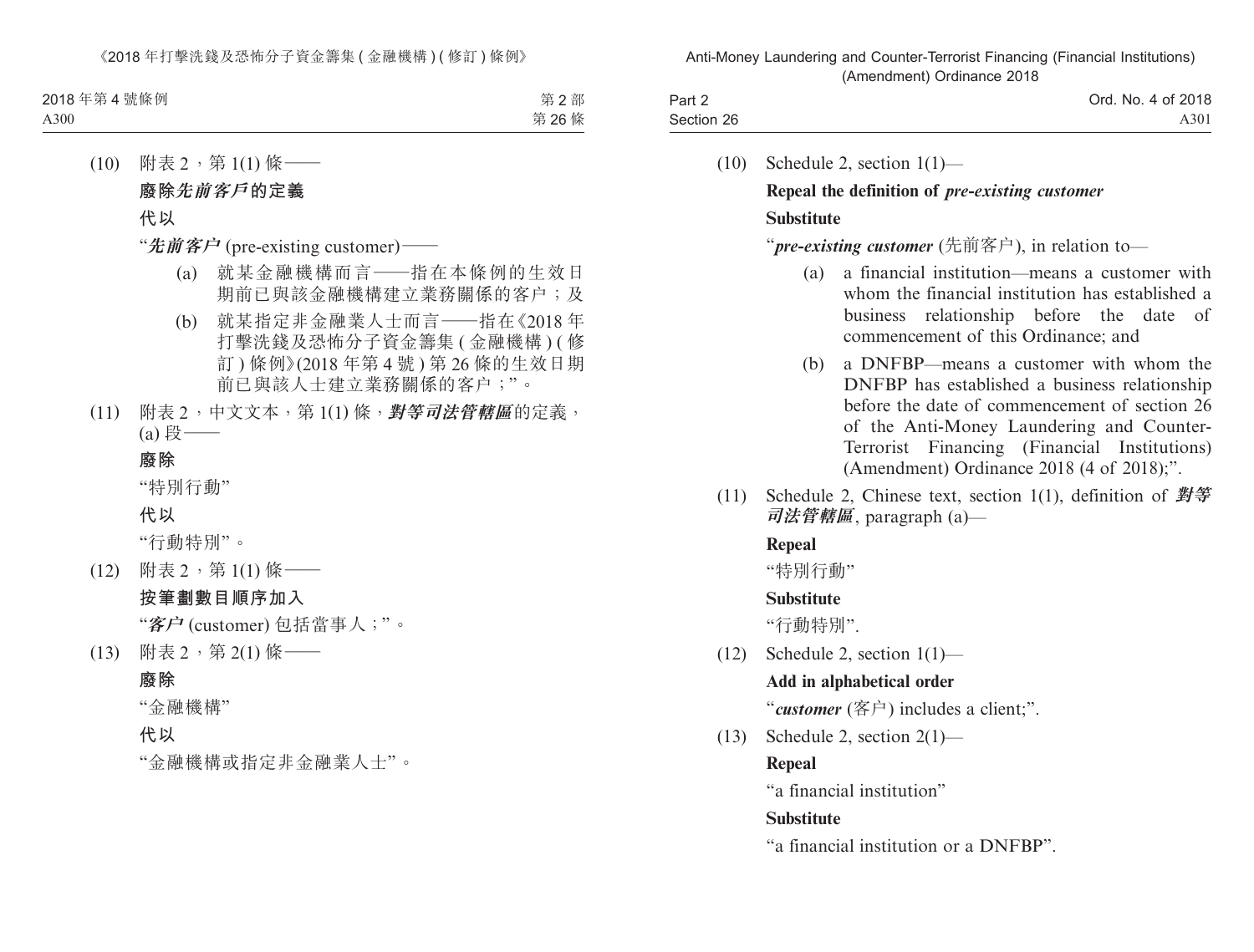| 2018年第4號條例 | 第2部  |
|------------|------|
| A300       | 第26條 |

(10) 附表 2, 第 1(1) 條 —— **廢除先前客戶的定義**

**代以**

- "**先前客户** (pre-existing customer)——
	- (a) 就某金融機構而言——指在本條例的生效日 期前已與該金融機構建立業務關係的客户;及
	- (b) 就某指定非金融業人士而言——指在《2018 年 打擊洗錢及恐怖分子資金籌集 ( 金融機構 ) ( 修 訂 ) 條例》(2018 年第 4 號 ) 第 26 條的生效日期 前已與該人士建立業務關係的客户;"。
- (11) 附表 2,中文文本,第 1(1) 條,**對等司法管轄區**的定義,  $(a)$ 段一

#### **廢除**

"特別行動"

#### **代以**

"行動特別"。

(12) 附表 2,第 1(1) 條——

# **按筆劃數目順序加入**

"**客户** (customer) 包括當事人;"。

(13) 附表 2, 第 2(1) 條 ——

### **廢除**

"金融機構"

## **代以**

"金融機構或指定非金融業人士"。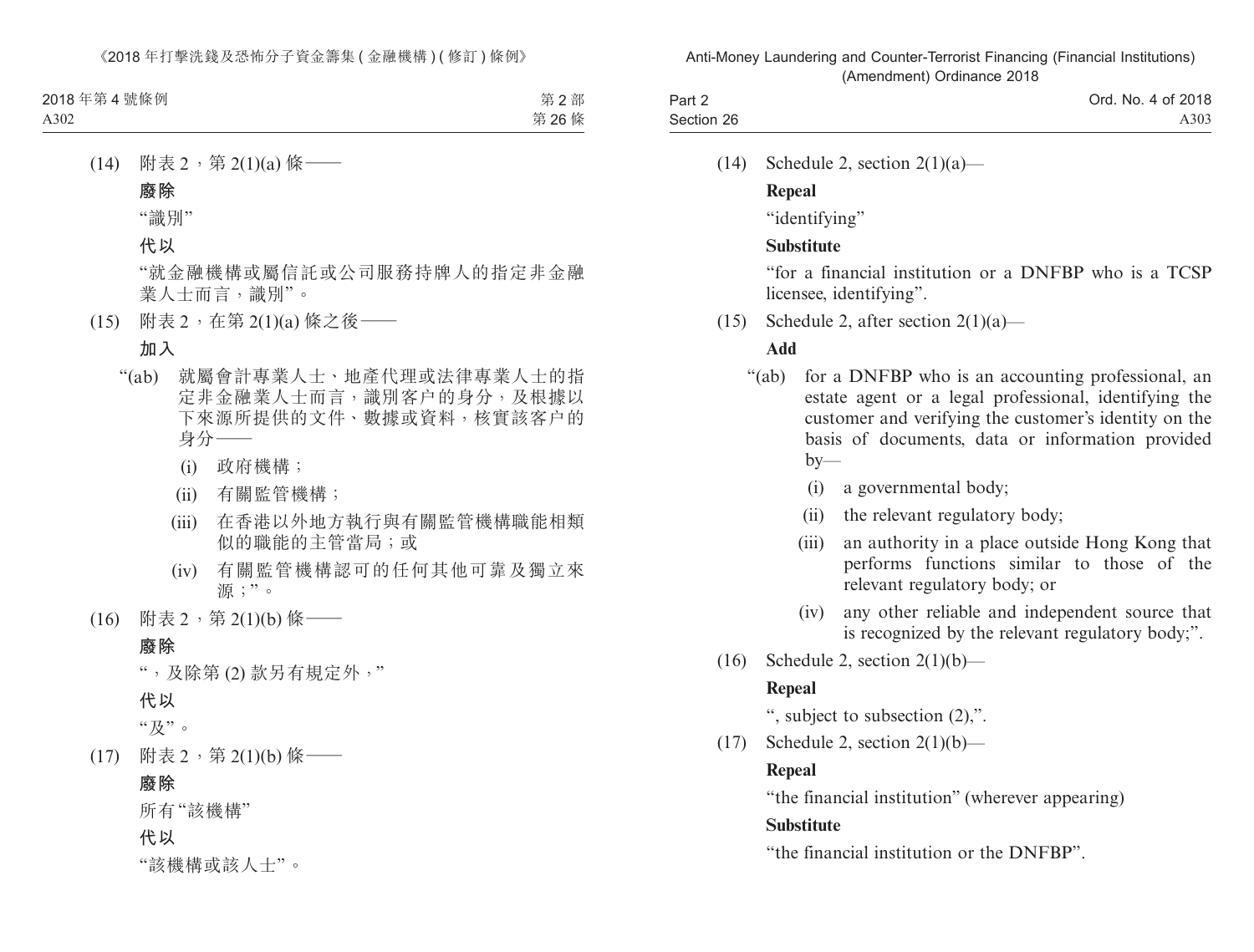| 2018年第4號條例 | 第2部  |
|------------|------|
| A302       | 第26條 |

(14) 附表  $2,$  第 2(1)(a) 條 ——

### **廢除**

"識別"

### **代以**

"就金融機構或屬信託或公司服務持牌人的指定非金融 業人士而言,識別"。

(15) 附表 2,在第 2(1)(a) 條之後——

### **加入**

- "(ab) 就屬會計專業人士、地產代理或法律專業人士的指 定非金融業人士而言,識別客户的身分,及根據以 下來源所提供的文件、數據或資料,核實該客户的 身分——
	- (i) 政府機構;
	- (ii) 有關監管機構;
	- (iii) 在香港以外地方執行與有關監管機構職能相類 似的職能的主管當局;或
	- (iv) 有關監管機構認可的任何其他可靠及獨立來 源;"。
- (16) 附表 2,第 2(1)(b) 條——

# **廢除**

",及除第 (2) 款另有規定外,"

**代以**

"及"。

(17) 附表 2,第 2(1)(b) 條——

#### **廢除**

所有"該機構"

### **代以**

"該機構或該人士"。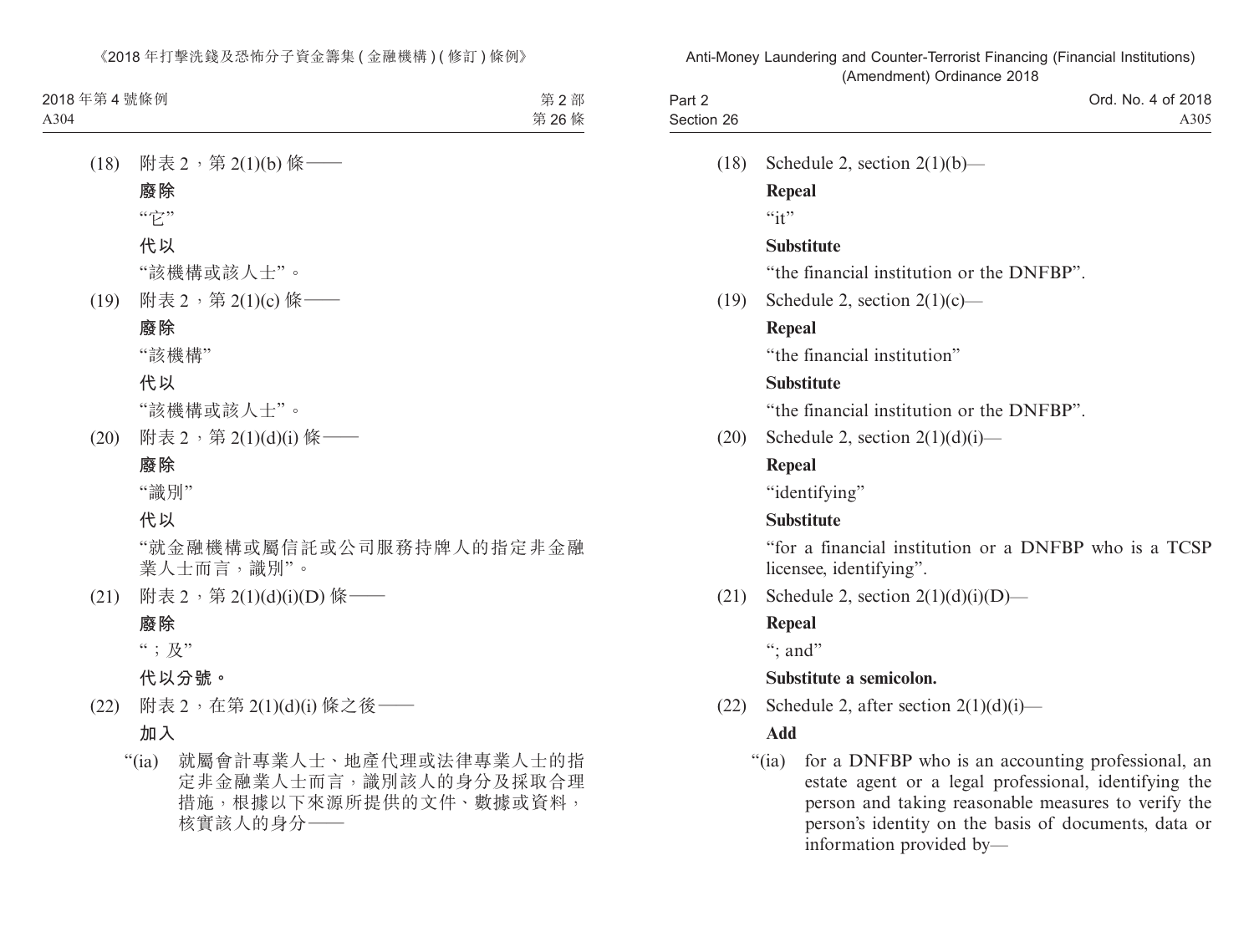| 2018年第4號條例<br>A304 |                                        | 第2部<br>第26條 |
|--------------------|----------------------------------------|-------------|
| (18)               | 附表 2,第 2(1)(b) 條 ――                    |             |
|                    | 廢除                                     |             |
|                    | "它"                                    |             |
|                    | 代以                                     |             |
|                    | "該機構或該人士"。                             |             |
| (19)               | 附表 2 ,第 2(1)(c) 條 ――                   |             |
|                    | 廢除                                     |             |
|                    | "該機構"                                  |             |
|                    | 代以                                     |             |
|                    | "該機構或該人士"。                             |             |
| (20)               | 附表 2 ,第 2(1)(d)(i) 條 ――                |             |
|                    | 廢除                                     |             |
|                    | "識別"                                   |             |
|                    | 代以                                     |             |
|                    | "就金融機構或屬信託或公司服務持牌人的指定非金融<br>業人士而言,識別"。 |             |

(21) 附表 2,第 2(1)(d)(i)(D) 條––

### **廢除**

 $``; \mathcal{R}"$ 

### **代以分號。**

(22) 附表 2,在第 2(1)(d)(i) 條之後——

# **加入**

"(ia) 就屬會計專業人士、地產代理或法律專業人士的指 定非金融業人士而言,識別該人的身分及採取合理 措施,根據以下來源所提供的文件、數據或資料, 核實該人的身分——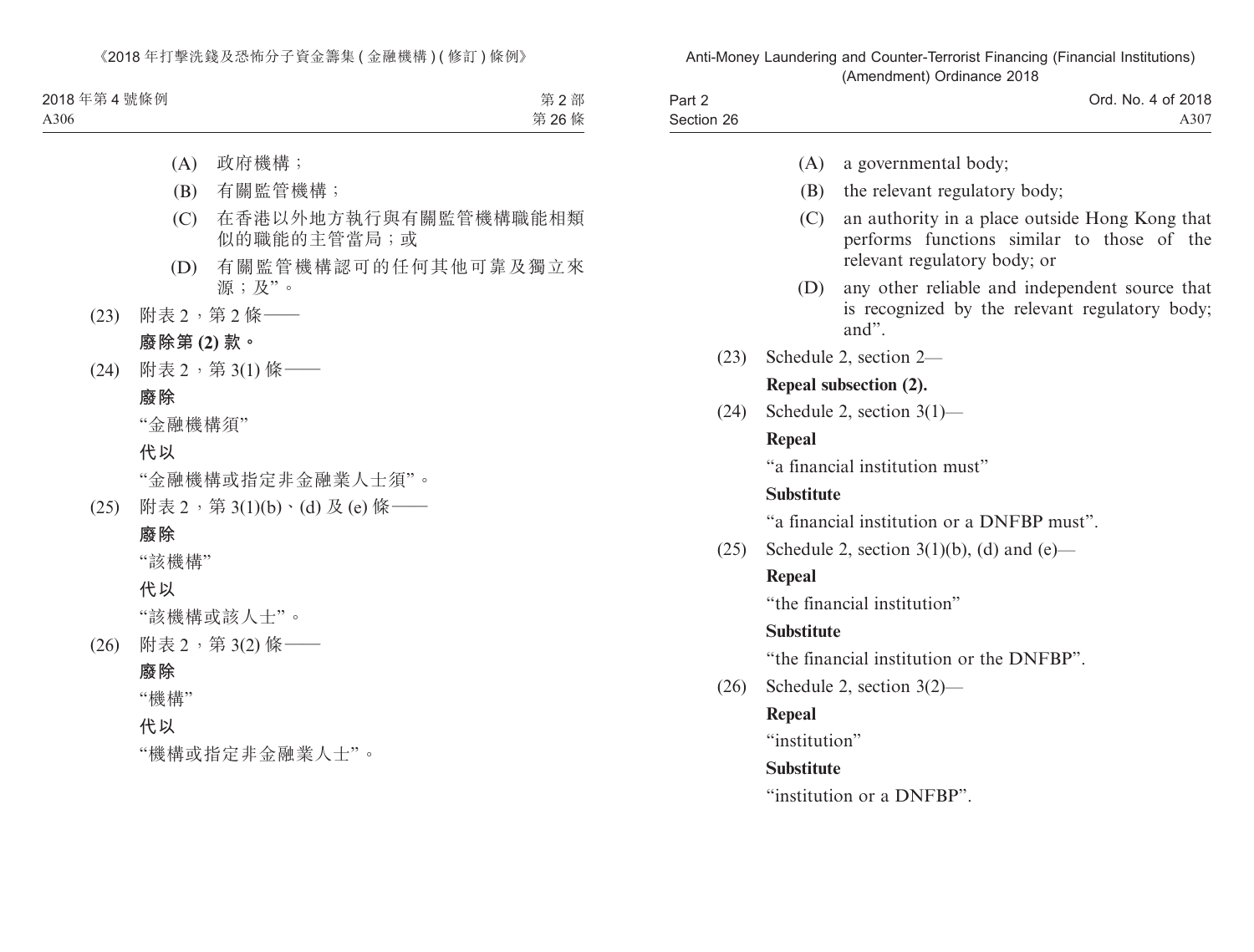| 2018年第4號條例 | 第2部  |
|------------|------|
| A306       | 第26條 |

- (A) 政府機構;
- (B) 有關監管機構;
- (C) 在香港以外地方執行與有關監管機構職能相類 似的職能的主管當局;或
- (D) 有關監管機構認可的任何其他可靠及獨立來 源;及"。
- (23) 附表 2, 第 2條––

**廢除第 (2) 款。**

(24) 附表 2,第 3(1)條–

## **廢除**

"金融機構須"

#### **代以**

"金融機構或指定非金融業人士須"。

(25) 附表 2,第 3(1)(b)、(d) 及 (e) 條——

### **廢除**

"該機構"

# **代以**

"該機構或該人士"。

(26) 附表 2,第 3(2) 條––

### **廢除**

"機構"

### **代以**

"機構或指定非金融業人士"。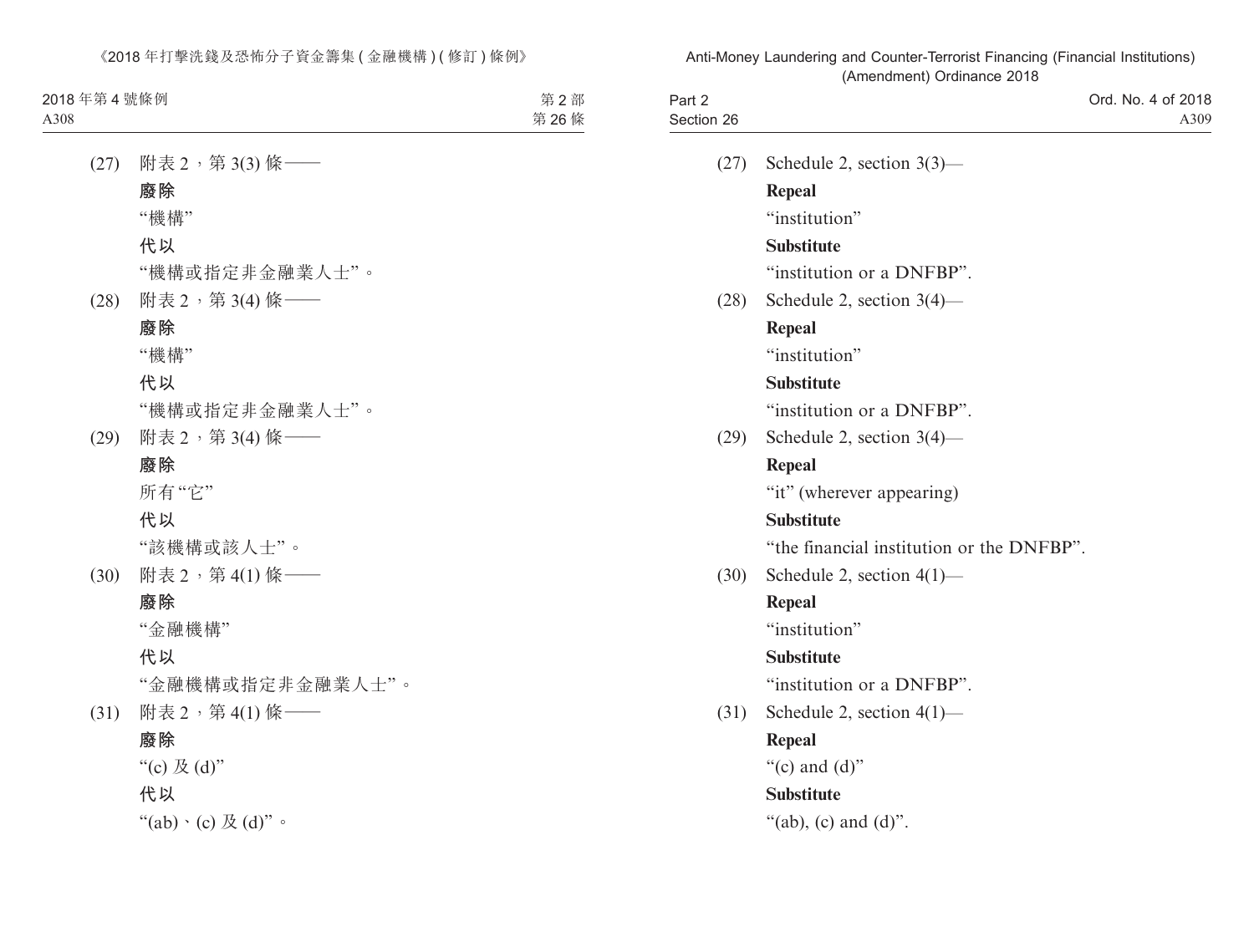| 2018年第4號條例<br>A308 |                                             | 第2部<br>第26條 |
|--------------------|---------------------------------------------|-------------|
| (27)               | 附表 2 ,第 3(3) 條――                            |             |
|                    | 廢除                                          |             |
|                    | "機構"                                        |             |
|                    | 代以                                          |             |
|                    | "機構或指定非金融業人士"。                              |             |
|                    | (28) 附表 2,第3(4)條––                          |             |
|                    | 廢除                                          |             |
|                    | "機構"                                        |             |
|                    | 代以                                          |             |
|                    | "機構或指定非金融業人士"。                              |             |
|                    | (29) 附表 2,第 3(4)條——                         |             |
|                    | 廢除                                          |             |
|                    | 所有"它"                                       |             |
|                    | 代以                                          |             |
|                    | "該機構或該人士"。                                  |             |
|                    | (30) 附表 2,第4(1)條——                          |             |
|                    | 廢除                                          |             |
|                    | "金融機構"                                      |             |
|                    | 代以                                          |             |
|                    | "金融機構或指定非金融業人士"。                            |             |
| (31)               | 附表 2 ,第 4(1) 條――                            |             |
|                    | 廢除                                          |             |
|                    | "(c) $\cancel{\mathcal{R}}$ (d)"            |             |
|                    | 代以                                          |             |
|                    | $"(ab) \cdot (c) \not\mathbb{R} (d)" \circ$ |             |
|                    |                                             |             |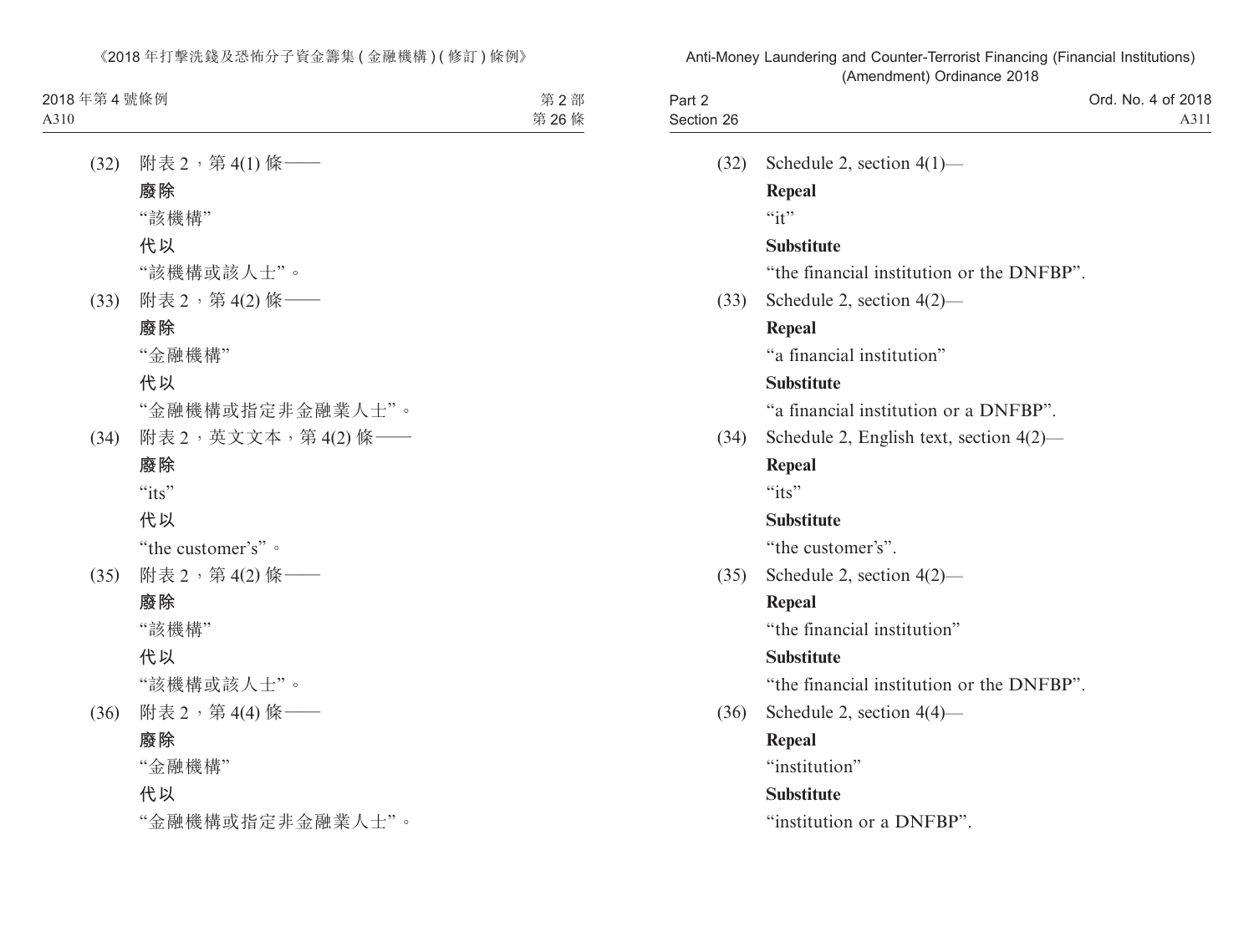| 2018年第4號條例<br>A310 |                      | 第2部<br>第26條 |
|--------------------|----------------------|-------------|
| (32)               | 附表 2 ,第 4(1) 條――     |             |
|                    | 廢除                   |             |
|                    | "該機構"                |             |
|                    | 代以                   |             |
|                    | "該機構或該人士"。           |             |
|                    | (33) 附表 2,第4(2)條––   |             |
|                    | 廢除                   |             |
|                    | "金融機構"               |             |
|                    | 代以                   |             |
|                    | "金融機構或指定非金融業人士"。     |             |
| (34)               | 附表 2,英文文本,第 4(2) 條—— |             |
|                    | 廢除                   |             |
|                    | "its"                |             |
|                    | 代以                   |             |
|                    | "the customer's" o   |             |
|                    | (35) 附表 2,第4(2)條––   |             |
|                    | 廢除                   |             |
|                    | "該機構"                |             |
|                    | 代以                   |             |
|                    | "該機構或該人士"。           |             |
|                    | (36) 附表 2,第 4(4)條——  |             |
|                    | 廢除                   |             |
|                    | "金融機構"               |             |
|                    | 代以                   |             |
|                    | "金融機構或指定非金融業人士"。     |             |
|                    |                      |             |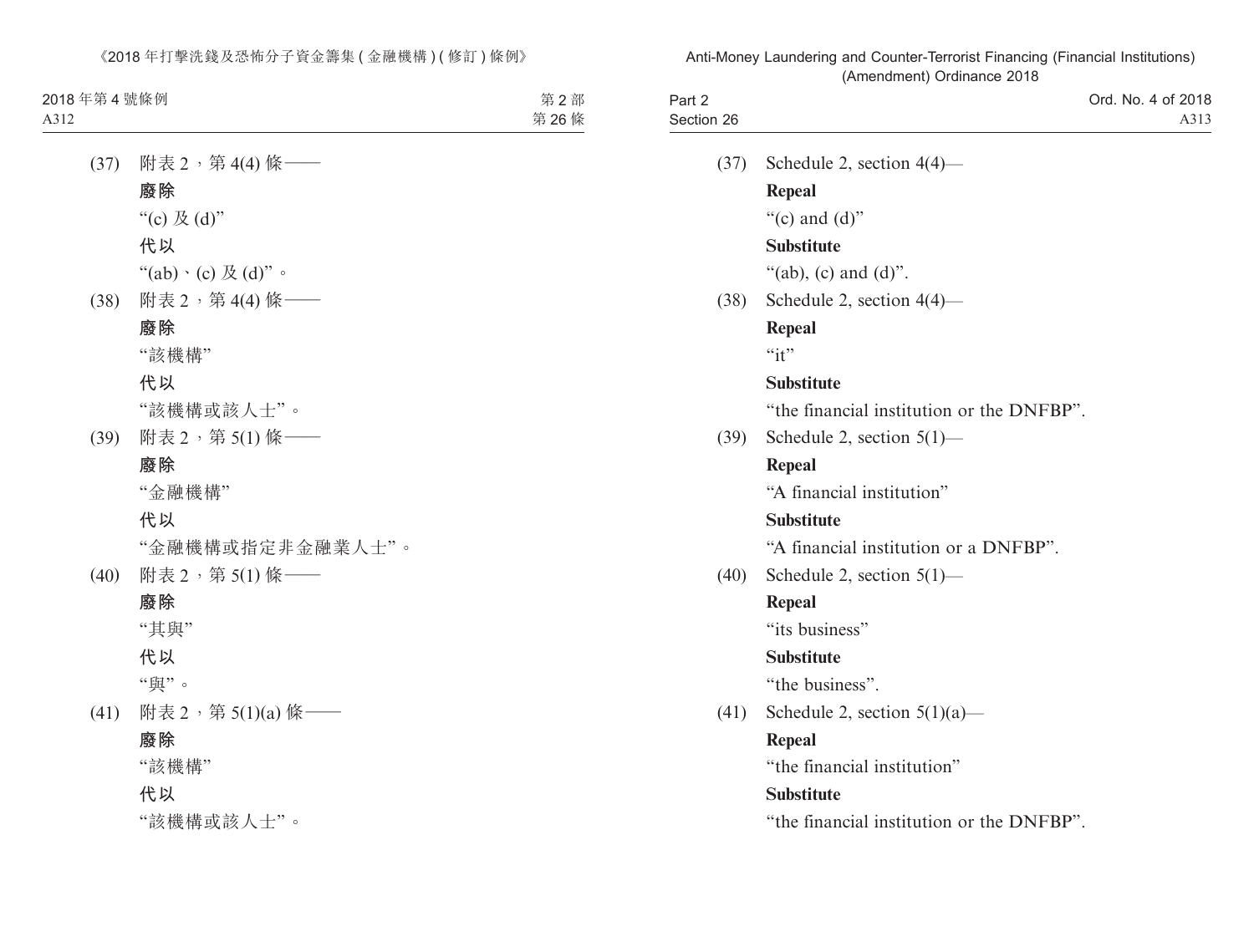|      |                                              | 第26條 |
|------|----------------------------------------------|------|
| (37) | 附表 2 ,第 4(4) 條 ――                            |      |
|      | 廢除                                           |      |
|      | "(c) $\cancel{\mathcal{R}}$ (d)"             |      |
|      | 代以                                           |      |
|      | $``(ab) \cdot (c) \not\mathbb{R} (d)" \circ$ |      |
| (38) | 附表 2 ,第 4(4) 條――                             |      |
|      | 廢除                                           |      |
|      | "該機構"                                        |      |
|      | 代以                                           |      |
|      | "該機構或該人士"。                                   |      |
| (39) | 附表 2 ,第 5(1) 條 ――                            |      |
|      | 廢除                                           |      |
|      | "金融機構"                                       |      |
|      | 代以                                           |      |
|      | "金融機構或指定非金融業人士"。                             |      |
|      | (40) 附表 2,第5(1)條——                           |      |
|      | 廢除                                           |      |
|      | "其與"                                         |      |
|      | 代以                                           |      |
|      | "與"。                                         |      |
| (41) | 附表 2 ,第 5(1)(a) 條――                          |      |
|      | 廢除                                           |      |
|      | "該機構"                                        |      |
|      | 代以                                           |      |
|      | "該機構或該人士"。                                   |      |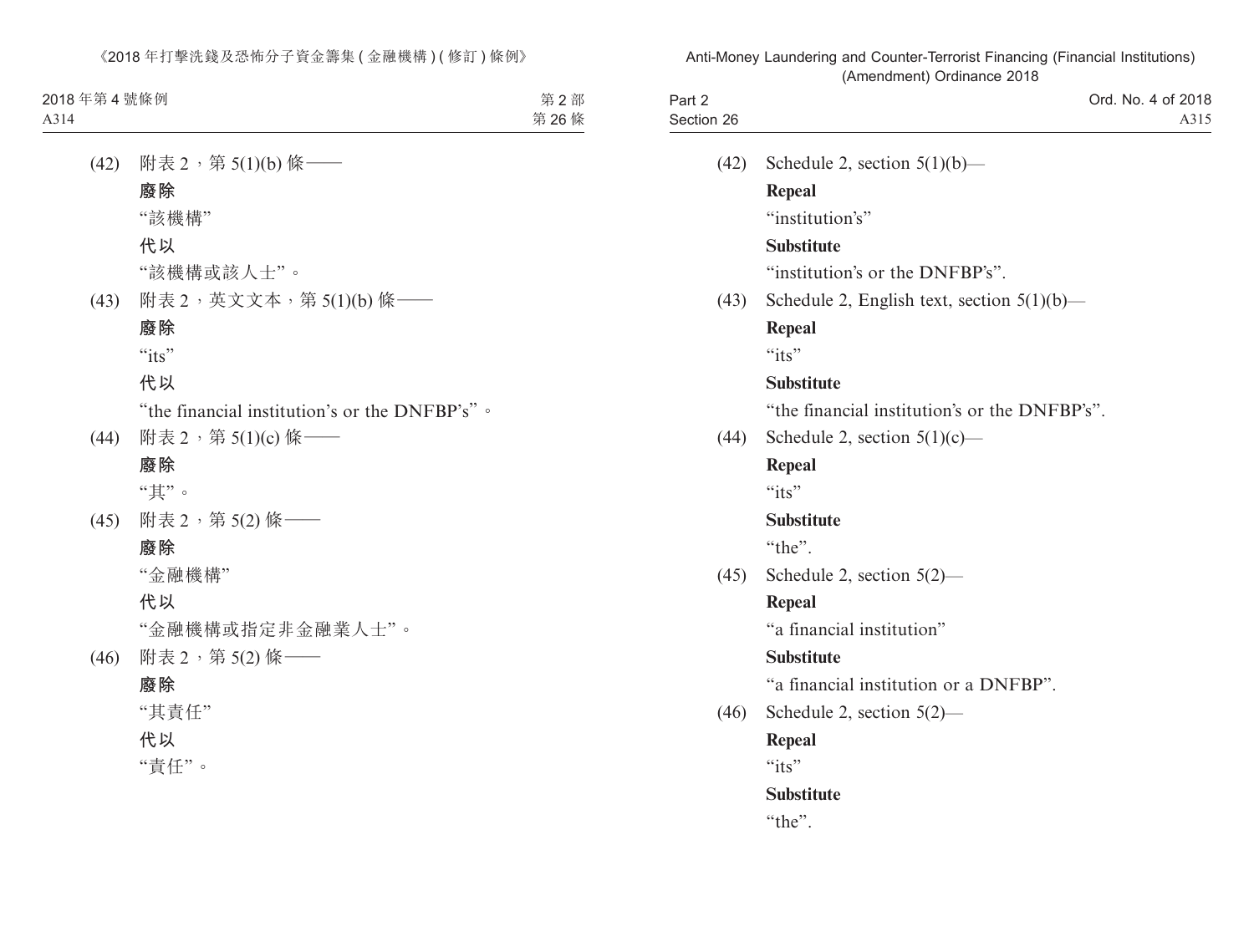| 2018年第4號條例<br>A314 |                                                 | 第2部<br>第26條 |
|--------------------|-------------------------------------------------|-------------|
|                    | (42) 附表 2,第 5(1)(b)條——                          |             |
|                    | 廢除                                              |             |
|                    | "該機構"                                           |             |
|                    | 代以                                              |             |
|                    | "該機構或該人士"。                                      |             |
|                    | (43) 附表 2,英文文本, 第 5(1)(b) 條––                   |             |
|                    | 廢除                                              |             |
|                    | "its"                                           |             |
|                    | 代以                                              |             |
|                    | "the financial institution's or the DNFBP's" of |             |
| (44)               | 附表 2 ,第 5(1)(c) 條――                             |             |
|                    | 廢除                                              |             |
|                    | "其"。                                            |             |
|                    | (45) 附表 2,第5(2)條——                              |             |
|                    | 廢除                                              |             |
|                    | "金融機構"                                          |             |
|                    | 代以                                              |             |
|                    | "金融機構或指定非金融業人士"。                                |             |
| (46)               | 附表 2 ,第 5(2) 條――                                |             |
|                    | 廢除                                              |             |
|                    | "其責任"                                           |             |
|                    | 代以                                              |             |
|                    | "責任"。                                           |             |
|                    |                                                 |             |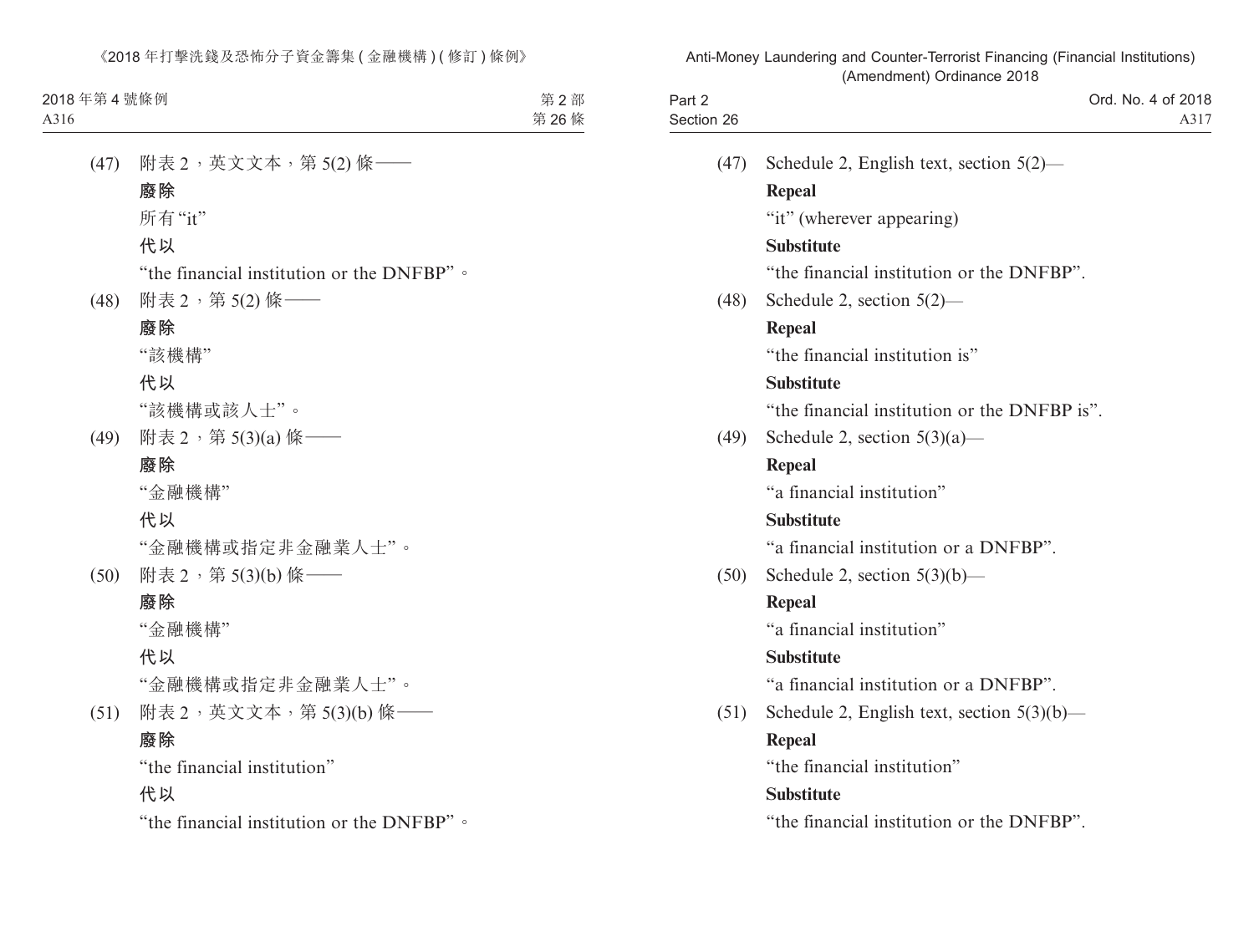| 2018年第4號條例<br>A316 |                                                  | 第2部<br>第26條 |
|--------------------|--------------------------------------------------|-------------|
|                    | (47) 附表 2,英文文本,第5(2)條——                          |             |
|                    | 廢除                                               |             |
|                    | 所有"it"                                           |             |
|                    | 代以                                               |             |
|                    | "the financial institution or the DNFBP" $\circ$ |             |
| (48)               | 附表 2 ,第 5(2) 條――                                 |             |
|                    | 廢除                                               |             |
|                    | "該機構"                                            |             |
|                    | 代以                                               |             |
|                    | "該機構或該人士"。                                       |             |
| (49)               | 附表 2 ,第 5(3)(a) 條——                              |             |
|                    | 廢除                                               |             |
|                    | "金融機構"                                           |             |
|                    | 代以                                               |             |
|                    | "金融機構或指定非金融業人士"。                                 |             |
| (50)               | 附表 2,第 5(3)(b)條——                                |             |
|                    | 廢除                                               |             |
|                    | "金融機構"                                           |             |
|                    | 代以                                               |             |
|                    | "金融機構或指定非金融業人士"。                                 |             |
| (51)               | 附表 2, 英文文本, 第 5(3)(b) 條––                        |             |
|                    | 廢除                                               |             |
|                    | "the financial institution"                      |             |
|                    | 代以                                               |             |
|                    | "the financial institution or the DNFBP" $\circ$ |             |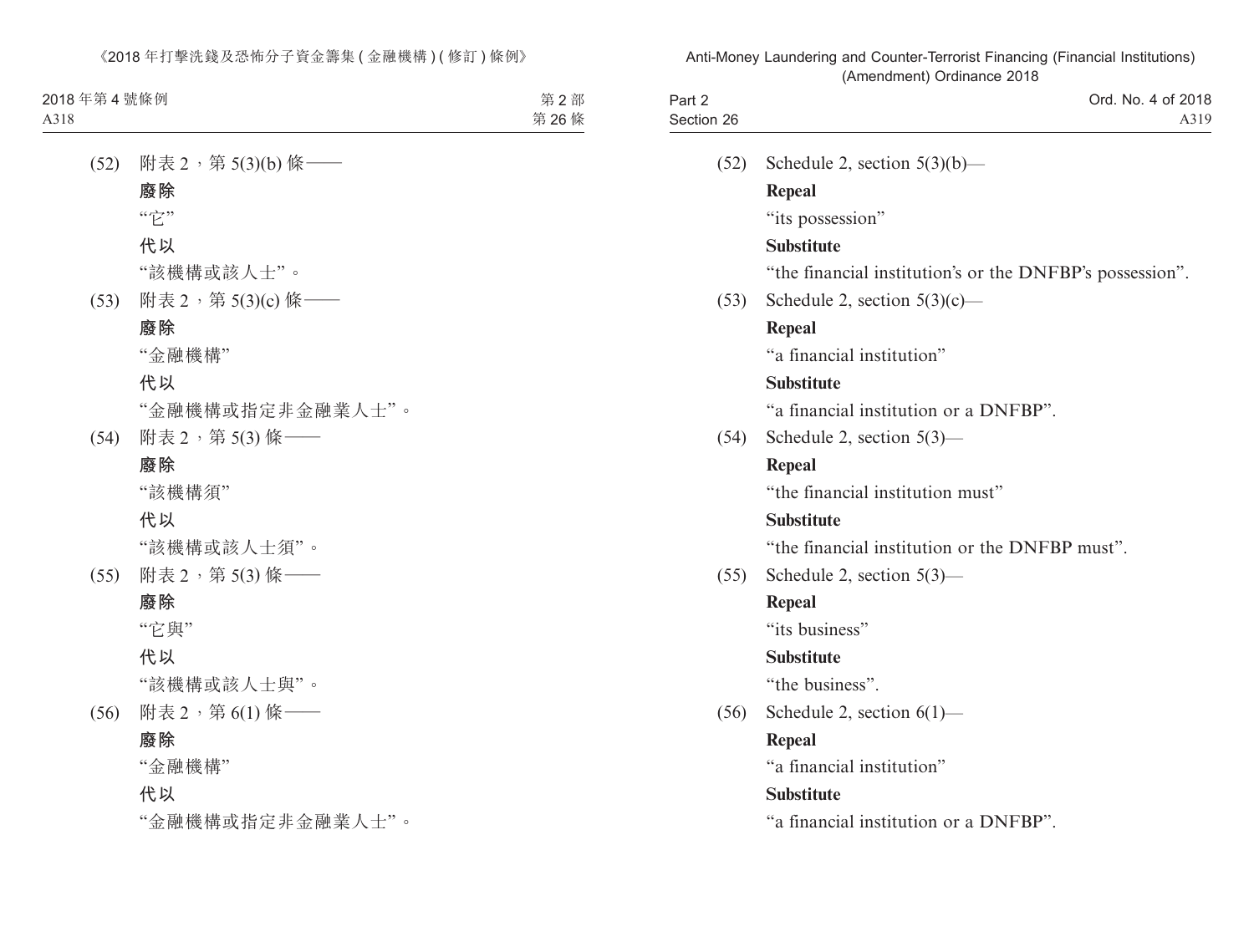| 2018年第4號條例<br>A318 |                                 | 第2部<br>第26條 |
|--------------------|---------------------------------|-------------|
| (52)               | 附表 2 ,第 5(3)(b) 條――             |             |
|                    | 廢除                              |             |
|                    | $\mathfrak{m}$ $\mathfrak{m}$ , |             |
|                    | 代以                              |             |
|                    | "該機構或該人士"。                      |             |
|                    | (53) 附表 2,第 5(3)(c)條——          |             |
|                    | 廢除                              |             |
|                    | "金融機構"                          |             |
|                    | 代以                              |             |
|                    | "金融機構或指定非金融業人士"。                |             |
|                    | (54) 附表 2,第5(3)條——              |             |
|                    | 廢除                              |             |
|                    | "該機構須"                          |             |
|                    | 代以                              |             |
|                    | "該機構或該人士須"。                     |             |
|                    | (55) 附表 2,第5(3)條——              |             |
|                    | 廢除                              |             |
|                    | "它與"                            |             |
|                    | 代以                              |             |
|                    | "該機構或該人士與"。                     |             |
| (56)               | 附表 2 ,第 6(1) 條 ――               |             |
|                    | 廢除                              |             |
|                    | "金融機構"                          |             |
|                    | 代以                              |             |
|                    | "金融機構或指定非金融業人士"。                |             |
|                    |                                 |             |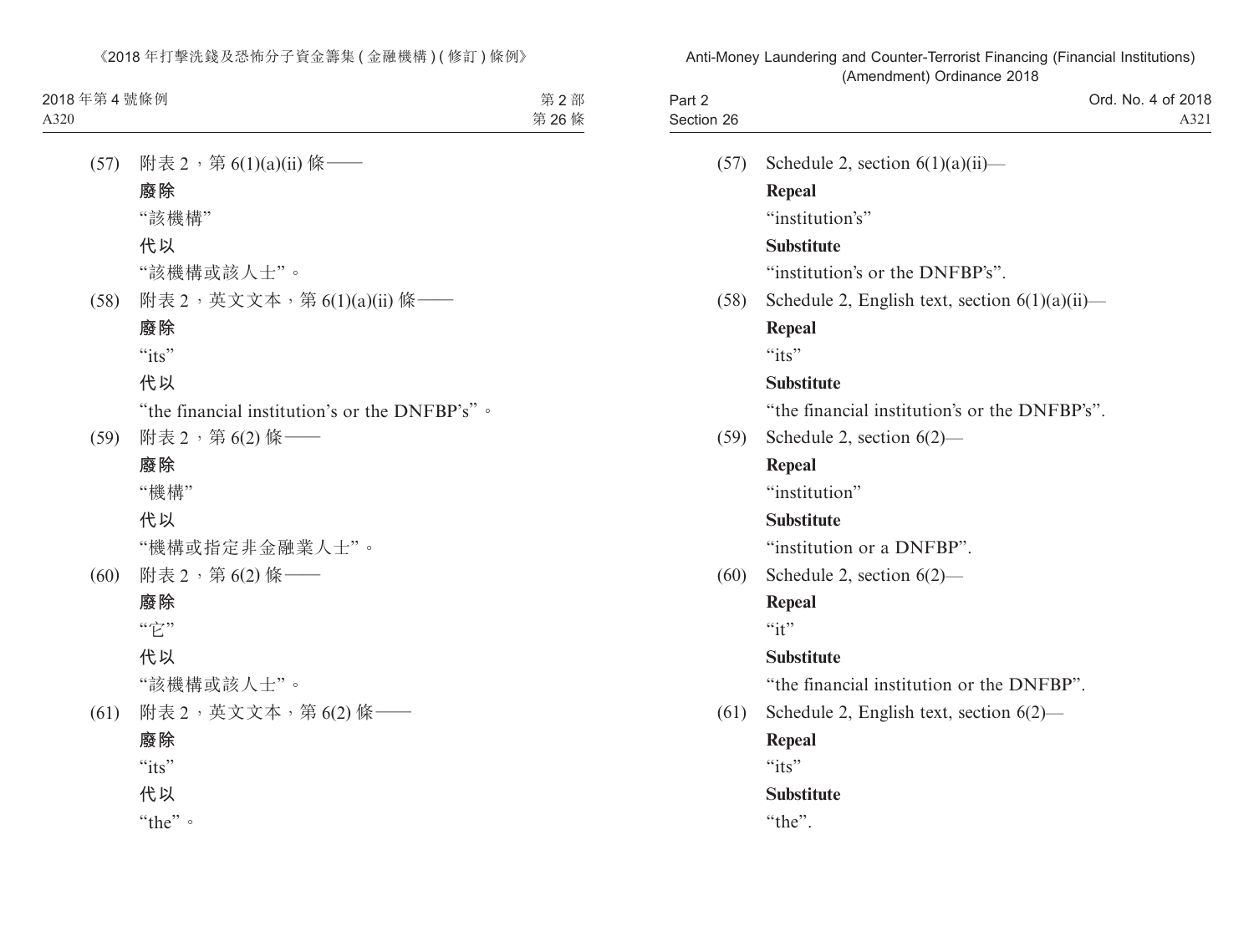| 2018年第4號條例<br>A320 |                                                 | 第2部<br>第26條 |
|--------------------|-------------------------------------------------|-------------|
| (57)               | 附表 2 ,第 6(1)(a)(ii) 條 ――                        |             |
|                    | 廢除                                              |             |
|                    | "該機構"                                           |             |
|                    | 代以                                              |             |
|                    | "該機構或該人士"。                                      |             |
| (58)               | 附表 2,英文文本, 第 6(1)(a)(ii) 條——                    |             |
|                    | 廢除                                              |             |
|                    | "its"                                           |             |
|                    | 代以                                              |             |
|                    | "the financial institution's or the DNFBP's" of |             |
| (59)               | 附表 2 ,第 6(2) 條 ――                               |             |
|                    | 廢除                                              |             |
|                    | "機構"                                            |             |
|                    | 代以                                              |             |
|                    | "機構或指定非金融業人士"。                                  |             |
|                    | $(60)$ 附表 2, 第 6(2) 條 ——                        |             |
|                    | 廢除                                              |             |
|                    | "它"                                             |             |
|                    | 代以                                              |             |
|                    | "該機構或該人士"。                                      |             |
| (61)               | 附表 2, 英文文本, 第 6(2)條––                           |             |
|                    | 廢除                                              |             |
|                    | " $its$ "                                       |             |
|                    | 代以                                              |             |
|                    | "the" o                                         |             |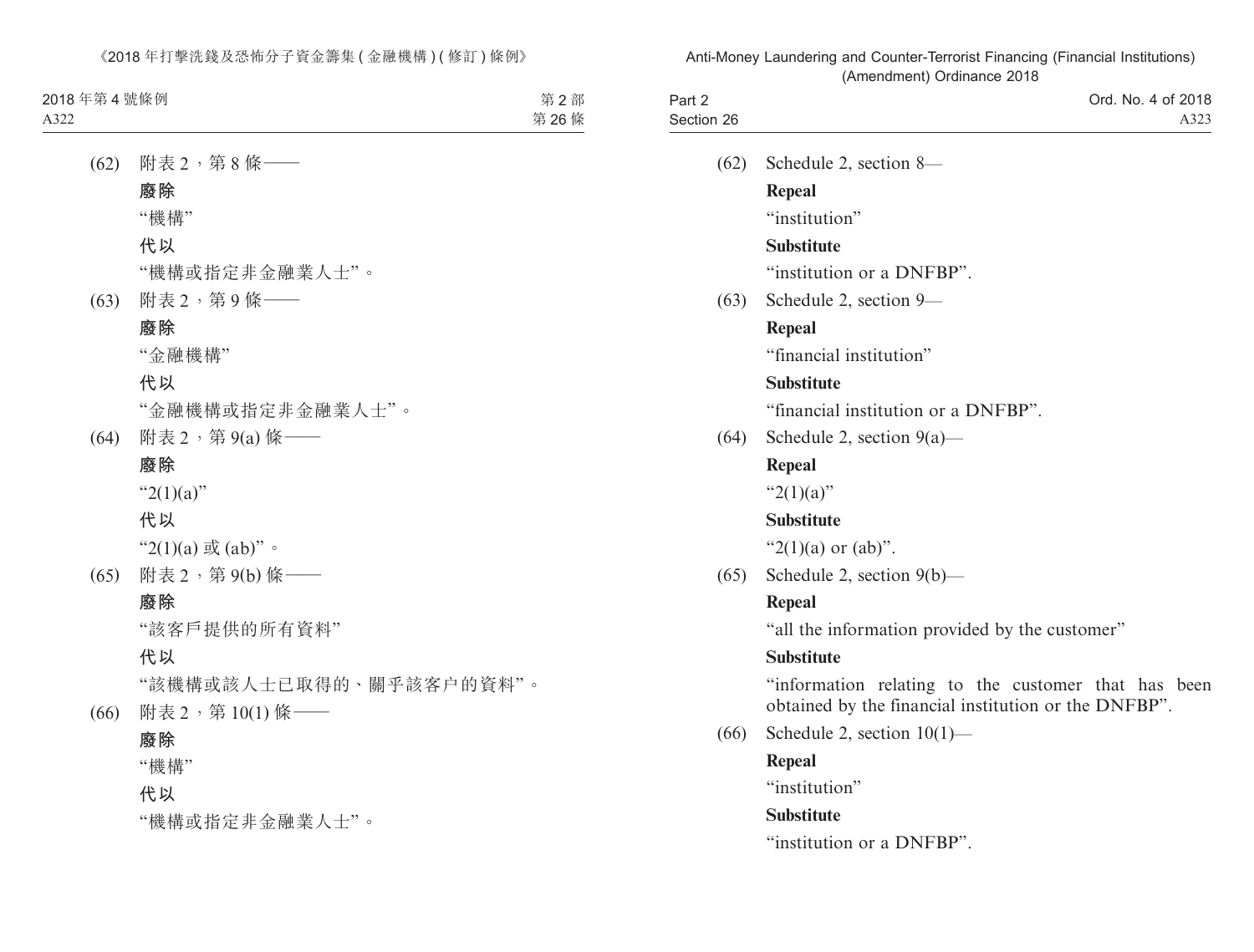| 2018年第4號條例<br>A322 |                         | 第2部<br>第26條 |
|--------------------|-------------------------|-------------|
| (62)               | 附表 2, 第8條–              |             |
|                    | 廢除                      |             |
|                    | "機構"                    |             |
|                    | 代以                      |             |
|                    | "機構或指定非金融業人士"。          |             |
| (63)               | 附表 2,第9條–               |             |
|                    | 廢除                      |             |
|                    | "金融機構"                  |             |
|                    | 代以                      |             |
|                    | "金融機構或指定非金融業人士"。        |             |
| (64)               | 附表 2,第9(a)條——           |             |
|                    | 廢除                      |             |
|                    | " $2(1)(a)$ "           |             |
|                    | 代以                      |             |
|                    | "2(1)(a) 或 (ab)"。       |             |
| (65)               | 附表 2,第9(b)條––           |             |
|                    | 廢除                      |             |
|                    | "該客戶提供的所有資料"            |             |
|                    | 代以                      |             |
|                    | "該機構或該人士已取得的、關乎該客户的資料"。 |             |
| (66)               | 附表 2,第10(1)條——          |             |
|                    | 廢除                      |             |
|                    | "機構"                    |             |
|                    | 代以                      |             |

"機構或指定非金融業人士"。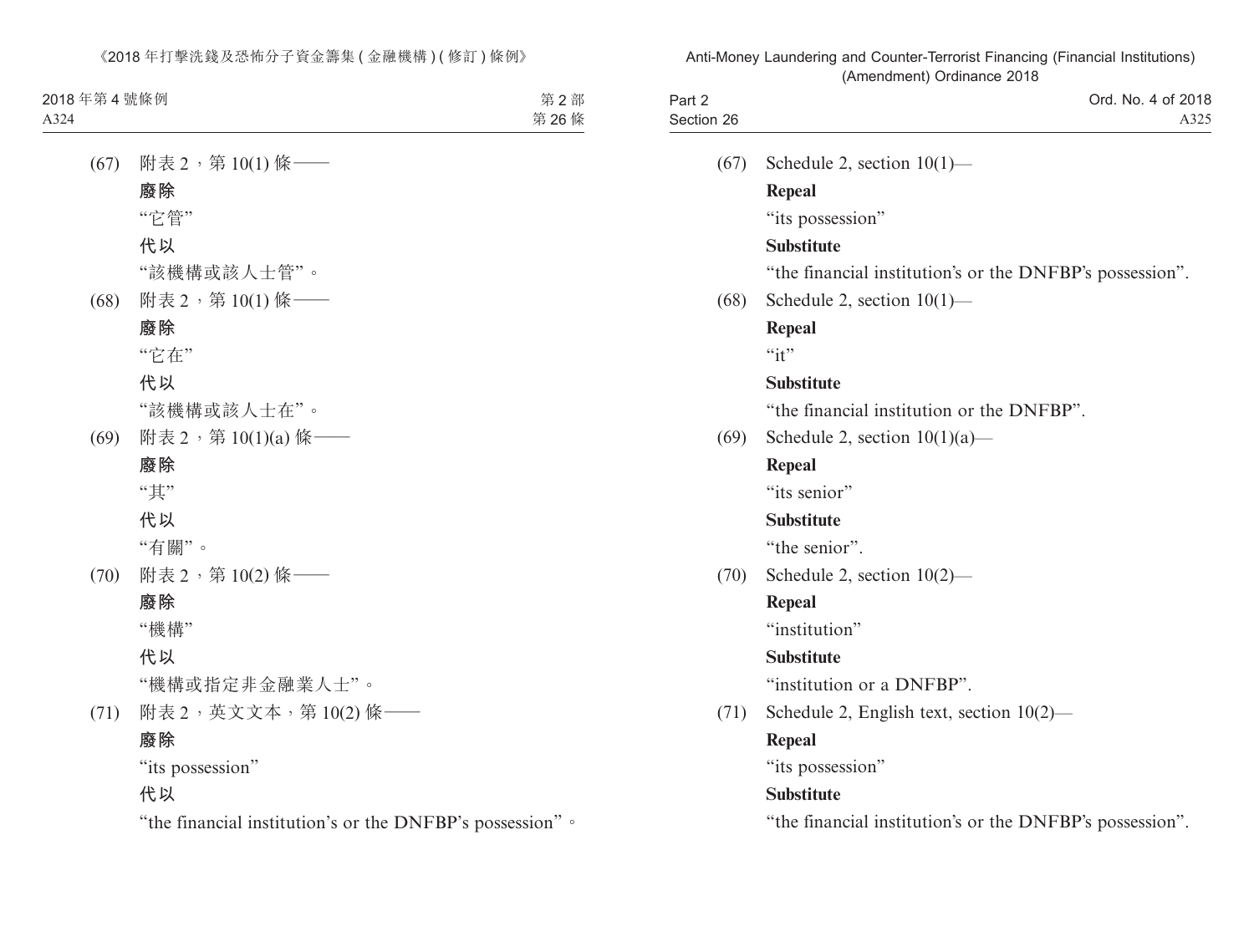| 2018年第4號條例<br>A324 |                            | 第2部<br>第26條 |
|--------------------|----------------------------|-------------|
|                    | (67) 附表 2 ,第 10(1) 條 ――    |             |
|                    | 廢除                         |             |
|                    | "它管"                       |             |
|                    | 代以                         |             |
|                    | "該機構或該人士管"。                |             |
|                    | (68) 附表 2,第10(1)條–         |             |
|                    | 廢除                         |             |
|                    | "它在"                       |             |
|                    | 代以                         |             |
|                    | "該機構或該人士在"。                |             |
|                    | (69) 附表 2, 第 10(1)(a) 條 —— |             |
|                    | 廢除                         |             |
|                    | "其"                        |             |
|                    | 代以                         |             |
|                    | "有關"。                      |             |
| (70)               | 附表 2 ,第 10(2) 條――          |             |
|                    | 廢除                         |             |
|                    | "機構"                       |             |
|                    | 代以                         |             |
|                    | "機構或指定非金融業人士"。             |             |
| (71)               | 附表 2, 英文文本, 第10(2)條––      |             |
|                    | 廢除                         |             |
|                    | "its possession"           |             |
|                    | 代以                         |             |
|                    |                            |             |

"the financial institution's or the DNFBP's possession"。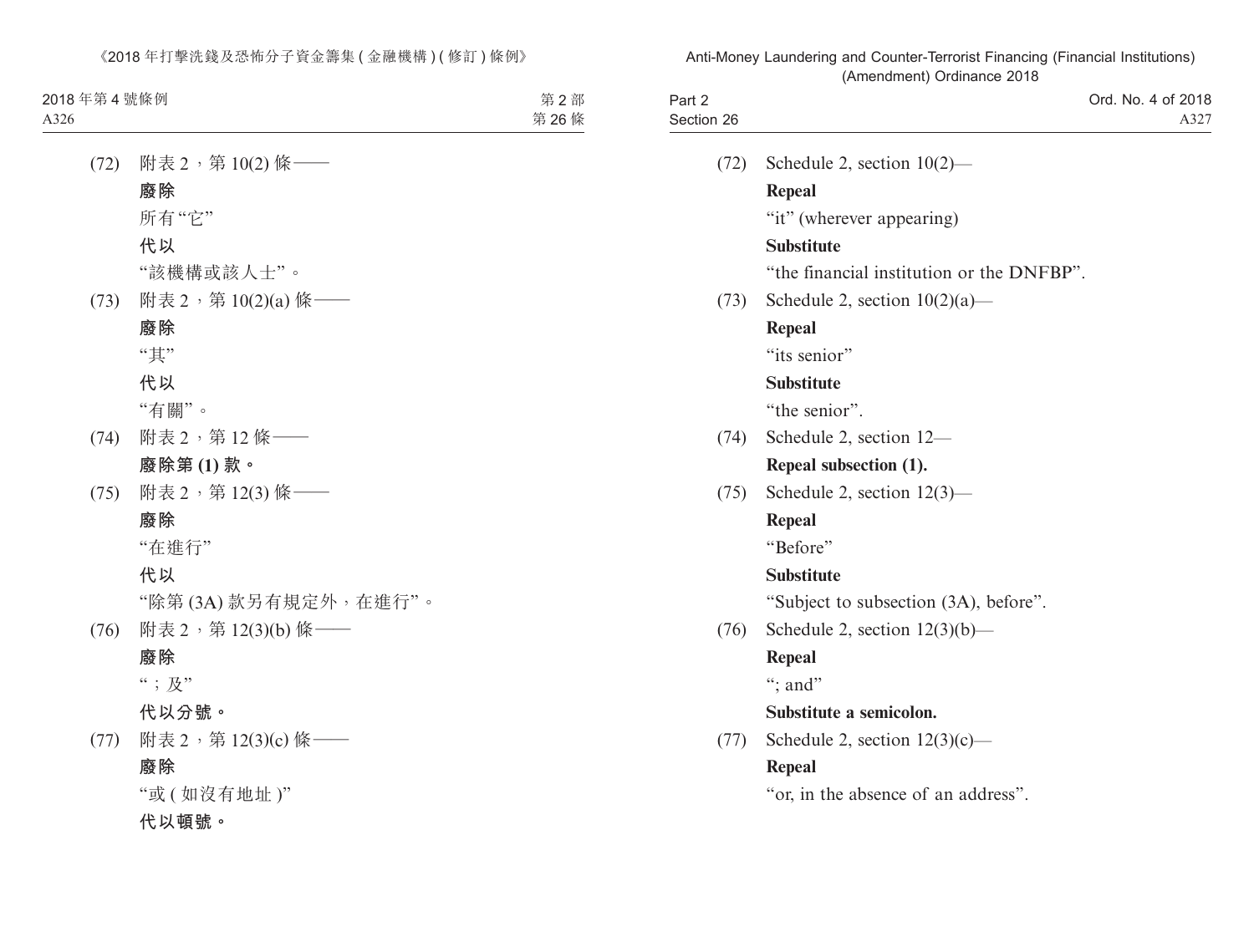| 2018年第4號條例<br>A326 |                         | 第2部<br>第26條 |
|--------------------|-------------------------|-------------|
|                    | (72) 附表 2,第10(2)條––     |             |
|                    | 廢除                      |             |
|                    | 所有"它"                   |             |
|                    | 代以                      |             |
|                    | "該機構或該人士"。              |             |
|                    | (73) 附表 2,第 10(2)(a)條—— |             |
|                    | 廢除                      |             |
|                    | "其"                     |             |
|                    | 代以                      |             |
|                    | "有關"。                   |             |
|                    | (74) 附表 2,第12條–         |             |
|                    | 廢除第(1)款。                |             |
|                    | (75) 附表 2,第12(3)條——     |             |
|                    | 廢除                      |             |
|                    | "在進行"                   |             |
|                    | 代以                      |             |
|                    | "除第(3A)款另有規定外,在進行"。     |             |
| (76)               | 附表 2,第12(3)(b)條––       |             |
|                    | 廢除                      |             |
|                    | ";及"                    |             |
|                    | 代以分號。                   |             |
|                    | (77) 附表 2,第12(3)(c)條––  |             |
|                    | 廢除                      |             |
|                    | "或(如沒有地址)"              |             |
|                    | 代以頓號。                   |             |
|                    |                         |             |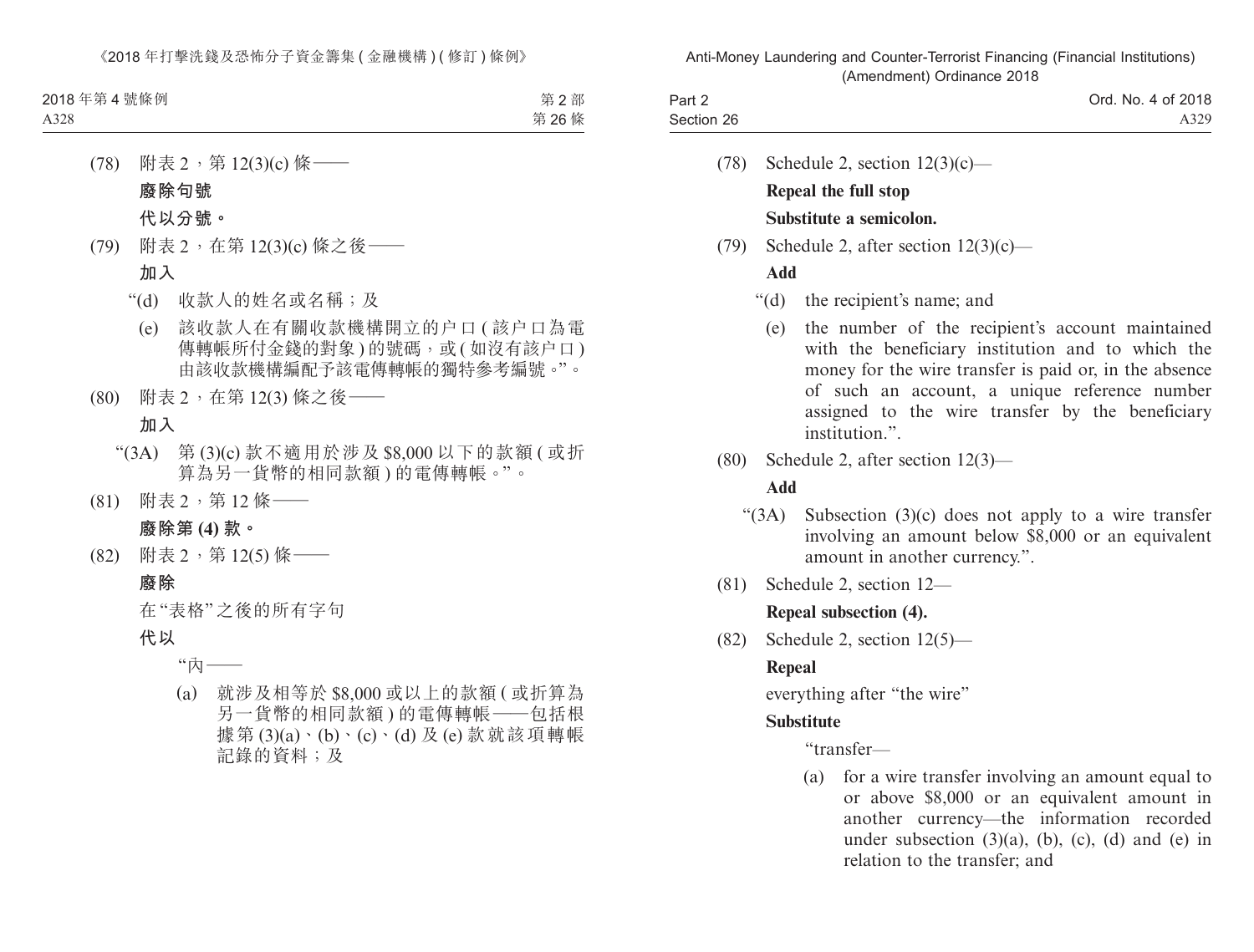| 2018年第4號條例 | 第2部  |
|------------|------|
| A328       | 第26條 |

- (78) 附表 2,第 12(3)(c) 條—— **廢除句號 代以分號。**
- (79) 附表 2,在第 12(3)(c) 條之後—— **加入**
	- "(d) 收款人的姓名或名稱;及
		- (e) 該收款人在有關收款機構開立的户口 ( 該户口為電 傳轉帳所付金錢的對象) 的號碼,或 (如沒有該户口) 由該收款機構編配予該電傳轉帳的獨特參考編號。"。
- (80) 附表 2,在第 12(3) 條之後——

### **加入**

- "(3A) 第 (3)(c) 款不適用於涉及 \$8,000 以下的款額 ( 或折 算為另一貨幣的相同款額 ) 的電傳轉帳。"。
- $(81)$  附表 2, 第 12 條 —— **廢除第 (4) 款。**
- (82) 附表 2,第 12(5)條–

#### **廢除**

在"表格"之後的所有字句

### **代以**

# "內——

(a) 就涉及相等於 \$8,000 或以上的款額 ( 或折算為 另一貨幣的相同款額 ) 的電傳轉帳——包括根 據第 (3)(a)、(b)、(c)、(d) 及 (e) 款就該項轉帳 記錄的資料;及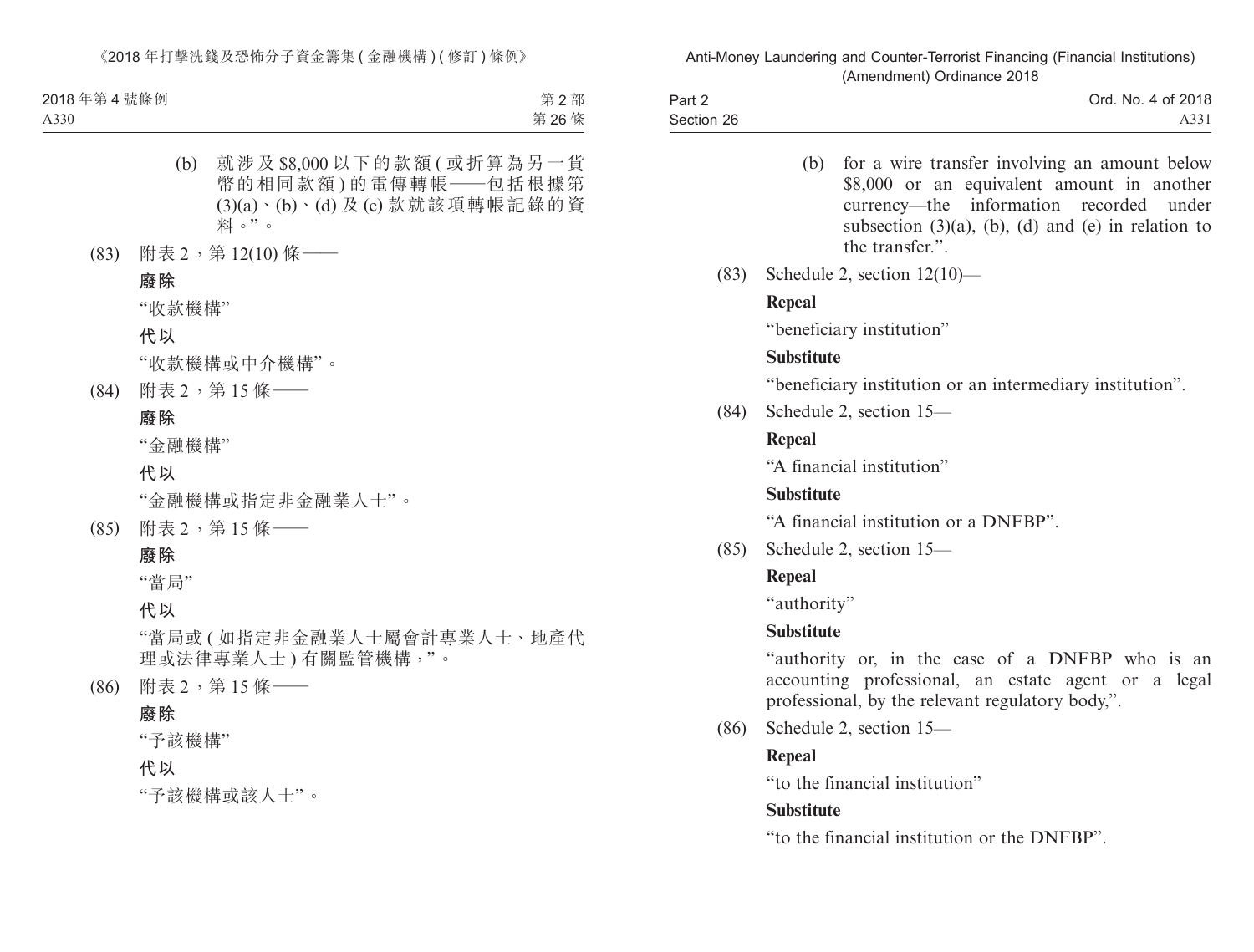第 2 部 第 26 條 2018 年第 4 號條例 A330

- (b) 就涉及 \$8,000 以下的款額 ( 或折算為另一貨 幣的相同款額 ) 的電傳轉帳——包括根據第  $(3)(a) \cdot (b) \cdot (d)$ 及 $(e)$ 款就該項轉帳記錄的資 料。"。
- (83) 附表 2,第 12(10)條–

### **廢除**

"收款機構"

#### **代以**

"收款機構或中介機構"。

(84) 附表 2,第 15條–

### **廢除**

"金融機構"

### **代以**

"金融機構或指定非金融業人士"。

(85) 附表 2,第 15 條——

#### **廢除**

"當局"

### **代以**

"當局或 ( 如指定非金融業人士屬會計專業人士、地產代 理或法律專業人士)有關監管機構,"。

(86) 附表 2, 第 15 條–

#### **廢除**

"予該機構"

**代以**

"予該機構或該人士"。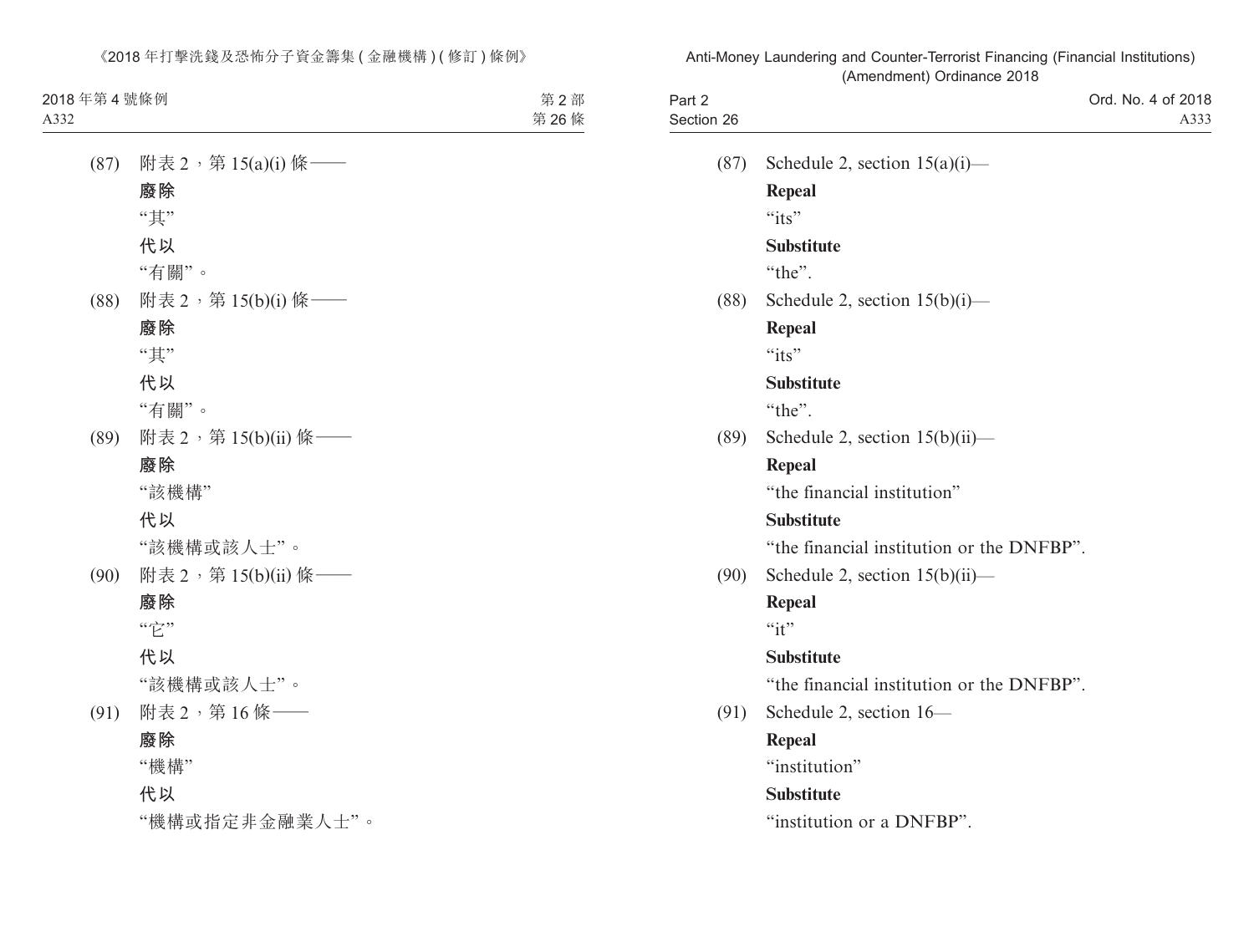| 2018年第4號條例<br>A332 |                        | 第2部<br>第26條 |
|--------------------|------------------------|-------------|
| (87)               | 附表 2, 第 15(a)(i) 條——   |             |
|                    | 廢除                     |             |
|                    | "其"                    |             |
|                    | 代以                     |             |
|                    | "有關"。                  |             |
| (88)               | 附表 2,第 15(b)(i) 條――    |             |
|                    | 廢除                     |             |
|                    | "其"                    |             |
|                    | 代以                     |             |
|                    | "有關"。                  |             |
| (89)               | 附表 2 ,第 15(b)(ii) 條 ―― |             |
|                    | 廢除                     |             |
|                    | "該機構"                  |             |
|                    | 代以                     |             |
|                    | "該機構或該人士"。             |             |
| (90)               | 附表 2,第15(b)(ii)條-      |             |
|                    | 廢除                     |             |
|                    | "它"                    |             |
|                    | 代以                     |             |
|                    | "該機構或該人士"。             |             |
| (91)               | 附表 2,第16條——            |             |
|                    | 廢除                     |             |
|                    | "機構"                   |             |
|                    | 代以                     |             |
|                    | "機構或指定非金融業人士"。         |             |
|                    |                        |             |
|                    |                        |             |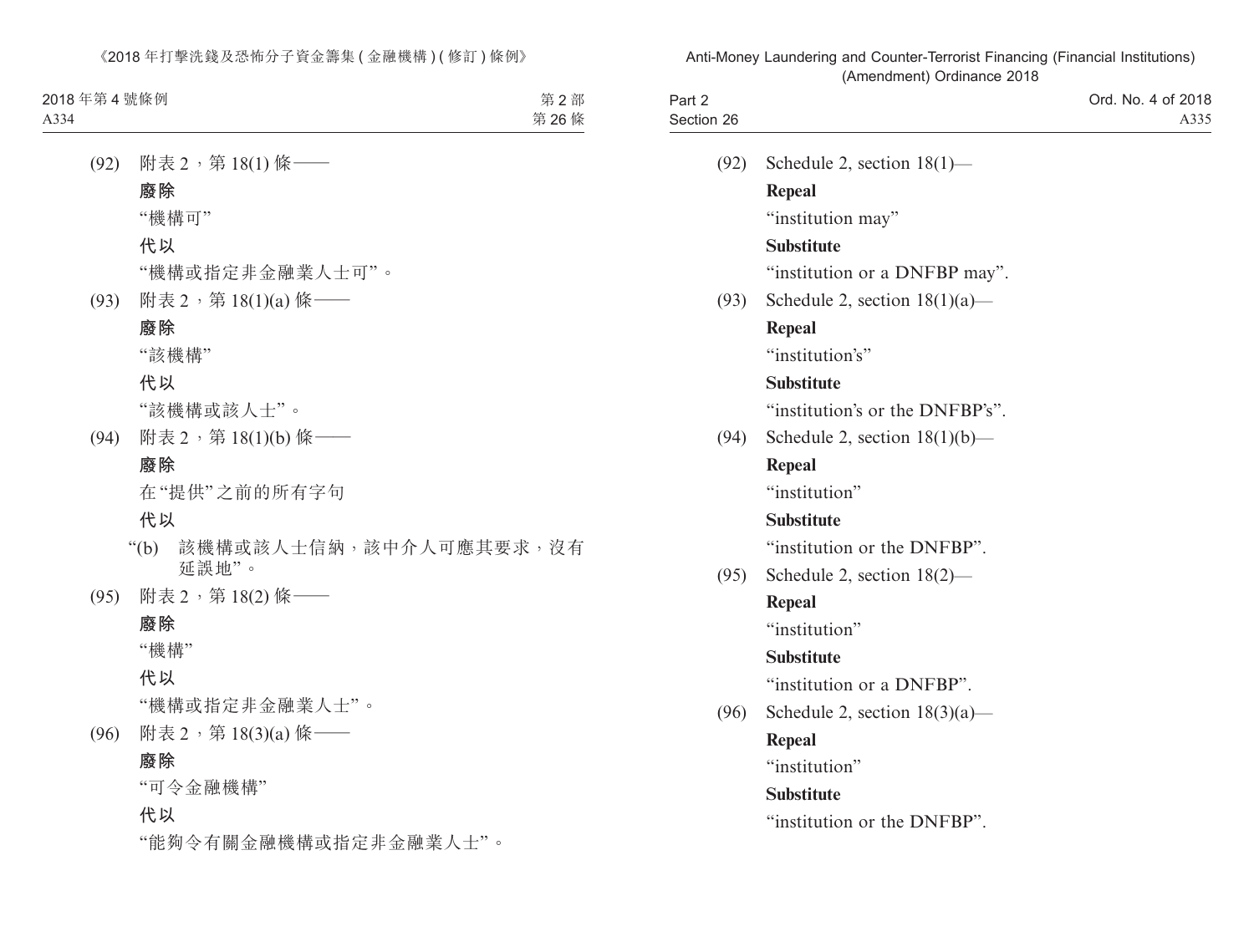| 2018年第4號條例 | 第2部  |
|------------|------|
| A334       | 第26條 |

- (92) 附表 2,第 18(1)條–
	- **廢除**

"機構可"

### **代以**

"機構或指定非金融業人士可"。

(93) 附表 2,第 18(1)(a) 條——

### **廢除**

"該機構"

### **代以**

"該機構或該人士"。

(94) 附表 2,第 18(1)(b) 條——

### **廢除**

在"提供"之前的所有字句

### **代以**

- "(b) 該機構或該人士信納,該中介人可應其要求,沒有 延誤地"。
- (95) 附表 2,第 18(2)條–

### **廢除**

"機構"

#### **代以**

"機構或指定非金融業人士"。

(96) 附表 2,第 18(3)(a) 條——

# **廢除**

"可令金融機構"

# **代以**

"能夠令有關金融機構或指定非金融業人士"。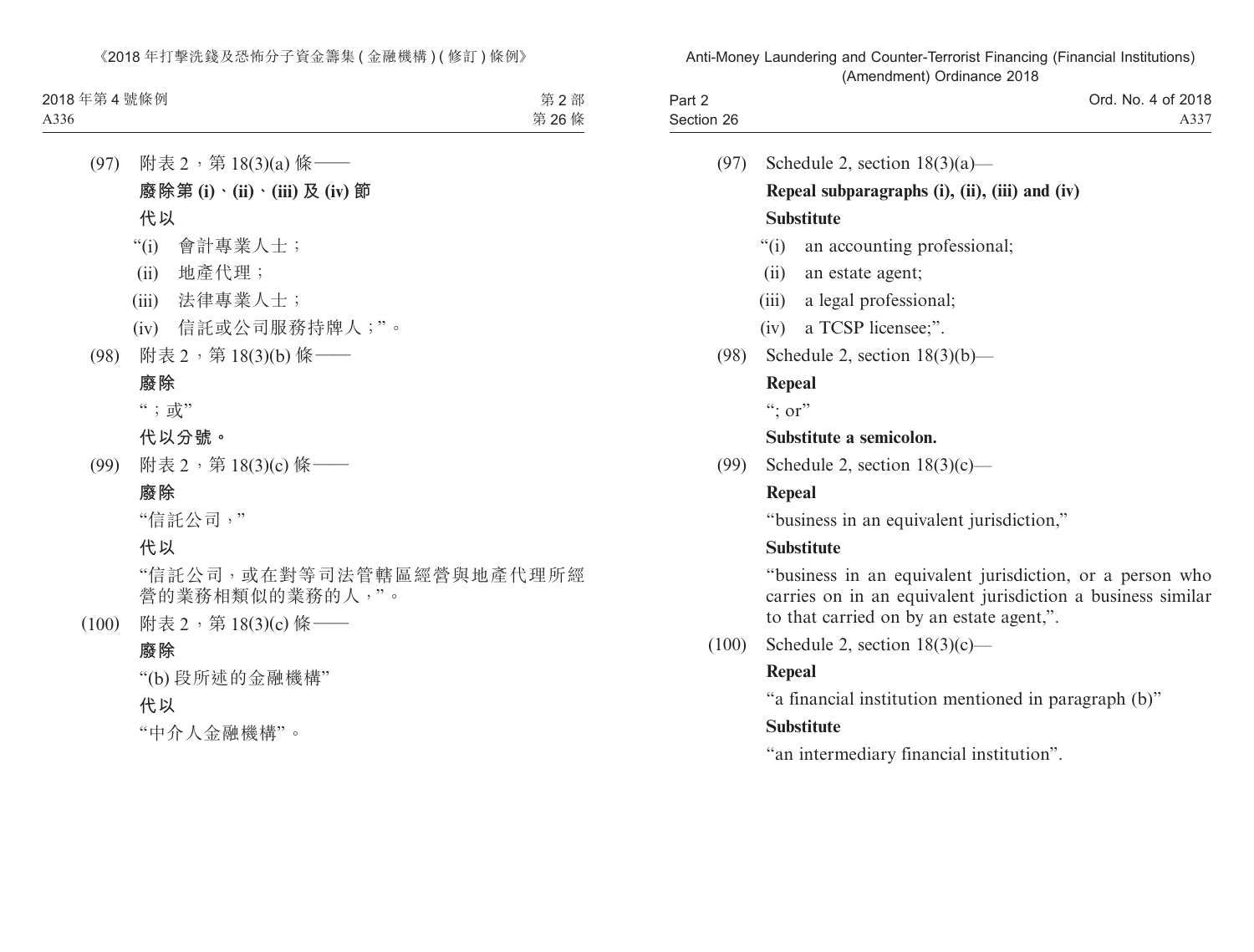| 2018年第4號條例 | 第2部  |
|------------|------|
| A336       | 第26條 |

- (97) 附表 2,第 18(3)(a) 條—— **廢除第 (i)、(ii)、(iii) 及 (iv) 節 代以**
	- "(i) 會計專業人士;
	- (ii) 地產代理;
	- (iii) 法律專業人士;
	- (iv) 信託或公司服務持牌人;"。
- (98) 附表 2,第 18(3)(b) 條——

# **廢除**

";或"

### **代以分號。**

(99) 附表 2,第 18(3)(c)條–

# **廢除**

"信託公司,"

### **代以**

"信託公司,或在對等司法管轄區經營與地產代理所經 營的業務相類似的業務的人,"。

(100) 附表 2,第 18(3)(c) 條——

### **廢除**

"(b) 段所述的金融機構"

### **代以**

"中介人金融機構"。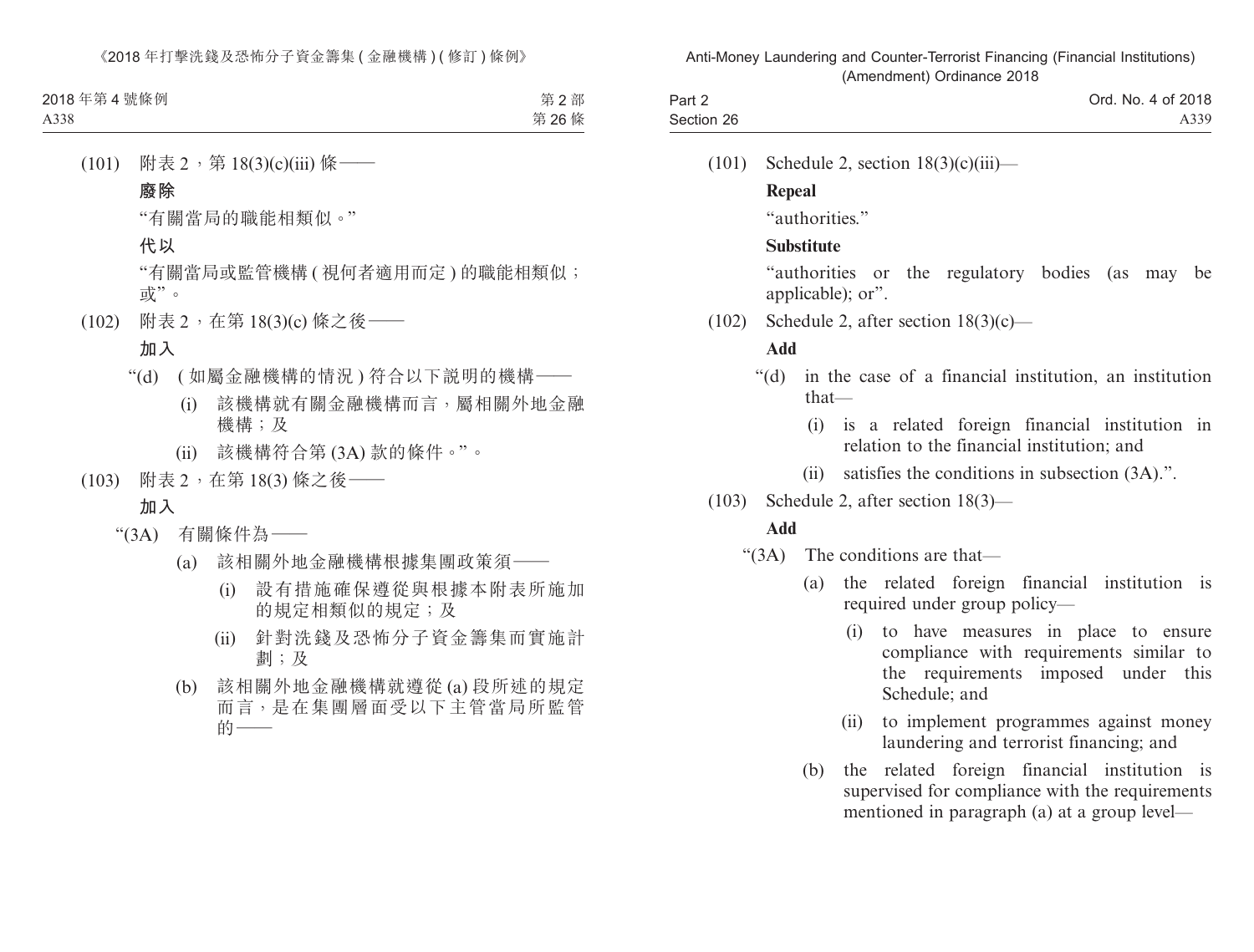| 2018年第4號條例 | 第2部  |
|------------|------|
| A338       | 第26條 |

 $(101)$  附表 2, 第 18(3)(c)(iii) 條——

### **廢除**

"有關當局的職能相類似。"

**代以**

"有關當局或監管機構 ( 視何者適用而定 ) 的職能相類似; 或"。

(102) 附表 2,在第 18(3)(c) 條之後——

# **加入**

- "(d) ( 如屬金融機構的情況 ) 符合以下說明的機構——
	- (i) 該機構就有關金融機構而言,屬相關外地金融 機構;及
	- (ii) 該機構符合第 (3A) 款的條件。"。
- (103) 附表 2,在第 18(3) 條之後——

### **加入**

- "(3A) 有關條件為——
	- (a) 該相關外地金融機構根據集團政策須——
		- (i) 設有措施確保遵從與根據本附表所施加 的規定相類似的規定;及
		- (ii) 針對洗錢及恐怖分子資金籌集而實施計 劃;及
	- (b) 該相關外地金融機構就遵從 (a) 段所述的規定 而言,是在集團層面受以下主管當局所監管 的 $-$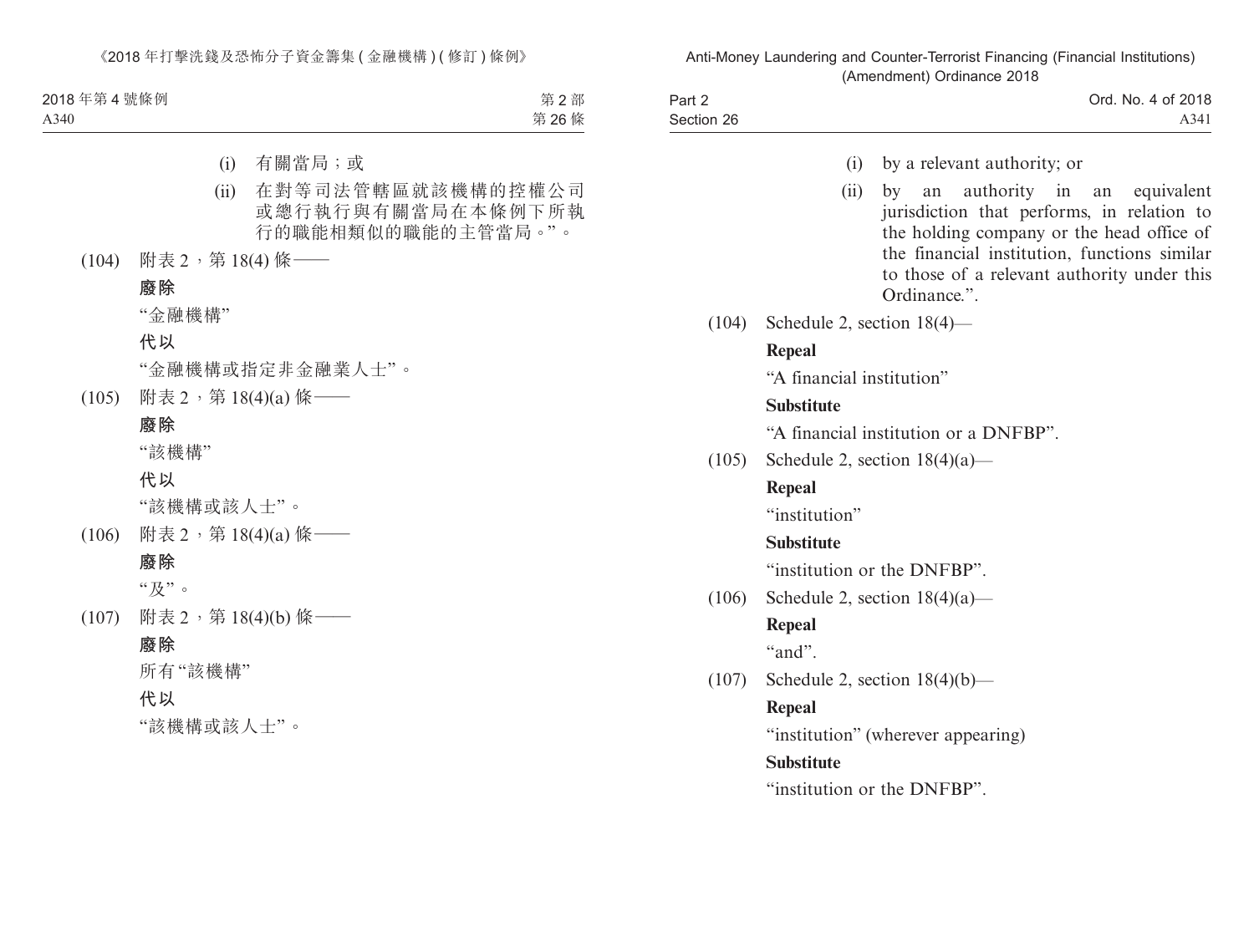第 2 部 第 26 條 2018 年第 4 號條例 A340

- (i) 有關當局;或
- (ii) 在對等司法管轄區就該機構的控權公司 或總行執行與有關當局在本條例下所執 行的職能相類似的職能的主管當局。"。
- (104) 附表 2,第 18(4)條–

#### **廢除**

"金融機構"

# **代以**

"金融機構或指定非金融業人士"。

(105) 附表 2,第 18(4)(a) 條——

# **廢除**

"該機構"

# **代以**

"該機構或該人士"。

 $(106)$  附表 2, 第 18(4)(a) 條一

# **廢除**

"及"。

(107) 附表 2,第 18(4)(b) 條——

# **廢除**

所有"該機構"

#### **代以**

"該機構或該人士"。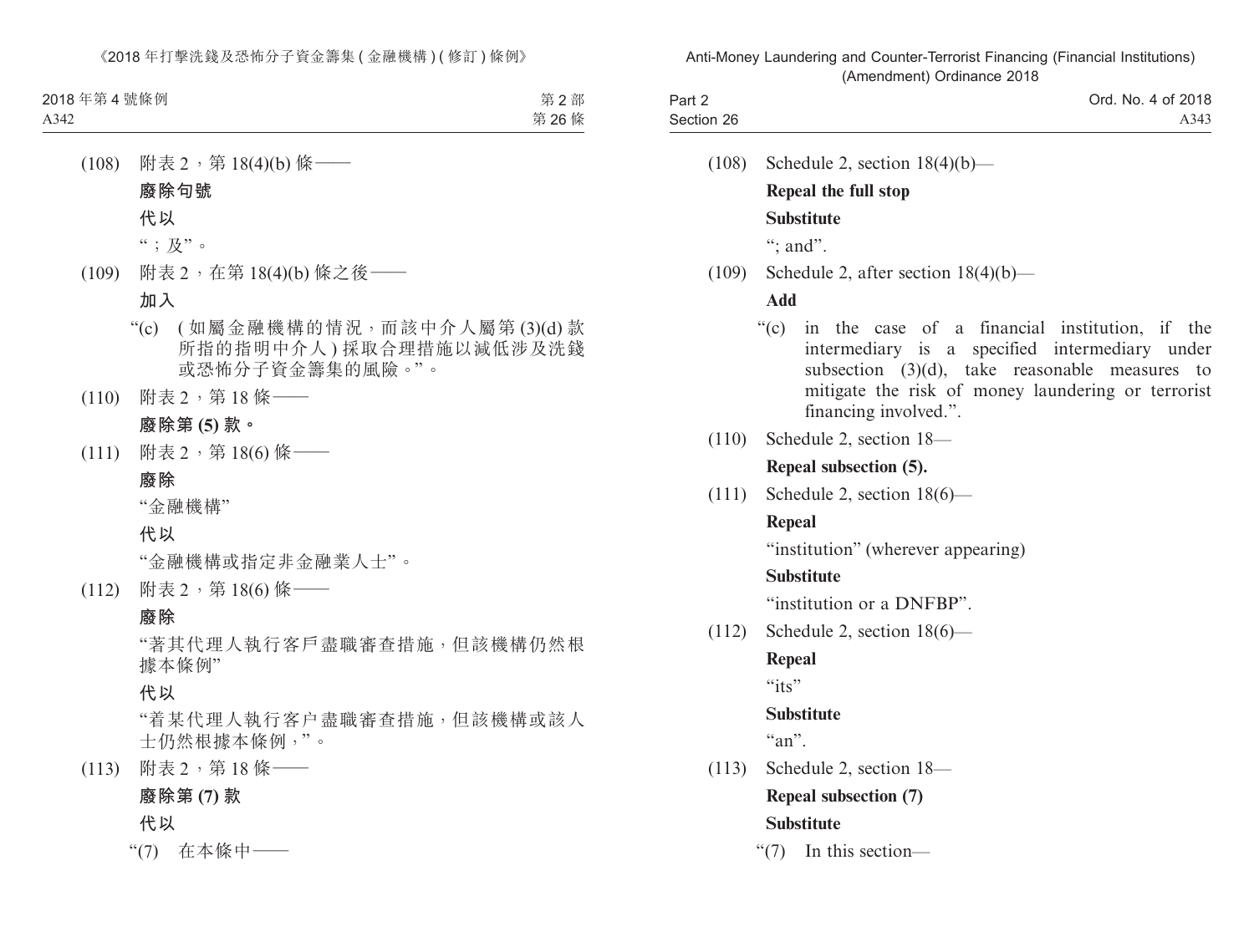| 2018年第4號條例 | 第2部  |
|------------|------|
| A342       | 第26條 |

| (108) 附表 2,第 18(4)(b) 條――      |
|--------------------------------|
| 廢除句號                           |
| 代以                             |
| ";及"。                          |
| (109) 附表 2,在第 18(4)(b) 條之後――   |
| 加入                             |
| "(c) (如屬金融機構的情況,而該中介人屬第(3)(d)。 |

- "(c) ( 如屬金融機構的情況,而該中介人屬第 (3)(d) 款 所指的指明中介人 ) 採取合理措施以減低涉及洗錢 或恐怖分子資金籌集的風險。"。
- (110) 附表 2,第 18條–

# **廢除第 (5) 款。**

(111) 附表 2,第 18(6)條–

# **廢除**

"金融機構"

# **代以**

"金融機構或指定非金融業人士"。

(112) 附表 2,第 18(6)條–

#### **廢除**

"著其代理人執行客戶盡職審查措施,但該機構仍然根 據本條例"

# **代以**

"着某代理人執行客户盡職審查措施,但該機構或該人 士仍然根據本條例,"。

(113) 附表 2,第 18條–

# **廢除第 (7) 款**

#### **代以**

"(7) 在本條中——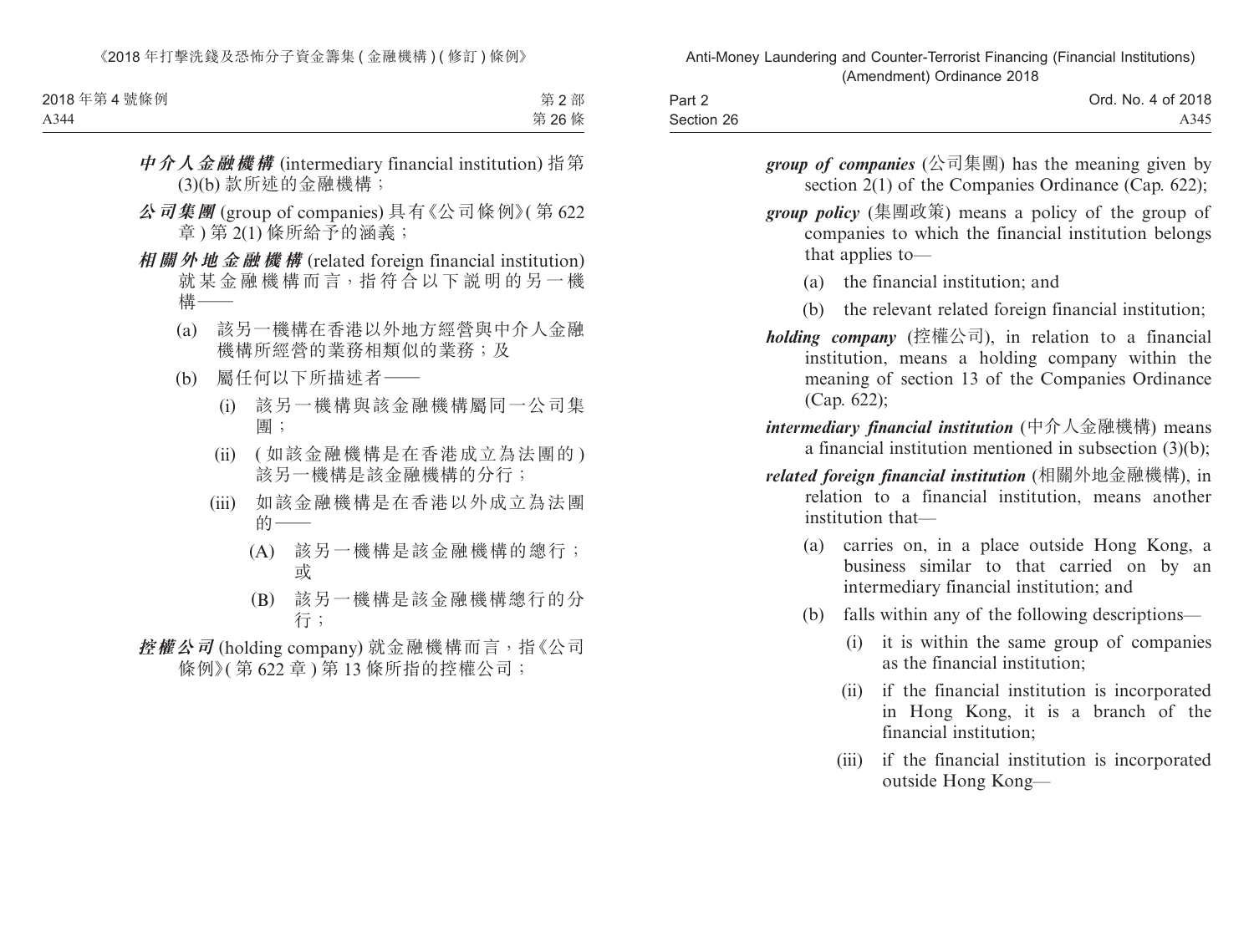| 2018年第4號條例 | 第2部  |
|------------|------|
| A344       | 第26條 |

- **中介人金融機構** (intermediary financial institution) 指第 (3)(b) 款所述的金融機構;
- **公司集團** (group of companies) 具有《公司條例》( 第 622 章 ) 第 2(1) 條所給予的涵義;
- **相關外地金融機構** (related foreign financial institution) 就 某 金 融 機 構 而 言,指 符 合 以 下 說 明 的 另 一 機 構——
	- (a) 該另一機構在香港以外地方經營與中介人金融 機構所經營的業務相類似的業務;及
	- (b) 屬任何以下所描述者——
		- (i) 該另一機構與該金融機構屬同一公司集 團;
		- (ii) ( 如該金融機構是在香港成立為法團的 ) 該另一機構是該金融機構的分行;
		- (iii) 如該金融機構是在香港以外成立為法團 的——
			- (A) 該另一機構是該金融機構的總行; 或
			- (B) 該另一機構是該金融機構總行的分 行;
- **控權公司** (holding company) 就金融機構而言,指《公司 條例》(第622章)第13條所指的控權公司;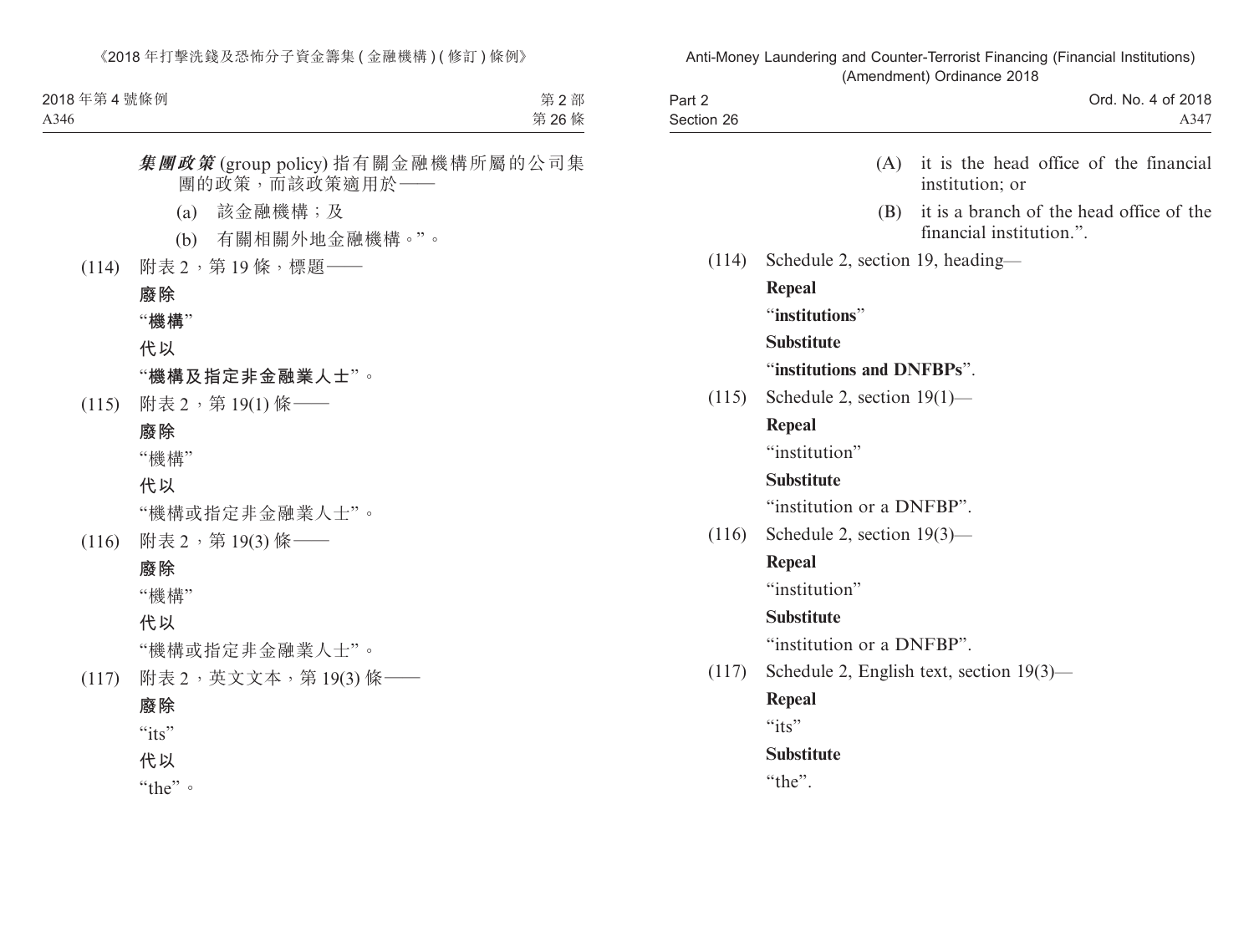| 2018年第4號條例 | 第2部  |
|------------|------|
| A346       | 第26條 |

**集團政策** (group policy) 指有關金融機構所屬的公司集 團的政策,而該政策適用於——

- (a) 該金融機構;及
- (b) 有關相關外地金融機構。"。
- (114) 附表 2,第 19 條,標題——

#### **廢除**

### "**機構**"

**代以**

#### "**機構及指定非金融業人士**"。

(115) 附表 2,第 19(1)條–

# **廢除**

"機構"

### **代以**

"機構或指定非金融業人士"。

(116) 附表 2,第 19(3)條 ——

#### **廢除**

"機構"

# **代以**

"機構或指定非金融業人士"。

(117) 附表 2, 英文文本, 第 19(3) 條––

### **廢除**

 $\alpha_{its}$ "

### **代以**

"the"。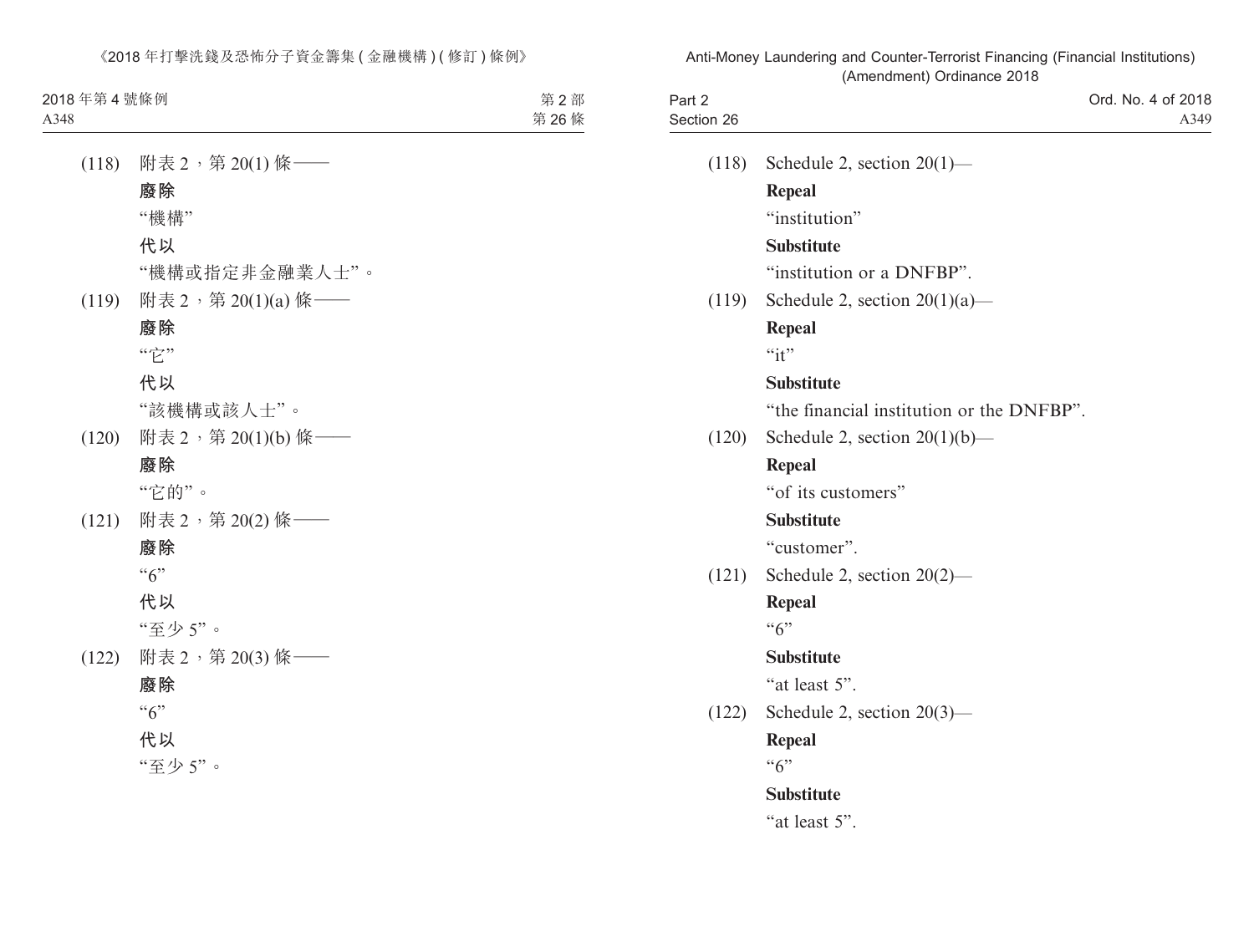| 2018年第4號條例<br>A348 |                              | 第2部<br>第26條 |
|--------------------|------------------------------|-------------|
|                    | $(118)$ 附表 2,第20(1)條 —       |             |
|                    | 廢除                           |             |
|                    | "機構"                         |             |
|                    | 代以                           |             |
|                    | "機構或指定非金融業人士"。               |             |
|                    | (119) 附表 2,第20(1)(a)條––      |             |
|                    | 廢除                           |             |
|                    | $``\overleftrightarrow{F}$ " |             |
|                    | 代以                           |             |
|                    | "該機構或該人士"。                   |             |
| (120)              | 附表 2,第 20(1)(b) 條——          |             |
|                    | 廢除                           |             |
|                    | "它的"。                        |             |
|                    | (121) 附表 2,第20(2)條––         |             |
|                    | 廢除                           |             |
|                    | ``6"                         |             |
|                    | 代以                           |             |
|                    | "至少5"。                       |             |
| (122)              | 附表 2 ,第 20(3) 條――            |             |
|                    | 廢除                           |             |
|                    | ``6"                         |             |
|                    | 代以                           |             |
|                    | "至少5"。                       |             |
|                    |                              |             |
|                    |                              |             |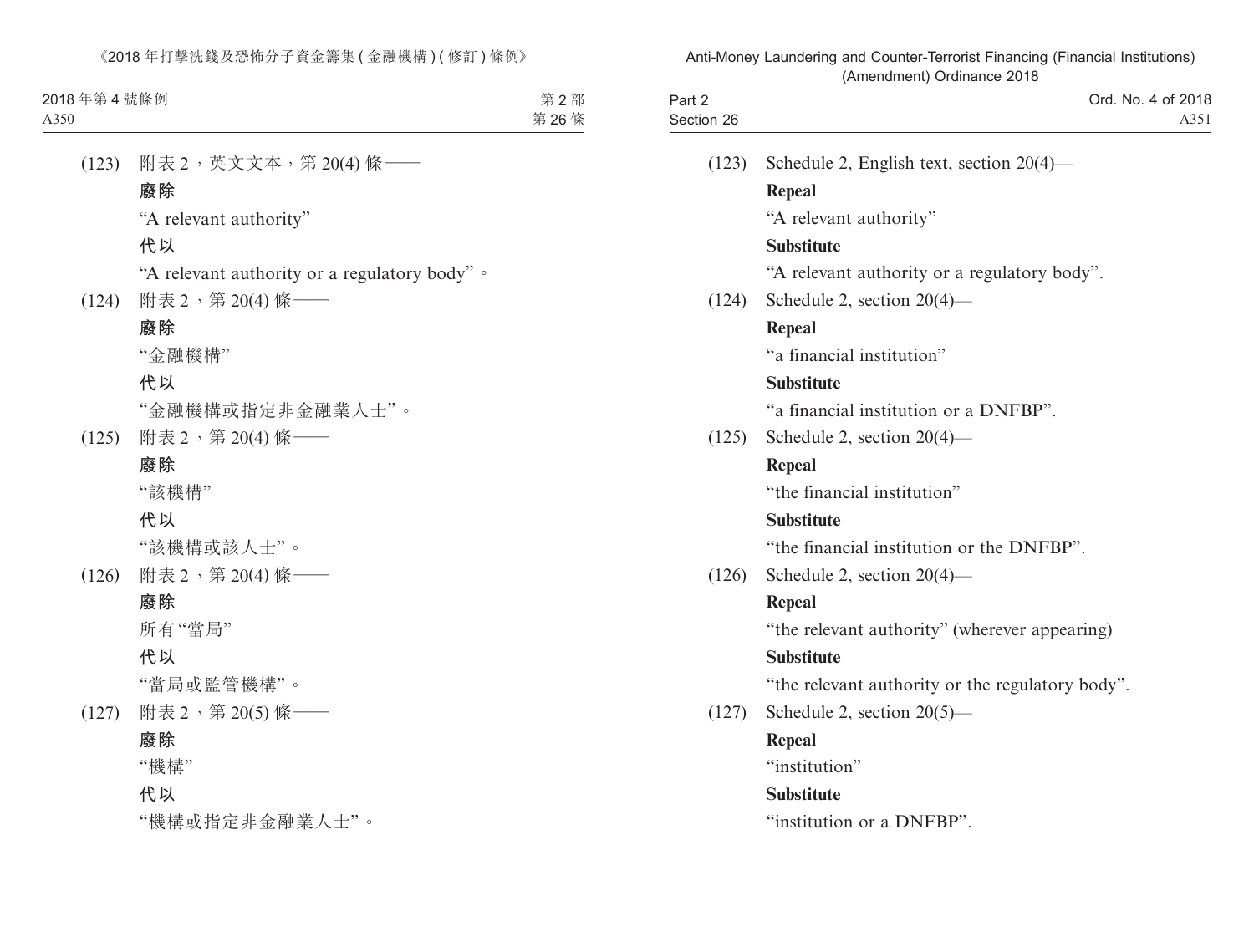| 2018年第4號條例 | 第2部   |
|------------|-------|
| A350       | 第 26條 |
|            |       |

| (123) 附表 2,英文文本,第20(4)條——                     |
|-----------------------------------------------|
| 廢除                                            |
| "A relevant authority"                        |
| 代以                                            |
| "A relevant authority or a regulatory body" . |
| (124) 附表 2,第20(4)條––                          |
| 廢除                                            |
| "金融機構"                                        |
| 代以                                            |
| "金融機構或指定非金融業人士"。                              |
| (125) 附表 2,第 20(4)條——                         |
| 廢除                                            |
| "該機構"                                         |
| 代以                                            |
| "該機構或該人士"。                                    |
| (126) 附表 2,第20(4)條––                          |
| 廢除                                            |
| 所有"當局"                                        |
| 代以                                            |
| "當局或監管機構"。                                    |
| (127) 附表 2,第20(5)條–                           |
| 廢除                                            |
| "機構"                                          |
| 代以                                            |
| "機構或指定非金融業人士"。                                |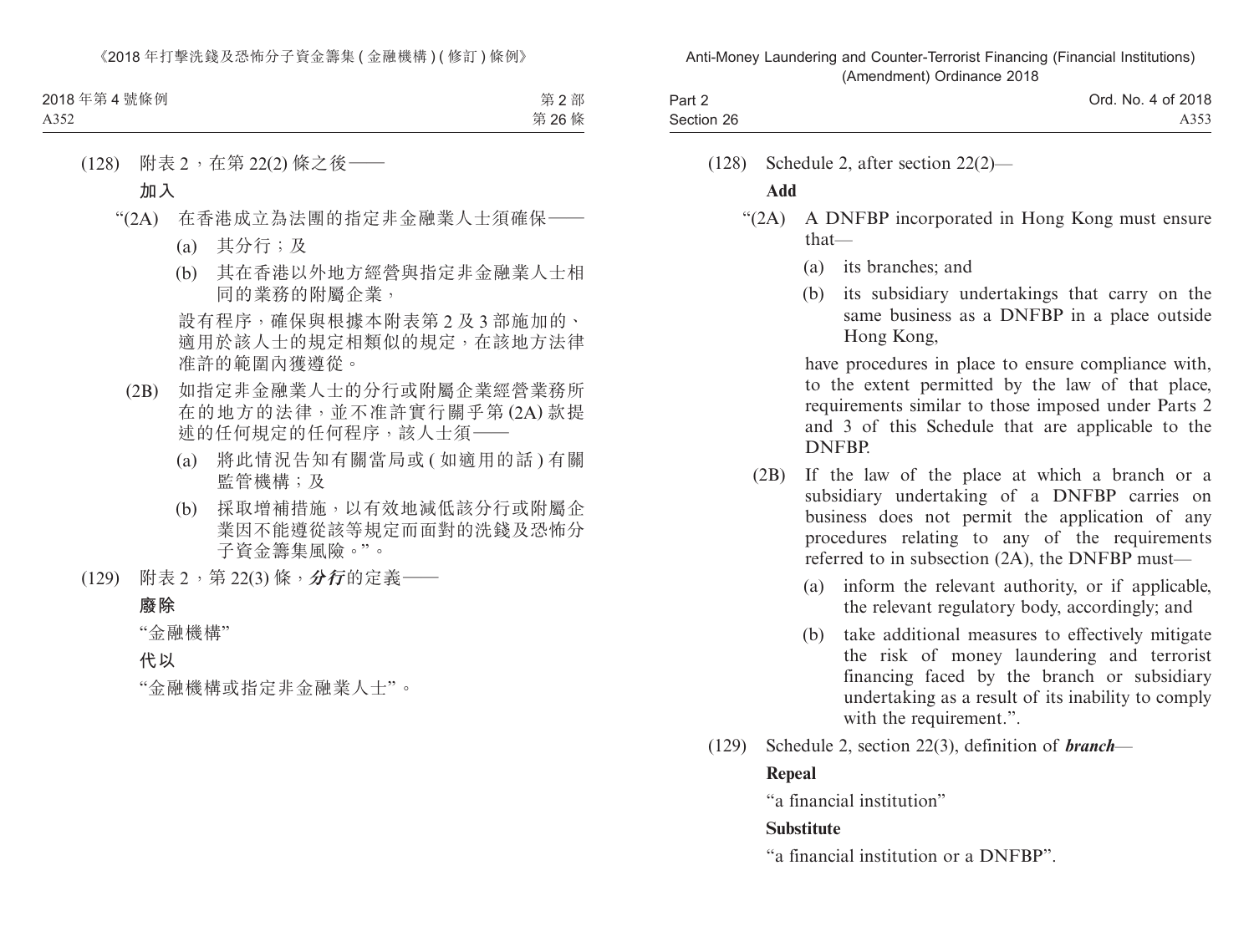| 2018年第4號條例 | 第2部  |
|------------|------|
| A352       | 第26條 |

(128) 附表 2,在第 22(2) 條之後——

# **加入**

- "(2A) 在香港成立為法團的指定非金融業人士須確保——
	- (a) 其分行;及
	- (b) 其在香港以外地方經營與指定非金融業人士相 同的業務的附屬企業,

設有程序,確保與根據本附表第 2 及 3 部施加的、 適用於該人士的規定相類似的規定,在該地方法律 准許的範圍內獲遵從。

- (2B) 如指定非金融業人士的分行或附屬企業經營業務所 在的地方的法律,並不准許實行關乎第 (2A) 款提 述的任何規定的任何程序,該人士須——
	- (a) 將此情況告知有關當局或 ( 如適用的話 ) 有關 監管機構;及
	- (b) 採取增補措施,以有效地減低該分行或附屬企 業因不能遵從該等規定而面對的洗錢及恐怖分 子資金籌集風險。"。
- (129) 附表 2,第 22(3) 條,**分行**的定義——

#### **廢除**

"金融機構"

### **代以**

"金融機構或指定非金融業人士"。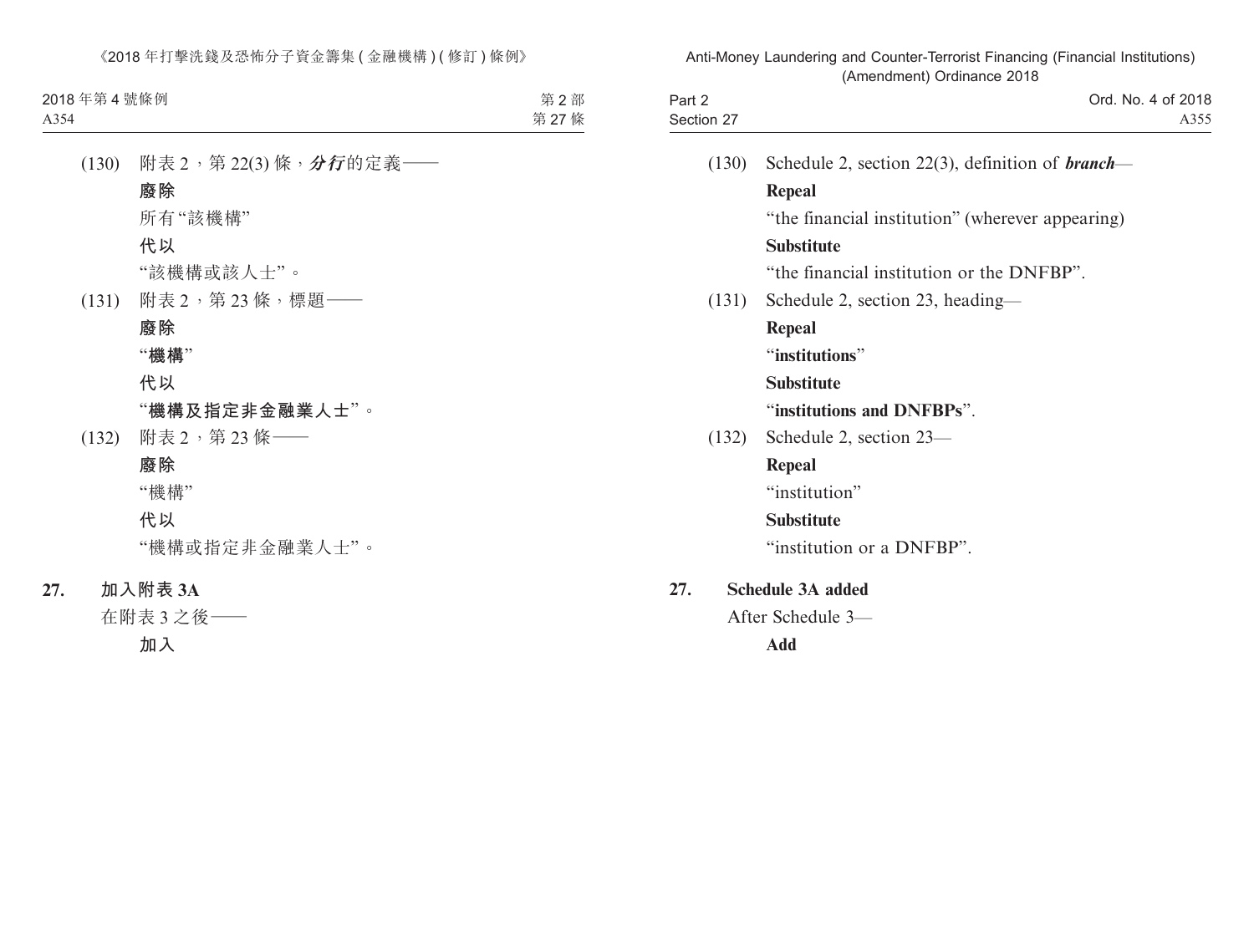| 2018年第4號條例 | 第2部  |
|------------|------|
| A354       | 第27條 |

| (130) 附表 2,第 22(3) 條, 分行的定義–– |
|-------------------------------|
| 廢除                            |
| 所有"該機構"                       |
| 代以                            |
| "該機構或該人士"。                    |
| (131) 附表 2,第23條,標題——          |
|                               |

# **廢除**

### "**機構**"

**代以**

# "**機構及指定非金融業人士**"。

(132) 附表 2,第 23 條——

# **廢除**

"機構"

**代以**

"機構或指定非金融業人士"。

**27. 加入附表 3A**

在附表 3 之後——

**加入**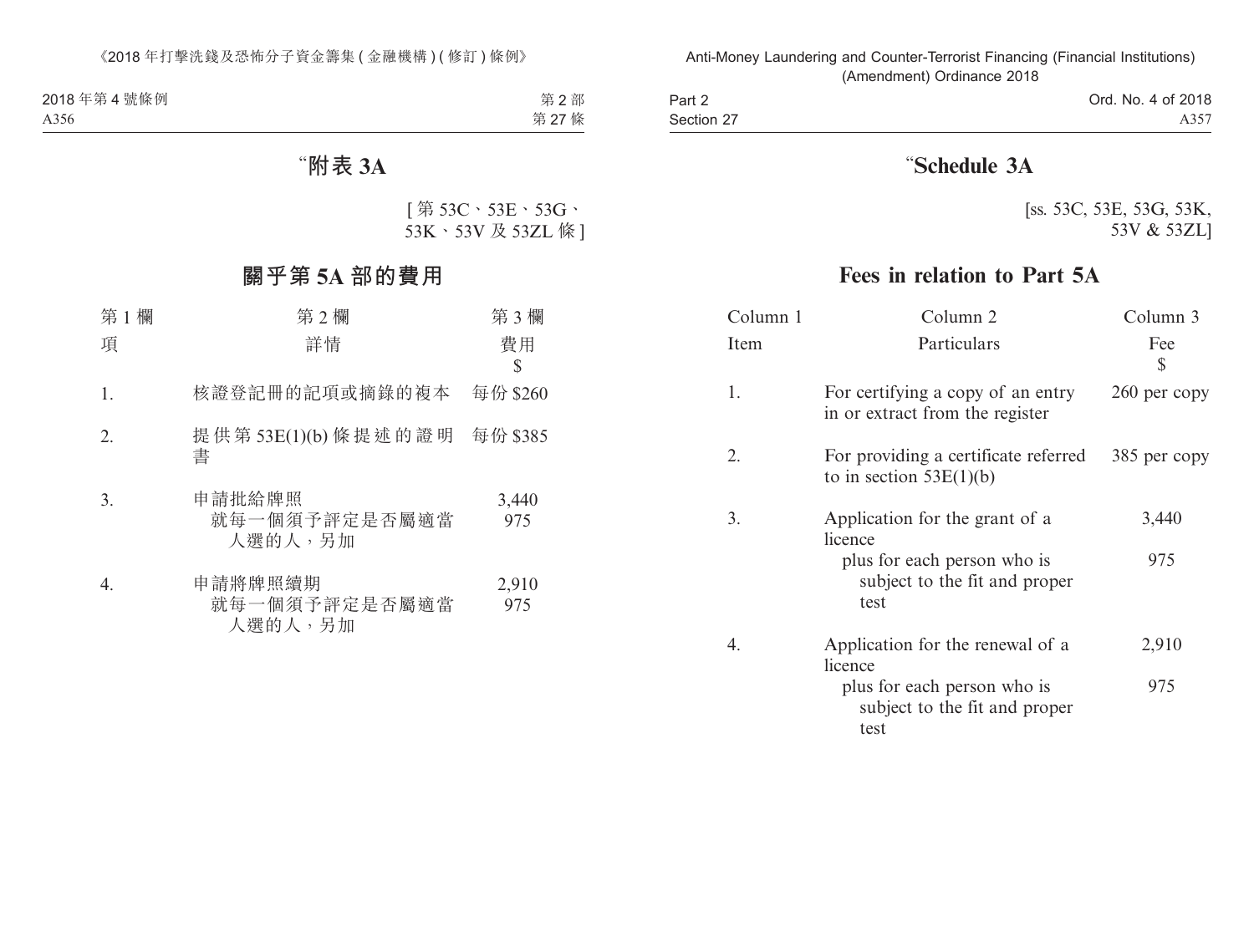| 2018年第4號條例 | 第2部  |
|------------|------|
| A356       | 第27條 |

# "**附表 3A**

[ 第 53C、53E、53G、 53K、53V 及 53ZL 條 ]

# **關乎第 5A 部的費用**

| 第1欄 | 第2欄                                 | 第3欄          |
|-----|-------------------------------------|--------------|
| 項   | 詳情                                  | 費用<br>S      |
| 1.  | 核證登記冊的記項或摘錄的複本                      | 每份 \$260     |
| 2.  | 提供第 53E(1)(b) 條提述的證明<br>書           | 每份 \$385     |
| 3.  | 申請批給牌照<br>就每一個須予評定是否屬適當<br>人選的人,另加  | 3,440<br>975 |
| 4.  | 申請將牌照續期<br>就每一個須予評定是否屬適當<br>人選的人,另加 | 2,910<br>975 |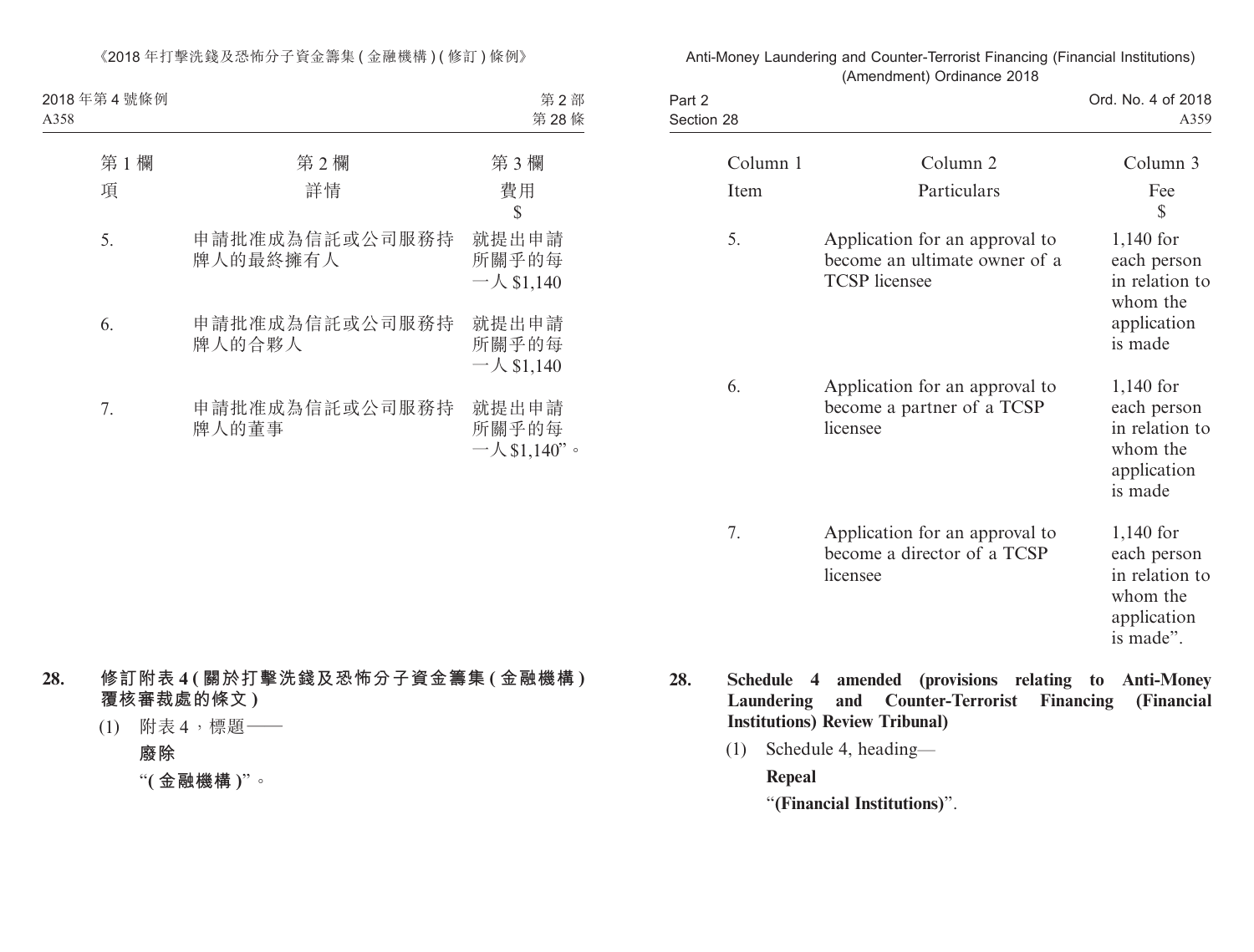| 2018年第4號條例<br>A358 | 第2部<br>第28條                |                                               |
|--------------------|----------------------------|-----------------------------------------------|
| 第1欄                | 第2欄                        | 第3欄                                           |
| 項                  | 詳情                         | 費用<br>\$                                      |
| 5.                 | 申請批准成為信託或公司服務持<br>牌人的最終擁有人 | 就提出申請<br>所關乎的每<br>$-\lambda$ \$1,140          |
| 6.                 | 申請批准成為信託或公司服務持<br>牌人的合夥人   | 就提出申請<br>所關乎的每<br>$-\lambda$ \$1,140          |
| 7.                 | 申請批准成為信託或公司服務持<br>牌人的董事    | 就提出申請<br>所關乎的每<br>$-\lambda$ \$1,140" $\circ$ |

**28. 修訂附表 4 ( 關於打擊洗錢及恐怖分子資金籌集 ( 金融機構 ) 覆核審裁處的條文 )**

(1) 附表 4,標題——

**廢除**

"**( 金融機構 )**"。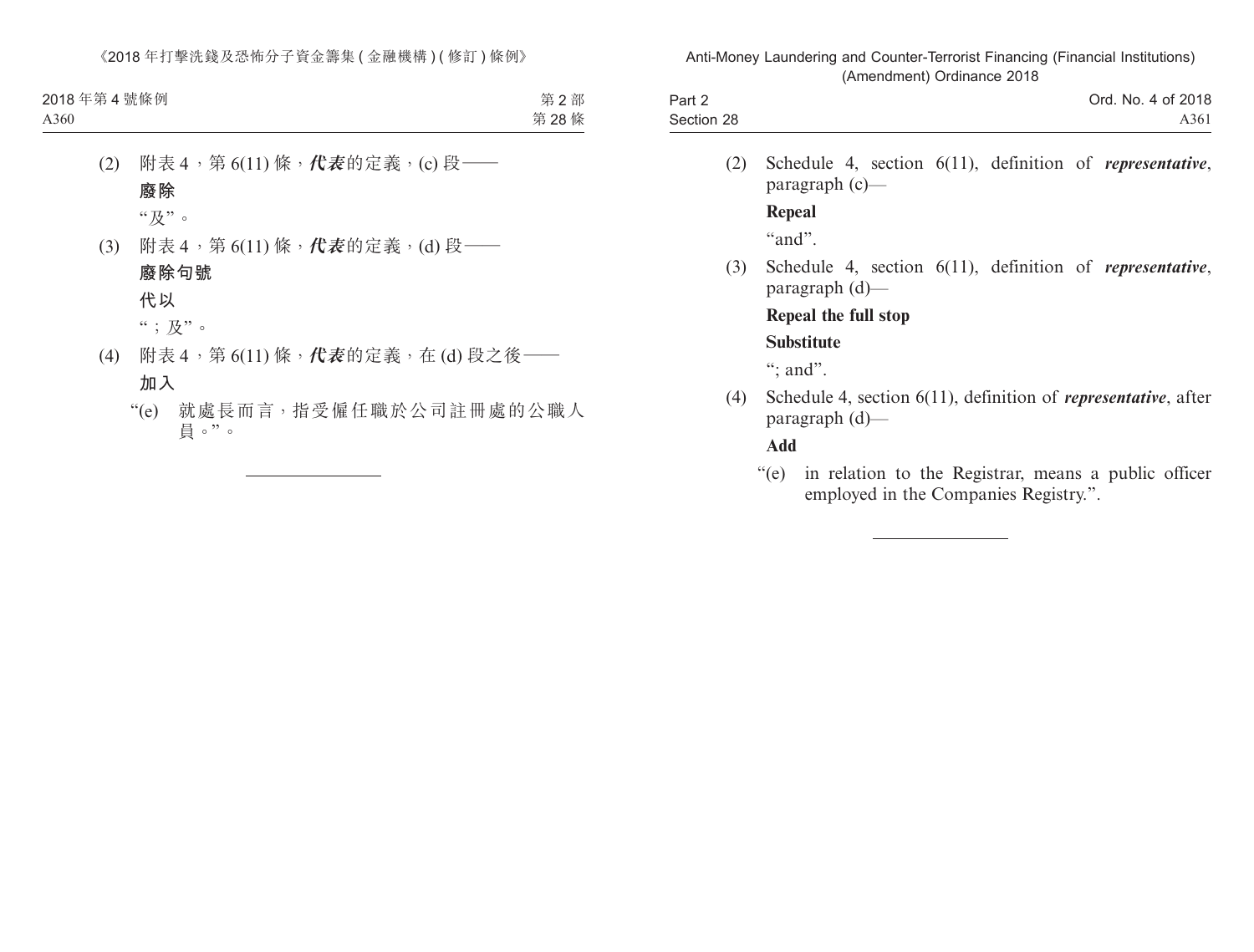第 2 部 第 28 條 2018 年第 4 號條例 A360

- (2) 附表 4,第 6(11) 條,**代表**的定義,(c) 段—— **廢除** "及"。
- (3) 附表 4,第 6(11) 條,**代表**的定義,(d) 段—— **廢除句號 代以**

";及"。

- (4) 附表 4,第 6(11) 條,**代表**的定義,在 (d) 段之後—— **加入**
	- "(e) 就處長而言,指受僱任職於公司註冊處的公職人 員。"。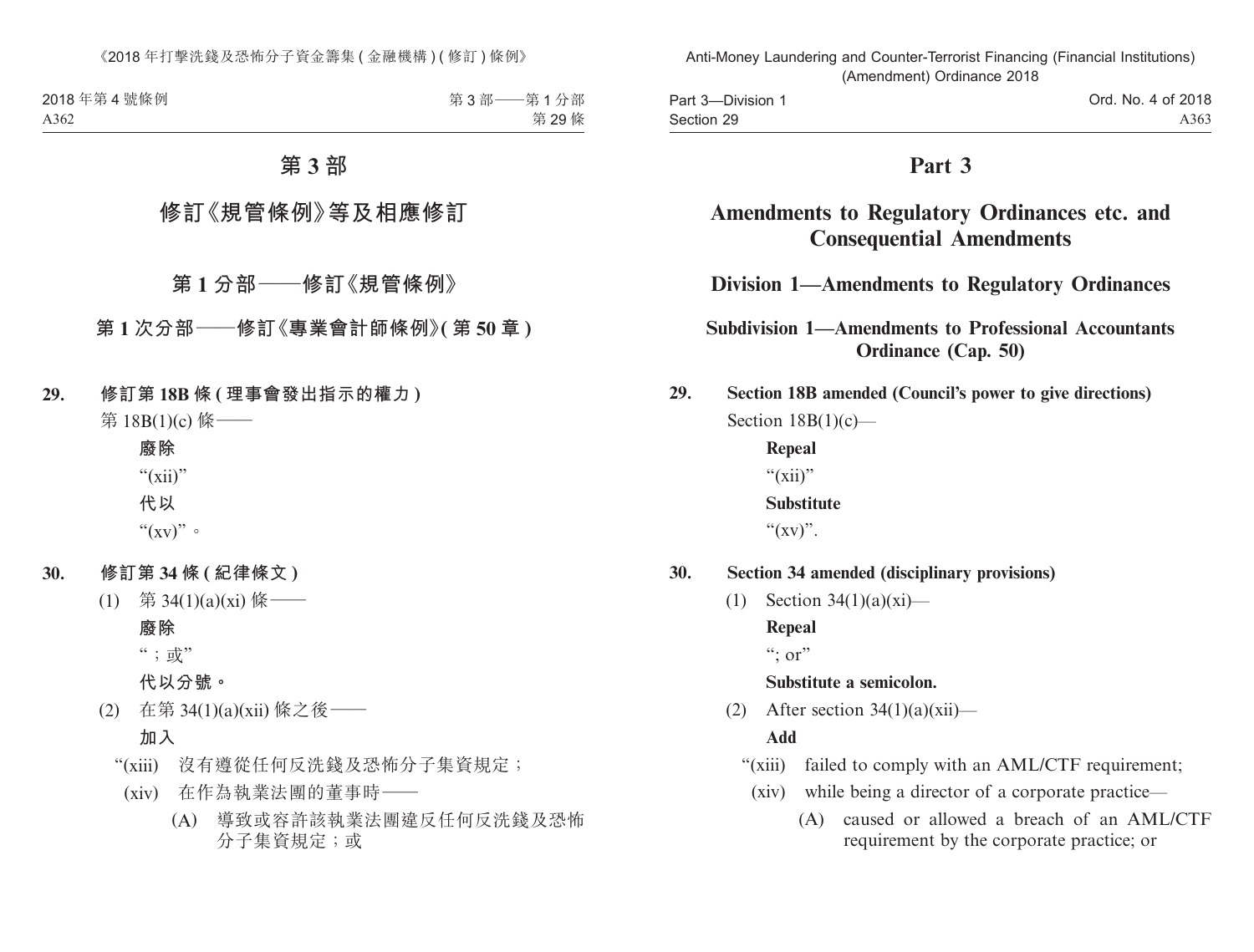第 3 部——第 1 分部 第 29 條 2018 年第 4 號條例 A362

# **第 3 部**

# **修訂《規管條例》等及相應修訂**

**第 1 分部——修訂《規管條例》**

**第 1 次分部——修訂《專業會計師條例》( 第 50 章 )**

**29. 修訂第 18B 條 ( 理事會發出指示的權力 )**

第 18B(1)(c) 條——

- **廢除** " $(xii)$ " **代以** " $(xv)$ "
- **30. 修訂第 34 條 ( 紀律條文 )**
	- $(1)$  第 34(1)(a)(xi) 條 ——

**廢除**

";或"

**代以分號。**

(2) 在第 34(1)(a)(xii) 條之後——

# **加入**

- "(xiii) 沒有遵從任何反洗錢及恐怖分子集資規定;
- (xiv) 在作為執業法團的董事時——
	- (A) 導致或容許該執業法團違反任何反洗錢及恐怖 分子集資規定;或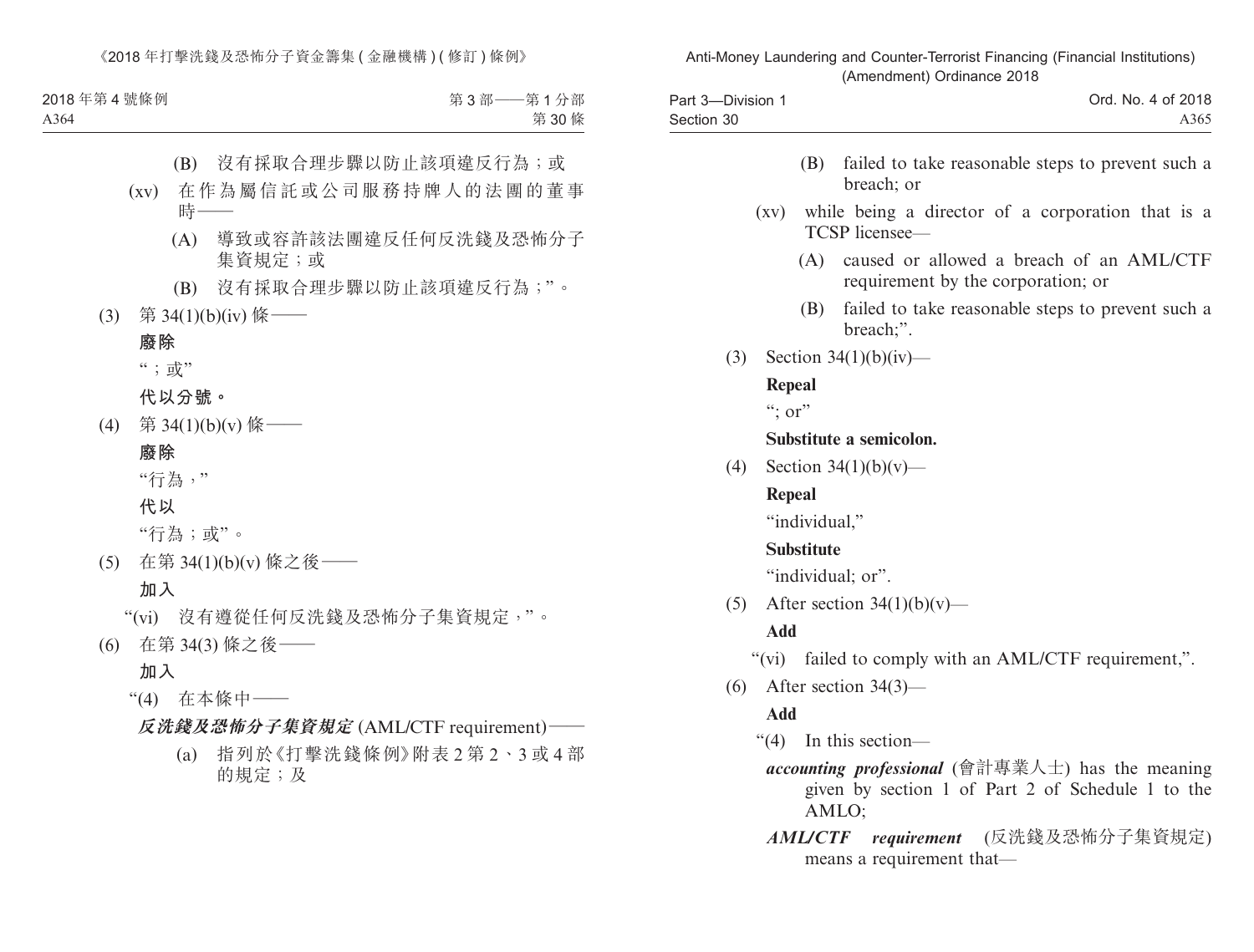第 3 部——第 1 分部 第 30 條 2018 年第 4 號條例 A364

- (B) 沒有採取合理步驟以防止該項違反行為;或
- (xv) 在作為屬信託或公司服務持牌人的法團的董事 時——
	- (A) 導致或容許該法團違反任何反洗錢及恐怖分子 集資規定;或
	- (B) 沒有採取合理步驟以防止該項違反行為;"。
- (3) 第 34(1)(b)(iv) 條——

# **廢除**

";或"

**代以分號。**

(4) 第 34(1)(b)(v) 條——

#### **廢除**

"行為,"

**代以**

"行為;或"。

(5) 在第 34(1)(b)(v) 條之後——

### **加入**

"(vi) 沒有遵從任何反洗錢及恐怖分子集資規定,"。

(6) 在第 34(3) 條之後——

# **加入**

"(4) 在本條中——

# **反洗錢及恐怖分子集資規定** (AML/CTF requirement)——

(a) 指列於《打擊洗錢條例》附表 2 第 2、3 或 4 部 的規定;及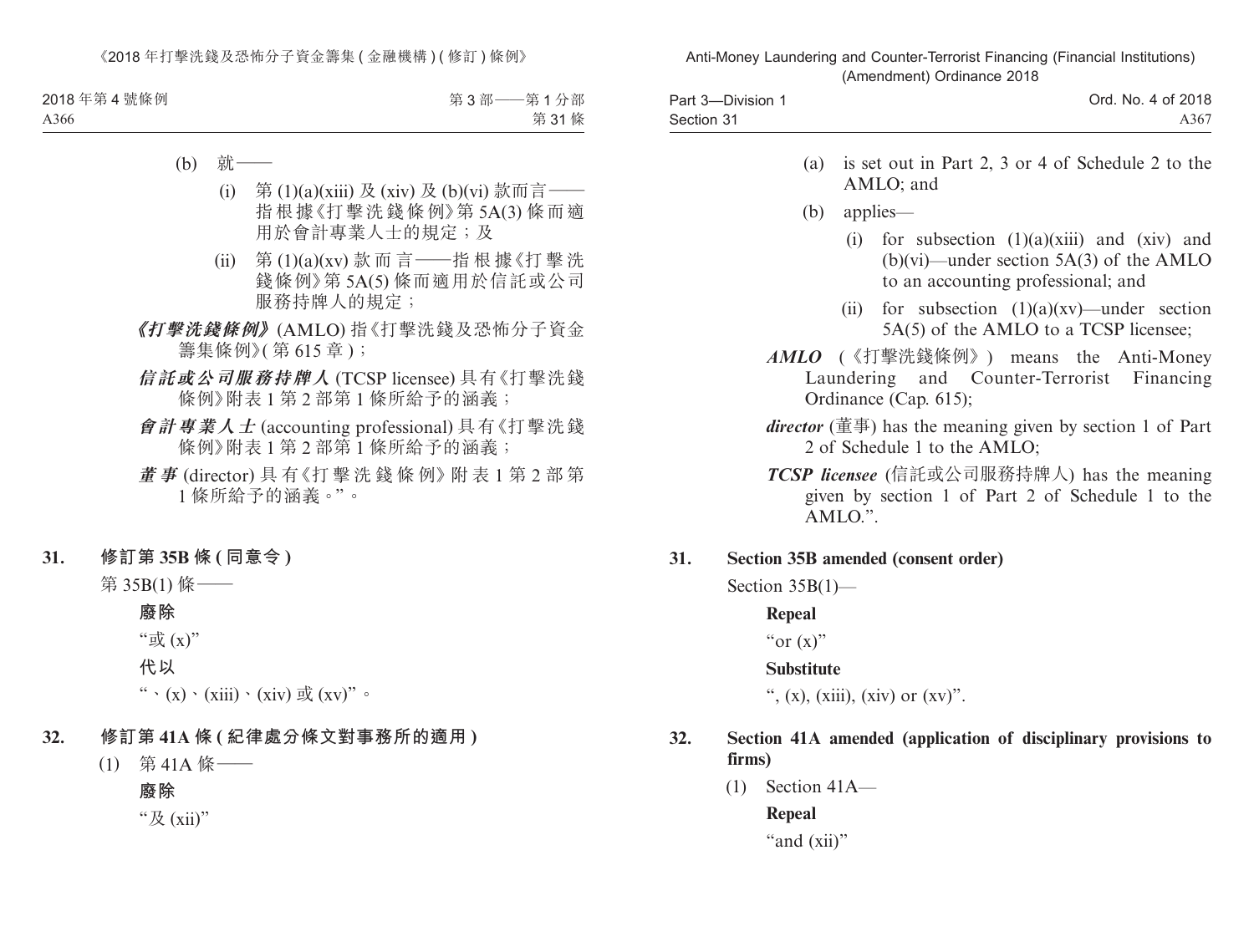| 2018年第4號條例 | 第3部——第1分部 |
|------------|-----------|
| A366       | 第31條      |

- (b) 就——
	- (i) 第 (1)(a)(xiii) 及 (xiv) 及 (b)(vi) 款而言—— 指根據《打擊洗錢條例》第 5A(3) 條而適 用於會計專業人士的規定;及
	- (ii) 第 (1)(a)(xv) 款 而 言——指 根 據《打 擊 洗 錢條例》第 5A(5) 條而適用於信託或公司 服務持牌人的規定;
- **《打擊洗錢條例》**(AMLO) 指《打擊洗錢及恐怖分子資金 籌集條例》( 第 615 章 );
- **信託或公司服務持牌人** (TCSP licensee) 具有《打擊洗錢 條例》附表 1 第 2 部第 1 條所給予的涵義;
- **會計專業人士** (accounting professional) 具有《打擊洗錢 條例》附表 1 第 2 部第 1 條所給予的涵義;
- **董 事** (director) 具 有《打 擊 洗 錢 條 例》附 表 1 第 2 部 第 1 條所給予的涵義。"。
- **31. 修訂第 35B 條 ( 同意令 )**

第 35B(1) 條——

**廢除**

"或 $(x)$ "

**代以**

 $`` \cdot (x) \cdot (xiii) \cdot (xiv)$  或  $(xv)$ "。

- **32. 修訂第 41A 條 ( 紀律處分條文對事務所的適用 )**
	- (1) 第 41A 條——

**廢除** "及 $(xii)$ "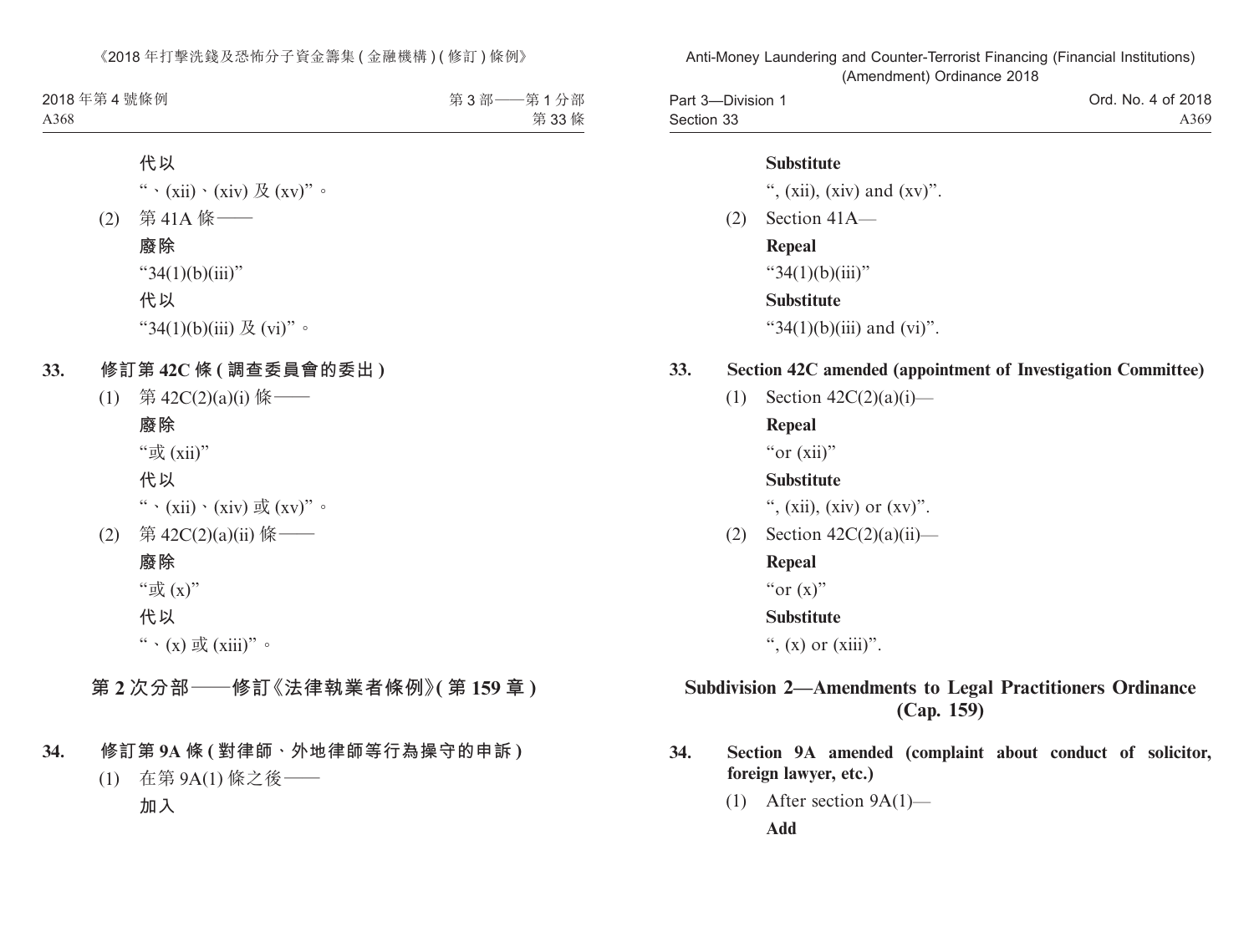| 2018年第4號條例 | 第3部——第1分部 |
|------------|-----------|
| A368       | 第33條      |

# **代以**  $`` \cdot (xii) \cdot (xiv) \not\mathbb{R} (xv)''$ (2) 第 41A 條—— **廢除** " $34(1)(b)(iii)$ " **代以** "34(1)(b)(iii) 及 (vi)"。

- **33. 修訂第 42C 條 ( 調查委員會的委出 )**
	- (1) 第 42C(2)(a)(i) 條 —— **廢除** "或 $(xii)$ " **代以**  $`` \cdot (xii) \cdot (xiv)$  或  $(xv)$ "。 (2) 第 42C(2)(a)(ii) 條 —— **廢除** "或 $(x)$ " **代以**  $`` \cdot (x) \t{\mathbb{R}} (xiii)" \t\t\circ$

**第 2 次分部——修訂《法律執業者條例》( 第 159 章 )**

# **34. 修訂第 9A 條 ( 對律師、外地律師等行為操守的申訴 )**

(1) 在第 9A(1) 條之後——

**加入**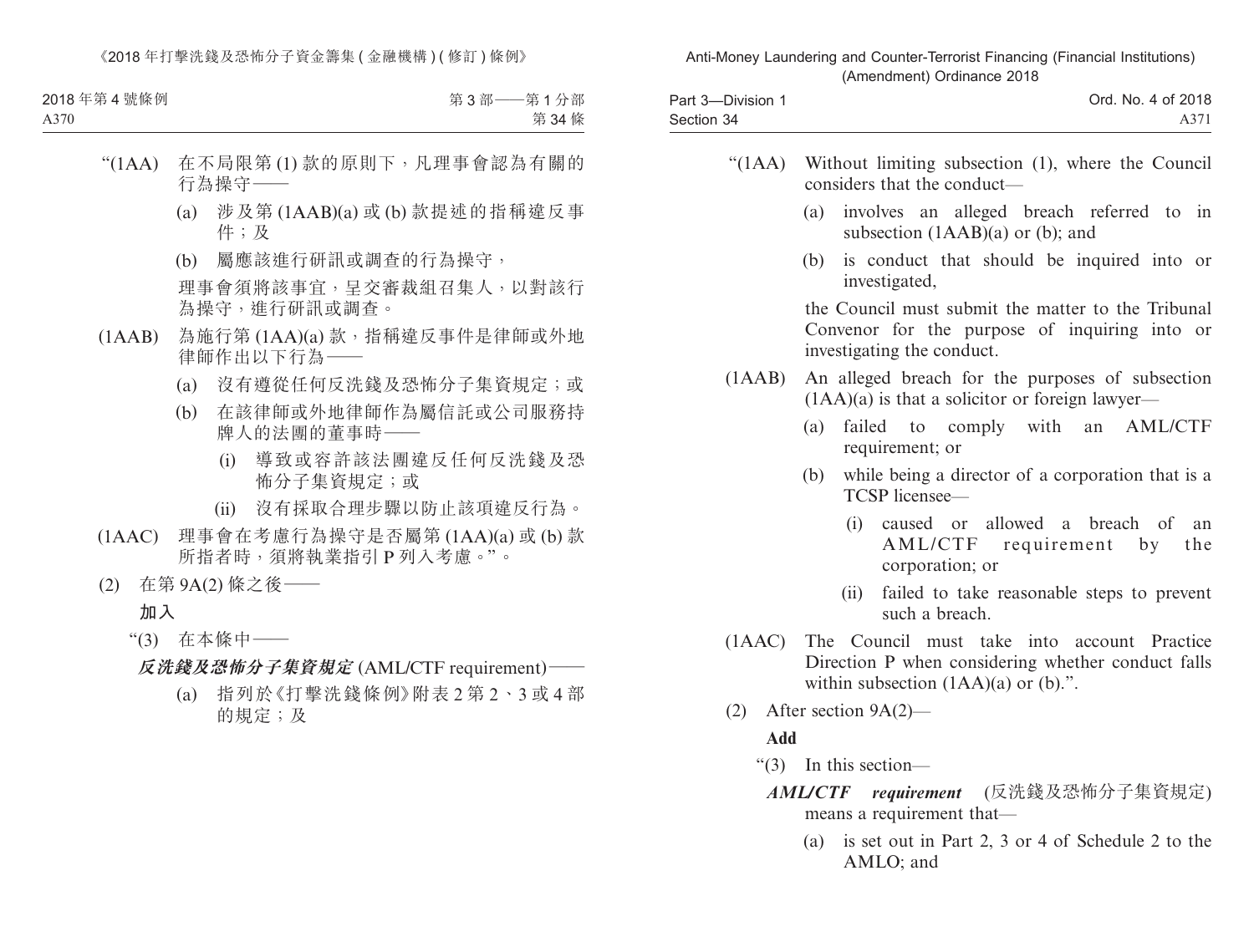《2018 年打擊洗錢及恐怖分子資金籌集 ( 金融機構 ) ( 修訂 ) 條例》

第 3 部——第 1 分部 第 34 條 2018 年第 4 號條例 A370

- "(1AA) 在不局限第 (1) 款的原則下,凡理事會認為有關的 行為操守——
	- (a) 涉及第 (1AAB)(a) 或 (b) 款提述的指稱違反事 件;及
	- (b) 屬應該進行研訊或調查的行為操守,

理事會須將該事宜,呈交審裁組召集人,以對該行 為操守,進行研訊或調查。

- (1AAB) 為施行第 (1AA)(a) 款,指稱違反事件是律師或外地 律師作出以下行為——
	- (a) 沒有遵從任何反洗錢及恐怖分子集資規定;或
	- (b) 在該律師或外地律師作為屬信託或公司服務持 牌人的法團的董事時——
		- (i) 導致或容許該法團違反任何反洗錢及恐 怖分子集資規定;或
		- (ii) 沒有採取合理步驟以防止該項違反行為。
- (1AAC) 理事會在考慮行為操守是否屬第 (1AA)(a) 或 (b) 款 所指者時,須將執業指引 P 列入考慮。"。
- (2) 在第 9A(2) 條之後——
	- **加入**
	- "(3) 在本條中——

**反洗錢及恐怖分子集資規定** (AML/CTF requirement)——

(a) 指列於《打擊洗錢條例》附表 2 第 2、3 或 4 部 的規定;及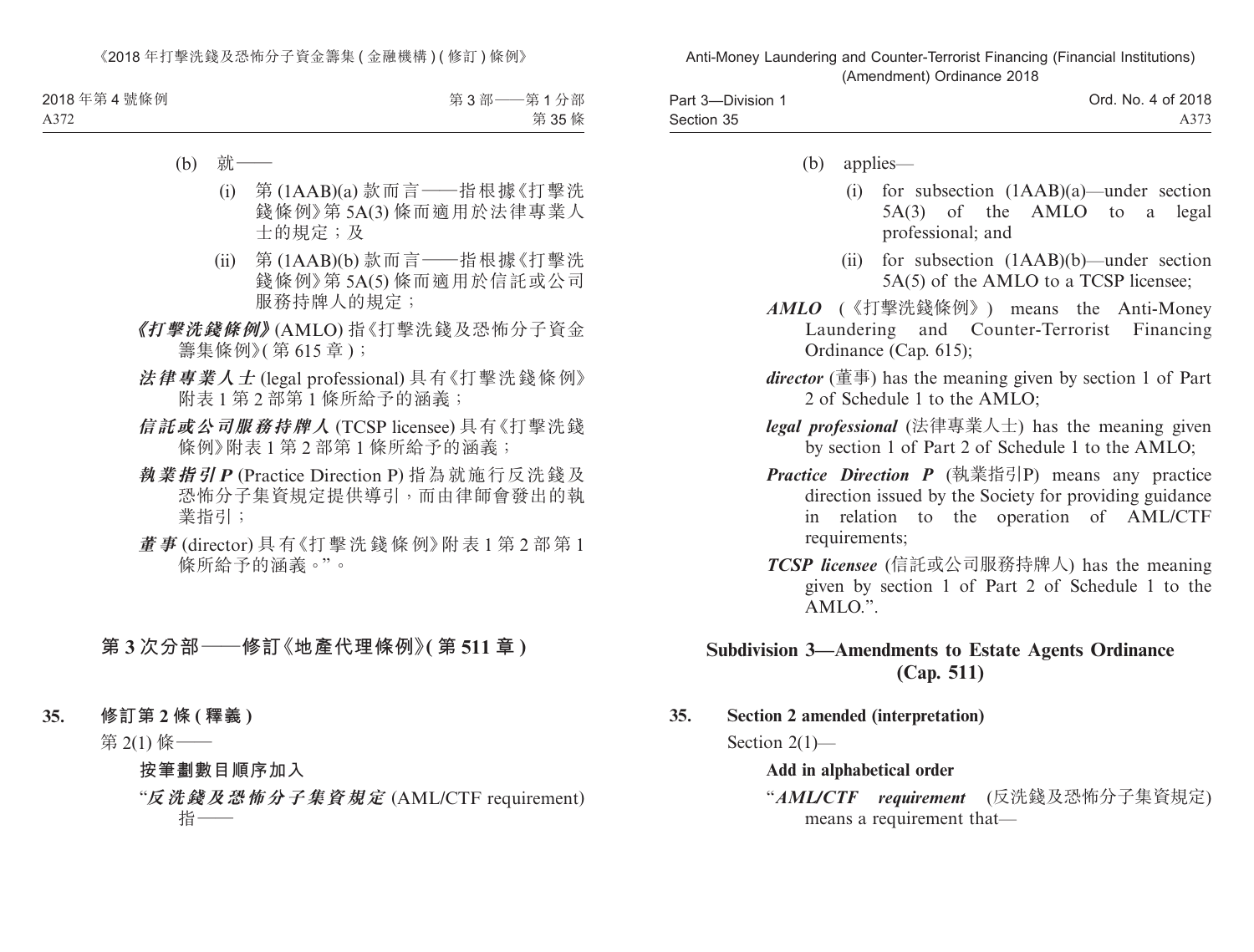《2018 年打擊洗錢及恐怖分子資金籌集 ( 金融機構 ) ( 修訂 ) 條例》

第 3 部——第 1 分部 第 35 條 2018 年第 4 號條例 A372

- (b) 就——
	- (i) 第 (1AAB)(a) 款而言——指根據《打擊洗 錢條例》第 5A(3) 條而適用於法律專業人 士的規定;及
	- (ii) 第 (1AAB)(b) 款而言——指根據《打擊洗 錢條例》第 5A(5) 條而適用於信託或公司 服務持牌人的規定;
- **《打擊洗錢條例》**(AMLO) 指《打擊洗錢及恐怖分子資金 籌集條例》( 第 615 章 );
- **法律專業人士** (legal professional) 具有《打擊洗錢條例》 附表 1 第 2 部第 1 條所給予的涵義;
- **信託或公司服務持牌人** (TCSP licensee) 具有《打擊洗錢 條例》附表 1 第 2 部第 1 條所給予的涵義;
- **執業指引 <sup>P</sup>**(Practice Direction P) 指為就施行反洗錢及 恐怖分子集資規定提供導引,而由律師會發出的執 業指引;
- **董事** (director) 具有《打擊洗錢條例》附表 1 第 2 部第 1 條所給予的涵義。"。

# **第 3 次分部——修訂《地產代理條例》( 第 511 章 )**

- **35. 修訂第 2 條 ( 釋義 )**
	- 第 2(1) 條——

## **按筆劃數目順序加入**

"**反洗錢及恐怖分子集資規定** (AML/CTF requirement) 指——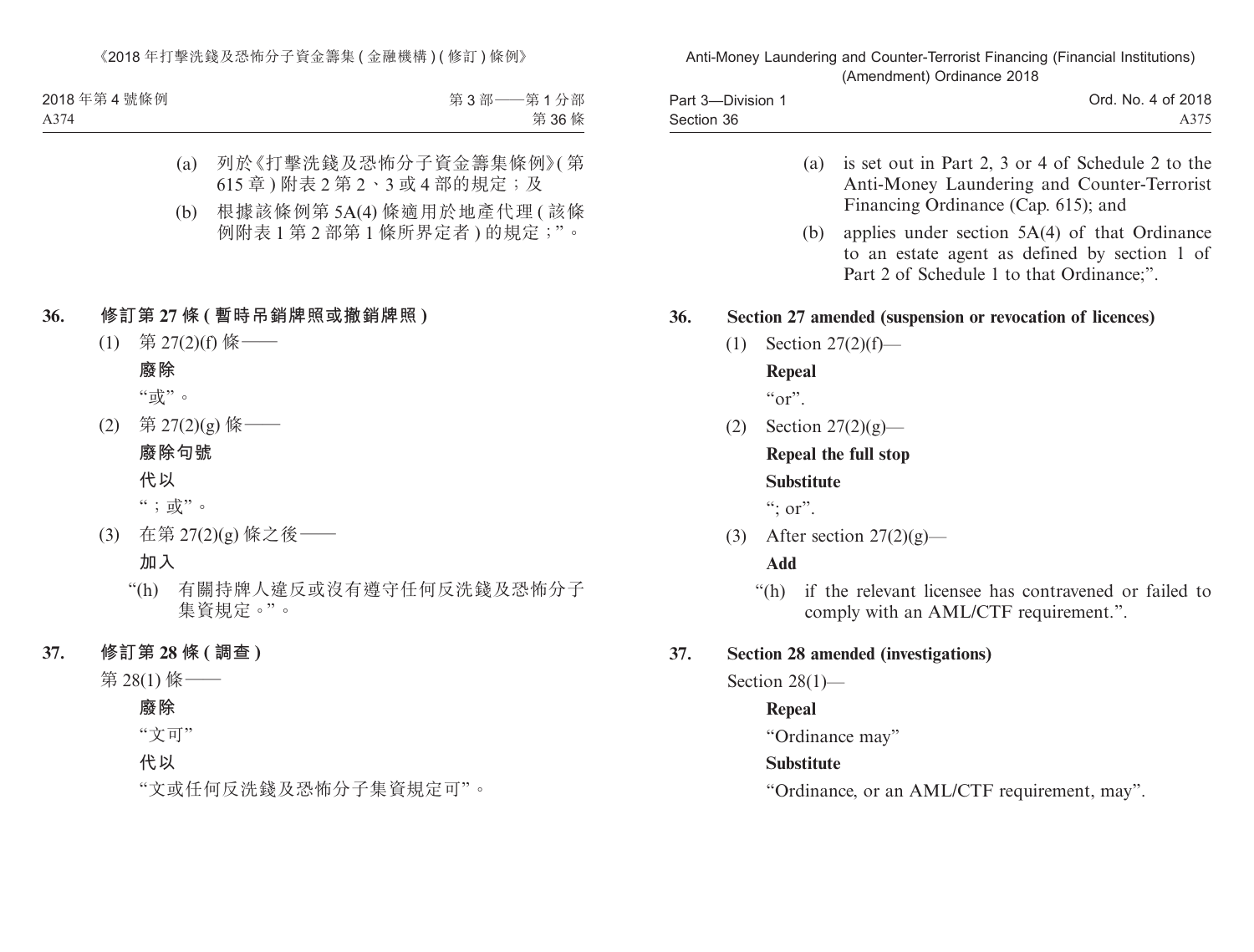《2018 年打擊洗錢及恐怖分子資金籌集 ( 金融機構 ) ( 修訂 ) 條例》

第 3 部——第 1 分部 第 36 條 2018 年第 4 號條例 A374

- (a) 列於《打擊洗錢及恐怖分子資金籌集條例》( 第 615 章) 附表 2 第 2、3 或 4 部的規定;及
- (b) 根據該條例第 5A(4) 條適用於地產代理 ( 該條 例附表 1 第 2 部第 1 條所界定者 ) 的規定;"。

**36. 修訂第 27 條 ( 暫時吊銷牌照或撤銷牌照 )**

 $(1)$  第 27(2)(f) 條 ——

### **廢除**

"或"。

(2) 第 27(2)(g) 條 ——

# **廢除句號**

**代以**

";或"。

(3) 在第 27(2)(g) 條之後——

# **加入**

"(h) 有關持牌人違反或沒有遵守任何反洗錢及恐怖分子 集資規定。"。

# **37. 修訂第 28 條 ( 調查 )**

第 28(1) 條——

# **廢除**

"文可"

# **代以**

"文或任何反洗錢及恐怖分子集資規定可"。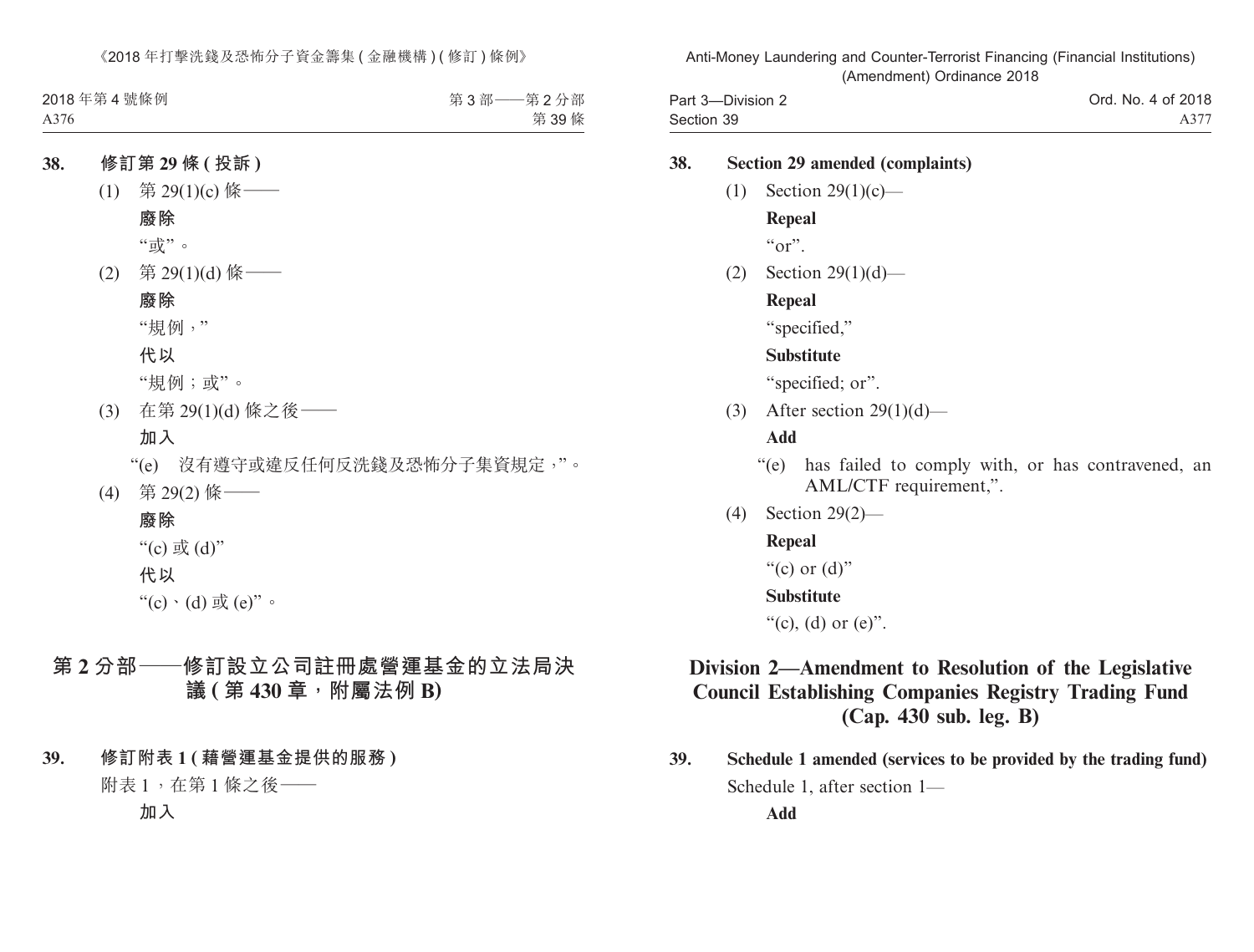第 3 部——第 2 分部 第 39 條 2018 年第 4 號條例 A376

# **38. 修訂第 29 條 ( 投訴 )**

 $(1)$  第 29(1)(c) 條 —— **廢除**

"或"。

(2) 第 29(1)(d) 條——

### **廢除**

"規例,"

# **代以**

"規例;或"。

(3) 在第 29(1)(d) 條之後——

# **加入**

"(e) 沒有遵守或違反任何反洗錢及恐怖分子集資規定,"。

(4) 第 29(2) 條——

# **廢除**

"(c) 或 (d)"

# **代以**

 $``(c) \cdot (d) \times (e)''$ 。

# **第 2 分部——修訂設立公司註冊處營運基金的立法局決 議 ( 第 430 章,附屬法例 B)**

# **39. 修訂附表 1 ( 藉營運基金提供的服務 )**

附表 1,在第 1 條之後——

**加入**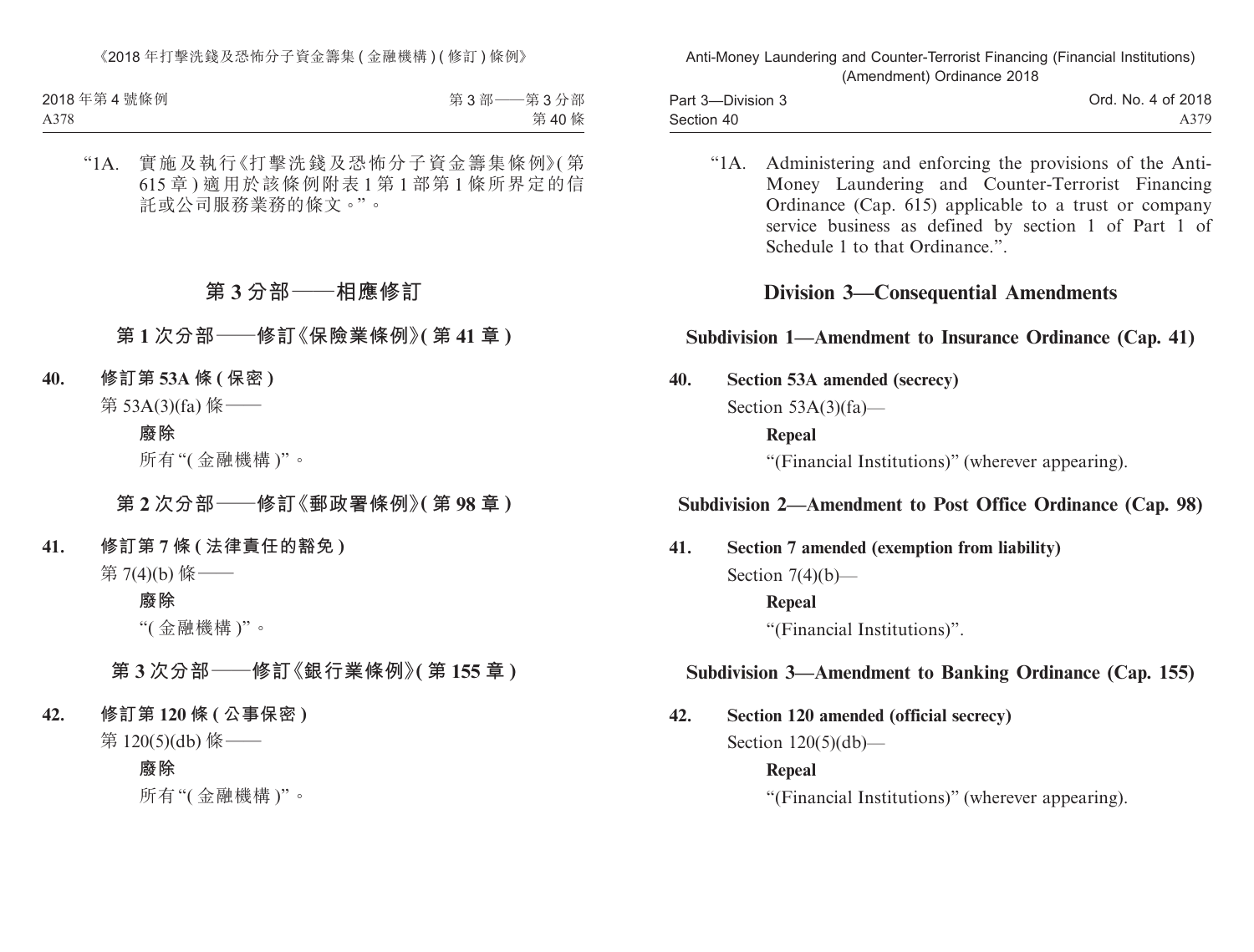2018 年第 4 號條例 A378

第 3 部——第 3 分部 第 40 條

"1A. 實施及執行《打擊洗錢及恐怖分子資金籌集條例》( 第 615 章 ) 適用於該條例附表 1 第 1 部第 1 條所界定的信 託或公司服務業務的條文。"。

# **第 3 分部——相應修訂**

# **第 1 次分部——修訂《保險業條例》( 第 41 章 )**

**40. 修訂第 53A 條 ( 保密 )**

第 53A(3)(fa) 條 ——

**廢除**

所有"( 金融機構 )"。

**第 2 次分部——修訂《郵政署條例》( 第 98 章 )**

**41. 修訂第 7 條 ( 法律責任的豁免 )**

第 7(4)(b) 條——

**廢除**

"( 金融機構 )"。

**第 3 次分部——修訂《銀行業條例》( 第 155 章 )**

**42. 修訂第 120 條 ( 公事保密 )**

第 120(5)(db) 條——

**廢除**

所有"( 金融機構 )"。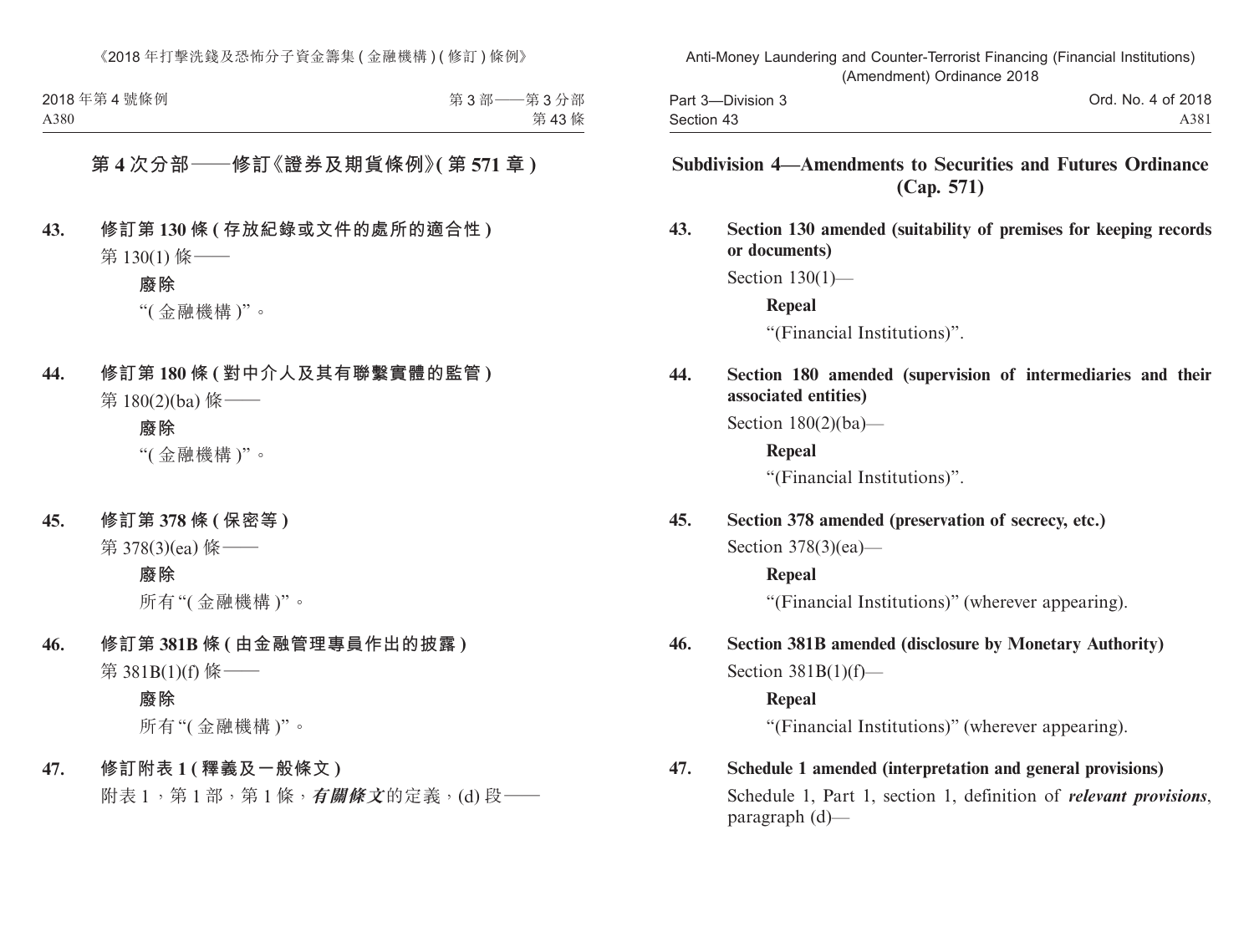第 3 部——第 3 分部 第 43 條 2018 年第 4 號條例 A380

# **第 4 次分部——修訂《證券及期貨條例》( 第 571 章 )**

**43. 修訂第 130 條 ( 存放紀錄或文件的處所的適合性 )**

第 130(1) 條——

# **廢除**

"( 金融機構 )"。

**44. 修訂第 180 條 ( 對中介人及其有聯繫實體的監管 )**

第 180(2)(ba) 條——

**廢除**

"( 金融機構 )"。

**45. 修訂第 378 條 ( 保密等 )**

第 378(3)(ea) 條——

### **廢除**

所有"( 金融機構 )"。

**46. 修訂第 381B 條 ( 由金融管理專員作出的披露 )**

第 381B(1)(f) 條——

**廢除**

所有"( 金融機構 )"。

**47. 修訂附表 1 ( 釋義及一般條文 )**

附表 1,第 1 部,第 1 條,**有關條文**的定義,(d) 段——